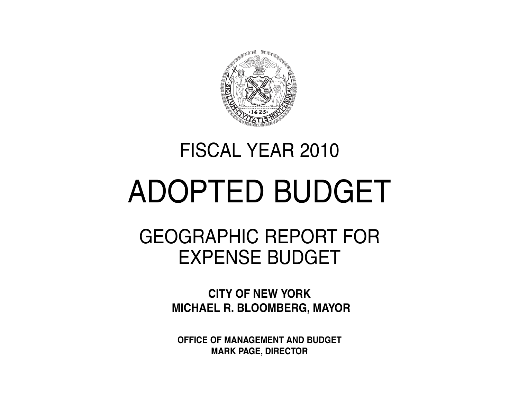

# FISCAL YEAR 2010

# ADOPTED BUDGET

# GEOGRAPHIC REPORT FOR EXPENSE BUDGET

**CITY OF NEW YORK MICHAEL R. BLOOMBERG, MAYOR**

**OFFICE OF MANAGEMENT AND BUDGET MARK PAGE, DIRECTOR**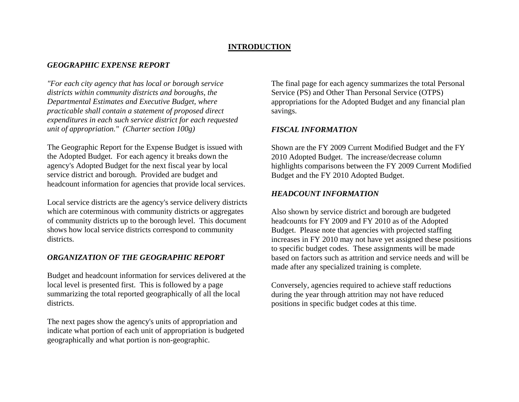### **INTRODUCTION**

### *GEOGRAPHIC EXPENSE REPORT*

*"For each city agency that has local or borough service districts within community districts and boroughs, the Departmental Estimates and Executive Budget, where practicable shall contain a statement of proposed direct expenditures in each such service district for each requested unit of appropriation." (Charter section 100g)*

The Geographic Report for the Expense Budget is issued with the Adopted Budget. For each agency it breaks down the agency's Adopted Budget for the next fiscal year by local service district and borough. Provided are budget and headcount information for agencies that provide local services.

Local service districts are the agency's service delivery districts which are coterminous with community districts or aggregates of community districts up to the borough level. This document shows how local service districts correspond to community districts.

### *ORGANIZATION OF THE GEOGRAPHIC REPORT*

Budget and headcount information for services delivered at the local level is presented first. This is followed by a page summarizing the total reported geographically of all the local districts.

The next pages show the agency's units of appropriation and indicate what portion of each unit of appropriation is budgeted geographically and what portion is non-geographic.

The final page for each agency summarizes the total Personal Service (PS) and Other Than Personal Service (OTPS) appropriations for the Adopted Budget and any financial plan savings.

### *FISCAL INFORMATION*

Shown are the FY 2009 Current Modified Budget and the FY 2010 Adopted Budget. The increase/decrease column highlights comparisons between the FY 2009 Current Modified Budget and the FY 2010 Adopted Budget.

### *HEADCOUNT INFORMATION*

Also shown by service district and borough are budgeted headcounts for FY 2009 and FY 2010 as of the Adopted Budget. Please note that agencies with projected staffing increases in FY 2010 may not have yet assigned these positions to specific budget codes. These assignments will be made based on factors such as attrition and service needs and will be made after any specialized training is complete.

Conversely, agencies required to achieve staff reductions during the year through attrition may not have reduced positions in specific budget codes at this time.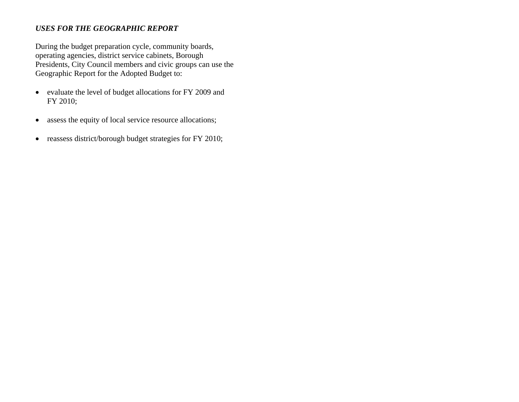### *USES FOR THE GEOGRAPHIC REPORT*

During the budget preparation cycle, community boards, operating agencies, district service cabinets, Borough Presidents, City Council members and civic groups can use the Geographic Report for the Adopted Budget to:

- evaluate the level of budget allocations for FY 2009 and FY 2010;
- $\bullet$ assess the equity of local service resource allocations;
- $\bullet$ reassess district/borough budget strategies for FY 2010;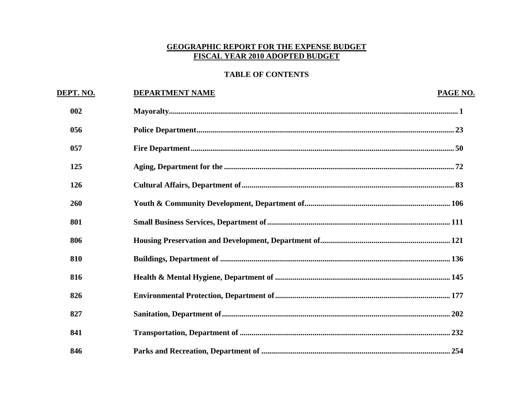### **GEOGRAPHIC REPORT FOR THE EXPENSE BUDGET FISCAL YEAR 2010 ADOPTED BUDGET**

# **TABLE OF CONTENTS**

| DEPT. NO. | <b>DEPARTMENT NAME</b> | PAGE NO. |
|-----------|------------------------|----------|
| 002       |                        |          |
| 056       |                        |          |
| 057       |                        |          |
| 125       |                        |          |
| 126       |                        |          |
| 260       |                        |          |
| 801       |                        |          |
| 806       |                        |          |
| 810       |                        |          |
| 816       |                        |          |
| 826       |                        |          |
| 827       |                        |          |
| 841       |                        |          |
| 846       |                        |          |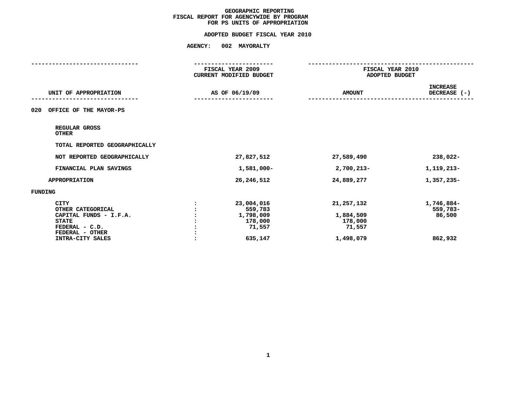# **FOR PS UNITS OF APPROPRIATIONADOPTED BUDGET FISCAL YEAR <sup>2010</sup>**

|                                                                                                                 | FISCAL YEAR 2009<br><b>CURRENT MODIFIED BUDGET</b>      | FISCAL YEAR 2010<br>ADOPTED BUDGET             |                                  |
|-----------------------------------------------------------------------------------------------------------------|---------------------------------------------------------|------------------------------------------------|----------------------------------|
| UNIT OF APPROPRIATION                                                                                           | AS OF 06/19/09                                          | <b>AMOUNT</b>                                  | <b>INCREASE</b><br>DECREASE (-)  |
| OFFICE OF THE MAYOR-PS<br>020                                                                                   |                                                         |                                                |                                  |
| REGULAR GROSS<br><b>OTHER</b>                                                                                   |                                                         |                                                |                                  |
| TOTAL REPORTED GEOGRAPHICALLY                                                                                   |                                                         |                                                |                                  |
| NOT REPORTED GEOGRAPHICALLY                                                                                     | 27,827,512                                              | 27,589,490                                     | 238,022-                         |
| FINANCIAL PLAN SAVINGS                                                                                          | 1,581,000-                                              | 2,700,213-                                     | 1,119,213-                       |
| <b>APPROPRIATION</b>                                                                                            | 26, 246, 512                                            | 24,889,277                                     | 1,357,235-                       |
| FUNDING                                                                                                         |                                                         |                                                |                                  |
| <b>CITY</b><br>OTHER CATEGORICAL<br>CAPITAL FUNDS - I.F.A.<br><b>STATE</b><br>FEDERAL - C.D.<br>FEDERAL - OTHER | 23,004,016<br>559,783<br>1,798,009<br>178,000<br>71,557 | 21, 257, 132<br>1,884,509<br>178,000<br>71,557 | 1,746,884-<br>559,783-<br>86,500 |
| INTRA-CITY SALES                                                                                                | 635,147                                                 | 1,498,079                                      | 862,932                          |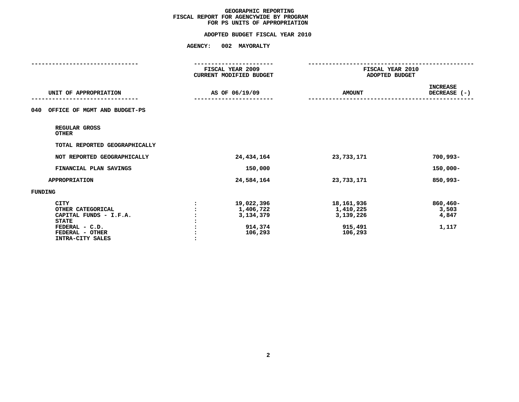# **FOR PS UNITS OF APPROPRIATIONADOPTED BUDGET FISCAL YEAR <sup>2010</sup>**

|                                                                                                                                     | FISCAL YEAR 2009<br><b>CURRENT MODIFIED BUDGET</b> |                                                            | FISCAL YEAR 2010<br>ADOPTED BUDGET                         |                                        |
|-------------------------------------------------------------------------------------------------------------------------------------|----------------------------------------------------|------------------------------------------------------------|------------------------------------------------------------|----------------------------------------|
| UNIT OF APPROPRIATION                                                                                                               |                                                    | AS OF 06/19/09                                             | <b>AMOUNT</b>                                              | <b>INCREASE</b><br>DECREASE (-)        |
| OFFICE OF MGMT AND BUDGET-PS<br>040                                                                                                 |                                                    |                                                            |                                                            |                                        |
| REGULAR GROSS<br><b>OTHER</b>                                                                                                       |                                                    |                                                            |                                                            |                                        |
| TOTAL REPORTED GEOGRAPHICALLY                                                                                                       |                                                    |                                                            |                                                            |                                        |
| NOT REPORTED GEOGRAPHICALLY                                                                                                         |                                                    | 24, 434, 164                                               | 23,733,171                                                 | $700,993 -$                            |
| FINANCIAL PLAN SAVINGS                                                                                                              |                                                    | 150,000                                                    |                                                            | $150,000 -$                            |
| <b>APPROPRIATION</b>                                                                                                                |                                                    | 24,584,164                                                 | 23,733,171                                                 | 850,993-                               |
| <b>FUNDING</b>                                                                                                                      |                                                    |                                                            |                                                            |                                        |
| <b>CITY</b><br>OTHER CATEGORICAL<br>CAPITAL FUNDS - I.F.A.<br><b>STATE</b><br>FEDERAL - C.D.<br>FEDERAL - OTHER<br>INTRA-CITY SALES |                                                    | 19,022,396<br>1,406,722<br>3,134,379<br>914,374<br>106,293 | 18,161,936<br>1,410,225<br>3,139,226<br>915,491<br>106,293 | $860,460 -$<br>3,503<br>4,847<br>1,117 |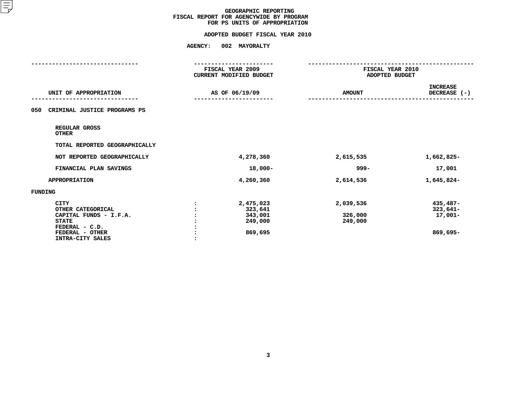# **FOR PS UNITS OF APPROPRIATIONADOPTED BUDGET FISCAL YEAR <sup>2010</sup>**

|                                                                                                                                     | FISCAL YEAR 2009<br><b>CURRENT MODIFIED BUDGET</b>    |                                 | FISCAL YEAR 2010<br>ADOPTED BUDGET              |  |
|-------------------------------------------------------------------------------------------------------------------------------------|-------------------------------------------------------|---------------------------------|-------------------------------------------------|--|
| UNIT OF APPROPRIATION                                                                                                               | AS OF 06/19/09                                        | <b>AMOUNT</b>                   | <b>INCREASE</b><br>DECREASE (-)                 |  |
| 050<br>CRIMINAL JUSTICE PROGRAMS PS                                                                                                 |                                                       |                                 |                                                 |  |
| REGULAR GROSS<br><b>OTHER</b>                                                                                                       |                                                       |                                 |                                                 |  |
| TOTAL REPORTED GEOGRAPHICALLY                                                                                                       |                                                       |                                 |                                                 |  |
| NOT REPORTED GEOGRAPHICALLY                                                                                                         | 4,278,360                                             | 2,615,535                       | 1,662,825-                                      |  |
| FINANCIAL PLAN SAVINGS                                                                                                              | $18,000 -$                                            | 999–                            | 17,001                                          |  |
| <b>APPROPRIATION</b>                                                                                                                | 4,260,360                                             | 2,614,536                       | 1,645,824-                                      |  |
| FUNDING                                                                                                                             |                                                       |                                 |                                                 |  |
| <b>CITY</b><br>OTHER CATEGORICAL<br>CAPITAL FUNDS - I.F.A.<br><b>STATE</b><br>FEDERAL - C.D.<br>FEDERAL - OTHER<br>INTRA-CITY SALES | 2,475,023<br>323,641<br>343,001<br>249,000<br>869,695 | 2,039,536<br>326,000<br>249,000 | $435,487-$<br>$323,641-$<br>17,001-<br>869,695- |  |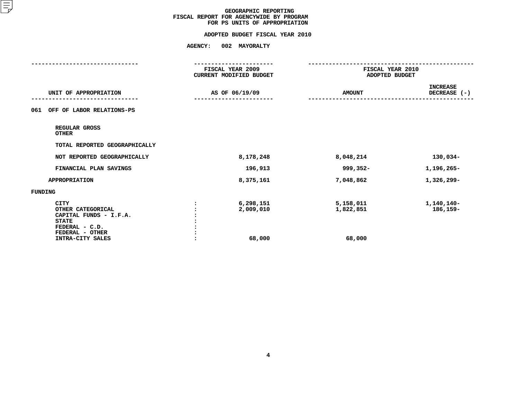# **FOR PS UNITS OF APPROPRIATIONADOPTED BUDGET FISCAL YEAR <sup>2010</sup>**

|                                                                                                                                     | FISCAL YEAR 2009<br><b>CURRENT MODIFIED BUDGET</b> | FISCAL YEAR 2010<br>ADOPTED BUDGET |                                 |
|-------------------------------------------------------------------------------------------------------------------------------------|----------------------------------------------------|------------------------------------|---------------------------------|
| UNIT OF APPROPRIATION                                                                                                               | AS OF 06/19/09                                     | <b>AMOUNT</b>                      | <b>INCREASE</b><br>DECREASE (-) |
| OFF OF LABOR RELATIONS-PS<br>061                                                                                                    |                                                    |                                    |                                 |
| REGULAR GROSS<br><b>OTHER</b>                                                                                                       |                                                    |                                    |                                 |
| TOTAL REPORTED GEOGRAPHICALLY                                                                                                       |                                                    |                                    |                                 |
| NOT REPORTED GEOGRAPHICALLY                                                                                                         | 8,178,248                                          | 8,048,214                          | 130,034-                        |
| FINANCIAL PLAN SAVINGS                                                                                                              | 196,913                                            | 999,352-                           | 1,196,265-                      |
| <b>APPROPRIATION</b>                                                                                                                | 8,375,161                                          | 7,048,862                          | 1,326,299-                      |
| FUNDING                                                                                                                             |                                                    |                                    |                                 |
| <b>CITY</b><br>OTHER CATEGORICAL<br>CAPITAL FUNDS - I.F.A.<br><b>STATE</b><br>FEDERAL - C.D.<br>FEDERAL - OTHER<br>INTRA-CITY SALES | 6,298,151<br>2,009,010<br>68,000                   | 5,158,011<br>1,822,851<br>68,000   | 1,140,140-<br>186,159-          |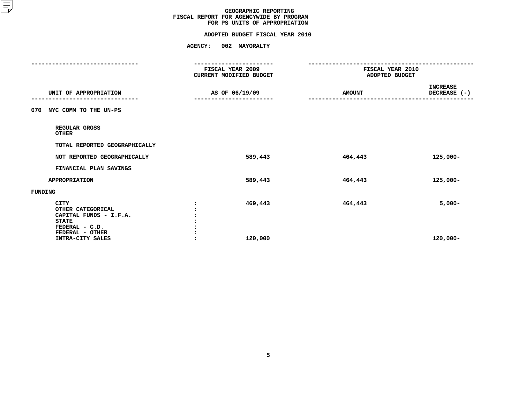# **FOR PS UNITS OF APPROPRIATIONADOPTED BUDGET FISCAL YEAR <sup>2010</sup>**

|                                                                                                                                     | . <b>.</b> .<br>FISCAL YEAR 2009<br>CURRENT MODIFIED BUDGET |                    | FISCAL YEAR 2010<br>ADOPTED BUDGET |                                 |
|-------------------------------------------------------------------------------------------------------------------------------------|-------------------------------------------------------------|--------------------|------------------------------------|---------------------------------|
| UNIT OF APPROPRIATION                                                                                                               |                                                             | AS OF 06/19/09     | <b>AMOUNT</b>                      | <b>INCREASE</b><br>DECREASE (-) |
| 070 NYC COMM TO THE UN-PS                                                                                                           |                                                             |                    |                                    |                                 |
| REGULAR GROSS<br><b>OTHER</b>                                                                                                       |                                                             |                    |                                    |                                 |
| TOTAL REPORTED GEOGRAPHICALLY                                                                                                       |                                                             |                    |                                    |                                 |
| NOT REPORTED GEOGRAPHICALLY                                                                                                         |                                                             | 589,443            | 464,443                            | $125,000 -$                     |
| FINANCIAL PLAN SAVINGS                                                                                                              |                                                             |                    |                                    |                                 |
| <b>APPROPRIATION</b>                                                                                                                |                                                             | 589,443            | 464,443                            | $125,000 -$                     |
| FUNDING                                                                                                                             |                                                             |                    |                                    |                                 |
| <b>CITY</b><br>OTHER CATEGORICAL<br>CAPITAL FUNDS - I.F.A.<br><b>STATE</b><br>FEDERAL - C.D.<br>FEDERAL - OTHER<br>INTRA-CITY SALES |                                                             | 469,443<br>120,000 | 464,443                            | $5,000-$<br>$120,000 -$         |
|                                                                                                                                     |                                                             |                    |                                    |                                 |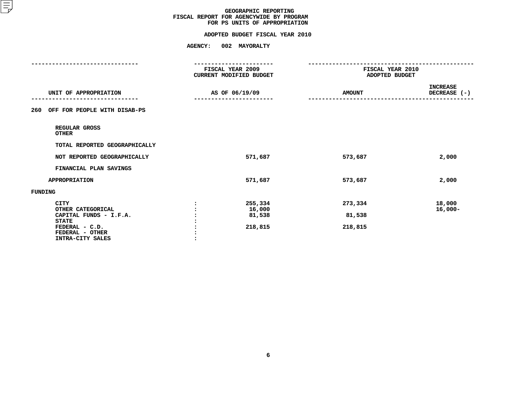# **FOR PS UNITS OF APPROPRIATIONADOPTED BUDGET FISCAL YEAR <sup>2010</sup>**

|                                                                       | FISCAL YEAR 2009<br><b>CURRENT MODIFIED BUDGET</b><br>AS OF 06/19/09 |                   | FISCAL YEAR 2010<br>ADOPTED BUDGET |                                 |
|-----------------------------------------------------------------------|----------------------------------------------------------------------|-------------------|------------------------------------|---------------------------------|
| UNIT OF APPROPRIATION                                                 |                                                                      |                   | <b>AMOUNT</b>                      | <b>INCREASE</b><br>DECREASE (-) |
| OFF FOR PEOPLE WITH DISAB-PS<br>260                                   |                                                                      |                   |                                    |                                 |
| REGULAR GROSS<br><b>OTHER</b>                                         |                                                                      |                   |                                    |                                 |
| TOTAL REPORTED GEOGRAPHICALLY                                         |                                                                      |                   |                                    |                                 |
| NOT REPORTED GEOGRAPHICALLY                                           |                                                                      | 571,687           | 573,687                            | 2,000                           |
| FINANCIAL PLAN SAVINGS                                                |                                                                      |                   |                                    |                                 |
| <b>APPROPRIATION</b>                                                  |                                                                      | 571,687           | 573,687                            | 2,000                           |
| <b>FUNDING</b>                                                        |                                                                      |                   |                                    |                                 |
| CITY<br>OTHER CATEGORICAL                                             |                                                                      | 255,334<br>16,000 | 273,334                            | 18,000<br>$16,000 -$            |
| CAPITAL FUNDS - I.F.A.                                                |                                                                      | 81,538            | 81,538                             |                                 |
| <b>STATE</b><br>FEDERAL - C.D.<br>FEDERAL - OTHER<br>INTRA-CITY SALES |                                                                      | 218,815           | 218,815                            |                                 |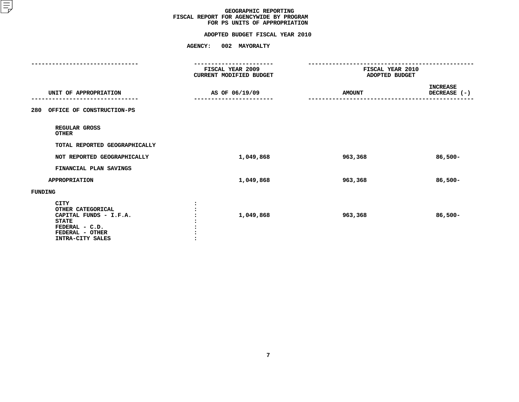# **FOR PS UNITS OF APPROPRIATIONADOPTED BUDGET FISCAL YEAR <sup>2010</sup>**

|                                                                                                                                     | FISCAL YEAR 2009<br><b>CURRENT MODIFIED BUDGET</b> | FISCAL YEAR 2010<br>ADOPTED BUDGET |                                 |  |
|-------------------------------------------------------------------------------------------------------------------------------------|----------------------------------------------------|------------------------------------|---------------------------------|--|
| UNIT OF APPROPRIATION                                                                                                               | AS OF 06/19/09                                     | <b>AMOUNT</b>                      | <b>INCREASE</b><br>DECREASE (-) |  |
| 280<br>OFFICE OF CONSTRUCTION-PS                                                                                                    |                                                    |                                    |                                 |  |
| REGULAR GROSS<br><b>OTHER</b>                                                                                                       |                                                    |                                    |                                 |  |
| TOTAL REPORTED GEOGRAPHICALLY                                                                                                       |                                                    |                                    |                                 |  |
| NOT REPORTED GEOGRAPHICALLY                                                                                                         | 1,049,868                                          | 963,368                            | $86,500 -$                      |  |
| FINANCIAL PLAN SAVINGS                                                                                                              |                                                    |                                    |                                 |  |
| <b>APPROPRIATION</b>                                                                                                                | 1,049,868                                          | 963,368                            | $86,500 -$                      |  |
| FUNDING                                                                                                                             |                                                    |                                    |                                 |  |
| <b>CITY</b><br>OTHER CATEGORICAL<br>CAPITAL FUNDS - I.F.A.<br><b>STATE</b><br>FEDERAL - C.D.<br>FEDERAL - OTHER<br>INTRA-CITY SALES | 1,049,868                                          | 963,368                            | $86,500 -$                      |  |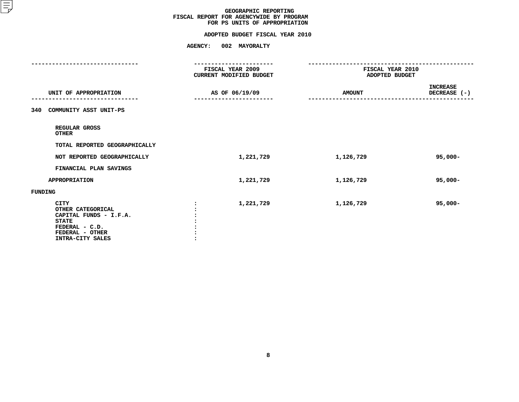# **FOR PS UNITS OF APPROPRIATIONADOPTED BUDGET FISCAL YEAR <sup>2010</sup>**

|                                                                                                                                     | -------------<br>FISCAL YEAR 2009<br>CURRENT MODIFIED BUDGET | FISCAL YEAR 2010<br>ADOPTED BUDGET |                                 |  |
|-------------------------------------------------------------------------------------------------------------------------------------|--------------------------------------------------------------|------------------------------------|---------------------------------|--|
| UNIT OF APPROPRIATION                                                                                                               | AS OF 06/19/09                                               |                                    | <b>INCREASE</b><br>DECREASE (-) |  |
| COMMUNITY ASST UNIT-PS<br>340                                                                                                       |                                                              |                                    |                                 |  |
| REGULAR GROSS<br><b>OTHER</b>                                                                                                       |                                                              |                                    |                                 |  |
| TOTAL REPORTED GEOGRAPHICALLY                                                                                                       |                                                              |                                    |                                 |  |
| NOT REPORTED GEOGRAPHICALLY                                                                                                         | 1,221,729                                                    | 1,126,729                          | $95,000 -$                      |  |
| FINANCIAL PLAN SAVINGS                                                                                                              |                                                              |                                    |                                 |  |
| <b>APPROPRIATION</b>                                                                                                                | 1,221,729                                                    | 1,126,729                          | $95,000 -$                      |  |
| FUNDING                                                                                                                             |                                                              |                                    |                                 |  |
| <b>CITY</b><br>OTHER CATEGORICAL<br>CAPITAL FUNDS - I.F.A.<br><b>STATE</b><br>FEDERAL - C.D.<br>FEDERAL - OTHER<br>INTRA-CITY SALES | 1,221,729                                                    | 1,126,729                          | $95,000 -$                      |  |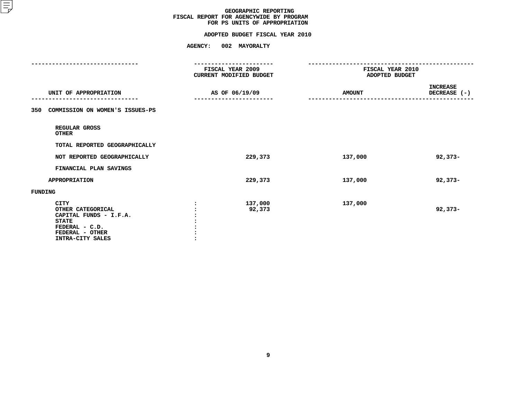# **FOR PS UNITS OF APPROPRIATIONADOPTED BUDGET FISCAL YEAR <sup>2010</sup>**

|                                                                                                                                     | . <b>.</b><br>FISCAL YEAR 2009<br><b>CURRENT MODIFIED BUDGET</b> |                   | FISCAL YEAR 2010<br>ADOPTED BUDGET |                                 |
|-------------------------------------------------------------------------------------------------------------------------------------|------------------------------------------------------------------|-------------------|------------------------------------|---------------------------------|
| UNIT OF APPROPRIATION                                                                                                               |                                                                  | AS OF 06/19/09    | <b>AMOUNT</b>                      | <b>INCREASE</b><br>DECREASE (-) |
| COMMISSION ON WOMEN'S ISSUES-PS<br>350                                                                                              |                                                                  |                   |                                    |                                 |
| REGULAR GROSS<br><b>OTHER</b>                                                                                                       |                                                                  |                   |                                    |                                 |
| TOTAL REPORTED GEOGRAPHICALLY                                                                                                       |                                                                  |                   |                                    |                                 |
| NOT REPORTED GEOGRAPHICALLY                                                                                                         |                                                                  | 229,373           | 137,000                            | $92,373-$                       |
| FINANCIAL PLAN SAVINGS                                                                                                              |                                                                  |                   |                                    |                                 |
| <b>APPROPRIATION</b>                                                                                                                |                                                                  | 229,373           | 137,000                            | $92,373-$                       |
| FUNDING                                                                                                                             |                                                                  |                   |                                    |                                 |
| <b>CITY</b><br>OTHER CATEGORICAL<br>CAPITAL FUNDS - I.F.A.<br><b>STATE</b><br>FEDERAL - C.D.<br>FEDERAL - OTHER<br>INTRA-CITY SALES |                                                                  | 137,000<br>92,373 | 137,000                            | $92,373-$                       |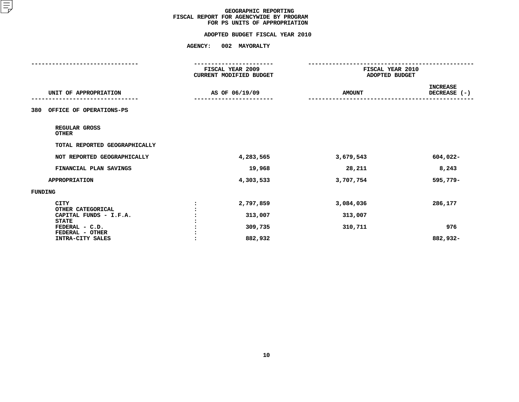# **FOR PS UNITS OF APPROPRIATIONADOPTED BUDGET FISCAL YEAR <sup>2010</sup>**

|                                                   | FISCAL YEAR 2009<br>CURRENT MODIFIED BUDGET |               | FISCAL YEAR 2010<br>ADOPTED BUDGET |  |
|---------------------------------------------------|---------------------------------------------|---------------|------------------------------------|--|
| UNIT OF APPROPRIATION                             | AS OF 06/19/09                              | <b>AMOUNT</b> | <b>INCREASE</b><br>DECREASE (-)    |  |
| OFFICE OF OPERATIONS-PS<br>380                    |                                             |               |                                    |  |
| REGULAR GROSS<br><b>OTHER</b>                     |                                             |               |                                    |  |
| TOTAL REPORTED GEOGRAPHICALLY                     |                                             |               |                                    |  |
| NOT REPORTED GEOGRAPHICALLY                       | 4,283,565                                   | 3,679,543     | 604,022-                           |  |
| FINANCIAL PLAN SAVINGS                            | 19,968                                      | 28,211        | 8,243                              |  |
| <b>APPROPRIATION</b>                              | 4,303,533                                   | 3,707,754     | 595,779-                           |  |
| FUNDING                                           |                                             |               |                                    |  |
| <b>CITY</b><br>OTHER CATEGORICAL                  | 2,797,859                                   | 3,084,036     | 286,177                            |  |
| CAPITAL FUNDS - I.F.A.                            | 313,007                                     | 313,007       |                                    |  |
| <b>STATE</b><br>FEDERAL - C.D.<br>FEDERAL - OTHER | 309,735                                     | 310,711       | 976                                |  |
| INTRA-CITY SALES                                  | 882,932                                     |               | 882,932-                           |  |
|                                                   |                                             |               |                                    |  |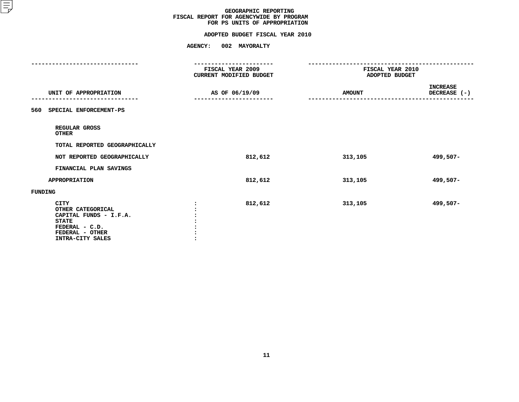# **FOR PS UNITS OF APPROPRIATIONADOPTED BUDGET FISCAL YEAR <sup>2010</sup>**

| --------------<br>FISCAL YEAR 2009<br><b>CURRENT MODIFIED BUDGET</b>                                                                |                |               | FISCAL YEAR 2010<br>ADOPTED BUDGET |
|-------------------------------------------------------------------------------------------------------------------------------------|----------------|---------------|------------------------------------|
| UNIT OF APPROPRIATION                                                                                                               | AS OF 06/19/09 | <b>AMOUNT</b> | <b>INCREASE</b><br>DECREASE (-)    |
| 560 SPECIAL ENFORCEMENT-PS                                                                                                          |                |               |                                    |
| REGULAR GROSS<br><b>OTHER</b>                                                                                                       |                |               |                                    |
| TOTAL REPORTED GEOGRAPHICALLY                                                                                                       |                |               |                                    |
| NOT REPORTED GEOGRAPHICALLY                                                                                                         | 812,612        | 313,105       | 499,507-                           |
| FINANCIAL PLAN SAVINGS                                                                                                              |                |               |                                    |
| <b>APPROPRIATION</b>                                                                                                                | 812,612        | 313,105       | 499,507-                           |
| FUNDING                                                                                                                             |                |               |                                    |
| <b>CITY</b><br>OTHER CATEGORICAL<br>CAPITAL FUNDS - I.F.A.<br><b>STATE</b><br>FEDERAL - C.D.<br>FEDERAL - OTHER<br>INTRA-CITY SALES | 812,612        | 313,105       | 499,507-                           |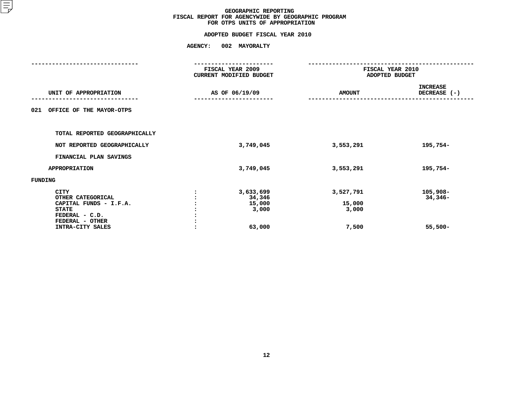# **FOR OTPS UNITS OF APPROPRIATIONADOPTED BUDGET FISCAL YEAR <sup>2010</sup>**

|                                                                                                                                     | FISCAL YEAR 2009<br>CURRENT MODIFIED BUDGET |                                                  | FISCAL YEAR 2010<br>ADOPTED BUDGET    |                                    |  |
|-------------------------------------------------------------------------------------------------------------------------------------|---------------------------------------------|--------------------------------------------------|---------------------------------------|------------------------------------|--|
| UNIT OF APPROPRIATION                                                                                                               |                                             | AS OF 06/19/09                                   | <b>AMOUNT</b>                         | <b>INCREASE</b><br>DECREASE (-)    |  |
| OFFICE OF THE MAYOR-OTPS<br>021                                                                                                     |                                             |                                                  |                                       |                                    |  |
| TOTAL REPORTED GEOGRAPHICALLY                                                                                                       |                                             |                                                  |                                       |                                    |  |
| NOT REPORTED GEOGRAPHICALLY                                                                                                         |                                             | 3,749,045                                        | 3,553,291                             | 195,754-                           |  |
| FINANCIAL PLAN SAVINGS                                                                                                              |                                             |                                                  |                                       |                                    |  |
| <b>APPROPRIATION</b>                                                                                                                |                                             | 3,749,045                                        | 3,553,291                             | 195,754-                           |  |
| FUNDING                                                                                                                             |                                             |                                                  |                                       |                                    |  |
| <b>CITY</b><br>OTHER CATEGORICAL<br>CAPITAL FUNDS - I.F.A.<br><b>STATE</b><br>FEDERAL - C.D.<br>FEDERAL - OTHER<br>INTRA-CITY SALES |                                             | 3,633,699<br>34,346<br>15,000<br>3,000<br>63,000 | 3,527,791<br>15,000<br>3,000<br>7,500 | 105,908-<br>$34,346-$<br>$55,500-$ |  |
|                                                                                                                                     |                                             |                                                  |                                       |                                    |  |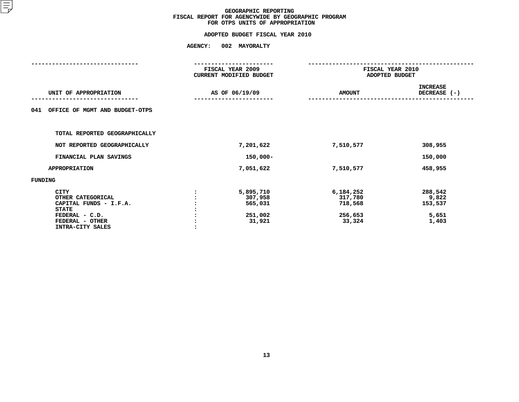# **FOR OTPS UNITS OF APPROPRIATIONADOPTED BUDGET FISCAL YEAR <sup>2010</sup>**

|           | FISCAL YEAR 2010                                                                    |                 |
|-----------|-------------------------------------------------------------------------------------|-----------------|
|           |                                                                                     | ADOPTED BUDGET  |
|           |                                                                                     | <b>INCREASE</b> |
|           | <b>AMOUNT</b>                                                                       | DECREASE (-)    |
|           |                                                                                     |                 |
|           |                                                                                     |                 |
|           |                                                                                     |                 |
|           |                                                                                     |                 |
|           |                                                                                     |                 |
|           |                                                                                     |                 |
| 7,201,622 | 7,510,577                                                                           | 308,955         |
|           |                                                                                     | 150,000         |
|           |                                                                                     |                 |
| 7,051,622 | 7,510,577                                                                           | 458,955         |
|           |                                                                                     |                 |
|           |                                                                                     |                 |
| 5,895,710 | 6,184,252                                                                           | 288,542         |
| 307,958   | 317,780                                                                             | 9,822           |
| 565,031   | 718,568                                                                             | 153,537         |
|           |                                                                                     |                 |
| 251,002   | 256,653                                                                             | 5,651           |
| 31,921    | 33,324                                                                              | 1,403           |
|           |                                                                                     |                 |
|           |                                                                                     |                 |
|           |                                                                                     |                 |
|           | FISCAL YEAR 2009<br><b>CURRENT MODIFIED BUDGET</b><br>AS OF 06/19/09<br>$150,000 -$ |                 |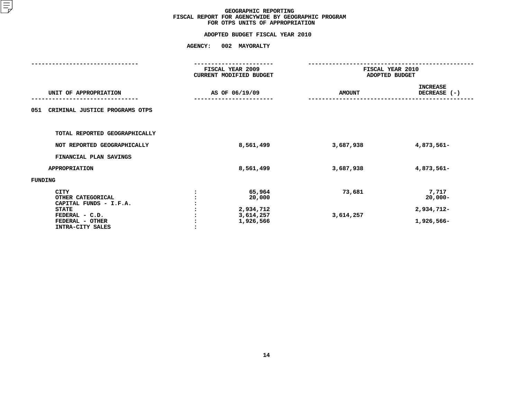# **FOR OTPS UNITS OF APPROPRIATIONADOPTED BUDGET FISCAL YEAR <sup>2010</sup>**

|                                        | FISCAL YEAR 2009<br>CURRENT MODIFIED BUDGET |                  | FISCAL YEAR 2010<br>ADOPTED BUDGET |                                 |  |
|----------------------------------------|---------------------------------------------|------------------|------------------------------------|---------------------------------|--|
| UNIT OF APPROPRIATION                  |                                             | AS OF 06/19/09   | <b>AMOUNT</b>                      | <b>INCREASE</b><br>DECREASE (-) |  |
| CRIMINAL JUSTICE PROGRAMS OTPS<br>051  |                                             |                  |                                    |                                 |  |
| TOTAL REPORTED GEOGRAPHICALLY          |                                             |                  |                                    |                                 |  |
| NOT REPORTED GEOGRAPHICALLY            |                                             | 8,561,499        | 3,687,938                          | 4,873,561-                      |  |
| FINANCIAL PLAN SAVINGS                 |                                             |                  |                                    |                                 |  |
| <b>APPROPRIATION</b>                   |                                             | 8,561,499        | 3,687,938                          | 4,873,561-                      |  |
| FUNDING                                |                                             |                  |                                    |                                 |  |
| <b>CITY</b><br>OTHER CATEGORICAL       |                                             | 65,964<br>20,000 | 73,681                             | 7,717<br>$20,000 -$             |  |
| CAPITAL FUNDS - I.F.A.<br><b>STATE</b> |                                             | 2,934,712        |                                    | 2,934,712-                      |  |
| FEDERAL - C.D.                         |                                             | 3,614,257        | 3,614,257                          |                                 |  |
| FEDERAL - OTHER                        |                                             | 1,926,566        |                                    | 1,926,566-                      |  |
| INTRA-CITY SALES                       |                                             |                  |                                    |                                 |  |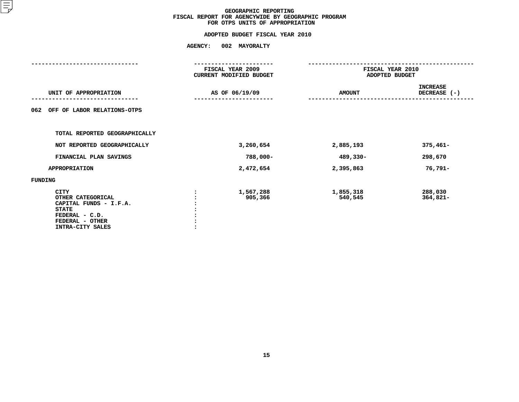# **FOR OTPS UNITS OF APPROPRIATIONADOPTED BUDGET FISCAL YEAR <sup>2010</sup>**

|                                                                                                                                     | FISCAL YEAR 2009<br>CURRENT MODIFIED BUDGET |                      | FISCAL YEAR 2010<br>ADOPTED BUDGET |
|-------------------------------------------------------------------------------------------------------------------------------------|---------------------------------------------|----------------------|------------------------------------|
| UNIT OF APPROPRIATION                                                                                                               | AS OF 06/19/09                              | <b>AMOUNT</b>        | <b>INCREASE</b><br>DECREASE (-)    |
| OFF OF LABOR RELATIONS-OTPS<br>062                                                                                                  |                                             |                      |                                    |
| TOTAL REPORTED GEOGRAPHICALLY                                                                                                       |                                             |                      |                                    |
| NOT REPORTED GEOGRAPHICALLY                                                                                                         | 3,260,654                                   | 2,885,193            | $375,461-$                         |
| FINANCIAL PLAN SAVINGS                                                                                                              | 788,000-                                    | 489,330-             | 298,670                            |
| <b>APPROPRIATION</b>                                                                                                                | 2,472,654                                   | 2,395,863            | 76,791-                            |
| FUNDING                                                                                                                             |                                             |                      |                                    |
| <b>CITY</b><br>OTHER CATEGORICAL<br>CAPITAL FUNDS - I.F.A.<br><b>STATE</b><br>FEDERAL - C.D.<br>FEDERAL - OTHER<br>INTRA-CITY SALES | 1,567,288<br>905,366                        | 1,855,318<br>540,545 | 288,030<br>$364,821-$              |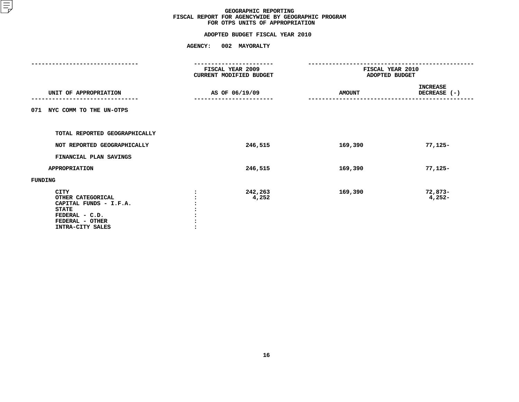# **FOR OTPS UNITS OF APPROPRIATIONADOPTED BUDGET FISCAL YEAR <sup>2010</sup>**

|                                                                                                                                     | FISCAL YEAR 2009<br>CURRENT MODIFIED BUDGET |               | FISCAL YEAR 2010<br>ADOPTED BUDGET |  |
|-------------------------------------------------------------------------------------------------------------------------------------|---------------------------------------------|---------------|------------------------------------|--|
| UNIT OF APPROPRIATION                                                                                                               | AS OF 06/19/09                              | <b>AMOUNT</b> | <b>INCREASE</b><br>DECREASE (-)    |  |
| NYC COMM TO THE UN-OTPS<br>071                                                                                                      |                                             |               |                                    |  |
| TOTAL REPORTED GEOGRAPHICALLY                                                                                                       |                                             |               |                                    |  |
| NOT REPORTED GEOGRAPHICALLY                                                                                                         | 246,515                                     | 169,390       | $77,125-$                          |  |
| FINANCIAL PLAN SAVINGS                                                                                                              |                                             |               |                                    |  |
| <b>APPROPRIATION</b>                                                                                                                | 246,515                                     | 169,390       | $77,125-$                          |  |
| <b>FUNDING</b>                                                                                                                      |                                             |               |                                    |  |
| <b>CITY</b><br>OTHER CATEGORICAL<br>CAPITAL FUNDS - I.F.A.<br><b>STATE</b><br>FEDERAL - C.D.<br>FEDERAL - OTHER<br>INTRA-CITY SALES | 242,263<br>4,252                            | 169,390       | $72,873-$<br>$4,252-$              |  |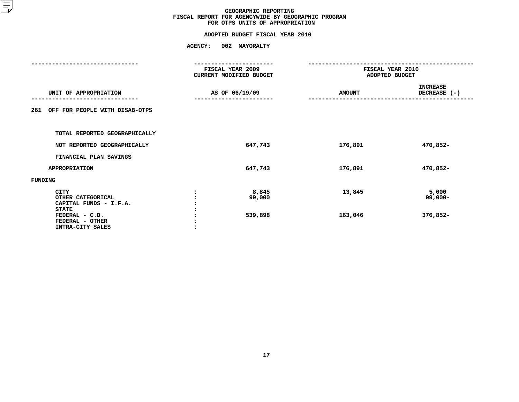# **FOR OTPS UNITS OF APPROPRIATIONADOPTED BUDGET FISCAL YEAR <sup>2010</sup>**

|                                       |         | FISCAL YEAR 2009<br>CURRENT MODIFIED BUDGET | FISCAL YEAR 2010<br>ADOPTED BUDGET |                 |  |
|---------------------------------------|---------|---------------------------------------------|------------------------------------|-----------------|--|
|                                       |         |                                             |                                    |                 |  |
|                                       |         |                                             |                                    | <b>INCREASE</b> |  |
| UNIT OF APPROPRIATION                 |         | AS OF 06/19/09                              | <b>AMOUNT</b>                      | DECREASE (-)    |  |
|                                       |         |                                             |                                    |                 |  |
| OFF FOR PEOPLE WITH DISAB-OTPS<br>261 |         |                                             |                                    |                 |  |
|                                       |         |                                             |                                    |                 |  |
| TOTAL REPORTED GEOGRAPHICALLY         |         |                                             |                                    |                 |  |
| NOT REPORTED GEOGRAPHICALLY           |         | 647,743                                     | 176,891                            | 470,852-        |  |
|                                       |         |                                             |                                    |                 |  |
| FINANCIAL PLAN SAVINGS                |         |                                             |                                    |                 |  |
| <b>APPROPRIATION</b>                  |         | 647,743                                     | 176,891                            | 470,852-        |  |
| FUNDING                               |         |                                             |                                    |                 |  |
| <b>CITY</b>                           |         | 8,845                                       | 13,845                             | 5,000           |  |
| OTHER CATEGORICAL                     |         | 99,000                                      |                                    | $99,000 -$      |  |
| CAPITAL FUNDS - I.F.A.                |         |                                             |                                    |                 |  |
| <b>STATE</b>                          |         |                                             |                                    |                 |  |
| FEDERAL - C.D.                        |         | 539,898                                     | 163,046                            | 376,852-        |  |
| FEDERAL - OTHER                       |         |                                             |                                    |                 |  |
| INTRA-CITY SALES                      | $\cdot$ |                                             |                                    |                 |  |
|                                       |         |                                             |                                    |                 |  |
|                                       |         |                                             |                                    |                 |  |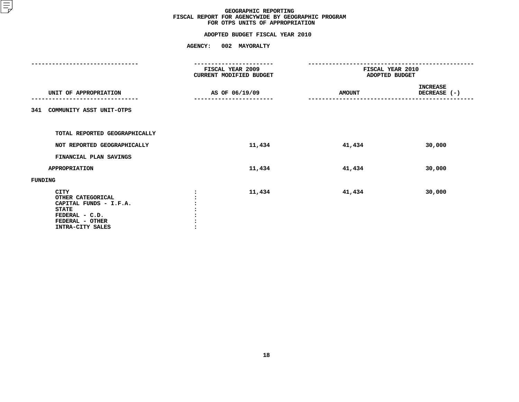# **FOR OTPS UNITS OF APPROPRIATIONADOPTED BUDGET FISCAL YEAR <sup>2010</sup>**

|                                                                                                                                     | -----------<br>FISCAL YEAR 2009<br>CURRENT MODIFIED BUDGET | FISCAL YEAR 2010<br>ADOPTED BUDGET |                                 |  |
|-------------------------------------------------------------------------------------------------------------------------------------|------------------------------------------------------------|------------------------------------|---------------------------------|--|
| UNIT OF APPROPRIATION                                                                                                               | AS OF 06/19/09<br>---------------------                    | <b>AMOUNT</b>                      | <b>INCREASE</b><br>DECREASE (-) |  |
| COMMUNITY ASST UNIT-OTPS<br>341                                                                                                     |                                                            |                                    |                                 |  |
| TOTAL REPORTED GEOGRAPHICALLY                                                                                                       |                                                            |                                    |                                 |  |
| NOT REPORTED GEOGRAPHICALLY<br>FINANCIAL PLAN SAVINGS                                                                               | 11,434                                                     | 41,434                             | 30,000                          |  |
| <b>APPROPRIATION</b>                                                                                                                | 11,434                                                     | 41,434                             | 30,000                          |  |
| FUNDING                                                                                                                             |                                                            |                                    |                                 |  |
| <b>CITY</b><br>OTHER CATEGORICAL<br>CAPITAL FUNDS - I.F.A.<br><b>STATE</b><br>FEDERAL - C.D.<br>FEDERAL - OTHER<br>INTRA-CITY SALES | 11,434                                                     | 41,434                             | 30,000                          |  |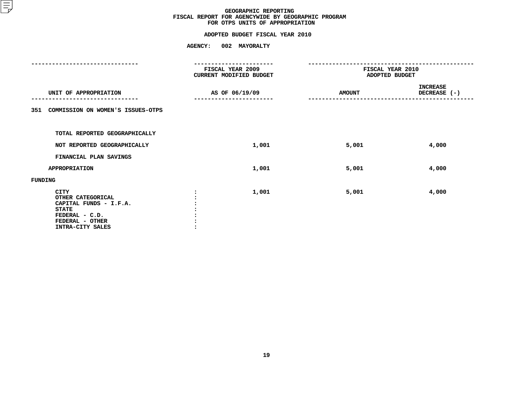# **FOR OTPS UNITS OF APPROPRIATIONADOPTED BUDGET FISCAL YEAR <sup>2010</sup>**

|                                                                                                                                     |                                             | ----------     |                                    |                                 |  |
|-------------------------------------------------------------------------------------------------------------------------------------|---------------------------------------------|----------------|------------------------------------|---------------------------------|--|
|                                                                                                                                     | FISCAL YEAR 2009<br>CURRENT MODIFIED BUDGET |                | FISCAL YEAR 2010<br>ADOPTED BUDGET |                                 |  |
| UNIT OF APPROPRIATION                                                                                                               |                                             | AS OF 06/19/09 | <b>AMOUNT</b>                      | <b>INCREASE</b><br>DECREASE (-) |  |
| COMMISSION ON WOMEN'S ISSUES-OTPS<br>351                                                                                            |                                             |                |                                    |                                 |  |
| TOTAL REPORTED GEOGRAPHICALLY                                                                                                       |                                             |                |                                    |                                 |  |
| NOT REPORTED GEOGRAPHICALLY                                                                                                         |                                             | 1,001          | 5,001                              | 4,000                           |  |
| FINANCIAL PLAN SAVINGS                                                                                                              |                                             |                |                                    |                                 |  |
| <b>APPROPRIATION</b>                                                                                                                |                                             | 1,001          | 5,001                              | 4,000                           |  |
| <b>FUNDING</b>                                                                                                                      |                                             |                |                                    |                                 |  |
| <b>CITY</b><br>OTHER CATEGORICAL<br>CAPITAL FUNDS - I.F.A.<br><b>STATE</b><br>FEDERAL - C.D.<br>FEDERAL - OTHER<br>INTRA-CITY SALES |                                             | 1,001          | 5,001                              | 4,000                           |  |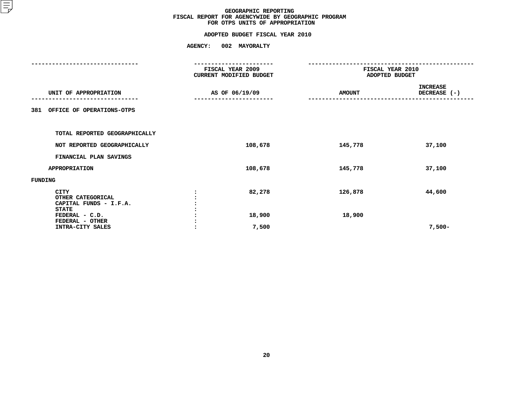# **FOR OTPS UNITS OF APPROPRIATIONADOPTED BUDGET FISCAL YEAR <sup>2010</sup>**

|                                                                            | FISCAL YEAR 2009<br><b>CURRENT MODIFIED BUDGET</b> | FISCAL YEAR 2010<br>ADOPTED BUDGET |                                 |
|----------------------------------------------------------------------------|----------------------------------------------------|------------------------------------|---------------------------------|
| UNIT OF APPROPRIATION                                                      | AS OF 06/19/09                                     | <b>AMOUNT</b>                      | <b>INCREASE</b><br>DECREASE (-) |
| OFFICE OF OPERATIONS-OTPS<br>381                                           |                                                    |                                    |                                 |
| TOTAL REPORTED GEOGRAPHICALLY                                              |                                                    |                                    |                                 |
| NOT REPORTED GEOGRAPHICALLY                                                | 108,678                                            | 145,778                            | 37,100                          |
| FINANCIAL PLAN SAVINGS                                                     |                                                    |                                    |                                 |
| <b>APPROPRIATION</b>                                                       | 108,678                                            | 145,778                            | 37,100                          |
| FUNDING                                                                    |                                                    |                                    |                                 |
| <b>CITY</b><br>OTHER CATEGORICAL<br>CAPITAL FUNDS - I.F.A.<br><b>STATE</b> | 82,278                                             | 126,878                            | 44,600                          |
| FEDERAL - C.D.<br>FEDERAL - OTHER<br>INTRA-CITY SALES                      | 18,900<br>7,500                                    | 18,900                             | $7,500-$                        |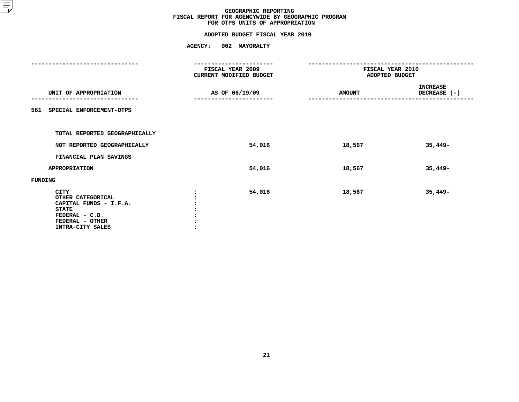# **FOR OTPS UNITS OF APPROPRIATIONADOPTED BUDGET FISCAL YEAR <sup>2010</sup>**

|                                                                                                                                     |         | FISCAL YEAR 2009<br>CURRENT MODIFIED BUDGET | FISCAL YEAR 2010<br>ADOPTED BUDGET |                                 |  |
|-------------------------------------------------------------------------------------------------------------------------------------|---------|---------------------------------------------|------------------------------------|---------------------------------|--|
| UNIT OF APPROPRIATION                                                                                                               |         | AS OF 06/19/09                              | <b>AMOUNT</b>                      | <b>INCREASE</b><br>DECREASE (-) |  |
| SPECIAL ENFORCEMENT-OTPS<br>561                                                                                                     |         |                                             |                                    |                                 |  |
| TOTAL REPORTED GEOGRAPHICALLY                                                                                                       |         |                                             |                                    |                                 |  |
| NOT REPORTED GEOGRAPHICALLY                                                                                                         |         | 54,016                                      | 18,567                             | $35,449-$                       |  |
| FINANCIAL PLAN SAVINGS                                                                                                              |         |                                             |                                    |                                 |  |
| <b>APPROPRIATION</b>                                                                                                                |         | 54,016                                      | 18,567                             | $35,449-$                       |  |
| FUNDING                                                                                                                             |         |                                             |                                    |                                 |  |
| <b>CITY</b><br>OTHER CATEGORICAL<br>CAPITAL FUNDS - I.F.A.<br><b>STATE</b><br>FEDERAL - C.D.<br>FEDERAL - OTHER<br>INTRA-CITY SALES | $\cdot$ | 54,016                                      | 18,567                             | $35,449-$                       |  |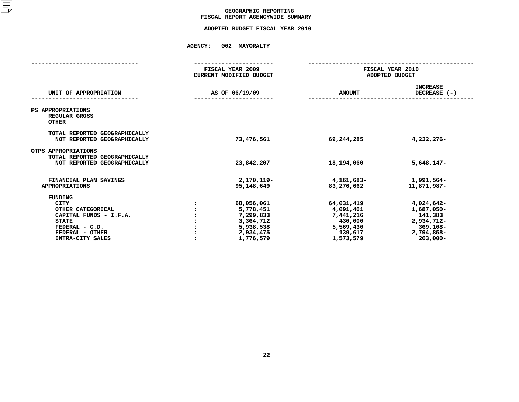# GEOGRAPHIC REPORTING<br>FISCAL REPORT AGENCYWIDE SUMMARY

 **FISCAL REPORT AGENCYWIDE SUMMARY ADOPTED BUDGET FISCAL YEAR <sup>2010</sup>**

|                                                                                                                                                       | FISCAL YEAR 2009<br><b>CURRENT MODIFIED BUDGET</b>                                       | FISCAL YEAR 2010<br>ADOPTED BUDGET                                                   |                                                                                            |  |
|-------------------------------------------------------------------------------------------------------------------------------------------------------|------------------------------------------------------------------------------------------|--------------------------------------------------------------------------------------|--------------------------------------------------------------------------------------------|--|
| UNIT OF APPROPRIATION                                                                                                                                 | AS OF 06/19/09                                                                           | <b>AMOUNT</b>                                                                        | <b>INCREASE</b><br>DECREASE $(-)$                                                          |  |
| PS APPROPRIATIONS<br>REGULAR GROSS<br><b>OTHER</b>                                                                                                    |                                                                                          |                                                                                      |                                                                                            |  |
| TOTAL REPORTED GEOGRAPHICALLY<br>NOT REPORTED GEOGRAPHICALLY                                                                                          | 73,476,561                                                                               | 69,244,285                                                                           | 4,232,276-                                                                                 |  |
| OTPS APPROPRIATIONS<br>TOTAL REPORTED GEOGRAPHICALLY<br>NOT REPORTED GEOGRAPHICALLY                                                                   | 23,842,207                                                                               | 18,194,060                                                                           | $5,648,147-$                                                                               |  |
| FINANCIAL PLAN SAVINGS<br><b>APPROPRIATIONS</b>                                                                                                       | 2,170,119-<br>95,148,649                                                                 | 4,161,683–<br>83,276,662                                                             | 1,991,564–<br>11,871,987-                                                                  |  |
| <b>FUNDING</b><br><b>CITY</b><br>OTHER CATEGORICAL<br>CAPITAL FUNDS - I.F.A.<br><b>STATE</b><br>FEDERAL - C.D.<br>FEDERAL - OTHER<br>INTRA-CITY SALES | 68,056,061<br>5,778,451<br>7,299,833<br>3,364,712<br>5,938,538<br>2,934,475<br>1,776,579 | 64,031,419<br>4,091,401<br>7,441,216<br>430,000<br>5,569,430<br>139,617<br>1,573,579 | 4,024,642-<br>1,687,050-<br>141,383<br>2,934,712-<br>369,108-<br>2,794,858-<br>$203,000 -$ |  |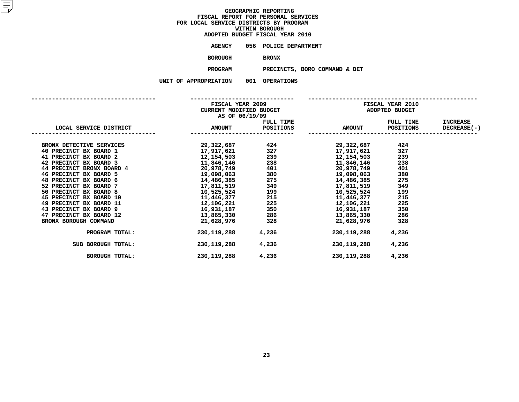| ADOPTED BUDGET FISCAL YEAR 2010 |              |                       |
|---------------------------------|--------------|-----------------------|
| AGENCY                          |              | 056 POLICE DEPARTMENT |
| BOROUGH                         | <b>BRONX</b> |                       |

H BRONX<br><mark>M</mark> PR<mark>ECI</mark> **PROGRAMPRECINCTS, BORO COMMAND & DET**

|                           | AS OF 06/19/09 |                | FISCAL YEAR 2010                                                                                                                                                                      |       |                    |  |
|---------------------------|----------------|----------------|---------------------------------------------------------------------------------------------------------------------------------------------------------------------------------------|-------|--------------------|--|
|                           |                |                | FULL TIME TULL TIME                                                                                                                                                                   |       | <b>INCREASE</b>    |  |
|                           |                |                |                                                                                                                                                                                       |       | <b>DECREASE(-)</b> |  |
| BRONX DETECTIVE SERVICES  |                |                | 29, 322, 687<br>17, 917, 621<br>12, 154, 503<br>11, 846, 146<br>20, 978, 749<br>20, 978, 749<br>20, 978, 749<br>20, 978, 749<br>20, 978, 749<br>20, 978, 749<br>20, 978, 749          | 424   |                    |  |
| 40 PRECINCT BX BOARD 1    |                |                |                                                                                                                                                                                       | 327   |                    |  |
| 41 PRECINCT BX BOARD 2    |                |                |                                                                                                                                                                                       | 239   |                    |  |
| 42 PRECINCT BX BOARD 3    |                |                |                                                                                                                                                                                       | 238   |                    |  |
| 44 PRECINCT BRONX BOARD 4 |                |                |                                                                                                                                                                                       | 401   |                    |  |
| 46 PRECINCT BX BOARD 5    |                |                |                                                                                                                                                                                       | 380   |                    |  |
| 48 PRECINCT BX BOARD 6    |                |                |                                                                                                                                                                                       | 275   |                    |  |
| 52 PRECINCT BX BOARD 7    |                |                | $19,098,063$<br>$14,486,385$<br>$17,811,519$<br>$10,525,524$<br>$19,098,063$<br>$14,486,385$<br>$17,811,519$<br>$17,811,519$<br>$10,525,524$<br>$199$<br>$10,525,524$<br>$10,525,524$ | 349   |                    |  |
| 50 PRECINCT BX BOARD 8    |                |                |                                                                                                                                                                                       | 199   |                    |  |
| 45 PRECINCT BX BOARD 10   |                |                | 11,446,377 215 11,446,377<br>12,106,221 225 12,106,221<br>16,931,187 350 16,931,187                                                                                                   | 215   |                    |  |
| 49 PRECINCT BX BOARD 11   |                |                |                                                                                                                                                                                       | 225   |                    |  |
| 43 PRECINCT BX BOARD 9    |                |                |                                                                                                                                                                                       | 350   |                    |  |
| 47 PRECINCT BX BOARD 12   |                | 13,865,330 286 | 13,865,330                                                                                                                                                                            | 286   |                    |  |
| BRONX BOROUGH COMMAND     |                | 21,628,976 328 | 21,628,976                                                                                                                                                                            | 328   |                    |  |
| PROGRAM TOTAL:            | 230,119,288    | 4,236          | 230,119,288                                                                                                                                                                           | 4,236 |                    |  |
| SUB BOROUGH TOTAL:        | 230, 119, 288  | 4,236          | 230,119,288                                                                                                                                                                           | 4,236 |                    |  |
| BOROUGH TOTAL:            | 230,119,288    | 4,236          | 230,119,288                                                                                                                                                                           | 4,236 |                    |  |
|                           |                |                |                                                                                                                                                                                       |       |                    |  |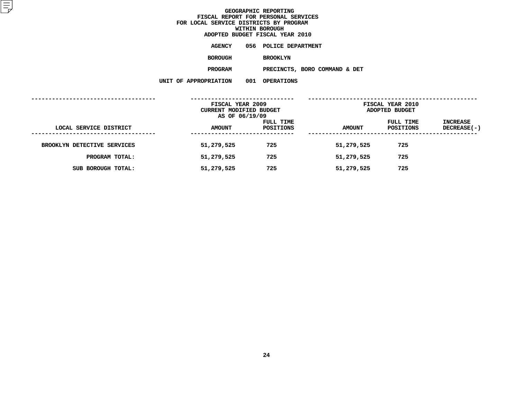|                | ADOPTED BUDGET FISCAL YEAR 2010 |  |
|----------------|---------------------------------|--|
| AGENCY         | 056 POLICE DEPARTMENT           |  |
| <b>BOROUGH</b> | <b>BROOKLYN</b>                 |  |

PRECINCTS, BORO COMMAND & DET **PROGRAMPRECINCTS, BORO COMMAND & DET**

| . | . | <b>UL ENGLLUND</b> |
|---|---|--------------------|
|   |   |                    |
|   |   |                    |

|                                          | FISCAL YEAR 2009<br>CURRENT MODIFIED BUDGET |                        | <b>FISCAL YEAR 2010</b><br>ADOPTED BUDGET |                        |                         |  |
|------------------------------------------|---------------------------------------------|------------------------|-------------------------------------------|------------------------|-------------------------|--|
| LOCAL SERVICE DISTRICT<br>-------------- | AS OF 06/19/09<br><b>AMOUNT</b>             | FULL TIME<br>POSITIONS | <b>AMOUNT</b>                             | FULL TIME<br>POSITIONS | INCREASE<br>DECREASE(-) |  |
| BROOKLYN DETECTIVE SERVICES              | 51,279,525                                  | 725                    | 51,279,525                                | 725                    |                         |  |
| PROGRAM TOTAL:                           | 51,279,525                                  | 725                    | 51,279,525                                | 725                    |                         |  |
| SUB BOROUGH TOTAL:                       | 51,279,525                                  | 725                    | 51,279,525                                | 725                    |                         |  |
|                                          |                                             |                        |                                           |                        |                         |  |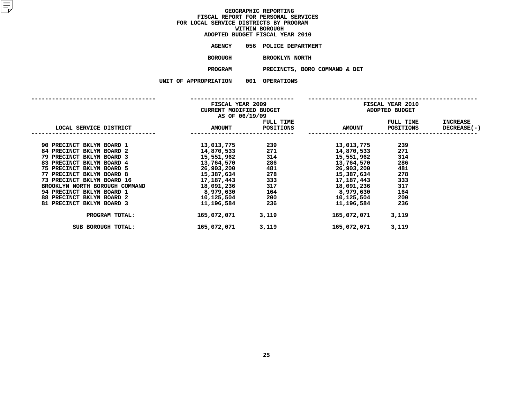|                | ADOPTED BUDGET FISCAL YEAR 2010 |
|----------------|---------------------------------|
| AGENCY         | 056 POLICE DEPARTMENT           |
| <b>BOROUGH</b> | <b>BROOKLYN NORTH</b>           |

**BROOKLYN NORTH PROGRAM PRECINCTS, BORO COMMAND & DET**

|  | AFFRUFRIAIIUN |  |
|--|---------------|--|
|  |               |  |

|                                | FISCAL YEAR 2009<br>CURRENT MODIFIED BUDGET<br>AS OF 06/19/09 |                        | FISCAL YEAR 2010<br>ADOPTED BUDGET |                        |                                       |  |
|--------------------------------|---------------------------------------------------------------|------------------------|------------------------------------|------------------------|---------------------------------------|--|
| LOCAL SERVICE DISTRICT         | <b>AMOUNT</b>                                                 | FULL TIME<br>POSITIONS | <b>AMOUNT</b>                      | FULL TIME<br>POSITIONS | <b>INCREASE</b><br><b>DECREASE(-)</b> |  |
|                                |                                                               |                        |                                    |                        |                                       |  |
| 90 PRECINCT BKLYN BOARD 1      | 13,013,775                                                    | 239                    | 13,013,775                         | 239                    |                                       |  |
| 84 PRECINCT BKLYN BOARD 2      | 14,870,533                                                    | 271                    | 14,870,533                         | 271                    |                                       |  |
| 79 PRECINCT BKLYN BOARD 3      | 15,551,962                                                    | 314                    | 15,551,962                         | 314                    |                                       |  |
| 83 PRECINCT BKLYN BOARD 4      | 13,764,570                                                    | 286                    | 13,764,570                         | 286                    |                                       |  |
| 75 PRECINCT BKLYN BOARD 5      | 26,903,200                                                    | 481                    | 26,903,200                         | 481                    |                                       |  |
| 77 PRECINCT BKLYN BOARD 8      | 15,387,634                                                    | 278                    | 15,387,634                         | 278                    |                                       |  |
| 73 PRECINCT BKLYN BOARD 16     | 17,187,443                                                    | 333                    | 17,187,443                         | 333                    |                                       |  |
| BROOKLYN NORTH BOROUGH COMMAND | 18,091,236                                                    | 317                    | 18,091,236                         | 317                    |                                       |  |
| 94 PRECINCT BKLYN BOARD 1      | 8,979,630                                                     | 164                    | 8,979,630                          | 164                    |                                       |  |
| 88 PRECINCT BKLYN BOARD 2      | 10,125,504                                                    | 200                    | 10,125,504                         | 200                    |                                       |  |
| 81 PRECINCT BKLYN BOARD 3      | 11,196,584                                                    | 236                    | 11,196,584                         | 236                    |                                       |  |
| PROGRAM TOTAL:                 | 165,072,071                                                   | 3,119                  | 165,072,071                        | 3,119                  |                                       |  |
| SUB BOROUGH TOTAL:             | 165,072,071                                                   | 3,119                  | 165,072,071                        | 3,119                  |                                       |  |
|                                |                                                               |                        |                                    |                        |                                       |  |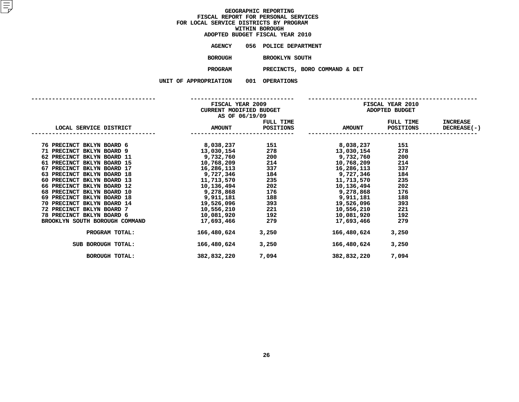|                | ADOPTED BUDGET FISCAL YEAR 2010 |
|----------------|---------------------------------|
| AGENCY         | 056 POLICE DEPARTMENT           |
| <b>BOROUGH</b> | <b>BROOKLYN SOUTH</b>           |

 **BROOKLYN SOUTH PROGRAMPRECINCTS, BORO COMMAND & DET**

|                                | AS OF 06/19/09 |                | <b>FISCAL YEAR 2010</b>                                                                                                                                                    |           |                    |  |
|--------------------------------|----------------|----------------|----------------------------------------------------------------------------------------------------------------------------------------------------------------------------|-----------|--------------------|--|
|                                |                |                | FULL TIME FULL TIME                                                                                                                                                        |           | <b>INCREASE</b>    |  |
| LOCAL SERVICE DISTRICT AMOUNT  |                |                | POSITIONS AMOUNT                                                                                                                                                           | POSITIONS | <b>DECREASE(-)</b> |  |
| 76 PRECINCT BKLYN BOARD 6      |                |                | 8,038,237 151 8,038,237                                                                                                                                                    | 151       |                    |  |
| 71 PRECINCT BKLYN BOARD 9      |                |                |                                                                                                                                                                            | 278       |                    |  |
| 62 PRECINCT BKLYN BOARD 11     |                |                |                                                                                                                                                                            | 200       |                    |  |
| 61 PRECINCT BKLYN BOARD 15     |                |                | $13,030,154$<br>$9,732,760$<br>$10,768,209$<br>$16,286,113$<br>$214$<br>$337$<br>$16,286,113$<br>$16,286,113$                                                              | 214       |                    |  |
| 67 PRECINCT BKLYN BOARD 17     |                |                |                                                                                                                                                                            | 337       |                    |  |
| 63 PRECINCT BKLYN BOARD 18     |                |                | $9,727,346$<br>11,713,570<br>235<br>11,713,570<br>235<br>11,713,570                                                                                                        | 184       |                    |  |
| 60 PRECINCT BKLYN BOARD 13     |                |                |                                                                                                                                                                            | 235       |                    |  |
| 66 PRECINCT BKLYN BOARD 12     |                |                | $10,136,494$<br>$9,278,868$<br>$9,911,181$<br>$19,526,096$<br>$10,556,210$<br>$10,556,210$<br>$10,556,210$<br>$10,556,210$<br>$10,556,210$<br>$10,556,210$<br>$10,556,210$ | 202       |                    |  |
| 68 PRECINCT BKLYN BOARD 10     |                |                |                                                                                                                                                                            | 176       |                    |  |
| 69 PRECINCT BKLYN BOARD 18     |                |                |                                                                                                                                                                            | 188       |                    |  |
| 70 PRECINCT BKLYN BOARD 14     |                |                |                                                                                                                                                                            | 393       |                    |  |
| 72 PRECINCT BKLYN BOARD 7      |                |                |                                                                                                                                                                            | 221       |                    |  |
| 78 PRECINCT BKLYN BOARD 6      |                | 10,081,920 192 | 10,081,920                                                                                                                                                                 | 192       |                    |  |
| BROOKLYN SOUTH BOROUGH COMMAND | 17,693,466     | 279            | 17,693,466                                                                                                                                                                 | 279       |                    |  |
| PROGRAM TOTAL:                 | 166,480,624    | 3,250          | 166,480,624                                                                                                                                                                | 3,250     |                    |  |
| SUB BOROUGH TOTAL:             | 166,480,624    | 3,250          | 166,480,624                                                                                                                                                                | 3,250     |                    |  |
| <b>BOROUGH TOTAL:</b>          | 382,832,220    | 7,094          | 382,832,220                                                                                                                                                                | 7,094     |                    |  |
|                                |                |                |                                                                                                                                                                            |           |                    |  |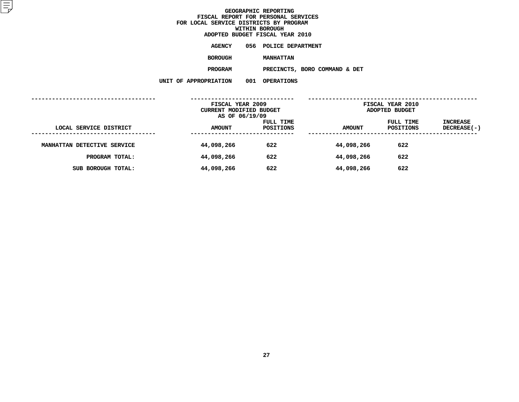|                   |     | ADOPTED BUDGET FISCAL YEAR 2010 |  |
|-------------------|-----|---------------------------------|--|
| AGENCY            |     | 056 POLICE DEPARTMENT           |  |
| <b>BOROUGH</b>    |     | <b>MANHATTAN</b>                |  |
| <b>PROGRAM</b>    |     | PRECINCTS, BORO COMMAND & DET   |  |
| <b>ROPRIATION</b> | 001 | <b>OPERATIONS</b>               |  |

| rlai Lun | ◡◡∸ | vernmed. |
|----------|-----|----------|
|          |     |          |

|                             | FISCAL YEAR 2009<br><b>CURRENT MODIFIED BUDGET</b><br>AS OF 06/19/09 |                        | FISCAL YEAR 2010<br>ADOPTED BUDGET |                        |                                |
|-----------------------------|----------------------------------------------------------------------|------------------------|------------------------------------|------------------------|--------------------------------|
| LOCAL SERVICE DISTRICT      | <b>AMOUNT</b>                                                        | FULL TIME<br>POSITIONS | <b>AMOUNT</b>                      | FULL TIME<br>POSITIONS | <b>INCREASE</b><br>DECREASE(-) |
| MANHATTAN DETECTIVE SERVICE | 44,098,266                                                           | 622                    | 44,098,266                         | 622                    |                                |
| PROGRAM TOTAL:              | 44,098,266                                                           | 622                    | 44,098,266                         | 622                    |                                |
| SUB BOROUGH TOTAL:          | 44,098,266                                                           | 622                    | 44,098,266                         | 622                    |                                |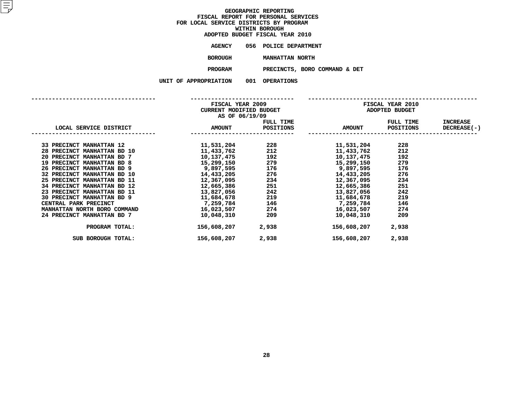|                | ADOPTED BUDGET FISCAL YEAR 2010 |
|----------------|---------------------------------|
| AGENCY         | 056 POLICE DEPARTMENT           |
| <b>BOROUGH</b> | MANHATTAN NORTH                 |

**MANHATTAN NORTH PROGRAM PRECINCTS, BORO COMMAND & DET**

|  |  |  | PROPRIATION |  |  | υu |  |
|--|--|--|-------------|--|--|----|--|
|--|--|--|-------------|--|--|----|--|

|                                                | AS OF 06/19/09                  | FISCAL YEAR 2009 | <b>FISCAL YEAR 2010</b><br>CURRENT MODIFIED BUDGET NO MODERN ADOPTED BUDGET                                                                                                          |           |                 |
|------------------------------------------------|---------------------------------|------------------|--------------------------------------------------------------------------------------------------------------------------------------------------------------------------------------|-----------|-----------------|
|                                                |                                 | FULL TIME        |                                                                                                                                                                                      | FULL TIME | <b>INCREASE</b> |
| LOCAL SERVICE DISTRICT <b>AMOUNT</b> POSITIONS | ------------------------------- |                  | AMOUNT POSITIONS DECREASE(-)                                                                                                                                                         |           |                 |
| 33 PRECINCT MANHATTAN 12                       |                                 |                  |                                                                                                                                                                                      | 228       |                 |
| 28 PRECINCT MANHATTAN BD 10                    |                                 |                  |                                                                                                                                                                                      | 212       |                 |
| 20 PRECINCT MANHATTAN BD 7                     |                                 | 10, 137, 475 192 | 10,137,475                                                                                                                                                                           | 192       |                 |
| 19 PRECINCT MANHATTAN BD 8                     |                                 |                  |                                                                                                                                                                                      | 279       |                 |
| 26 PRECINCT MANHATTAN BD 9                     |                                 |                  | $15,299,150$<br>$9,897,595$<br>$176$<br>$14,433,205$<br>$12,367,095$<br>$279$<br>$15,299,150$<br>$15,299,150$<br>$9,897,595$<br>$176$<br>$9,897,595$<br>$14,433,205$<br>$12,367,095$ | 176       |                 |
| 32 PRECINCT MANHATTAN BD 10                    |                                 |                  |                                                                                                                                                                                      | 276       |                 |
| 25 PRECINCT MANHATTAN BD 11                    |                                 |                  |                                                                                                                                                                                      | 234       |                 |
| 34 PRECINCT MANHATTAN BD 12                    |                                 |                  |                                                                                                                                                                                      | 251       |                 |
| 23 PRECINCT MANHATTAN BD 11                    |                                 |                  |                                                                                                                                                                                      | 242       |                 |
| 30 PRECINCT MANHATTAN BD 9                     |                                 |                  |                                                                                                                                                                                      | 219       |                 |
| CENTRAL PARK PRECINCT                          |                                 |                  | 7,259,784 146 7,259,784                                                                                                                                                              | 146       |                 |
| MANHATTAN NORTH BORO COMMAND                   |                                 |                  | $16,023,507$ 274 $16,023,507$                                                                                                                                                        | 274       |                 |
| 24 PRECINCT MANHATTAN BD 7                     | 10,048,310                      | 209              | 10,048,310                                                                                                                                                                           | 209       |                 |
| PROGRAM TOTAL:                                 | 156,608,207                     | 2,938            | 156,608,207                                                                                                                                                                          | 2,938     |                 |
| SUB BOROUGH TOTAL:                             | 156,608,207                     | 2,938            | 156,608,207                                                                                                                                                                          | 2,938     |                 |
|                                                |                                 |                  |                                                                                                                                                                                      |           |                 |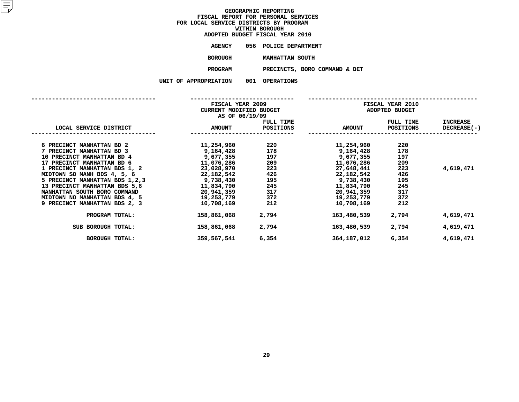|                | ADOPTED BUDGET FISCAL YEAR 2010 |
|----------------|---------------------------------|
| AGENCY         | 056 POLICE DEPARTMENT           |
| <b>BOROUGH</b> | MANHATTAN SOUTH                 |
| <b>PROGRAM</b> | PRECINCTS, BORO COMMA           |

**PROGRAMPRECINCTS, BORO COMMAND & DET**

|                                                                                                                                                                                                                                                                                                                                                           | FISCAL YEAR 2009<br>CURRENT MODIFIED BUDGET<br>AS OF 06/19/09                                                                                       |                                                                           | FISCAL YEAR 2010<br>ADOPTED BUDGET                                                                                                                  |                                                                           |                                |
|-----------------------------------------------------------------------------------------------------------------------------------------------------------------------------------------------------------------------------------------------------------------------------------------------------------------------------------------------------------|-----------------------------------------------------------------------------------------------------------------------------------------------------|---------------------------------------------------------------------------|-----------------------------------------------------------------------------------------------------------------------------------------------------|---------------------------------------------------------------------------|--------------------------------|
| LOCAL SERVICE DISTRICT                                                                                                                                                                                                                                                                                                                                    | <b>AMOUNT</b>                                                                                                                                       | FULL TIME<br>POSITIONS                                                    | <b>AMOUNT</b>                                                                                                                                       | FULL TIME<br>POSITIONS                                                    | <b>INCREASE</b><br>DECREASE(-) |
| 6 PRECINCT MANHATTAN BD 2<br>7 PRECINCT MANHATTAN BD 3<br>10 PRECINCT MANHATTAN BD 4<br>17 PRECINCT MANHATTAN BD 6<br>1 PRECINCT MANHATTAN BDS 1, 2<br>MIDTOWN SO MANH BDS 4, 5, 6<br>5 PRECINCT MANHATTAN BDS 1, 2, 3<br>13 PRECINCT MANHATTAN BDS 5,6<br>MANHATTAN SOUTH BORO COMMAND<br>MIDTOWN NO MANHATTAN BDS 4, 5<br>9 PRECINCT MANHATTAN BDS 2, 3 | 11,254,960<br>9,164,428<br>9,677,355<br>11,076,286<br>23,028,970<br>22,182,542<br>9,738,430<br>11,834,790<br>20,941,359<br>19,253,779<br>10,708,169 | 220<br>178<br>197<br>209<br>223<br>426<br>195<br>245<br>317<br>372<br>212 | 11,254,960<br>9,164,428<br>9,677,355<br>11,076,286<br>27,648,441<br>22,182,542<br>9,738,430<br>11,834,790<br>20,941,359<br>19,253,779<br>10,708,169 | 220<br>178<br>197<br>209<br>223<br>426<br>195<br>245<br>317<br>372<br>212 | 4,619,471                      |
| PROGRAM TOTAL:                                                                                                                                                                                                                                                                                                                                            | 158,861,068                                                                                                                                         | 2,794                                                                     | 163,480,539                                                                                                                                         | 2,794                                                                     | 4,619,471                      |
| SUB BOROUGH TOTAL:                                                                                                                                                                                                                                                                                                                                        | 158,861,068                                                                                                                                         | 2,794                                                                     | 163,480,539                                                                                                                                         | 2,794                                                                     | 4,619,471                      |
| BOROUGH TOTAL:                                                                                                                                                                                                                                                                                                                                            | 359,567,541                                                                                                                                         | 6,354                                                                     | 364,187,012                                                                                                                                         | 6,354                                                                     | 4,619,471                      |
|                                                                                                                                                                                                                                                                                                                                                           |                                                                                                                                                     |                                                                           |                                                                                                                                                     |                                                                           |                                |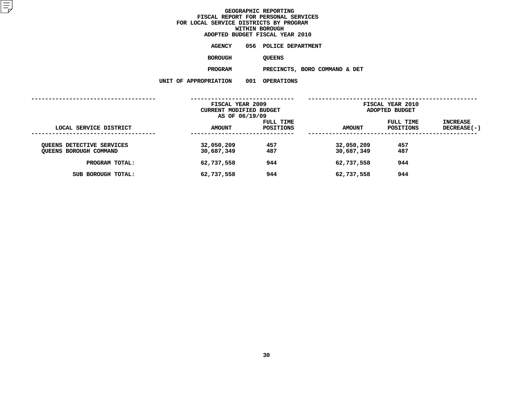|                           | ADOPTED BUDGET FISCAL YEAR 2010 |  |
|---------------------------|---------------------------------|--|
| AGENCY                    | 056 POLICE DEPARTMENT           |  |
| <b>BOROUGH</b>            | <b>OUEENS</b>                   |  |
| <b>PROGRAM</b>            | PRECINCTS, BORO COMMAND & DET   |  |
| <b>PROPRIATION</b><br>001 | <b>OPERATIONS</b>               |  |

| LAILUN | UUT | UPERAIJ |
|--------|-----|---------|
|        |     |         |

| AMOUNT                   | FULL TIME<br>POSITIONS | <b>AMOUNT</b>                                                 | FULL TIME<br>POSITIONS | INCREASE<br>DECREASE(-)                   |
|--------------------------|------------------------|---------------------------------------------------------------|------------------------|-------------------------------------------|
| 32,050,209<br>30,687,349 | 457<br>487             | 32,050,209<br>30,687,349                                      | 457<br>487             |                                           |
| 62,737,558               | 944                    | 62,737,558                                                    | 944                    |                                           |
| 62,737,558               | 944                    | 62,737,558                                                    | 944                    |                                           |
|                          |                        | FISCAL YEAR 2009<br>CURRENT MODIFIED BUDGET<br>AS OF 06/19/09 |                        | <b>FISCAL YEAR 2010</b><br>ADOPTED BUDGET |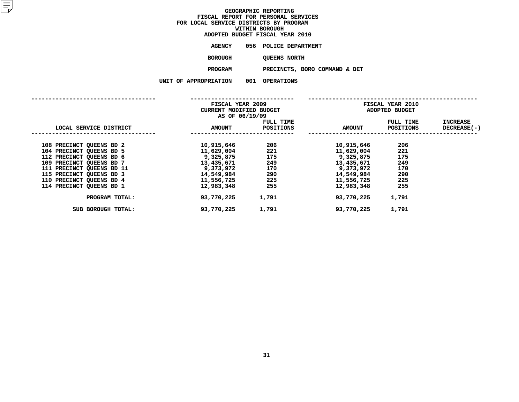| ADOPTED BUDGET FISCAL YEAR 2010 |                   |                               |  |
|---------------------------------|-------------------|-------------------------------|--|
| <b>AGENCY</b>                   |                   | 056 POLICE DEPARTMENT         |  |
| <b>BOROUGH</b>                  | OUEENS NORTH      |                               |  |
| <b>PROGRAM</b>                  |                   | PRECINCTS, BORO COMMAND & DET |  |
| <b>PROPRIATION</b><br>001       | <b>OPERATIONS</b> |                               |  |

|                           | FISCAL YEAR 2009<br><b>CURRENT MODIFIED BUDGET</b><br>AS OF 06/19/09 |                        |               | FISCAL YEAR 2010<br>ADOPTED BUDGET |                                |
|---------------------------|----------------------------------------------------------------------|------------------------|---------------|------------------------------------|--------------------------------|
| LOCAL SERVICE DISTRICT    | <b>AMOUNT</b>                                                        | FULL TIME<br>POSITIONS | <b>AMOUNT</b> | FULL TIME<br>POSITIONS             | <b>INCREASE</b><br>DECREASE(-) |
| 108 PRECINCT QUEENS BD 2  | 10,915,646                                                           | 206                    | 10,915,646    | 206                                |                                |
| 104 PRECINCT QUEENS BD 5  | 11,629,004                                                           | 221                    | 11,629,004    | 221                                |                                |
| 112 PRECINCT QUEENS BD 6  | 9,325,875                                                            | 175                    | 9,325,875     | 175                                |                                |
| 109 PRECINCT QUEENS BD 7  | 13,435,671                                                           | 249                    | 13,435,671    | 249                                |                                |
| 111 PRECINCT QUEENS BD 11 | 9,373,972                                                            | 170                    | 9,373,972     | 170                                |                                |
| 115 PRECINCT QUEENS BD 3  | 14,549,984                                                           | 290                    | 14,549,984    | 290                                |                                |
| 110 PRECINCT QUEENS BD 4  | 11,556,725                                                           | 225                    | 11,556,725    | 225                                |                                |
| 114 PRECINCT OUEENS BD 1  | 12,983,348                                                           | 255                    | 12,983,348    | 255                                |                                |
| PROGRAM TOTAL:            | 93,770,225                                                           | 1,791                  | 93,770,225    | 1,791                              |                                |
| SUB BOROUGH TOTAL:        | 93,770,225                                                           | 1,791                  | 93,770,225    | 1,791                              |                                |
|                           |                                                                      |                        |               |                                    |                                |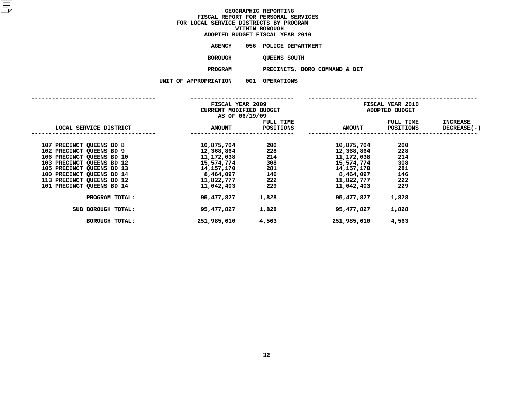|                    |     | ADOPTED BUDGET FISCAL YEAR 2010 |  |
|--------------------|-----|---------------------------------|--|
| <b>AGENCY</b>      |     | 056 POLICE DEPARTMENT           |  |
| <b>BOROUGH</b>     |     | <b>QUEENS SOUTH</b>             |  |
| <b>PROGRAM</b>     |     | PRECINCTS, BORO COMMAND & DET   |  |
| <b>PROPRIATION</b> | 001 | <b>OPERATIONS</b>               |  |

|                                                                                                                                                                                                                                                                                   | FISCAL YEAR 2009<br>CURRENT MODIFIED BUDGET<br>AS OF 06/19/09                                                                           |                                                                        |                                                                                                                                         | FISCAL YEAR 2010<br>ADOPTED BUDGET                                     |                         |
|-----------------------------------------------------------------------------------------------------------------------------------------------------------------------------------------------------------------------------------------------------------------------------------|-----------------------------------------------------------------------------------------------------------------------------------------|------------------------------------------------------------------------|-----------------------------------------------------------------------------------------------------------------------------------------|------------------------------------------------------------------------|-------------------------|
| LOCAL SERVICE DISTRICT                                                                                                                                                                                                                                                            | <b>AMOUNT</b>                                                                                                                           | FULL TIME<br>POSITIONS                                                 | <b>AMOUNT</b>                                                                                                                           | FULL TIME<br>POSITIONS                                                 | INCREASE<br>DECREASE(-) |
| 107 PRECINCT QUEENS BD 8<br>102 PRECINCT QUEENS BD 9<br>106 PRECINCT QUEENS BD 10<br>103 PRECINCT QUEENS BD 12<br>105 PRECINCT QUEENS BD 13<br>100 PRECINCT QUEENS BD 14<br>113 PRECINCT QUEENS BD 12<br><b>101 PRECINCT QUEENS BD 14</b><br>PROGRAM TOTAL:<br>SUB BOROUGH TOTAL: | 10,875,704<br>12,368,864<br>11,172,038<br>15,574,774<br>14,157,170<br>8,464,097<br>11,822,777<br>11,042,403<br>95,477,827<br>95,477,827 | 200<br>228<br>214<br>308<br>281<br>146<br>222<br>229<br>1,828<br>1,828 | 10,875,704<br>12,368,864<br>11,172,038<br>15,574,774<br>14,157,170<br>8,464,097<br>11,822,777<br>11,042,403<br>95,477,827<br>95,477,827 | 200<br>228<br>214<br>308<br>281<br>146<br>222<br>229<br>1,828<br>1,828 |                         |
| <b>BOROUGH TOTAL:</b>                                                                                                                                                                                                                                                             | 251,985,610                                                                                                                             | 4,563                                                                  | 251,985,610                                                                                                                             | 4,563                                                                  |                         |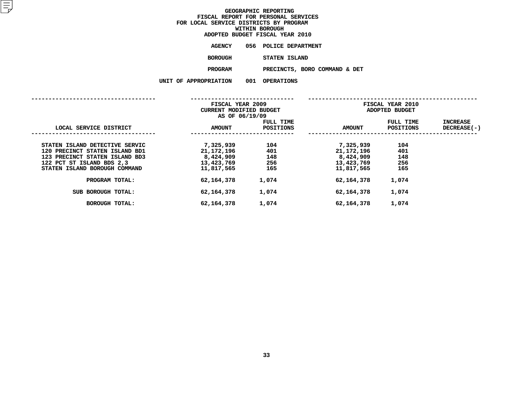|                | ADOPTED BUDGET FISCAL YEAR 2010 |
|----------------|---------------------------------|
| <b>AGENCY</b>  | 056 POLICE DEPARTMENT           |
| <b>BOROUGH</b> | STATEN ISLAND                   |
| <b>PROGRAM</b> | PRECINCTS, BORO COMMA           |

 **PRECINCTS, BORO COMMAND & DET UNIT OF APPROPRIATION <sup>001</sup> OPERATIONS**

|  |  | u aliweniaiiun |  |
|--|--|----------------|--|
|  |  |                |  |

|                                | FISCAL YEAR 2009<br>CURRENT MODIFIED BUDGET<br>AS OF 06/19/09 |                        |               | FISCAL YEAR 2010<br>ADOPTED BUDGET |                         |
|--------------------------------|---------------------------------------------------------------|------------------------|---------------|------------------------------------|-------------------------|
| LOCAL SERVICE DISTRICT         | <b>AMOUNT</b>                                                 | FULL TIME<br>POSITIONS | <b>AMOUNT</b> | FULL TIME<br><b>POSITIONS</b>      | INCREASE<br>DECREASE(-) |
| STATEN ISLAND DETECTIVE SERVIC | 7,325,939                                                     | 104                    | 7,325,939     | 104                                |                         |
| 120 PRECINCT STATEN ISLAND BD1 | 21,172,196                                                    | 401                    | 21,172,196    | 401                                |                         |
| 123 PRECINCT STATEN ISLAND BD3 | 8,424,909                                                     | 148                    | 8,424,909     | 148                                |                         |
| 122 PCT ST ISLAND BDS 2,3      | 13,423,769                                                    | 256                    | 13,423,769    | 256                                |                         |
| STATEN ISLAND BOROUGH COMMAND  | 11,817,565                                                    | 165                    | 11,817,565    | 165                                |                         |
| PROGRAM TOTAL:                 | 62,164,378                                                    | 1,074                  | 62,164,378    | 1,074                              |                         |
| BOROUGH TOTAL:<br><b>SUB</b>   | 62,164,378                                                    | 1,074                  | 62,164,378    | 1,074                              |                         |
| <b>BOROUGH TOTAL:</b>          | 62,164,378                                                    | 1,074                  | 62,164,378    | 1,074                              |                         |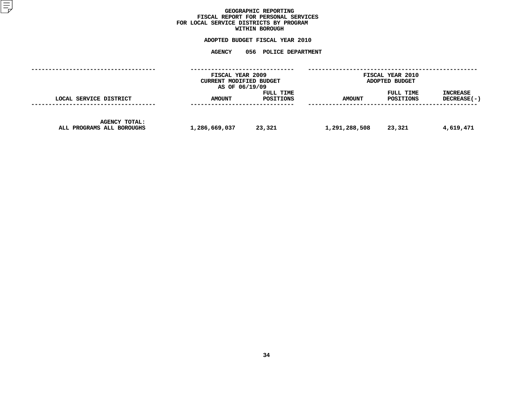## GEOGRAPHIC REPORTING<br>FISCAL REPORT FOR PERSONAL SERVICES<br>OCAL SERVICE DISTRICTS BY PROGRAM<br>WITHIN BOROUGH **FISCAL REPORT FOR PERSONAL SERVICES FOR LOCAL SERVICE DISTRICTS BY PROGRAM**

# **WITHIN BOROUGH**

## **ADOPTED BUDGET FISCAL YEAR <sup>2010</sup> AGENCY <sup>056</sup> POLICE DEPARTMENT**

|                                                   | FISCAL YEAR 2009<br>CURRENT MODIFIED BUDGET<br>AS OF 06/19/09 |                        |               | <b>FISCAL YEAR 2010</b><br>ADOPTED BUDGET |                                  |
|---------------------------------------------------|---------------------------------------------------------------|------------------------|---------------|-------------------------------------------|----------------------------------|
| LOCAL SERVICE DISTRICT                            | <b>AMOUNT</b>                                                 | FULL TIME<br>POSITIONS | <b>AMOUNT</b> | FULL TIME<br>POSITIONS                    | <b>INCREASE</b><br>$DECREASE(-)$ |
| <b>AGENCY TOTAL:</b><br>ALL PROGRAMS ALL BOROUGHS | 1,286,669,037                                                 | 23,321                 | 1,291,288,508 | 23,321                                    | 4,619,471                        |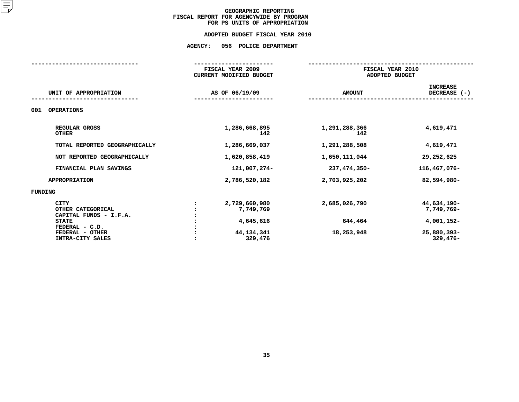## **ADOPTED BUDGET FISCAL YEAR 2010 ADOPTED BUDGET FISCAL YEAR <sup>2010</sup>**

# **AGENCY: <sup>056</sup> POLICE DEPARTMENT**

|                                                                    | FISCAL YEAR 2010<br>ADOPTED BUDGET                                   |                                                                      |  |
|--------------------------------------------------------------------|----------------------------------------------------------------------|----------------------------------------------------------------------|--|
|                                                                    | <b>AMOUNT</b>                                                        | <b>INCREASE</b><br>DECREASE (-)                                      |  |
|                                                                    |                                                                      |                                                                      |  |
| 1,286,668,895<br>142                                               | 1,291,288,366<br>142                                                 | 4,619,471                                                            |  |
| 1,286,669,037                                                      | 1,291,288,508                                                        | 4,619,471                                                            |  |
| 1,620,858,419                                                      | 1,650,111,044                                                        | 29,252,625                                                           |  |
| 121,007,274-                                                       | 237,474,350-                                                         | 116,467,076-                                                         |  |
| 2,786,520,182                                                      | 2,703,925,202                                                        | 82,594,980-                                                          |  |
|                                                                    |                                                                      |                                                                      |  |
| 2,729,660,980<br>7,749,769<br>4,645,616<br>44, 134, 341<br>329,476 | 2,685,026,790<br>644,464<br>18,253,948                               | 44,634,190-<br>7,749,769-<br>4,001,152-<br>25,880,393-<br>$329,476-$ |  |
|                                                                    | FISCAL YEAR 2009<br><b>CURRENT MODIFIED BUDGET</b><br>AS OF 06/19/09 |                                                                      |  |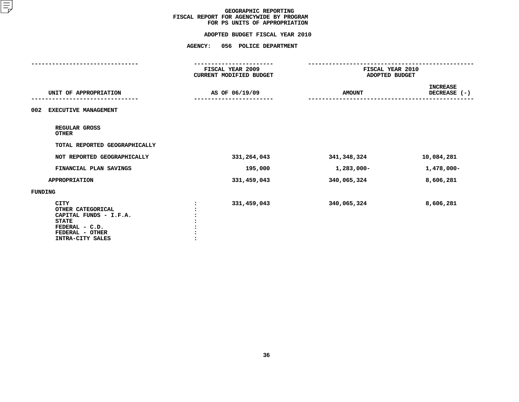|                                                                                                                              | <b>AGENCY:</b><br>056 POLICE DEPARTMENT     |                                    |                                 |
|------------------------------------------------------------------------------------------------------------------------------|---------------------------------------------|------------------------------------|---------------------------------|
|                                                                                                                              | FISCAL YEAR 2009<br>CURRENT MODIFIED BUDGET | FISCAL YEAR 2010<br>ADOPTED BUDGET |                                 |
| UNIT OF APPROPRIATION                                                                                                        | AS OF 06/19/09                              | <b>AMOUNT</b>                      | <b>INCREASE</b><br>DECREASE (-) |
| <b>EXECUTIVE MANAGEMENT</b><br>002                                                                                           |                                             |                                    |                                 |
| REGULAR GROSS<br><b>OTHER</b>                                                                                                |                                             |                                    |                                 |
| TOTAL REPORTED GEOGRAPHICALLY                                                                                                |                                             |                                    |                                 |
| NOT REPORTED GEOGRAPHICALLY                                                                                                  | 331, 264, 043                               | 341,348,324                        | 10,084,281                      |
| FINANCIAL PLAN SAVINGS                                                                                                       | 195,000                                     | 1,283,000-                         | $1,478,000 -$                   |
| <b>APPROPRIATION</b>                                                                                                         | 331,459,043                                 | 340,065,324                        | 8,606,281                       |
| <b>FUNDING</b>                                                                                                               |                                             |                                    |                                 |
| CITY<br>OTHER CATEGORICAL<br>CAPITAL FUNDS - I.F.A.<br><b>STATE</b><br>FEDERAL - C.D.<br>FEDERAL - OTHER<br>INTRA-CITY SALES | 331,459,043                                 | 340,065,324                        | 8,606,281                       |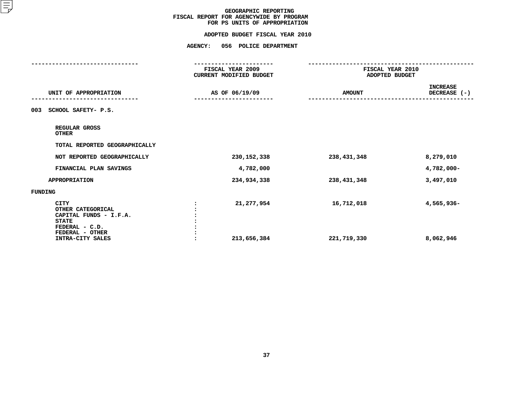|                                                                                                                                     | <b>AGENCY:</b><br>056 POLICE DEPARTMENT     |                                    |                                 |
|-------------------------------------------------------------------------------------------------------------------------------------|---------------------------------------------|------------------------------------|---------------------------------|
|                                                                                                                                     | FISCAL YEAR 2009<br>CURRENT MODIFIED BUDGET | FISCAL YEAR 2010<br>ADOPTED BUDGET |                                 |
| UNIT OF APPROPRIATION                                                                                                               | AS OF 06/19/09                              | <b>AMOUNT</b>                      | <b>INCREASE</b><br>DECREASE (-) |
| SCHOOL SAFETY- P.S.<br>003                                                                                                          |                                             |                                    |                                 |
| REGULAR GROSS<br><b>OTHER</b>                                                                                                       |                                             |                                    |                                 |
| TOTAL REPORTED GEOGRAPHICALLY                                                                                                       |                                             |                                    |                                 |
| NOT REPORTED GEOGRAPHICALLY                                                                                                         | 230, 152, 338                               | 238,431,348                        | 8,279,010                       |
| FINANCIAL PLAN SAVINGS                                                                                                              | 4,782,000                                   |                                    | 4,782,000-                      |
| <b>APPROPRIATION</b>                                                                                                                | 234,934,338                                 | 238,431,348                        | 3,497,010                       |
| <b>FUNDING</b>                                                                                                                      |                                             |                                    |                                 |
| <b>CITY</b><br>OTHER CATEGORICAL<br>CAPITAL FUNDS - I.F.A.<br><b>STATE</b><br>FEDERAL - C.D.<br>FEDERAL - OTHER<br>INTRA-CITY SALES | 21,277,954<br>213,656,384                   | 16,712,018<br>221,719,330          | 4,565,936-<br>8,062,946         |
|                                                                                                                                     |                                             |                                    |                                 |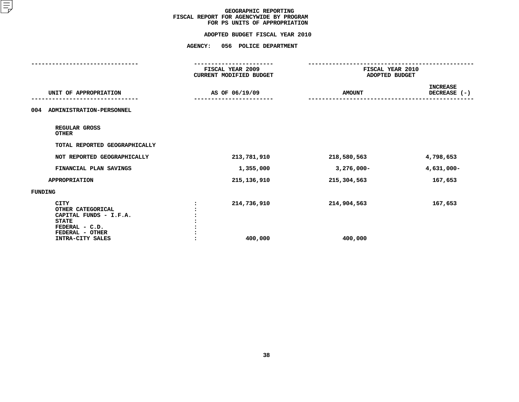| FISCAL YEAR 2009<br>CURRENT MODIFIED BUDGET | FISCAL YEAR 2010<br>ADOPTED BUDGET |                                         |
|---------------------------------------------|------------------------------------|-----------------------------------------|
| AS OF 06/19/09                              | <b>AMOUNT</b>                      | <b>INCREASE</b><br>DECREASE (-)         |
|                                             |                                    |                                         |
|                                             |                                    |                                         |
|                                             |                                    |                                         |
| 213,781,910                                 | 218,580,563                        | 4,798,653                               |
| 1,355,000                                   | $3,276,000 -$                      | $4,631,000 -$                           |
| 215, 136, 910                               | 215,304,563                        | 167,653                                 |
|                                             |                                    |                                         |
| 214,736,910<br>400,000                      | 214,904,563<br>400,000             | 167,653                                 |
|                                             |                                    | <b>AGENCY:</b><br>056 POLICE DEPARTMENT |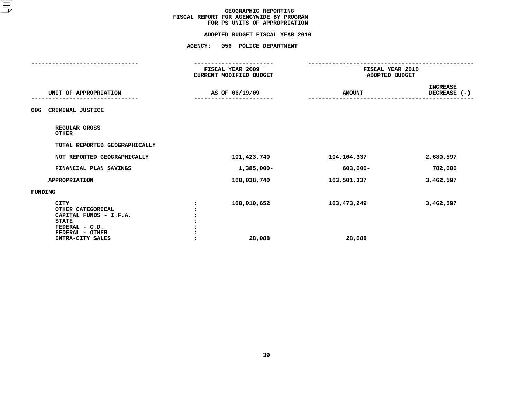| <b>AGENCY:</b><br>056 POLICE DEPARTMENT     |                       |                                    |
|---------------------------------------------|-----------------------|------------------------------------|
| FISCAL YEAR 2009<br>CURRENT MODIFIED BUDGET |                       |                                    |
| AS OF 06/19/09                              | <b>AMOUNT</b>         | <b>INCREASE</b><br>DECREASE (-)    |
|                                             |                       |                                    |
|                                             |                       |                                    |
|                                             |                       |                                    |
| 101,423,740                                 | 104,104,337           | 2,680,597                          |
| $1,385,000 -$                               | 603,000-              | 782,000                            |
| 100,038,740                                 | 103,501,337           | 3,462,597                          |
|                                             |                       |                                    |
| 100,010,652<br>28,088                       | 103,473,249<br>28,088 | 3,462,597                          |
|                                             |                       | FISCAL YEAR 2010<br>ADOPTED BUDGET |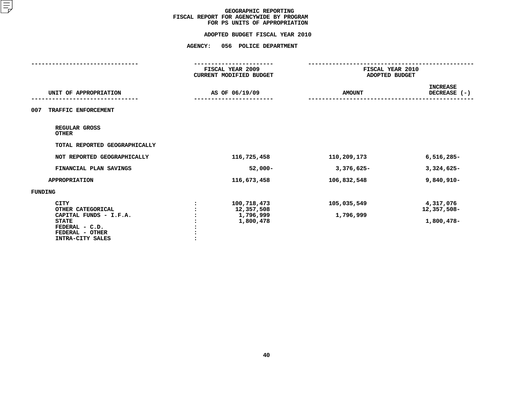|                                                                             | FISCAL YEAR 2009<br><b>CURRENT MODIFIED BUDGET</b> | FISCAL YEAR 2010<br>ADOPTED BUDGET |                                 |
|-----------------------------------------------------------------------------|----------------------------------------------------|------------------------------------|---------------------------------|
| UNIT OF APPROPRIATION                                                       | AS OF 06/19/09                                     | <b>AMOUNT</b>                      | <b>INCREASE</b><br>DECREASE (-) |
| TRAFFIC ENFORCEMENT<br>007                                                  |                                                    |                                    |                                 |
| REGULAR GROSS<br><b>OTHER</b>                                               |                                                    |                                    |                                 |
| TOTAL REPORTED GEOGRAPHICALLY                                               |                                                    |                                    |                                 |
| NOT REPORTED GEOGRAPHICALLY                                                 | 116,725,458                                        | 110,209,173                        | $6,516,285-$                    |
| FINANCIAL PLAN SAVINGS                                                      | $52,000 -$                                         | $3,376,625-$                       | $3,324,625-$                    |
| <b>APPROPRIATION</b>                                                        | 116,673,458                                        | 106,832,548                        | 9,840,910-                      |
| FUNDING                                                                     |                                                    |                                    |                                 |
| <b>CITY</b><br>OTHER CATEGORICAL                                            | 100,718,473<br>12,357,508                          | 105,035,549                        | 4,317,076<br>12,357,508-        |
| CAPITAL FUNDS - I.F.A.<br><b>STATE</b><br>FEDERAL - C.D.<br>FEDERAL - OTHER | 1,796,999<br>1,800,478                             | 1,796,999                          | 1,800,478-                      |
| INTRA-CITY SALES                                                            |                                                    |                                    |                                 |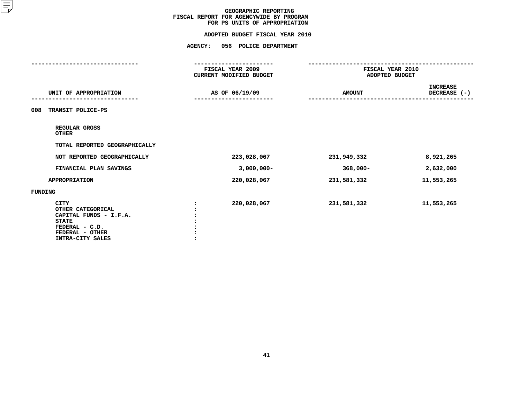|                                                                                                                                     | <b>AGENCY:</b><br>056 POLICE DEPARTMENT            |                                    |                                 |
|-------------------------------------------------------------------------------------------------------------------------------------|----------------------------------------------------|------------------------------------|---------------------------------|
|                                                                                                                                     | FISCAL YEAR 2009<br><b>CURRENT MODIFIED BUDGET</b> | FISCAL YEAR 2010<br>ADOPTED BUDGET |                                 |
| UNIT OF APPROPRIATION                                                                                                               | AS OF 06/19/09                                     | <b>AMOUNT</b>                      | <b>INCREASE</b><br>DECREASE (-) |
| TRANSIT POLICE-PS<br>008                                                                                                            |                                                    |                                    |                                 |
| REGULAR GROSS<br><b>OTHER</b>                                                                                                       |                                                    |                                    |                                 |
| TOTAL REPORTED GEOGRAPHICALLY                                                                                                       |                                                    |                                    |                                 |
| NOT REPORTED GEOGRAPHICALLY                                                                                                         | 223,028,067                                        | 231,949,332                        | 8,921,265                       |
| FINANCIAL PLAN SAVINGS                                                                                                              | $3,000,000 -$                                      | 368,000-                           | 2,632,000                       |
| <b>APPROPRIATION</b>                                                                                                                | 220,028,067                                        | 231,581,332                        | 11,553,265                      |
| FUNDING                                                                                                                             |                                                    |                                    |                                 |
| <b>CITY</b><br>OTHER CATEGORICAL<br>CAPITAL FUNDS - I.F.A.<br><b>STATE</b><br>FEDERAL - C.D.<br>FEDERAL - OTHER<br>INTRA-CITY SALES | 220,028,067                                        | 231,581,332                        | 11,553,265                      |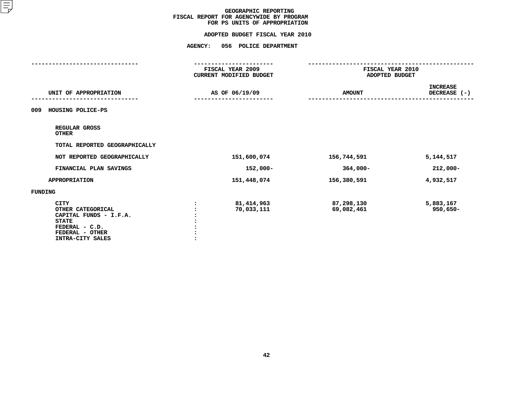|                                                                                                                                     | <b>AGENCY:</b><br>056 POLICE DEPARTMENT            |                                    |                                 |
|-------------------------------------------------------------------------------------------------------------------------------------|----------------------------------------------------|------------------------------------|---------------------------------|
|                                                                                                                                     | FISCAL YEAR 2009<br><b>CURRENT MODIFIED BUDGET</b> | FISCAL YEAR 2010<br>ADOPTED BUDGET |                                 |
| UNIT OF APPROPRIATION                                                                                                               | AS OF 06/19/09                                     | <b>AMOUNT</b>                      | <b>INCREASE</b><br>DECREASE (-) |
| HOUSING POLICE-PS<br>009                                                                                                            |                                                    |                                    |                                 |
| REGULAR GROSS<br><b>OTHER</b>                                                                                                       |                                                    |                                    |                                 |
| TOTAL REPORTED GEOGRAPHICALLY                                                                                                       |                                                    |                                    |                                 |
| NOT REPORTED GEOGRAPHICALLY                                                                                                         | 151,600,074                                        | 156,744,591                        | 5,144,517                       |
| FINANCIAL PLAN SAVINGS                                                                                                              | 152,000-                                           | $364,000 -$                        | $212,000 -$                     |
| <b>APPROPRIATION</b>                                                                                                                | 151,448,074                                        | 156,380,591                        | 4,932,517                       |
| FUNDING                                                                                                                             |                                                    |                                    |                                 |
| <b>CITY</b><br>OTHER CATEGORICAL<br>CAPITAL FUNDS - I.F.A.<br><b>STATE</b><br>FEDERAL - C.D.<br>FEDERAL - OTHER<br>INTRA-CITY SALES | 81,414,963<br>70,033,111                           | 87,298,130<br>69,082,461           | 5,883,167<br>$950,650 -$        |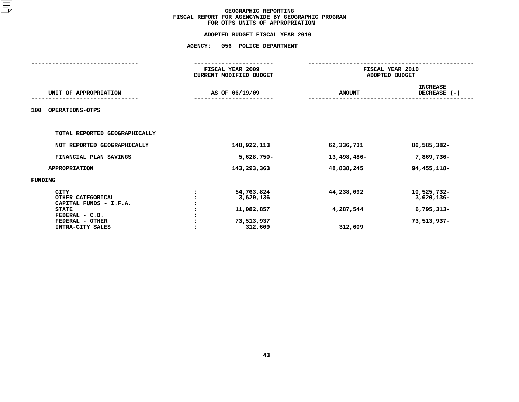|                                                            | <b>AGENCY:</b> | 056 POLICE DEPARTMENT                       |               |                                    |  |  |
|------------------------------------------------------------|----------------|---------------------------------------------|---------------|------------------------------------|--|--|
|                                                            |                | FISCAL YEAR 2009<br>CURRENT MODIFIED BUDGET |               | FISCAL YEAR 2010<br>ADOPTED BUDGET |  |  |
| UNIT OF APPROPRIATION                                      |                | AS OF 06/19/09                              | <b>AMOUNT</b> | <b>INCREASE</b><br>DECREASE (-)    |  |  |
| OPERATIONS-OTPS<br>100                                     |                |                                             |               |                                    |  |  |
| TOTAL REPORTED GEOGRAPHICALLY                              |                |                                             |               |                                    |  |  |
| NOT REPORTED GEOGRAPHICALLY                                |                | 148,922,113                                 | 62,336,731    | 86,585,382-                        |  |  |
| FINANCIAL PLAN SAVINGS                                     |                | $5,628,750 -$                               | 13,498,486-   | 7,869,736-                         |  |  |
| <b>APPROPRIATION</b>                                       |                | 143,293,363                                 | 48,838,245    | 94, 455, 118-                      |  |  |
| <b>FUNDING</b>                                             |                |                                             |               |                                    |  |  |
| <b>CITY</b><br>OTHER CATEGORICAL<br>CAPITAL FUNDS - I.F.A. |                | 54,763,824<br>3,620,136                     | 44,238,092    | 10,525,732-<br>$3,620,136$ -       |  |  |
| <b>STATE</b>                                               |                | 11,082,857                                  | 4,287,544     | $6,795,313-$                       |  |  |
| FEDERAL - C.D.<br>FEDERAL - OTHER<br>INTRA-CITY SALES      |                | 73,513,937<br>312,609                       | 312,609       | 73,513,937-                        |  |  |
|                                                            |                |                                             |               |                                    |  |  |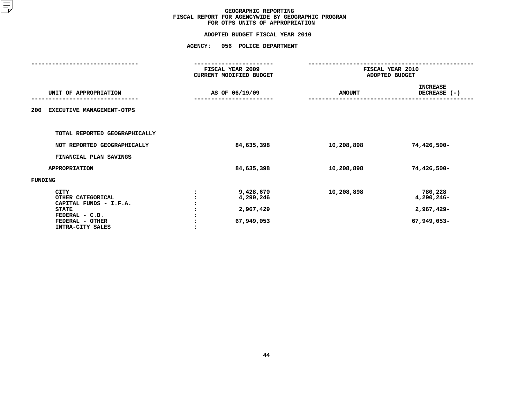| 056 POLICE DEPARTMENT                             |                                                               |                                                    |
|---------------------------------------------------|---------------------------------------------------------------|----------------------------------------------------|
|                                                   |                                                               | FISCAL YEAR 2010<br>ADOPTED BUDGET                 |
|                                                   | <b>AMOUNT</b>                                                 | <b>INCREASE</b><br>DECREASE (-)                    |
|                                                   |                                                               |                                                    |
|                                                   |                                                               |                                                    |
| 84,635,398                                        | 10,208,898                                                    | 74,426,500-                                        |
|                                                   |                                                               |                                                    |
| 84,635,398                                        | 10,208,898                                                    | 74,426,500-                                        |
|                                                   |                                                               |                                                    |
| 9,428,670<br>4,290,246<br>2,967,429<br>67,949,053 | 10,208,898                                                    | 780,228<br>4,290,246-<br>2,967,429-<br>67,949,053- |
| <b>AGENCY:</b>                                    | FISCAL YEAR 2009<br>CURRENT MODIFIED BUDGET<br>AS OF 06/19/09 |                                                    |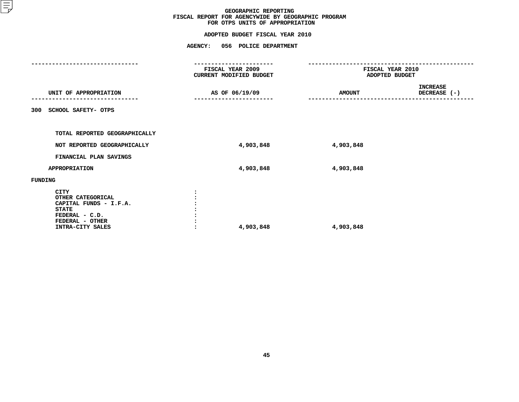## **ADOPTED BUDGET FISCAL YEAR <sup>2010</sup>AGENCY: <sup>056</sup> POLICE DEPARTMENT**

|                                                                                                                              | FISCAL YEAR 2009<br>CURRENT MODIFIED BUDGET | FISCAL YEAR 2010<br>ADOPTED BUDGET |                                 |
|------------------------------------------------------------------------------------------------------------------------------|---------------------------------------------|------------------------------------|---------------------------------|
| UNIT OF APPROPRIATION                                                                                                        | AS OF 06/19/09                              | <b>AMOUNT</b>                      | <b>INCREASE</b><br>DECREASE (-) |
| SCHOOL SAFETY- OTPS<br>300                                                                                                   |                                             |                                    |                                 |
| TOTAL REPORTED GEOGRAPHICALLY                                                                                                |                                             |                                    |                                 |
| NOT REPORTED GEOGRAPHICALLY                                                                                                  | 4,903,848                                   | 4,903,848                          |                                 |
| FINANCIAL PLAN SAVINGS                                                                                                       |                                             |                                    |                                 |
| <b>APPROPRIATION</b>                                                                                                         | 4,903,848                                   | 4,903,848                          |                                 |
| FUNDING                                                                                                                      |                                             |                                    |                                 |
| CITY<br>OTHER CATEGORICAL<br>CAPITAL FUNDS - I.F.A.<br><b>STATE</b><br>FEDERAL - C.D.<br>FEDERAL - OTHER<br>INTRA-CITY SALES | 4,903,848                                   | 4,903,848                          |                                 |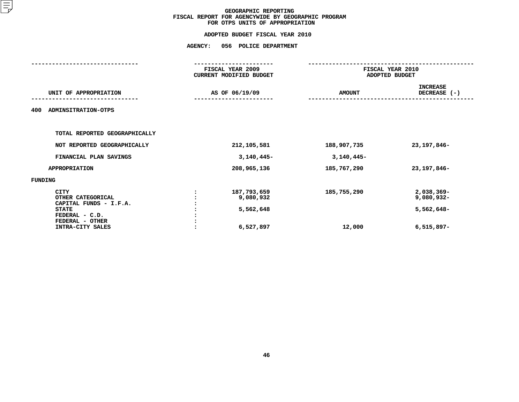|                                                                                                                                     | <b>AGENCY:</b> | 056 POLICE DEPARTMENT                              |                       |                                                        |  |  |
|-------------------------------------------------------------------------------------------------------------------------------------|----------------|----------------------------------------------------|-----------------------|--------------------------------------------------------|--|--|
|                                                                                                                                     |                | FISCAL YEAR 2009<br>CURRENT MODIFIED BUDGET        |                       | FISCAL YEAR 2010<br>ADOPTED BUDGET                     |  |  |
| UNIT OF APPROPRIATION                                                                                                               |                | AS OF 06/19/09                                     | <b>AMOUNT</b>         | <b>INCREASE</b><br>DECREASE (-)                        |  |  |
| ADMINSITRATION-OTPS<br>400                                                                                                          |                |                                                    |                       |                                                        |  |  |
| TOTAL REPORTED GEOGRAPHICALLY                                                                                                       |                |                                                    |                       |                                                        |  |  |
| NOT REPORTED GEOGRAPHICALLY                                                                                                         |                | 212,105,581                                        | 188,907,735           | 23, 197, 846-                                          |  |  |
| FINANCIAL PLAN SAVINGS                                                                                                              |                | $3,140,445-$                                       | $3,140,445-$          |                                                        |  |  |
| <b>APPROPRIATION</b>                                                                                                                |                | 208,965,136                                        | 185,767,290           | 23, 197, 846-                                          |  |  |
| <b>FUNDING</b>                                                                                                                      |                |                                                    |                       |                                                        |  |  |
| <b>CITY</b><br>OTHER CATEGORICAL<br>CAPITAL FUNDS - I.F.A.<br><b>STATE</b><br>FEDERAL - C.D.<br>FEDERAL - OTHER<br>INTRA-CITY SALES |                | 187,793,659<br>9,080,932<br>5,562,648<br>6,527,897 | 185,755,290<br>12,000 | 2,038,369-<br>9,080,932-<br>5,562,648-<br>$6,515,897-$ |  |  |
|                                                                                                                                     |                |                                                    |                       |                                                        |  |  |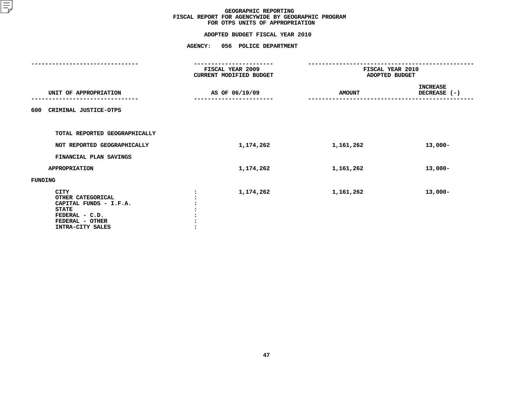|                                                                                                                                     | <b>AGENCY:</b> | 056 POLICE DEPARTMENT                       |                                    |                                 |
|-------------------------------------------------------------------------------------------------------------------------------------|----------------|---------------------------------------------|------------------------------------|---------------------------------|
|                                                                                                                                     |                | FISCAL YEAR 2009<br>CURRENT MODIFIED BUDGET | FISCAL YEAR 2010<br>ADOPTED BUDGET |                                 |
| UNIT OF APPROPRIATION                                                                                                               |                | AS OF 06/19/09                              | <b>AMOUNT</b>                      | <b>INCREASE</b><br>DECREASE (-) |
| CRIMINAL JUSTICE-OTPS<br>600                                                                                                        |                |                                             |                                    |                                 |
| TOTAL REPORTED GEOGRAPHICALLY                                                                                                       |                |                                             |                                    |                                 |
| NOT REPORTED GEOGRAPHICALLY                                                                                                         |                | 1,174,262                                   | 1,161,262                          | $13,000-$                       |
| FINANCIAL PLAN SAVINGS                                                                                                              |                |                                             |                                    |                                 |
| <b>APPROPRIATION</b>                                                                                                                |                | 1,174,262                                   | 1,161,262                          | $13,000-$                       |
| FUNDING                                                                                                                             |                |                                             |                                    |                                 |
| <b>CITY</b><br>OTHER CATEGORICAL<br>CAPITAL FUNDS - I.F.A.<br><b>STATE</b><br>FEDERAL - C.D.<br>FEDERAL - OTHER<br>INTRA-CITY SALES |                | 1,174,262                                   | 1,161,262                          | $13,000-$                       |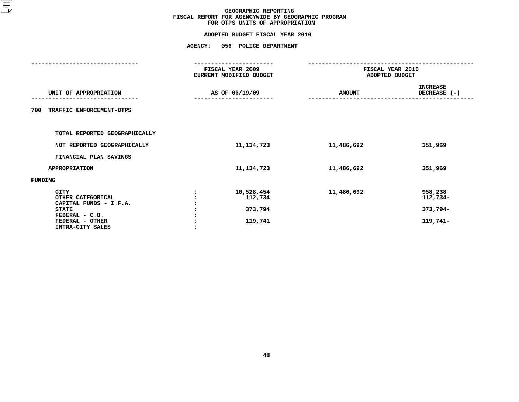| <b>AGENCY:</b> | 056 POLICE DEPARTMENT                       |                                                                      |                                             |
|----------------|---------------------------------------------|----------------------------------------------------------------------|---------------------------------------------|
|                |                                             |                                                                      |                                             |
|                |                                             | <b>AMOUNT</b>                                                        | <b>INCREASE</b><br>DECREASE (-)             |
|                |                                             |                                                                      |                                             |
|                |                                             |                                                                      |                                             |
|                | 11, 134, 723                                | 11,486,692                                                           | 351,969                                     |
|                |                                             |                                                                      |                                             |
|                | 11, 134, 723                                | 11,486,692                                                           | 351,969                                     |
|                |                                             |                                                                      |                                             |
|                | 10,528,454<br>112,734<br>373,794<br>119,741 | 11,486,692                                                           | 958,238<br>112,734-<br>373,794-<br>119,741- |
|                |                                             | FISCAL YEAR 2009<br><b>CURRENT MODIFIED BUDGET</b><br>AS OF 06/19/09 | FISCAL YEAR 2010<br>ADOPTED BUDGET          |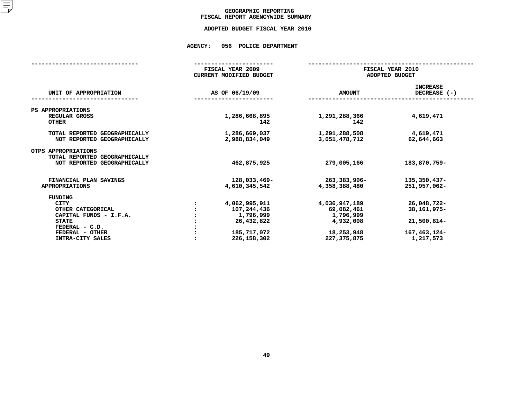## GEOGRAPHIC REPORTING<br>FISCAL REPORT AGENCYWIDE SUMMARY

## **FISCAL REPORT AGENCYWIDE SUMMARY ADOPTED BUDGET FISCAL YEAR <sup>2010</sup>**

## **AGENCY: <sup>056</sup> POLICE DEPARTMENT**

|                                                                                                                                                | FISCAL YEAR 2009<br><b>CURRENT MODIFIED BUDGET</b>                                      |                                                                                    | FISCAL YEAR 2010<br>ADOPTED BUDGET                                     |  |  |
|------------------------------------------------------------------------------------------------------------------------------------------------|-----------------------------------------------------------------------------------------|------------------------------------------------------------------------------------|------------------------------------------------------------------------|--|--|
| UNIT OF APPROPRIATION                                                                                                                          | AS OF 06/19/09                                                                          | <b>AMOUNT</b>                                                                      | <b>INCREASE</b><br>DECREASE (-)                                        |  |  |
| PS APPROPRIATIONS<br>REGULAR GROSS<br><b>OTHER</b>                                                                                             | 1,286,668,895<br>142                                                                    | 1,291,288,366<br>142                                                               | 4,619,471                                                              |  |  |
| TOTAL REPORTED GEOGRAPHICALLY<br>NOT REPORTED GEOGRAPHICALLY                                                                                   | 1,286,669,037<br>2,988,834,049                                                          | 1,291,288,508<br>3,051,478,712                                                     | 4,619,471<br>62,644,663                                                |  |  |
| OTPS APPROPRIATIONS<br>TOTAL REPORTED GEOGRAPHICALLY<br>NOT REPORTED GEOGRAPHICALLY                                                            | 462,875,925                                                                             | 279,005,166                                                                        | 183,870,759-                                                           |  |  |
| FINANCIAL PLAN SAVINGS<br><b>APPROPRIATIONS</b>                                                                                                | 128,033,469-<br>4,610,345,542                                                           | 263,383,906-<br>4,358,388,480                                                      | 135,350,437-<br>251,957,062-                                           |  |  |
| FUNDING<br><b>CITY</b><br>OTHER CATEGORICAL<br>CAPITAL FUNDS - I.F.A.<br><b>STATE</b><br>FEDERAL - C.D.<br>FEDERAL - OTHER<br>INTRA-CITY SALES | 4,062,995,911<br>107,244,436<br>1,796,999<br>26,432,822<br>185,717,072<br>226, 158, 302 | 4,036,947,189<br>69,082,461<br>1,796,999<br>4,932,008<br>18,253,948<br>227,375,875 | 26,048,722-<br>38,161,975-<br>21,500,814-<br>167,463,124-<br>1,217,573 |  |  |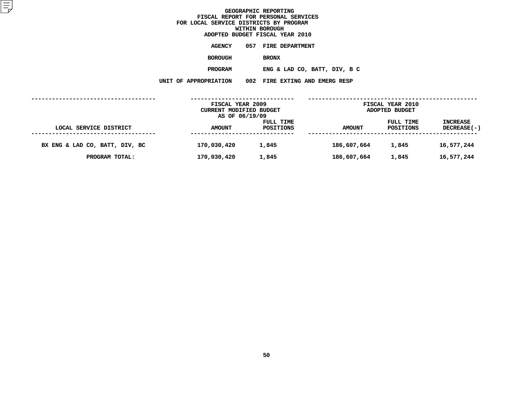**ADOPTED BUDGET FISCAL YEAR <sup>2010</sup>AGENCY <sup>057</sup> FIRE DEPARTMENT BOROUGH**BRONX<br>**ENG & LAD CO, BATT, DIV, B C PROGRAMENG** & LAD CO, BATT, DIV, B C<br>N 002 FIRE EXTING AND EMERG RESP

**UNIT OF APPROPRIATION <sup>002</sup> FIRE EXTING AND EMERG RESP**

|                                | FISCAL YEAR 2009<br>CURRENT MODIFIED BUDGET |           | <b>FISCAL YEAR 2010</b><br>ADOPTED BUDGET |           |                    |
|--------------------------------|---------------------------------------------|-----------|-------------------------------------------|-----------|--------------------|
|                                | AS OF 06/19/09                              | FULL TIME | FULL TIME                                 |           | <b>INCREASE</b>    |
| LOCAL SERVICE DISTRICT         | <b>AMOUNT</b>                               | POSITIONS | AMOUNT                                    | POSITIONS | <b>DECREASE(-)</b> |
| BX ENG & LAD CO, BATT, DIV, BC | 170,030,420                                 | 1,845     | 186,607,664                               | 1,845     | 16,577,244         |
| PROGRAM TOTAL:                 | 170,030,420                                 | 1,845     | 186,607,664                               | 1,845     | 16,577,244         |
|                                |                                             |           |                                           |           |                    |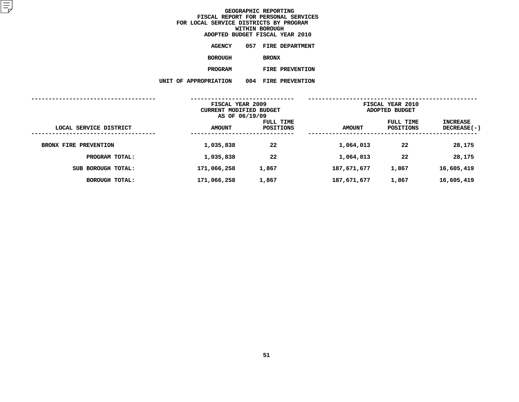| ADOPTED BUDGET FISCAL YEAR 2010 |     |              |                        |  |
|---------------------------------|-----|--------------|------------------------|--|
| <b>AGENCY</b>                   | 057 |              | <b>FIRE DEPARTMENT</b> |  |
| BOROUGH                         |     | <b>BRONX</b> |                        |  |
| <b>PROGRAM</b>                  |     |              | <b>FIRE PREVENTION</b> |  |
| UNIT OF APPROPRIATION           | 004 |              | FIRE PREVENTION        |  |
|                                 |     |              |                        |  |

| FISCAL YEAR 2009<br>CURRENT MODIFIED BUDGET<br>AS OF 06/19/09 |               |                        | FISCAL YEAR 2010<br>ADOPTED BUDGET |                        |                                  |  |
|---------------------------------------------------------------|---------------|------------------------|------------------------------------|------------------------|----------------------------------|--|
| LOCAL SERVICE DISTRICT                                        | <b>AMOUNT</b> | FULL TIME<br>POSITIONS | <b>AMOUNT</b>                      | FULL TIME<br>POSITIONS | <b>INCREASE</b><br>$DECREASE(-)$ |  |
| BRONX FIRE PREVENTION                                         | 1,035,838     | 22                     | 1,064,013                          | 22                     | 28,175                           |  |
| PROGRAM TOTAL:                                                | 1,035,838     | 22                     | 1,064,013                          | 22                     | 28,175                           |  |
| SUB BOROUGH TOTAL:                                            | 171,066,258   | 1,867                  | 187,671,677                        | 1,867                  | 16,605,419                       |  |
| BOROUGH TOTAL:                                                | 171,066,258   | 1,867                  | 187,671,677                        | 1,867                  | 16,605,419                       |  |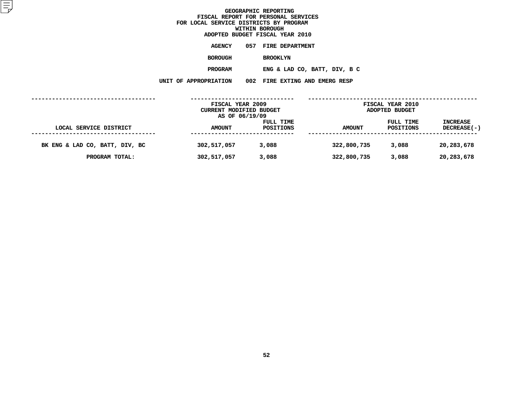**ADOPTED BUDGET FISCAL YEAR <sup>2010</sup>AGENCY <sup>057</sup> FIRE DEPARTMENT BOROUGH**BROOKLYN<br>**ENG & LAD CO, BATT, DIV, B C PROGRAMENG** & LAD CO, BATT, DIV, B C<br>N 002 FIRE EXTING AND EMERG RESP

**UNIT OF APPROPRIATION <sup>002</sup> FIRE EXTING AND EMERG RESP**

|                                | FISCAL YEAR 2009<br>CURRENT MODIFIED BUDGET<br>AS OF 06/19/09 |                        | <b>FISCAL YEAR 2010</b><br>ADOPTED BUDGET |                        |                                       |
|--------------------------------|---------------------------------------------------------------|------------------------|-------------------------------------------|------------------------|---------------------------------------|
| LOCAL SERVICE DISTRICT         | <b>AMOUNT</b>                                                 | FULL TIME<br>POSITIONS | <b>AMOUNT</b>                             | FULL TIME<br>POSITIONS | <b>INCREASE</b><br><b>DECREASE(-)</b> |
| BK ENG & LAD CO, BATT, DIV, BC | 302,517,057                                                   | 3,088                  | 322,800,735                               | 3,088                  | 20,283,678                            |
| PROGRAM TOTAL:                 | 302,517,057                                                   | 3,088                  | 322,800,735                               | 3,088                  | 20,283,678                            |
|                                |                                                               |                        |                                           |                        |                                       |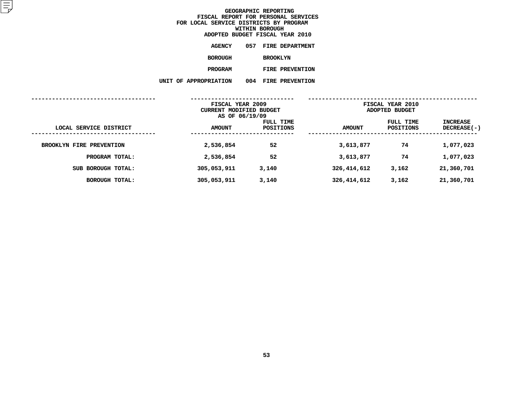|  | ADOPTED BUDGET FISCAL YEAR 2010 |     |                 |                        |
|--|---------------------------------|-----|-----------------|------------------------|
|  | <b>AGENCY</b>                   | 057 |                 | <b>FIRE DEPARTMENT</b> |
|  | BOROUGH                         |     | <b>BROOKLYN</b> |                        |
|  | <b>PROGRAM</b>                  |     |                 | <b>FIRE PREVENTION</b> |
|  | UNIT OF APPROPRIATION           | 004 |                 | FIRE PREVENTION        |
|  |                                 |     |                 |                        |

|                             | FISCAL YEAR 2009<br>CURRENT MODIFIED BUDGET<br>AS OF 06/19/09 |                        |               | FISCAL YEAR 2010<br>ADOPTED BUDGET |                         |  |
|-----------------------------|---------------------------------------------------------------|------------------------|---------------|------------------------------------|-------------------------|--|
| LOCAL SERVICE DISTRICT<br>. | <b>AMOUNT</b>                                                 | FULL TIME<br>POSITIONS | <b>AMOUNT</b> | FULL TIME<br>POSITIONS             | INCREASE<br>DECREASE(-) |  |
| BROOKLYN FIRE PREVENTION    | 2,536,854                                                     | 52                     | 3,613,877     | 74                                 | 1,077,023               |  |
| PROGRAM TOTAL:              | 2,536,854                                                     | 52                     | 3,613,877     | 74                                 | 1,077,023               |  |
| SUB BOROUGH TOTAL:          | 305,053,911                                                   | 3,140                  | 326,414,612   | 3,162                              | 21,360,701              |  |
| <b>BOROUGH TOTAL:</b>       | 305,053,911                                                   | 3,140                  | 326,414,612   | 3,162                              | 21,360,701              |  |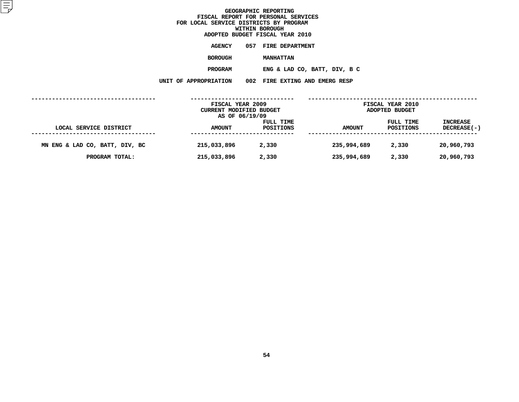**ADOPTED BUDGET FISCAL YEAR <sup>2010</sup>AGENCY <sup>057</sup> FIRE DEPARTMENT BOROUGH**

 **MANHATTAN PROGRAMENG** & LAD CO, BATT, DIV, B C<br>N 002 FIRE EXTING AND EMERG RESP

**UNIT OF APPROPRIATION <sup>002</sup> FIRE EXTING AND EMERG RESP**

|                                | FISCAL YEAR 2009<br><b>FISCAL YEAR 2010</b><br>CURRENT MODIFIED BUDGET<br>ADOPTED BUDGET<br>AS OF 06/19/09 |                        |             |                        |                                |
|--------------------------------|------------------------------------------------------------------------------------------------------------|------------------------|-------------|------------------------|--------------------------------|
| LOCAL SERVICE DISTRICT         | <b>AMOUNT</b>                                                                                              | FULL TIME<br>POSITIONS | AMOUNT      | FULL TIME<br>POSITIONS | <b>INCREASE</b><br>DECREASE(-) |
| MN ENG & LAD CO, BATT, DIV, BC | 215,033,896                                                                                                | 2,330                  | 235,994,689 | 2,330                  | 20,960,793                     |
| PROGRAM TOTAL:                 | 215,033,896                                                                                                | 2,330                  | 235,994,689 | 2,330                  | 20,960,793                     |
|                                |                                                                                                            |                        |             |                        |                                |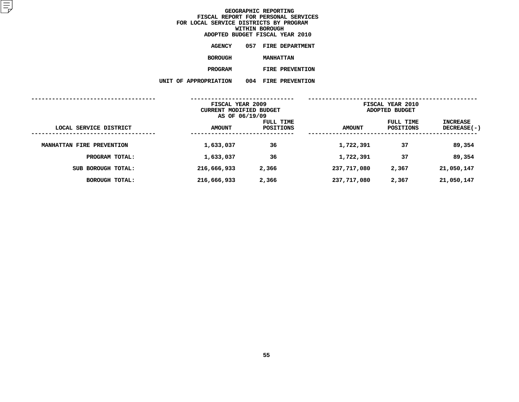| ADOPTED BUDGET FISCAL YEAR 2010 |     |                  |                        |  |
|---------------------------------|-----|------------------|------------------------|--|
| <b>AGENCY</b>                   | 057 |                  | <b>FIRE DEPARTMENT</b> |  |
| BOROUGH                         |     | <b>MANHATTAN</b> |                        |  |
| <b>PROGRAM</b>                  |     |                  | <b>FIRE PREVENTION</b> |  |
| UNIT OF APPROPRIATION           | 004 |                  | FIRE PREVENTION        |  |
|                                 |     |                  |                        |  |

|                           | FISCAL YEAR 2009<br>CURRENT MODIFIED BUDGET<br>AS OF 06/19/09 |                        | FISCAL YEAR 2010<br>ADOPTED BUDGET |                        |                                |
|---------------------------|---------------------------------------------------------------|------------------------|------------------------------------|------------------------|--------------------------------|
| LOCAL SERVICE DISTRICT    | <b>AMOUNT</b>                                                 | FULL TIME<br>POSITIONS | <b>AMOUNT</b>                      | FULL TIME<br>POSITIONS | INCREASE<br><b>DECREASE(-)</b> |
| MANHATTAN FIRE PREVENTION | 1,633,037                                                     | 36                     | 1,722,391                          | 37                     | 89,354                         |
| PROGRAM TOTAL:            | 1,633,037                                                     | 36                     | 1,722,391                          | 37                     | 89,354                         |
| SUB BOROUGH TOTAL:        | 216,666,933                                                   | 2,366                  | 237,717,080                        | 2,367                  | 21,050,147                     |
| BOROUGH TOTAL:            | 216,666,933                                                   | 2,366                  | 237,717,080                        | 2,367                  | 21,050,147                     |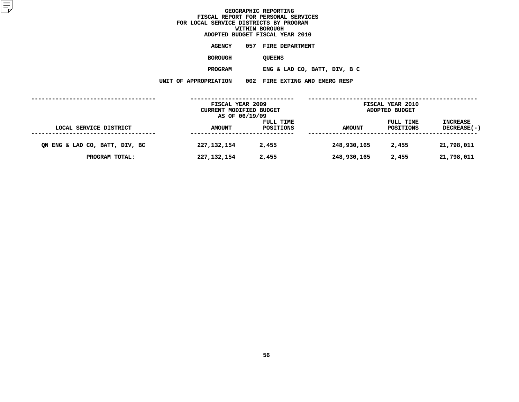| ADOPTED BUDGET FISCAL YEAR 2010 |                                |
|---------------------------------|--------------------------------|
| <b>AGENCY</b>                   | 057 FIRE DEPARTMENT            |
| <b>BOROUGH</b>                  | <b>QUEENS</b>                  |
| <b>PROGRAM</b>                  | ENG & LAD CO, BATT, DIV, B C   |
| <b>APPROPRIATION</b>            | 002 FIRE EXTING AND EMERG RESP |

**UNIT OF APPROPRIATION <sup>002</sup> FIRE EXTING AND EMERG RESP**

|                                | FISCAL YEAR 2009<br>FISCAL YEAR 2010<br>CURRENT MODIFIED BUDGET<br>ADOPTED BUDGET<br>AS OF 06/19/09 |                        |             |                        |                                |
|--------------------------------|-----------------------------------------------------------------------------------------------------|------------------------|-------------|------------------------|--------------------------------|
| LOCAL SERVICE DISTRICT         | <b>AMOUNT</b>                                                                                       | FULL TIME<br>POSITIONS | AMOUNT      | FULL TIME<br>POSITIONS | <b>INCREASE</b><br>DECREASE(-) |
| QN ENG & LAD CO, BATT, DIV, BC | 227, 132, 154                                                                                       | 2,455                  | 248,930,165 | 2,455                  | 21,798,011                     |
| PROGRAM TOTAL:                 | 227, 132, 154                                                                                       | 2,455                  | 248,930,165 | 2,455                  | 21,798,011                     |
|                                |                                                                                                     |                        |             |                        |                                |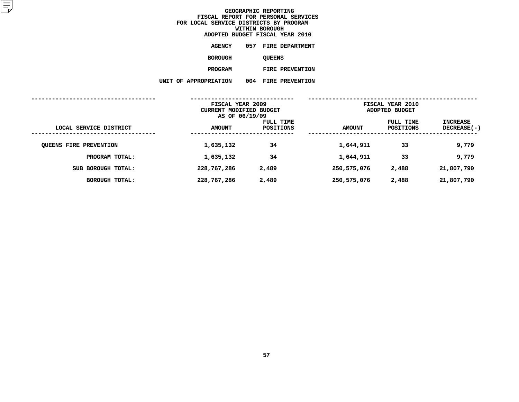| ADOPTED BUDGET FISCAL YEAR 2010 |     |               |                        |  |
|---------------------------------|-----|---------------|------------------------|--|
| <b>AGENCY</b>                   | 057 |               | <b>FIRE DEPARTMENT</b> |  |
| BOROUGH                         |     | <b>QUEENS</b> |                        |  |
| <b>PROGRAM</b>                  |     |               | <b>FIRE PREVENTION</b> |  |
| UNIT OF APPROPRIATION           | 004 |               | FIRE PREVENTION        |  |
|                                 |     |               |                        |  |

|                               | FISCAL YEAR 2009<br>CURRENT MODIFIED BUDGET<br>AS OF 06/19/09 |                        | FISCAL YEAR 2010<br>ADOPTED BUDGET |                        |                                |
|-------------------------------|---------------------------------------------------------------|------------------------|------------------------------------|------------------------|--------------------------------|
| LOCAL SERVICE DISTRICT        | <b>AMOUNT</b>                                                 | FULL TIME<br>POSITIONS | <b>AMOUNT</b>                      | FULL TIME<br>POSITIONS | INCREASE<br><b>DECREASE(-)</b> |
| <b>QUEENS FIRE PREVENTION</b> | 1,635,132                                                     | 34                     | 1,644,911                          | 33                     | 9,779                          |
| PROGRAM TOTAL:                | 1,635,132                                                     | 34                     | 1,644,911                          | 33                     | 9,779                          |
| SUB BOROUGH TOTAL:            | 228,767,286                                                   | 2,489                  | 250,575,076                        | 2,488                  | 21,807,790                     |
| BOROUGH TOTAL:                | 228,767,286                                                   | 2,489                  | 250,575,076                        | 2,488                  | 21,807,790                     |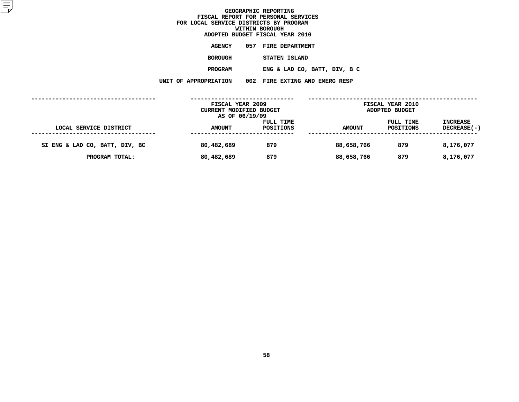| ADOPTED BUDGET FISCAL YEAR 2010 |                                |
|---------------------------------|--------------------------------|
| AGENCY                          | 057 FIRE DEPARTMENT            |
| <b>BOROUGH</b>                  | STATEN ISLAND                  |
| <b>PROGRAM</b>                  | ENG & LAD CO, BATT, DIV, B C   |
| <b>ROPRIATION</b>               | 002 FIRE EXTING AND EMERG RESP |

**UNIT OF APPROPRIATION <sup>002</sup> FIRE EXTING AND EMERG RESP**

|                                | FISCAL YEAR 2009<br>CURRENT MODIFIED BUDGET<br>AS OF 06/19/09 |                        |               | <b>FISCAL YEAR 2010</b><br>ADOPTED BUDGET |                                |
|--------------------------------|---------------------------------------------------------------|------------------------|---------------|-------------------------------------------|--------------------------------|
| LOCAL SERVICE DISTRICT         | <b>AMOUNT</b>                                                 | FULL TIME<br>POSITIONS | <b>AMOUNT</b> | FULL TIME<br>POSITIONS                    | <b>INCREASE</b><br>DECREASE(-) |
| SI ENG & LAD CO, BATT, DIV, BC | 80,482,689                                                    | 879                    | 88,658,766    | 879                                       | 8,176,077                      |
| PROGRAM TOTAL:                 | 80,482,689                                                    | 879                    | 88,658,766    | 879                                       | 8,176,077                      |
|                                |                                                               |                        |               |                                           |                                |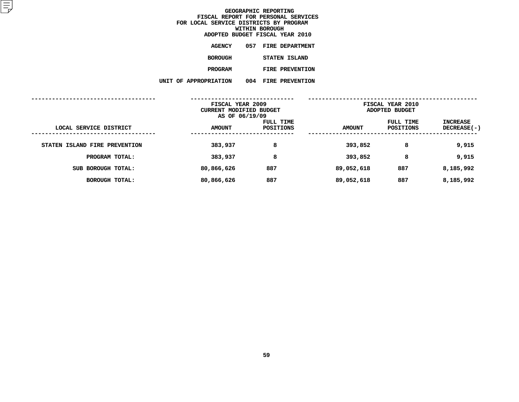|                     |     | ADOPTED BUDGET FISCAL YEAR 2010 |
|---------------------|-----|---------------------------------|
| <b>AGENCY</b>       |     | 057 FIRE DEPARTMENT             |
| <b>BOROUGH</b>      |     | STATEN ISLAND                   |
| <b>PROGRAM</b>      |     | <b>FIRE PREVENTION</b>          |
| <b>PPROPRIATION</b> | 004 | FIRE PREVENTION                 |

**UNIT OF APPROPRIATION <sup>004</sup> FIRE PREVENTION**

|                               | FISCAL YEAR 2009<br>CURRENT MODIFIED BUDGET<br>AS OF 06/19/09 |                        | FISCAL YEAR 2010<br>ADOPTED BUDGET |                               |                                |
|-------------------------------|---------------------------------------------------------------|------------------------|------------------------------------|-------------------------------|--------------------------------|
| LOCAL SERVICE DISTRICT        | <b>AMOUNT</b>                                                 | FULL TIME<br>POSITIONS | <b>AMOUNT</b>                      | FULL TIME<br><b>POSITIONS</b> | INCREASE<br><b>DECREASE(-)</b> |
| STATEN ISLAND FIRE PREVENTION | 383,937                                                       | 8                      | 393,852                            | 8                             | 9,915                          |
| PROGRAM TOTAL:                | 383,937                                                       | 8                      | 393,852                            | 8                             | 9,915                          |
| SUB BOROUGH TOTAL:            | 80,866,626                                                    | 887                    | 89,052,618                         | 887                           | 8,185,992                      |
| BOROUGH TOTAL:                | 80,866,626                                                    | 887                    | 89,052,618                         | 887                           | 8,185,992                      |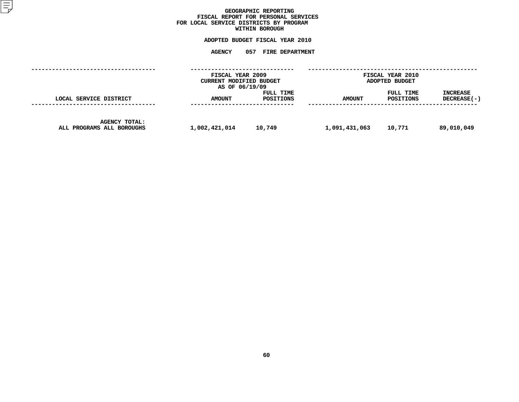## GEOGRAPHIC REPORTING<br>FISCAL REPORT FOR PERSONAL SERVICES<br>OCAL SERVICE DISTRICTS BY PROGRAM<br>WITHIN BOROUGH **FISCAL REPORT FOR PERSONAL SERVICES FOR LOCAL SERVICE DISTRICTS BY PROGRAM**

## **WITHIN BOROUGH ADOPTED BUDGET FISCAL YEAR <sup>2010</sup>**

# **AGENCY <sup>057</sup> FIRE DEPARTMENT**

|                                                   | FISCAL YEAR 2009<br>CURRENT MODIFIED BUDGET<br>AS OF 06/19/09 |                        |               | FISCAL YEAR 2010<br>ADOPTED BUDGET |                           |  |  |
|---------------------------------------------------|---------------------------------------------------------------|------------------------|---------------|------------------------------------|---------------------------|--|--|
| LOCAL SERVICE DISTRICT                            | <b>AMOUNT</b>                                                 | FULL TIME<br>POSITIONS | <b>AMOUNT</b> | FULL TIME<br>POSITIONS             | INCREASE<br>$DECREASE(-)$ |  |  |
| <b>AGENCY TOTAL:</b><br>ALL PROGRAMS ALL BOROUGHS | 1,002,421,014                                                 | 10,749                 | 1,091,431,063 | 10,771                             | 89,010,049                |  |  |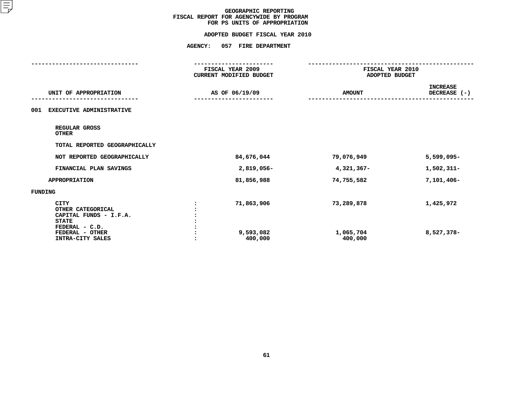| <b>AGENCY:</b><br>057 FIRE DEPARTMENT                                  |                                                    |                                 |  |
|------------------------------------------------------------------------|----------------------------------------------------|---------------------------------|--|
| ----------------<br>FISCAL YEAR 2009<br><b>CURRENT MODIFIED BUDGET</b> | ------------<br>FISCAL YEAR 2010<br>ADOPTED BUDGET |                                 |  |
| AS OF 06/19/09                                                         | <b>AMOUNT</b>                                      | <b>INCREASE</b><br>DECREASE (-) |  |
|                                                                        |                                                    |                                 |  |
|                                                                        |                                                    |                                 |  |
|                                                                        |                                                    |                                 |  |
| 84,676,044                                                             | 79,076,949                                         | 5,599,095-                      |  |
| 2,819,056-                                                             | $4,321,367-$                                       | 1,502,311-                      |  |
| 81,856,988                                                             | 74,755,582                                         | $7,101,406 -$                   |  |
|                                                                        |                                                    |                                 |  |
| 71,863,906<br>9,593,082<br>400,000                                     | 73,289,878<br>1,065,704<br>400,000                 | 1,425,972<br>8,527,378-         |  |
|                                                                        |                                                    |                                 |  |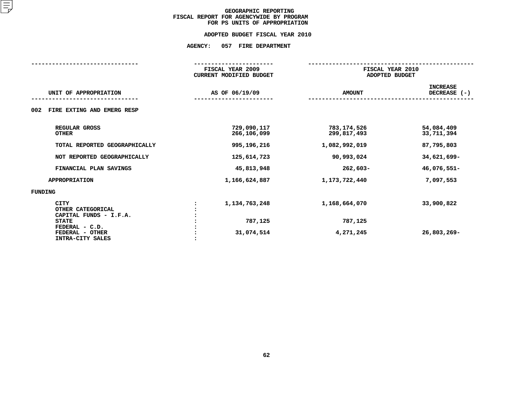## **ADOPTED BUDGET FISCAL YEAR 2010 ADOPTED BUDGET FISCAL YEAR <sup>2010</sup>**

# **AGENCY: <sup>057</sup> FIRE DEPARTMENT**

|                                        | FISCAL YEAR 2009               |               | FISCAL YEAR 2010<br>ADOPTED BUDGET |  |  |  |
|----------------------------------------|--------------------------------|---------------|------------------------------------|--|--|--|
|                                        | <b>CURRENT MODIFIED BUDGET</b> |               |                                    |  |  |  |
|                                        |                                |               | <b>INCREASE</b>                    |  |  |  |
| UNIT OF APPROPRIATION                  | AS OF 06/19/09                 | <b>AMOUNT</b> | DECREASE $(-)$                     |  |  |  |
|                                        |                                |               |                                    |  |  |  |
| FIRE EXTING AND EMERG RESP<br>002      |                                |               |                                    |  |  |  |
| REGULAR GROSS                          | 729,090,117                    | 783,174,526   | 54,084,409                         |  |  |  |
| <b>OTHER</b>                           | 266,106,099                    | 299,817,493   | 33,711,394                         |  |  |  |
| TOTAL REPORTED GEOGRAPHICALLY          | 995,196,216                    | 1,082,992,019 | 87,795,803                         |  |  |  |
|                                        |                                |               |                                    |  |  |  |
| NOT REPORTED GEOGRAPHICALLY            | 125,614,723                    | 90,993,024    | 34,621,699-                        |  |  |  |
| FINANCIAL PLAN SAVINGS                 | 45,813,948                     | $262,603-$    | 46,076,551-                        |  |  |  |
| <b>APPROPRIATION</b>                   | 1,166,624,887                  | 1,173,722,440 | 7,097,553                          |  |  |  |
| FUNDING                                |                                |               |                                    |  |  |  |
| <b>CITY</b>                            | 1, 134, 763, 248               | 1,168,664,070 | 33,900,822                         |  |  |  |
| OTHER CATEGORICAL                      |                                |               |                                    |  |  |  |
| CAPITAL FUNDS - I.F.A.<br><b>STATE</b> | 787,125                        | 787,125       |                                    |  |  |  |
| FEDERAL - C.D.                         |                                |               |                                    |  |  |  |
| FEDERAL - OTHER                        | 31,074,514                     | 4,271,245     | 26,803,269-                        |  |  |  |
| INTRA-CITY SALES                       |                                |               |                                    |  |  |  |
|                                        |                                |               |                                    |  |  |  |
|                                        |                                |               |                                    |  |  |  |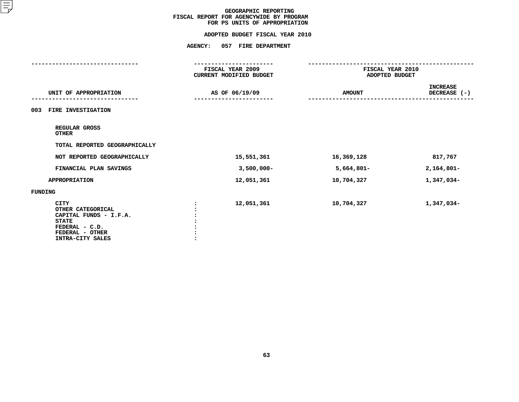|                                                                                                                                     | <b>AGENCY:</b><br>057 FIRE DEPARTMENT       |                                    |                                 |  |
|-------------------------------------------------------------------------------------------------------------------------------------|---------------------------------------------|------------------------------------|---------------------------------|--|
|                                                                                                                                     | FISCAL YEAR 2009<br>CURRENT MODIFIED BUDGET | FISCAL YEAR 2010<br>ADOPTED BUDGET |                                 |  |
| UNIT OF APPROPRIATION                                                                                                               | AS OF 06/19/09                              | <b>AMOUNT</b>                      | <b>INCREASE</b><br>DECREASE (-) |  |
| <b>FIRE INVESTIGATION</b><br>003                                                                                                    |                                             |                                    |                                 |  |
| REGULAR GROSS<br><b>OTHER</b>                                                                                                       |                                             |                                    |                                 |  |
| TOTAL REPORTED GEOGRAPHICALLY                                                                                                       |                                             |                                    |                                 |  |
| NOT REPORTED GEOGRAPHICALLY                                                                                                         | 15,551,361                                  | 16,369,128                         | 817,767                         |  |
| FINANCIAL PLAN SAVINGS                                                                                                              | $3,500,000 -$                               | $5,664,801 -$                      | $2,164,801 -$                   |  |
| <b>APPROPRIATION</b>                                                                                                                | 12,051,361                                  | 10,704,327                         | 1,347,034-                      |  |
| <b>FUNDING</b>                                                                                                                      |                                             |                                    |                                 |  |
| <b>CITY</b><br>OTHER CATEGORICAL<br>CAPITAL FUNDS - I.F.A.<br><b>STATE</b><br>FEDERAL - C.D.<br>FEDERAL - OTHER<br>INTRA-CITY SALES | 12,051,361                                  | 10,704,327                         | 1,347,034-                      |  |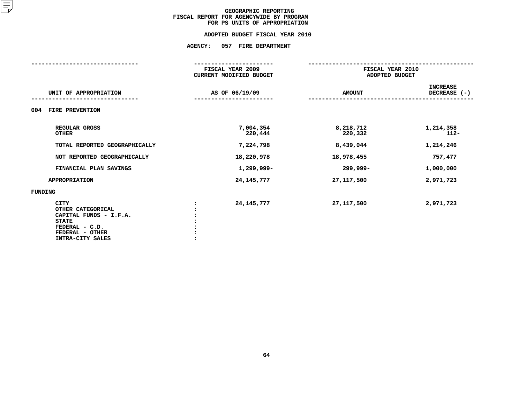## **ADOPTED BUDGET FISCAL YEAR 2010 ADOPTED BUDGET FISCAL YEAR <sup>2010</sup>**

# **AGENCY: <sup>057</sup> FIRE DEPARTMENT**

|                                                                                                                                     | FISCAL YEAR 2009<br><b>CURRENT MODIFIED BUDGET</b> |                      | FISCAL YEAR 2010<br>ADOPTED BUDGET |  |  |  |
|-------------------------------------------------------------------------------------------------------------------------------------|----------------------------------------------------|----------------------|------------------------------------|--|--|--|
| UNIT OF APPROPRIATION                                                                                                               | AS OF 06/19/09                                     | <b>AMOUNT</b>        | <b>INCREASE</b><br>DECREASE (-)    |  |  |  |
| FIRE PREVENTION<br>004                                                                                                              |                                                    |                      |                                    |  |  |  |
| REGULAR GROSS<br><b>OTHER</b>                                                                                                       | 7,004,354<br>220,444                               | 8,218,712<br>220,332 | 1,214,358<br>$112 -$               |  |  |  |
| TOTAL REPORTED GEOGRAPHICALLY                                                                                                       | 7,224,798                                          | 8,439,044            | 1,214,246                          |  |  |  |
| NOT REPORTED GEOGRAPHICALLY                                                                                                         | 18,220,978                                         | 18,978,455           | 757,477                            |  |  |  |
| FINANCIAL PLAN SAVINGS                                                                                                              | 1,299,999-                                         | 299,999-             | 1,000,000                          |  |  |  |
| <b>APPROPRIATION</b>                                                                                                                | 24, 145, 777                                       | 27, 117, 500         | 2,971,723                          |  |  |  |
| FUNDING                                                                                                                             |                                                    |                      |                                    |  |  |  |
| <b>CITY</b><br>OTHER CATEGORICAL<br>CAPITAL FUNDS - I.F.A.<br><b>STATE</b><br>FEDERAL - C.D.<br>FEDERAL - OTHER<br>INTRA-CITY SALES | 24, 145, 777                                       | 27, 117, 500         | 2,971,723                          |  |  |  |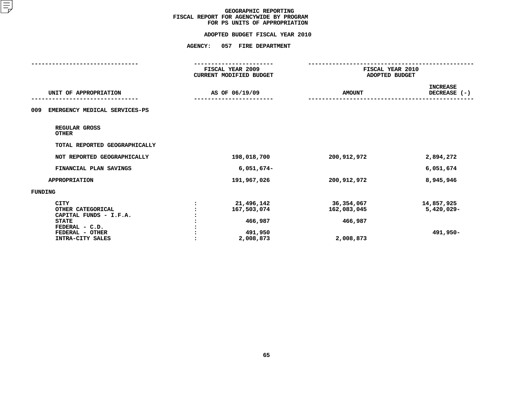|                                                                                                                                     |                | FISCAL YEAR 2009<br>CURRENT MODIFIED BUDGET                  | FISCAL YEAR 2010<br>ADOPTED BUDGET                |                                         |  |
|-------------------------------------------------------------------------------------------------------------------------------------|----------------|--------------------------------------------------------------|---------------------------------------------------|-----------------------------------------|--|
| UNIT OF APPROPRIATION                                                                                                               | AS OF 06/19/09 |                                                              | <b>AMOUNT</b>                                     | <b>INCREASE</b><br>DECREASE (-)         |  |
| EMERGENCY MEDICAL SERVICES-PS<br>009                                                                                                |                |                                                              |                                                   |                                         |  |
| REGULAR GROSS<br><b>OTHER</b>                                                                                                       |                |                                                              |                                                   |                                         |  |
| TOTAL REPORTED GEOGRAPHICALLY                                                                                                       |                |                                                              |                                                   |                                         |  |
| NOT REPORTED GEOGRAPHICALLY                                                                                                         |                | 198,018,700                                                  | 200, 912, 972                                     | 2,894,272                               |  |
| FINANCIAL PLAN SAVINGS                                                                                                              |                | $6,051,674-$                                                 |                                                   | 6,051,674                               |  |
| <b>APPROPRIATION</b>                                                                                                                |                | 191,967,026                                                  | 200,912,972                                       | 8,945,946                               |  |
| FUNDING                                                                                                                             |                |                                                              |                                                   |                                         |  |
| <b>CITY</b><br>OTHER CATEGORICAL<br>CAPITAL FUNDS - I.F.A.<br><b>STATE</b><br>FEDERAL - C.D.<br>FEDERAL - OTHER<br>INTRA-CITY SALES |                | 21,496,142<br>167,503,074<br>466,987<br>491,950<br>2,008,873 | 36,354,067<br>162,083,045<br>466,987<br>2,008,873 | 14,857,925<br>$5,420,029 -$<br>491,950- |  |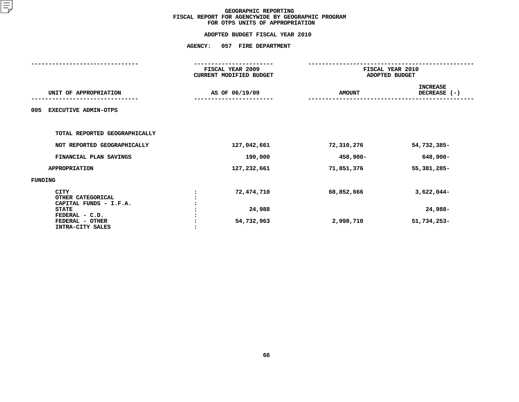|                                                            | <b>AGENCY:</b> | 057 FIRE DEPARTMENT                         |                                    |                                 |  |  |
|------------------------------------------------------------|----------------|---------------------------------------------|------------------------------------|---------------------------------|--|--|
|                                                            |                | FISCAL YEAR 2009<br>CURRENT MODIFIED BUDGET | FISCAL YEAR 2010<br>ADOPTED BUDGET |                                 |  |  |
| UNIT OF APPROPRIATION                                      |                | AS OF 06/19/09                              | <b>AMOUNT</b>                      | <b>INCREASE</b><br>DECREASE (-) |  |  |
| <b>EXECUTIVE ADMIN-OTPS</b><br>005                         |                |                                             |                                    |                                 |  |  |
| TOTAL REPORTED GEOGRAPHICALLY                              |                |                                             |                                    |                                 |  |  |
| NOT REPORTED GEOGRAPHICALLY                                |                | 127,042,661                                 | 72,310,276                         | 54,732,385-                     |  |  |
| FINANCIAL PLAN SAVINGS                                     |                | 190,000                                     | 458,900-                           | 648,900-                        |  |  |
| <b>APPROPRIATION</b>                                       |                | 127,232,661                                 | 71,851,376                         | 55, 381, 285-                   |  |  |
| FUNDING                                                    |                |                                             |                                    |                                 |  |  |
| <b>CITY</b><br>OTHER CATEGORICAL<br>CAPITAL FUNDS - I.F.A. |                | 72,474,710                                  | 68,852,666                         | $3,622,044-$                    |  |  |
| <b>STATE</b>                                               |                | 24,988                                      |                                    | 24,988-                         |  |  |
| FEDERAL - C.D.<br>FEDERAL - OTHER<br>INTRA-CITY SALES      |                | 54,732,963                                  | 2,998,710                          | 51,734,253-                     |  |  |
|                                                            |                |                                             |                                    |                                 |  |  |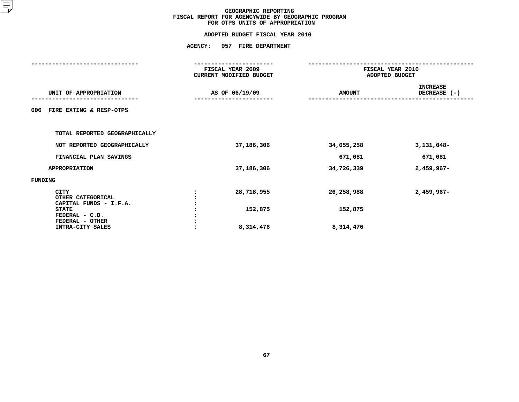|                                                          | <b>AGENCY:</b> | 057 FIRE DEPARTMENT                         |                                    |                                 |  |  |
|----------------------------------------------------------|----------------|---------------------------------------------|------------------------------------|---------------------------------|--|--|
|                                                          |                | FISCAL YEAR 2009<br>CURRENT MODIFIED BUDGET | FISCAL YEAR 2010<br>ADOPTED BUDGET |                                 |  |  |
| UNIT OF APPROPRIATION                                    |                | AS OF 06/19/09                              | <b>AMOUNT</b>                      | <b>INCREASE</b><br>DECREASE (-) |  |  |
| 006<br>FIRE EXTING & RESP-OTPS                           |                |                                             |                                    |                                 |  |  |
| TOTAL REPORTED GEOGRAPHICALLY                            |                |                                             |                                    |                                 |  |  |
| NOT REPORTED GEOGRAPHICALLY                              |                | 37,186,306                                  | 34,055,258                         | $3,131,048-$                    |  |  |
| FINANCIAL PLAN SAVINGS                                   |                |                                             | 671,081                            | 671,081                         |  |  |
| <b>APPROPRIATION</b>                                     |                | 37,186,306                                  | 34,726,339                         | $2,459,967-$                    |  |  |
| FUNDING                                                  |                |                                             |                                    |                                 |  |  |
| <b>CITY</b><br>OTHER CATEGORICAL                         |                | 28,718,955                                  | 26,258,988                         | $2,459,967-$                    |  |  |
| CAPITAL FUNDS - I.F.A.<br><b>STATE</b><br>FEDERAL - C.D. |                | 152,875                                     | 152,875                            |                                 |  |  |
| FEDERAL - OTHER<br>INTRA-CITY SALES                      |                | 8,314,476                                   | 8,314,476                          |                                 |  |  |
|                                                          |                |                                             |                                    |                                 |  |  |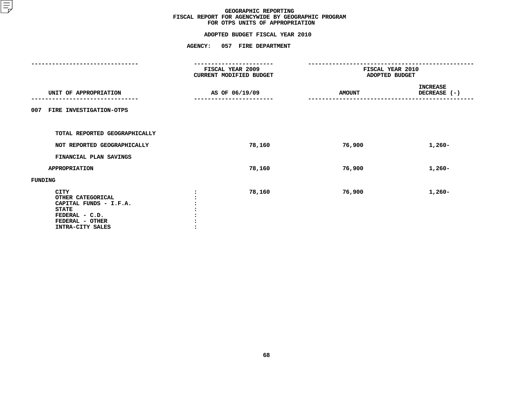| <b>AGENCY:</b><br>057 FIRE DEPARTMENT                                                                                               |                |                                             |                                    |                                 |  |  |
|-------------------------------------------------------------------------------------------------------------------------------------|----------------|---------------------------------------------|------------------------------------|---------------------------------|--|--|
|                                                                                                                                     |                | FISCAL YEAR 2009<br>CURRENT MODIFIED BUDGET | FISCAL YEAR 2010<br>ADOPTED BUDGET |                                 |  |  |
| UNIT OF APPROPRIATION                                                                                                               | AS OF 06/19/09 |                                             | <b>AMOUNT</b>                      | <b>INCREASE</b><br>DECREASE (-) |  |  |
| FIRE INVESTIGATION-OTPS<br>007                                                                                                      |                |                                             |                                    |                                 |  |  |
| TOTAL REPORTED GEOGRAPHICALLY                                                                                                       |                |                                             |                                    |                                 |  |  |
| NOT REPORTED GEOGRAPHICALLY                                                                                                         |                | 78,160                                      | 76,900                             | $1,260-$                        |  |  |
| FINANCIAL PLAN SAVINGS                                                                                                              |                |                                             |                                    |                                 |  |  |
| <b>APPROPRIATION</b>                                                                                                                |                | 78,160                                      | 76,900                             | $1,260-$                        |  |  |
| FUNDING                                                                                                                             |                |                                             |                                    |                                 |  |  |
| <b>CITY</b><br>OTHER CATEGORICAL<br>CAPITAL FUNDS - I.F.A.<br><b>STATE</b><br>FEDERAL - C.D.<br>FEDERAL - OTHER<br>INTRA-CITY SALES |                | 78,160                                      | 76,900                             | $1,260-$                        |  |  |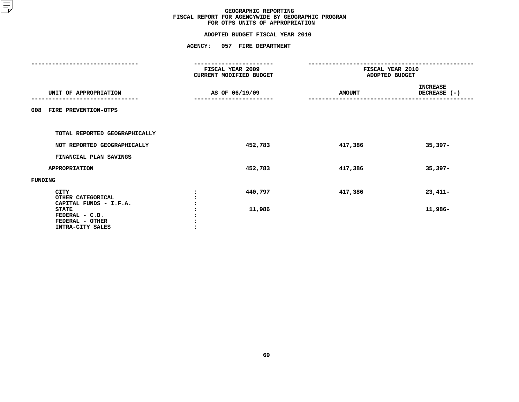# **ADOPTED BUDGET FISCAL YEAR <sup>2010</sup>**

|                                                                       | <b>AGENCY:</b> | 057 FIRE DEPARTMENT                         |                                    |                                 |
|-----------------------------------------------------------------------|----------------|---------------------------------------------|------------------------------------|---------------------------------|
|                                                                       |                | FISCAL YEAR 2009<br>CURRENT MODIFIED BUDGET | FISCAL YEAR 2010<br>ADOPTED BUDGET |                                 |
| UNIT OF APPROPRIATION                                                 |                | AS OF 06/19/09                              | <b>AMOUNT</b>                      | <b>INCREASE</b><br>DECREASE (-) |
| FIRE PREVENTION-OTPS<br>008                                           |                |                                             |                                    |                                 |
| TOTAL REPORTED GEOGRAPHICALLY                                         |                |                                             |                                    |                                 |
| NOT REPORTED GEOGRAPHICALLY                                           |                | 452,783                                     | 417,386                            | $35,397-$                       |
| FINANCIAL PLAN SAVINGS                                                |                |                                             |                                    |                                 |
| <b>APPROPRIATION</b>                                                  |                | 452,783                                     | 417,386                            | $35,397-$                       |
| FUNDING                                                               |                |                                             |                                    |                                 |
| <b>CITY</b><br>OTHER CATEGORICAL<br>CAPITAL FUNDS - I.F.A.            |                | 440,797                                     | 417,386                            | $23,411-$                       |
| <b>STATE</b><br>FEDERAL - C.D.<br>FEDERAL - OTHER<br>INTRA-CITY SALES |                | 11,986                                      |                                    | 11,986-                         |
|                                                                       |                |                                             |                                    |                                 |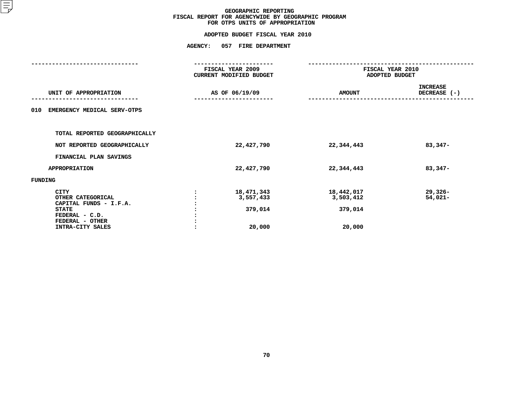# **ADOPTED BUDGET FISCAL YEAR <sup>2010</sup>**

|                                                                                                                                     | <b>AGENCY:</b> | 057 FIRE DEPARTMENT                          |                                              |                                 |
|-------------------------------------------------------------------------------------------------------------------------------------|----------------|----------------------------------------------|----------------------------------------------|---------------------------------|
|                                                                                                                                     |                | FISCAL YEAR 2009<br>CURRENT MODIFIED BUDGET  | FISCAL YEAR 2010<br>ADOPTED BUDGET           |                                 |
| UNIT OF APPROPRIATION                                                                                                               |                | AS OF 06/19/09                               | <b>AMOUNT</b>                                | <b>INCREASE</b><br>DECREASE (-) |
| EMERGENCY MEDICAL SERV-OTPS<br>010                                                                                                  |                |                                              |                                              |                                 |
| TOTAL REPORTED GEOGRAPHICALLY                                                                                                       |                |                                              |                                              |                                 |
| NOT REPORTED GEOGRAPHICALLY                                                                                                         |                | 22,427,790                                   | 22,344,443                                   | $83,347-$                       |
| FINANCIAL PLAN SAVINGS                                                                                                              |                |                                              |                                              |                                 |
| <b>APPROPRIATION</b>                                                                                                                |                | 22,427,790                                   | 22,344,443                                   | $83,347-$                       |
| FUNDING                                                                                                                             |                |                                              |                                              |                                 |
| <b>CITY</b><br>OTHER CATEGORICAL<br>CAPITAL FUNDS - I.F.A.<br><b>STATE</b><br>FEDERAL - C.D.<br>FEDERAL - OTHER<br>INTRA-CITY SALES |                | 18,471,343<br>3,557,433<br>379,014<br>20,000 | 18,442,017<br>3,503,412<br>379,014<br>20,000 | $29,326 -$<br>$54,021-$         |
|                                                                                                                                     |                |                                              |                                              |                                 |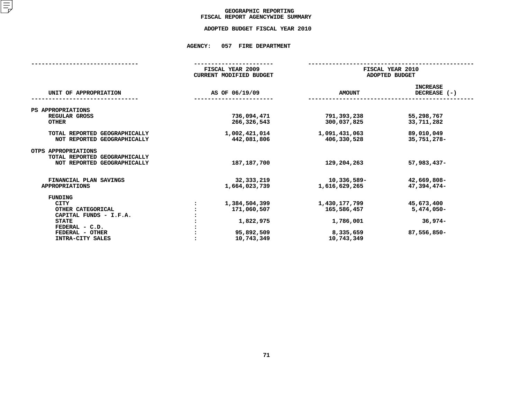### GEOGRAPHIC REPORTING<br>FISCAL REPORT AGENCYWIDE SUMMARY

## **FISCAL REPORT AGENCYWIDE SUMMARY ADOPTED BUDGET FISCAL YEAR <sup>2010</sup>**

#### **AGENCY: <sup>057</sup> FIRE DEPARTMENT**

|                                                                                     |  | FISCAL YEAR 2009<br><b>CURRENT MODIFIED BUDGET</b> | FISCAL YEAR 2010<br>ADOPTED BUDGET |                                 |  |  |
|-------------------------------------------------------------------------------------|--|----------------------------------------------------|------------------------------------|---------------------------------|--|--|
| UNIT OF APPROPRIATION                                                               |  | AS OF 06/19/09                                     | <b>AMOUNT</b>                      | <b>INCREASE</b><br>DECREASE (-) |  |  |
| PS APPROPRIATIONS                                                                   |  |                                                    |                                    |                                 |  |  |
| REGULAR GROSS<br><b>OTHER</b>                                                       |  | 736,094,471<br>266,326,543                         | 791,393,238<br>300,037,825         | 55,298,767<br>33,711,282        |  |  |
| TOTAL REPORTED GEOGRAPHICALLY<br>NOT REPORTED GEOGRAPHICALLY                        |  | 1,002,421,014<br>442,081,806                       | 1,091,431,063<br>406,330,528       | 89,010,049<br>35,751,278-       |  |  |
| OTPS APPROPRIATIONS<br>TOTAL REPORTED GEOGRAPHICALLY<br>NOT REPORTED GEOGRAPHICALLY |  | 187, 187, 700                                      | 129,204,263                        | $57,983,437-$                   |  |  |
| FINANCIAL PLAN SAVINGS<br><b>APPROPRIATIONS</b>                                     |  | 32, 333, 219<br>1,664,023,739                      | 10,336,589-<br>1,616,629,265       | 42,669,808-<br>47,394,474-      |  |  |
| <b>FUNDING</b>                                                                      |  |                                                    |                                    |                                 |  |  |
| <b>CITY</b>                                                                         |  | 1,384,504,399                                      | 1,430,177,799                      | 45,673,400                      |  |  |
| OTHER CATEGORICAL                                                                   |  | 171,060,507                                        | 165,586,457                        | 5,474,050-                      |  |  |
| CAPITAL FUNDS - I.F.A.                                                              |  |                                                    |                                    |                                 |  |  |
| <b>STATE</b>                                                                        |  | 1,822,975                                          | 1,786,001                          | $36,974-$                       |  |  |
| FEDERAL - C.D.                                                                      |  |                                                    |                                    |                                 |  |  |
| FEDERAL - OTHER                                                                     |  | 95,892,509                                         | 8,335,659                          | 87,556,850-                     |  |  |
| INTRA-CITY SALES                                                                    |  | 10,743,349                                         | 10,743,349                         |                                 |  |  |
|                                                                                     |  |                                                    |                                    |                                 |  |  |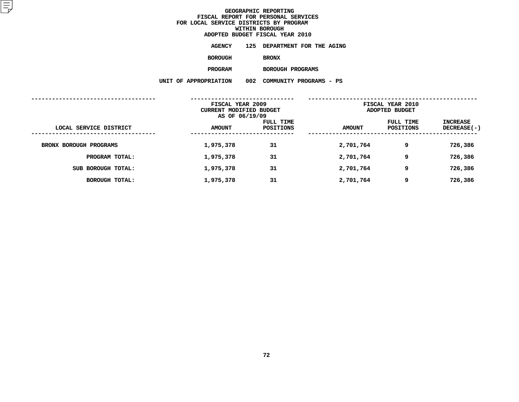| ADOPTED BUDGET FISCAL YEAR 2010 |                       |  |                              |  |  |  |
|---------------------------------|-----------------------|--|------------------------------|--|--|--|
|                                 | AGENCY                |  | 125 DEPARTMENT FOR THE AGING |  |  |  |
|                                 | <b>BOROUGH</b>        |  | <b>BRONX</b>                 |  |  |  |
|                                 | <b>PROGRAM</b>        |  | BOROUGH PROGRAMS             |  |  |  |
|                                 | UNIT OF APPROPRIATION |  | 002 COMMUNITY PROGRAMS - PS  |  |  |  |
|                                 |                       |  |                              |  |  |  |

|                        | FISCAL YEAR 2009<br>CURRENT MODIFIED BUDGET<br>AS OF 06/19/09 |                        | FISCAL YEAR 2010<br>ADOPTED BUDGET |                        |                                |
|------------------------|---------------------------------------------------------------|------------------------|------------------------------------|------------------------|--------------------------------|
| LOCAL SERVICE DISTRICT | <b>AMOUNT</b>                                                 | FULL TIME<br>POSITIONS | <b>AMOUNT</b>                      | FULL TIME<br>POSITIONS | INCREASE<br><b>DECREASE(-)</b> |
| BRONX BOROUGH PROGRAMS | 1,975,378                                                     | 31                     | 2,701,764                          | 9                      | 726,386                        |
| PROGRAM TOTAL:         | 1,975,378                                                     | 31                     | 2,701,764                          | 9                      | 726,386                        |
| SUB BOROUGH TOTAL:     | 1,975,378                                                     | 31                     | 2,701,764                          | 9                      | 726,386                        |
| <b>BOROUGH TOTAL:</b>  | 1,975,378                                                     | 31                     | 2,701,764                          | 9                      | 726,386                        |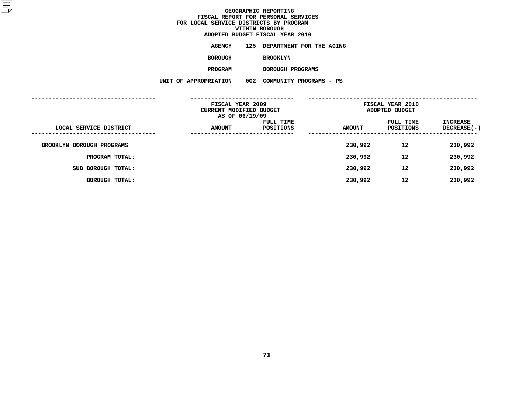**ADOPTED BUDGET FISCAL YEAR <sup>2010</sup>AGENCY <sup>125</sup> DEPARTMENT FOR THE AGING BOROUGHBROOKLYN**

**PROGRAM**

 **BOROUGH PROGRAMS UNIT OF APPROPRIATION <sup>002</sup> COMMUNITY PROGRAMS - PS**

|                           | FISCAL YEAR 2009<br>CURRENT MODIFIED BUDGET<br>AS OF 06/19/09 |                        | FISCAL YEAR 2010<br>ADOPTED BUDGET |                        |                                       |  |
|---------------------------|---------------------------------------------------------------|------------------------|------------------------------------|------------------------|---------------------------------------|--|
| LOCAL SERVICE DISTRICT    | <b>AMOUNT</b>                                                 | FULL TIME<br>POSITIONS | <b>AMOUNT</b>                      | FULL TIME<br>POSITIONS | <b>INCREASE</b><br><b>DECREASE(-)</b> |  |
| BROOKLYN BOROUGH PROGRAMS |                                                               |                        | 230,992                            | 12                     | 230,992                               |  |
| PROGRAM TOTAL:            |                                                               |                        | 230,992                            | 12                     | 230,992                               |  |
| SUB BOROUGH TOTAL:        |                                                               |                        | 230,992                            | 12                     | 230,992                               |  |
| <b>BOROUGH TOTAL:</b>     |                                                               |                        | 230,992                            | 12                     | 230,992                               |  |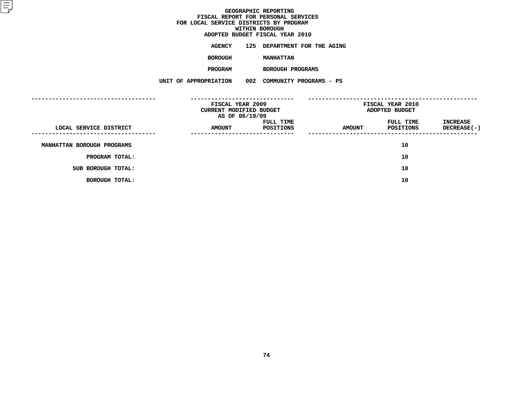**ADOPTED BUDGET FISCAL YEAR <sup>2010</sup>AGENCY <sup>125</sup> DEPARTMENT FOR THE AGING**

**BOROUGH**

 **MANHATTAN PROGRAM**

 **BOROUGH PROGRAMS UNIT OF APPROPRIATION <sup>002</sup> COMMUNITY PROGRAMS - PS**

|                            | FISCAL YEAR 2009<br>CURRENT MODIFIED BUDGET<br>AS OF 06/19/09 |                        | FISCAL YEAR 2010<br>ADOPTED BUDGET |                        |                                          |
|----------------------------|---------------------------------------------------------------|------------------------|------------------------------------|------------------------|------------------------------------------|
| LOCAL SERVICE DISTRICT     | <b>AMOUNT</b><br>-----------------                            | FULL TIME<br>POSITIONS | <b>AMOUNT</b>                      | FULL TIME<br>POSITIONS | INCREASE<br>DECREASE(-)<br>------------- |
| MANHATTAN BOROUGH PROGRAMS |                                                               |                        |                                    | 10                     |                                          |
| PROGRAM TOTAL:             |                                                               |                        |                                    | 10                     |                                          |
| SUB BOROUGH TOTAL:         |                                                               |                        |                                    | 10                     |                                          |
| <b>BOROUGH TOTAL:</b>      |                                                               |                        |                                    | 10                     |                                          |
|                            |                                                               |                        |                                    |                        |                                          |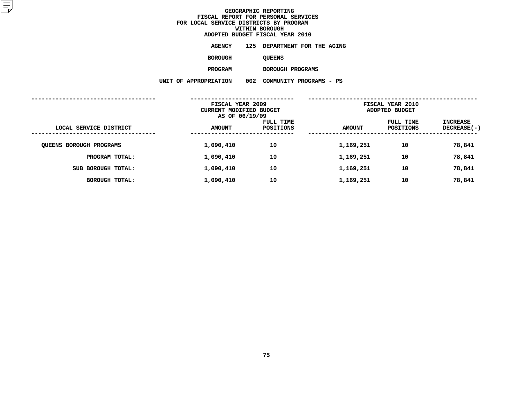| ADOPTED BUDGET FISCAL YEAR 2010 |                       |  |                              |  |  |  |
|---------------------------------|-----------------------|--|------------------------------|--|--|--|
|                                 | AGENCY                |  | 125 DEPARTMENT FOR THE AGING |  |  |  |
|                                 | <b>BOROUGH</b>        |  | <b>QUEENS</b>                |  |  |  |
|                                 | <b>PROGRAM</b>        |  | BOROUGH PROGRAMS             |  |  |  |
|                                 | UNIT OF APPROPRIATION |  | 002 COMMUNITY PROGRAMS - PS  |  |  |  |
|                                 |                       |  |                              |  |  |  |

|                                | FISCAL YEAR 2009<br><b>CURRENT MODIFIED BUDGET</b><br>AS OF 06/19/09 |                        | FISCAL YEAR 2010<br>ADOPTED BUDGET |                        |                                |
|--------------------------------|----------------------------------------------------------------------|------------------------|------------------------------------|------------------------|--------------------------------|
| LOCAL SERVICE DISTRICT         | <b>AMOUNT</b>                                                        | FULL TIME<br>POSITIONS | <b>AMOUNT</b>                      | FULL TIME<br>POSITIONS | INCREASE<br><b>DECREASE(-)</b> |
| <b>QUEENS BOROUGH PROGRAMS</b> | 1,090,410                                                            | 10                     | 1,169,251                          | 10                     | 78,841                         |
| PROGRAM TOTAL:                 | 1,090,410                                                            | 10                     | 1,169,251                          | 10                     | 78,841                         |
| SUB BOROUGH TOTAL:             | 1,090,410                                                            | 10                     | 1,169,251                          | 10                     | 78,841                         |
| <b>BOROUGH TOTAL:</b>          | 1,090,410                                                            | 10                     | 1,169,251                          | 10                     | 78,841                         |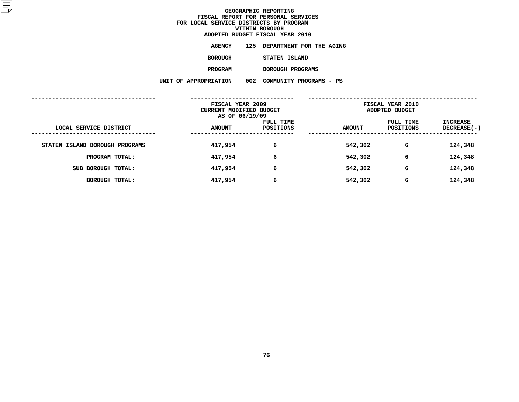| ADOPTED BUDGET FISCAL YEAR 2010 |                       |  |                              |  |  |  |  |
|---------------------------------|-----------------------|--|------------------------------|--|--|--|--|
|                                 | AGENCY                |  | 125 DEPARTMENT FOR THE AGING |  |  |  |  |
|                                 | <b>BOROUGH</b>        |  | STATEN ISLAND                |  |  |  |  |
|                                 | <b>PROGRAM</b>        |  | BOROUGH PROGRAMS             |  |  |  |  |
|                                 | UNIT OF APPROPRIATION |  | 002 COMMUNITY PROGRAMS - PS  |  |  |  |  |
|                                 |                       |  |                              |  |  |  |  |

| FISCAL YEAR 2009<br>CURRENT MODIFIED BUDGET<br>AS OF 06/19/09 |               |                        | FISCAL YEAR 2010<br>ADOPTED BUDGET |                        |                                |
|---------------------------------------------------------------|---------------|------------------------|------------------------------------|------------------------|--------------------------------|
| LOCAL SERVICE DISTRICT                                        | <b>AMOUNT</b> | FULL TIME<br>POSITIONS | <b>AMOUNT</b>                      | FULL TIME<br>POSITIONS | INCREASE<br><b>DECREASE(-)</b> |
| STATEN ISLAND BOROUGH PROGRAMS                                | 417,954       | 6                      | 542,302                            | 6                      | 124,348                        |
| PROGRAM TOTAL:                                                | 417,954       | 6                      | 542,302                            | 6                      | 124,348                        |
| SUB BOROUGH TOTAL:                                            | 417,954       | 6                      | 542,302                            | 6                      | 124,348                        |
| <b>BOROUGH TOTAL:</b>                                         | 417,954       | 6                      | 542,302                            | 6                      | 124,348                        |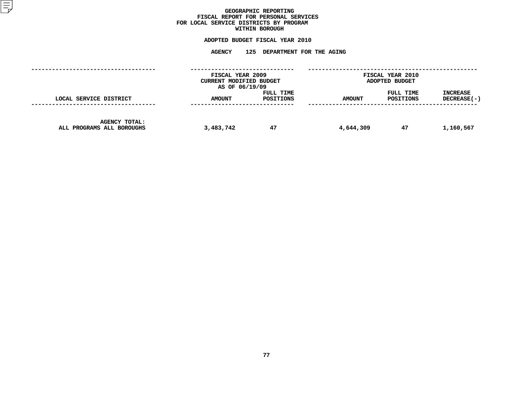### GEOGRAPHIC REPORTING<br>FISCAL REPORT FOR PERSONAL SERVICES<br>OCAL SERVICE DISTRICTS BY PROGRAM<br>WITHIN BOROUGH **FISCAL REPORT FOR PERSONAL SERVICES FOR LOCAL SERVICE DISTRICTS BY PROGRAM**

# **WITHIN BOROUGH**

## **ADOPTED BUDGET FISCAL YEAR <sup>2010</sup> AGENCY <sup>125</sup> DEPARTMENT FOR THE AGING**

|                                            | FISCAL YEAR 2009<br>CURRENT MODIFIED BUDGET<br>AS OF 06/19/09 |                        | FISCAL YEAR 2010<br>ADOPTED BUDGET |                        |                                |
|--------------------------------------------|---------------------------------------------------------------|------------------------|------------------------------------|------------------------|--------------------------------|
| LOCAL SERVICE DISTRICT                     | <b>AMOUNT</b>                                                 | FULL TIME<br>POSITIONS | <b>AMOUNT</b>                      | FULL TIME<br>POSITIONS | <b>INCREASE</b><br>DECREASE(-) |
| AGENCY TOTAL:<br>ALL PROGRAMS ALL BOROUGHS | 3,483,742                                                     | 47                     | 4,644,309                          | 47                     | 1,160,567                      |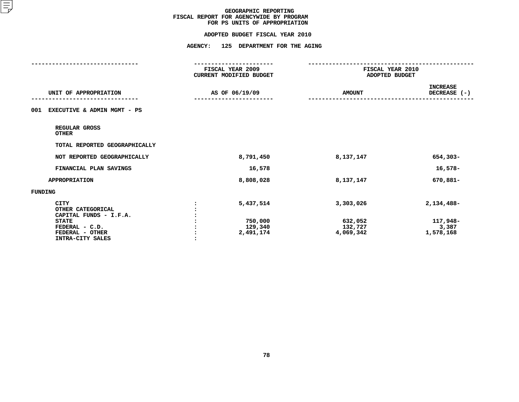# **ADOPTED BUDGET FISCAL YEAR <sup>2010</sup>**

|                                                                                                                                     | ----------------<br>FISCAL YEAR 2009<br>CURRENT MODIFIED BUDGET |                                              | -------------<br>FISCAL YEAR 2010<br>ADOPTED BUDGET |  |
|-------------------------------------------------------------------------------------------------------------------------------------|-----------------------------------------------------------------|----------------------------------------------|-----------------------------------------------------|--|
| UNIT OF APPROPRIATION                                                                                                               | AS OF 06/19/09                                                  | <b>AMOUNT</b>                                | <b>INCREASE</b><br>DECREASE (-)                     |  |
| EXECUTIVE & ADMIN MGMT - PS<br>001                                                                                                  |                                                                 |                                              |                                                     |  |
| REGULAR GROSS<br><b>OTHER</b>                                                                                                       |                                                                 |                                              |                                                     |  |
| TOTAL REPORTED GEOGRAPHICALLY                                                                                                       |                                                                 |                                              |                                                     |  |
| NOT REPORTED GEOGRAPHICALLY                                                                                                         | 8,791,450                                                       | 8,137,147                                    | 654,303-                                            |  |
| FINANCIAL PLAN SAVINGS                                                                                                              | 16,578                                                          |                                              | 16,578-                                             |  |
| <b>APPROPRIATION</b>                                                                                                                | 8,808,028                                                       | 8,137,147                                    | 670,881-                                            |  |
| <b>FUNDING</b>                                                                                                                      |                                                                 |                                              |                                                     |  |
| <b>CITY</b><br>OTHER CATEGORICAL<br>CAPITAL FUNDS - I.F.A.<br><b>STATE</b><br>FEDERAL - C.D.<br>FEDERAL - OTHER<br>INTRA-CITY SALES | 5,437,514<br>750,000<br>129,340<br>2,491,174                    | 3,303,026<br>632,052<br>132,727<br>4,069,342 | 2,134,488-<br>117,948-<br>3,387<br>1,578,168        |  |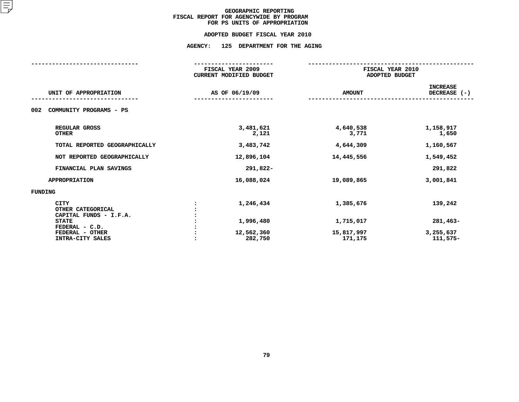#### **ADOPTED BUDGET FISCAL YEAR 2010**

## **ADOPTED BUDGET FISCAL YEAR <sup>2010</sup>AGENCY: <sup>125</sup> DEPARTMENT FOR THE AGING**

|                                                                            | FISCAL YEAR 2009<br><b>CURRENT MODIFIED BUDGET</b> |                        | FISCAL YEAR 2010<br>ADOPTED BUDGET |                                   |  |
|----------------------------------------------------------------------------|----------------------------------------------------|------------------------|------------------------------------|-----------------------------------|--|
| UNIT OF APPROPRIATION                                                      |                                                    | AS OF 06/19/09         | <b>AMOUNT</b>                      | <b>INCREASE</b><br>DECREASE $(-)$ |  |
| COMMUNITY PROGRAMS - PS<br>002                                             |                                                    |                        |                                    |                                   |  |
| REGULAR GROSS<br><b>OTHER</b>                                              |                                                    | 3,481,621<br>2,121     | 4,640,538<br>3,771                 | 1,158,917<br>1,650                |  |
| TOTAL REPORTED GEOGRAPHICALLY                                              |                                                    | 3,483,742              | 4,644,309                          | 1,160,567                         |  |
| NOT REPORTED GEOGRAPHICALLY                                                |                                                    | 12,896,104             | 14,445,556                         | 1,549,452                         |  |
| FINANCIAL PLAN SAVINGS                                                     |                                                    | 291,822-               |                                    | 291,822                           |  |
| <b>APPROPRIATION</b>                                                       |                                                    | 16,088,024             | 19,089,865                         | 3,001,841                         |  |
| <b>FUNDING</b>                                                             |                                                    |                        |                                    |                                   |  |
| <b>CITY</b><br>OTHER CATEGORICAL<br>CAPITAL FUNDS - I.F.A.<br><b>STATE</b> |                                                    | 1,246,434<br>1,996,480 | 1,385,676<br>1,715,017             | 139,242<br>281,463-               |  |
| FEDERAL - C.D.<br>FEDERAL - OTHER<br>INTRA-CITY SALES                      |                                                    | 12,562,360<br>282,750  | 15,817,997<br>171,175              | 3,255,637<br>111,575-             |  |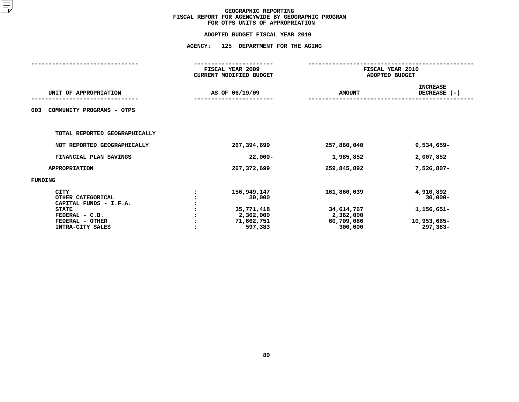## **ADOPTED BUDGET FISCAL YEAR <sup>2010</sup>AGENCY: <sup>125</sup> DEPARTMENT FOR THE AGING**

|                |                                                                           | FISCAL YEAR 2010<br>ADOPTED BUDGET                              |                                                                  |  |
|----------------|---------------------------------------------------------------------------|-----------------------------------------------------------------|------------------------------------------------------------------|--|
| AS OF 06/19/09 |                                                                           | <b>AMOUNT</b>                                                   | <b>INCREASE</b><br>DECREASE (-)                                  |  |
|                |                                                                           |                                                                 |                                                                  |  |
|                |                                                                           |                                                                 |                                                                  |  |
|                | 267,394,699                                                               | 257,860,040                                                     | 9,534,659-                                                       |  |
|                | $22,000-$                                                                 | 1,985,852                                                       | 2,007,852                                                        |  |
|                | 267,372,699                                                               | 259,845,892                                                     | 7,526,807-                                                       |  |
|                |                                                                           |                                                                 |                                                                  |  |
|                | 156,949,147<br>30,000<br>35,771,418<br>2,362,000<br>71,662,751<br>597,383 | 161,860,039<br>34,614,767<br>2,362,000<br>60,709,086<br>300,000 | 4,910,892<br>$30,000 -$<br>1,156,651-<br>10,953,665-<br>297,383- |  |
|                |                                                                           | FISCAL YEAR 2009<br>CURRENT MODIFIED BUDGET                     |                                                                  |  |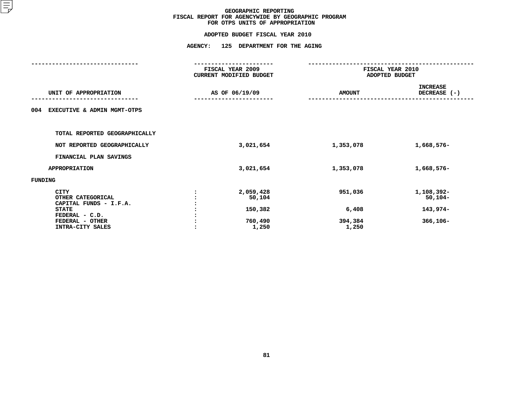## **ADOPTED BUDGET FISCAL YEAR <sup>2010</sup>AGENCY: <sup>125</sup> DEPARTMENT FOR THE AGING**

|                                                     |         | FISCAL YEAR 2009<br>CURRENT MODIFIED BUDGET | FISCAL YEAR 2010<br>ADOPTED BUDGET |                                   |
|-----------------------------------------------------|---------|---------------------------------------------|------------------------------------|-----------------------------------|
| UNIT OF APPROPRIATION                               |         | AS OF 06/19/09                              | <b>AMOUNT</b>                      | <b>INCREASE</b><br>DECREASE $(-)$ |
| EXECUTIVE & ADMIN MGMT-OTPS<br>004                  |         |                                             |                                    |                                   |
| TOTAL REPORTED GEOGRAPHICALLY                       |         |                                             |                                    |                                   |
| NOT REPORTED GEOGRAPHICALLY                         |         | 3,021,654                                   | 1,353,078                          | 1,668,576-                        |
| FINANCIAL PLAN SAVINGS                              |         |                                             |                                    |                                   |
| <b>APPROPRIATION</b>                                |         | 3,021,654                                   | 1,353,078                          | 1,668,576-                        |
| FUNDING                                             |         |                                             |                                    |                                   |
| CITY<br>OTHER CATEGORICAL<br>CAPITAL FUNDS - I.F.A. |         | 2,059,428<br>50,104                         | 951,036                            | 1,108,392-<br>$50,104-$           |
| <b>STATE</b>                                        |         | 150,382                                     | 6,408                              | 143,974-                          |
| FEDERAL - C.D.                                      |         |                                             |                                    |                                   |
| FEDERAL - OTHER                                     |         | 760,490                                     | 394,384                            | $366,106 -$                       |
| INTRA-CITY SALES                                    | $\cdot$ | 1,250                                       | 1,250                              |                                   |
|                                                     |         |                                             |                                    |                                   |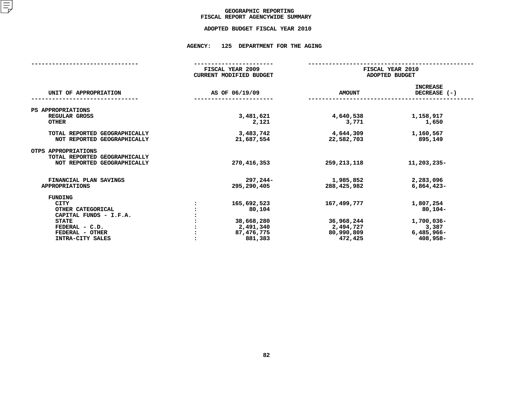### GEOGRAPHIC REPORTING<br>FISCAL REPORT AGENCYWIDE SUMMARY

## **FISCAL REPORT AGENCYWIDE SUMMARY ADOPTED BUDGET FISCAL YEAR <sup>2010</sup>**

#### **AGENCY: <sup>125</sup> DEPARTMENT FOR THE AGING**

|                                                                                     | FISCAL YEAR 2009<br><b>CURRENT MODIFIED BUDGET</b> |                          | FISCAL YEAR 2010<br>ADOPTED BUDGET |  |
|-------------------------------------------------------------------------------------|----------------------------------------------------|--------------------------|------------------------------------|--|
| UNIT OF APPROPRIATION                                                               | AS OF 06/19/09                                     | <b>AMOUNT</b>            | <b>INCREASE</b><br>DECREASE (-)    |  |
| PS APPROPRIATIONS                                                                   |                                                    |                          |                                    |  |
| REGULAR GROSS<br><b>OTHER</b>                                                       | 3,481,621<br>2,121                                 | 4,640,538<br>3,771       | 1,158,917<br>1,650                 |  |
| TOTAL REPORTED GEOGRAPHICALLY<br>NOT REPORTED GEOGRAPHICALLY                        | 3,483,742<br>21,687,554                            | 4,644,309<br>22,582,703  | 1,160,567<br>895,149               |  |
| OTPS APPROPRIATIONS<br>TOTAL REPORTED GEOGRAPHICALLY<br>NOT REPORTED GEOGRAPHICALLY | 270, 416, 353                                      | 259, 213, 118            | 11,203,235-                        |  |
| FINANCIAL PLAN SAVINGS<br><b>APPROPRIATIONS</b>                                     | $297,244-$<br>295,290,405                          | 1,985,852<br>288,425,982 | 2,283,096<br>$6,864,423-$          |  |
| <b>FUNDING</b>                                                                      |                                                    |                          |                                    |  |
| <b>CITY</b>                                                                         | 165,692,523                                        | 167,499,777              | 1,807,254                          |  |
| OTHER CATEGORICAL                                                                   | 80,104                                             |                          | $80,104-$                          |  |
| CAPITAL FUNDS - I.F.A.                                                              |                                                    |                          |                                    |  |
| <b>STATE</b>                                                                        | 38,668,280                                         | 36,968,244               | 1,700,036-                         |  |
| FEDERAL - C.D.                                                                      | 2,491,340                                          | 2,494,727                | 3,387                              |  |
| FEDERAL - OTHER                                                                     | 87,476,775                                         | 80,990,809               | 6,485,966-                         |  |
| INTRA-CITY SALES                                                                    | 881,383                                            | 472,425                  | 408,958-                           |  |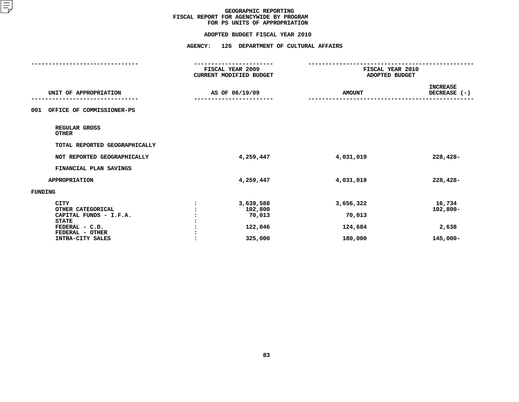#### **ADOPTED BUDGET FISCAL YEAR 2010**

# **ADOPTED BUDGET FISCAL YEAR <sup>2010</sup>**

|                                     | -----------------<br>FISCAL YEAR 2009<br>CURRENT MODIFIED BUDGET | FISCAL YEAR 2010<br>ADOPTED BUDGET |                                 |
|-------------------------------------|------------------------------------------------------------------|------------------------------------|---------------------------------|
|                                     |                                                                  |                                    |                                 |
| UNIT OF APPROPRIATION               | AS OF 06/19/09                                                   | <b>AMOUNT</b>                      | <b>INCREASE</b><br>DECREASE (-) |
| OFFICE OF COMMISSIONER-PS<br>001    |                                                                  |                                    |                                 |
| REGULAR GROSS<br><b>OTHER</b>       |                                                                  |                                    |                                 |
| TOTAL REPORTED GEOGRAPHICALLY       |                                                                  |                                    |                                 |
| NOT REPORTED GEOGRAPHICALLY         | 4,259,447                                                        | 4,031,019                          | 228,428-                        |
| FINANCIAL PLAN SAVINGS              |                                                                  |                                    |                                 |
| <b>APPROPRIATION</b>                | 4,259,447                                                        | 4,031,019                          | 228,428-                        |
| <b>FUNDING</b>                      |                                                                  |                                    |                                 |
| <b>CITY</b><br>OTHER CATEGORICAL    | 3,639,588<br>102,800                                             | 3,656,322                          | 16,734<br>$102,800 -$           |
| CAPITAL FUNDS - I.F.A.              | 70,013                                                           | 70,013                             |                                 |
| <b>STATE</b><br>FEDERAL - C.D.      | 122,046                                                          | 124,684                            | 2,638                           |
| FEDERAL - OTHER<br>INTRA-CITY SALES | 325,000                                                          | 180,000                            | 145,000-                        |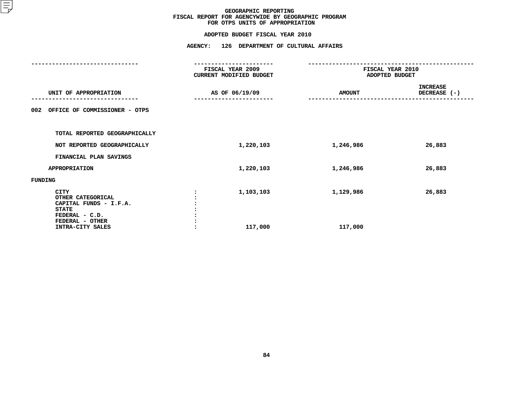|                                                                                                                                     | FISCAL YEAR 2009<br>CURRENT MODIFIED BUDGET | FISCAL YEAR 2010<br>ADOPTED BUDGET |                                 |
|-------------------------------------------------------------------------------------------------------------------------------------|---------------------------------------------|------------------------------------|---------------------------------|
| UNIT OF APPROPRIATION                                                                                                               | AS OF 06/19/09                              | <b>AMOUNT</b>                      | <b>INCREASE</b><br>DECREASE (-) |
| OFFICE OF COMMISSIONER - OTPS<br>002                                                                                                |                                             |                                    |                                 |
| TOTAL REPORTED GEOGRAPHICALLY                                                                                                       |                                             |                                    |                                 |
| NOT REPORTED GEOGRAPHICALLY                                                                                                         | 1,220,103                                   | 1,246,986                          | 26,883                          |
| FINANCIAL PLAN SAVINGS                                                                                                              |                                             |                                    |                                 |
| <b>APPROPRIATION</b>                                                                                                                | 1,220,103                                   | 1,246,986                          | 26,883                          |
| FUNDING                                                                                                                             |                                             |                                    |                                 |
| <b>CITY</b><br>OTHER CATEGORICAL<br>CAPITAL FUNDS - I.F.A.<br><b>STATE</b><br>FEDERAL - C.D.<br>FEDERAL - OTHER<br>INTRA-CITY SALES | 1,103,103<br>117,000                        | 1,129,986<br>117,000               | 26,883                          |
|                                                                                                                                     |                                             |                                    |                                 |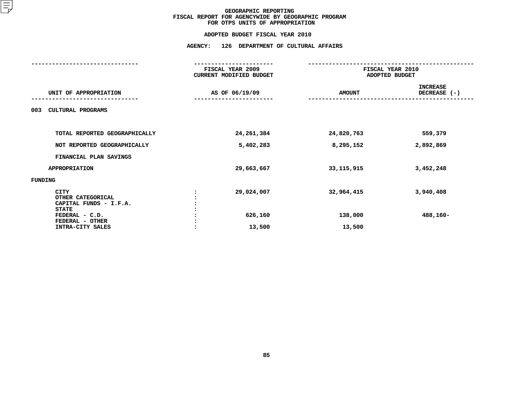#### **FOR OTPS UNITS OF APPROPRIATION**

|                                                                                       | FISCAL YEAR 2009<br>CURRENT MODIFIED BUDGET |                       | FISCAL YEAR 2010<br>ADOPTED BUDGET |
|---------------------------------------------------------------------------------------|---------------------------------------------|-----------------------|------------------------------------|
| UNIT OF APPROPRIATION                                                                 | AS OF 06/19/09                              | <b>AMOUNT</b>         | <b>INCREASE</b><br>DECREASE (-)    |
| <b>CULTURAL PROGRAMS</b><br>003                                                       |                                             |                       |                                    |
| TOTAL REPORTED GEOGRAPHICALLY                                                         | 24,261,384                                  | 24,820,763            | 559,379                            |
| NOT REPORTED GEOGRAPHICALLY                                                           | 5,402,283                                   | 8,295,152             | 2,892,869                          |
| FINANCIAL PLAN SAVINGS                                                                |                                             |                       |                                    |
| <b>APPROPRIATION</b>                                                                  | 29,663,667                                  | 33,115,915            | 3,452,248                          |
| FUNDING                                                                               |                                             |                       |                                    |
| CITY<br>OTHER CATEGORICAL<br>CAPITAL FUNDS - I.F.A.<br><b>STATE</b><br>FEDERAL - C.D. | 29,024,007<br>626,160                       | 32,964,415<br>138,000 | 3,940,408<br>488,160-              |
| FEDERAL - OTHER<br>INTRA-CITY SALES                                                   | 13,500                                      | 13,500                |                                    |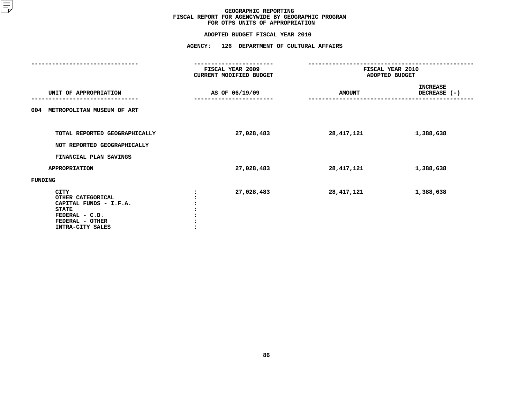|                                                                                                                              | FISCAL YEAR 2009<br>CURRENT MODIFIED BUDGET | FISCAL YEAR 2010<br>ADOPTED BUDGET |                                 |
|------------------------------------------------------------------------------------------------------------------------------|---------------------------------------------|------------------------------------|---------------------------------|
| UNIT OF APPROPRIATION                                                                                                        | AS OF 06/19/09                              | <b>AMOUNT</b>                      | <b>INCREASE</b><br>DECREASE (-) |
| METROPOLITAN MUSEUM OF ART<br>004                                                                                            |                                             |                                    |                                 |
| TOTAL REPORTED GEOGRAPHICALLY<br>NOT REPORTED GEOGRAPHICALLY                                                                 | 27,028,483                                  | 28,417,121                         | 1,388,638                       |
| FINANCIAL PLAN SAVINGS                                                                                                       |                                             |                                    |                                 |
| <b>APPROPRIATION</b>                                                                                                         | 27,028,483                                  | 28,417,121                         | 1,388,638                       |
| FUNDING                                                                                                                      |                                             |                                    |                                 |
| CITY<br>OTHER CATEGORICAL<br>CAPITAL FUNDS - I.F.A.<br><b>STATE</b><br>FEDERAL - C.D.<br>FEDERAL - OTHER<br>INTRA-CITY SALES | 27,028,483                                  | 28, 417, 121                       | 1,388,638                       |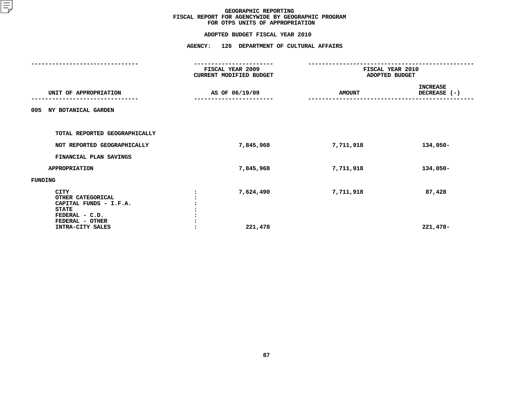|                                                                                       | FISCAL YEAR 2009<br>CURRENT MODIFIED BUDGET | FISCAL YEAR 2010<br>ADOPTED BUDGET |                                 |
|---------------------------------------------------------------------------------------|---------------------------------------------|------------------------------------|---------------------------------|
| UNIT OF APPROPRIATION                                                                 | AS OF 06/19/09                              | <b>AMOUNT</b>                      | <b>INCREASE</b><br>DECREASE (-) |
| NY BOTANICAL GARDEN<br>005                                                            |                                             |                                    |                                 |
| TOTAL REPORTED GEOGRAPHICALLY                                                         |                                             |                                    |                                 |
| NOT REPORTED GEOGRAPHICALLY                                                           | 7,845,968                                   | 7,711,918                          | 134,050-                        |
| FINANCIAL PLAN SAVINGS                                                                |                                             |                                    |                                 |
| <b>APPROPRIATION</b>                                                                  | 7,845,968                                   | 7,711,918                          | 134,050-                        |
| FUNDING                                                                               |                                             |                                    |                                 |
| CITY<br>OTHER CATEGORICAL<br>CAPITAL FUNDS - I.F.A.<br><b>STATE</b><br>FEDERAL - C.D. | 7,624,490                                   | 7,711,918                          | 87,428                          |
| FEDERAL - OTHER<br>INTRA-CITY SALES                                                   | 221,478                                     |                                    | 221,478-                        |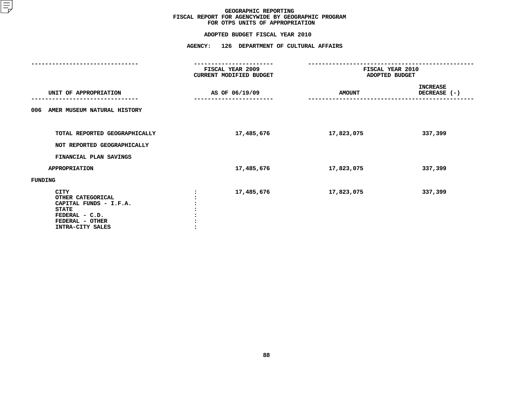|                                                                                                                              | FISCAL YEAR 2009<br>CURRENT MODIFIED BUDGET | FISCAL YEAR 2010<br>ADOPTED BUDGET |                                 |
|------------------------------------------------------------------------------------------------------------------------------|---------------------------------------------|------------------------------------|---------------------------------|
| UNIT OF APPROPRIATION                                                                                                        | AS OF 06/19/09                              | <b>AMOUNT</b>                      | <b>INCREASE</b><br>DECREASE (-) |
| AMER MUSEUM NATURAL HISTORY<br>006                                                                                           |                                             |                                    |                                 |
| TOTAL REPORTED GEOGRAPHICALLY<br>NOT REPORTED GEOGRAPHICALLY                                                                 | 17,485,676                                  | 17,823,075                         | 337,399                         |
|                                                                                                                              |                                             |                                    |                                 |
| FINANCIAL PLAN SAVINGS                                                                                                       |                                             |                                    |                                 |
| <b>APPROPRIATION</b>                                                                                                         | 17,485,676                                  | 17,823,075                         | 337,399                         |
| FUNDING                                                                                                                      |                                             |                                    |                                 |
| CITY<br>OTHER CATEGORICAL<br>CAPITAL FUNDS - I.F.A.<br><b>STATE</b><br>FEDERAL - C.D.<br>FEDERAL - OTHER<br>INTRA-CITY SALES | 17,485,676                                  | 17,823,075                         | 337,399                         |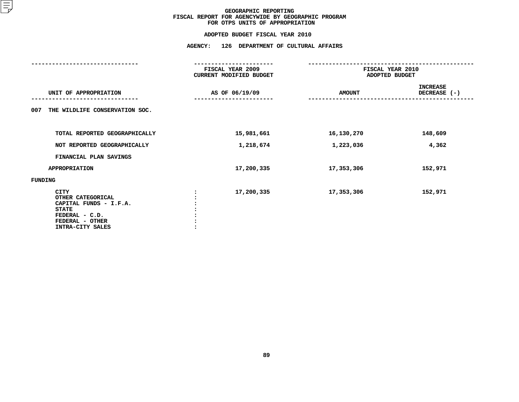|                                                                                                                                     | FISCAL YEAR 2009<br>CURRENT MODIFIED BUDGET | FISCAL YEAR 2010<br>ADOPTED BUDGET |                            |  |
|-------------------------------------------------------------------------------------------------------------------------------------|---------------------------------------------|------------------------------------|----------------------------|--|
| UNIT OF APPROPRIATION                                                                                                               | AS OF 06/19/09                              | <b>AMOUNT</b>                      | INCREASE<br>DECREASE $(-)$ |  |
| THE WILDLIFE CONSERVATION SOC.<br>007                                                                                               |                                             |                                    |                            |  |
| TOTAL REPORTED GEOGRAPHICALLY                                                                                                       | 15,981,661                                  | 16,130,270                         | 148,609                    |  |
| NOT REPORTED GEOGRAPHICALLY                                                                                                         | 1,218,674                                   | 1,223,036                          | 4,362                      |  |
| FINANCIAL PLAN SAVINGS                                                                                                              |                                             |                                    |                            |  |
| <b>APPROPRIATION</b>                                                                                                                | 17,200,335                                  | 17,353,306                         | 152,971                    |  |
| FUNDING                                                                                                                             |                                             |                                    |                            |  |
| <b>CITY</b><br>OTHER CATEGORICAL<br>CAPITAL FUNDS - I.F.A.<br><b>STATE</b><br>FEDERAL - C.D.<br>FEDERAL - OTHER<br>INTRA-CITY SALES | 17,200,335                                  | 17,353,306                         | 152,971                    |  |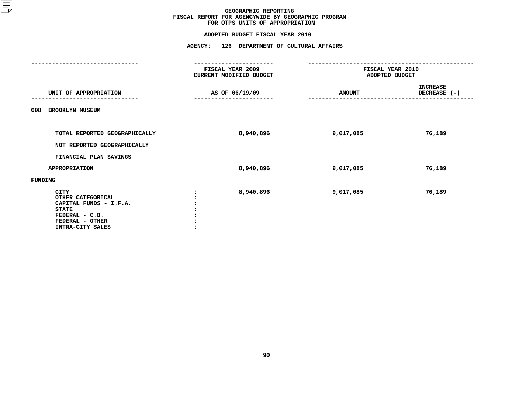|                                                                                                                                     | FISCAL YEAR 2009<br>CURRENT MODIFIED BUDGET | FISCAL YEAR 2010<br>ADOPTED BUDGET |                                 |
|-------------------------------------------------------------------------------------------------------------------------------------|---------------------------------------------|------------------------------------|---------------------------------|
| UNIT OF APPROPRIATION                                                                                                               | AS OF 06/19/09                              | <b>AMOUNT</b>                      | <b>INCREASE</b><br>DECREASE (-) |
| 008<br><b>BROOKLYN MUSEUM</b>                                                                                                       |                                             |                                    |                                 |
| TOTAL REPORTED GEOGRAPHICALLY<br>NOT REPORTED GEOGRAPHICALLY                                                                        | 8,940,896                                   | 9,017,085                          | 76,189                          |
| FINANCIAL PLAN SAVINGS                                                                                                              |                                             |                                    |                                 |
| <b>APPROPRIATION</b>                                                                                                                | 8,940,896                                   | 9,017,085                          | 76,189                          |
| FUNDING                                                                                                                             |                                             |                                    |                                 |
| <b>CITY</b><br>OTHER CATEGORICAL<br>CAPITAL FUNDS - I.F.A.<br><b>STATE</b><br>FEDERAL - C.D.<br>FEDERAL - OTHER<br>INTRA-CITY SALES | 8,940,896                                   | 9,017,085                          | 76,189                          |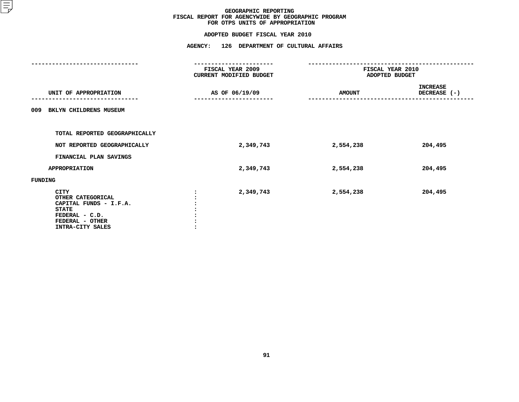|                                                                                                                              | FISCAL YEAR 2009<br>CURRENT MODIFIED BUDGET | FISCAL YEAR 2010<br>ADOPTED BUDGET |                                 |
|------------------------------------------------------------------------------------------------------------------------------|---------------------------------------------|------------------------------------|---------------------------------|
| UNIT OF APPROPRIATION                                                                                                        | AS OF 06/19/09                              | <b>AMOUNT</b>                      | <b>INCREASE</b><br>DECREASE (-) |
| BKLYN CHILDRENS MUSEUM<br>009                                                                                                |                                             |                                    |                                 |
| TOTAL REPORTED GEOGRAPHICALLY                                                                                                |                                             |                                    |                                 |
| NOT REPORTED GEOGRAPHICALLY                                                                                                  | 2,349,743                                   | 2,554,238                          | 204,495                         |
| FINANCIAL PLAN SAVINGS                                                                                                       |                                             |                                    |                                 |
| <b>APPROPRIATION</b>                                                                                                         | 2,349,743                                   | 2,554,238                          | 204,495                         |
| FUNDING                                                                                                                      |                                             |                                    |                                 |
| CITY<br>OTHER CATEGORICAL<br>CAPITAL FUNDS - I.F.A.<br><b>STATE</b><br>FEDERAL - C.D.<br>FEDERAL - OTHER<br>INTRA-CITY SALES | 2,349,743                                   | 2,554,238                          | 204,495                         |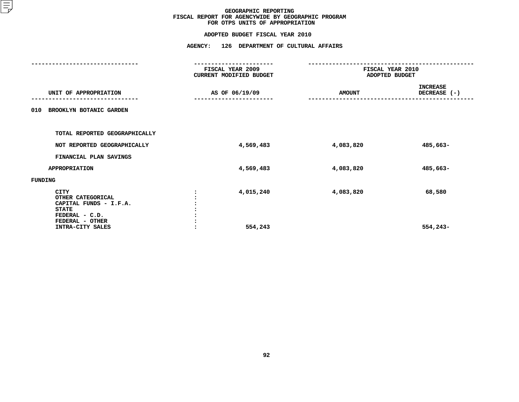|                                                                                                                 | FISCAL YEAR 2009<br>CURRENT MODIFIED BUDGET | FISCAL YEAR 2010<br>ADOPTED BUDGET |                                 |
|-----------------------------------------------------------------------------------------------------------------|---------------------------------------------|------------------------------------|---------------------------------|
| UNIT OF APPROPRIATION                                                                                           | AS OF 06/19/09                              | <b>AMOUNT</b>                      | <b>INCREASE</b><br>DECREASE (-) |
| BROOKLYN BOTANIC GARDEN<br>010                                                                                  |                                             |                                    |                                 |
| TOTAL REPORTED GEOGRAPHICALLY                                                                                   |                                             |                                    |                                 |
| NOT REPORTED GEOGRAPHICALLY                                                                                     | 4,569,483                                   | 4,083,820                          | 485,663-                        |
| FINANCIAL PLAN SAVINGS                                                                                          |                                             |                                    |                                 |
| <b>APPROPRIATION</b>                                                                                            | 4,569,483                                   | 4,083,820                          | 485,663-                        |
| FUNDING                                                                                                         |                                             |                                    |                                 |
| <b>CITY</b><br>OTHER CATEGORICAL<br>CAPITAL FUNDS - I.F.A.<br><b>STATE</b><br>FEDERAL - C.D.<br>FEDERAL - OTHER | 4,015,240                                   | 4,083,820                          | 68,580                          |
| INTRA-CITY SALES                                                                                                | 554,243                                     |                                    | $554,243-$                      |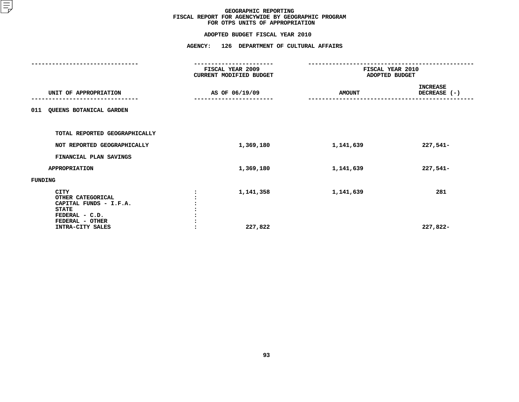|                                                                                                          | FISCAL YEAR 2009<br>CURRENT MODIFIED BUDGET | FISCAL YEAR 2010<br>ADOPTED BUDGET |                                 |
|----------------------------------------------------------------------------------------------------------|---------------------------------------------|------------------------------------|---------------------------------|
| UNIT OF APPROPRIATION                                                                                    | AS OF 06/19/09                              | <b>AMOUNT</b>                      | <b>INCREASE</b><br>DECREASE (-) |
| QUEENS BOTANICAL GARDEN<br>011                                                                           |                                             |                                    |                                 |
| TOTAL REPORTED GEOGRAPHICALLY                                                                            |                                             |                                    |                                 |
| NOT REPORTED GEOGRAPHICALLY                                                                              | 1,369,180                                   | 1,141,639                          | 227,541-                        |
| FINANCIAL PLAN SAVINGS                                                                                   |                                             |                                    |                                 |
| APPROPRIATION                                                                                            | 1,369,180                                   | 1,141,639                          | $227,541-$                      |
| FUNDING                                                                                                  |                                             |                                    |                                 |
| CITY<br>OTHER CATEGORICAL<br>CAPITAL FUNDS - I.F.A.<br><b>STATE</b><br>FEDERAL - C.D.<br>FEDERAL - OTHER | 1,141,358                                   | 1,141,639                          | 281                             |
| INTRA-CITY SALES                                                                                         | 227,822                                     |                                    | 227,822-                        |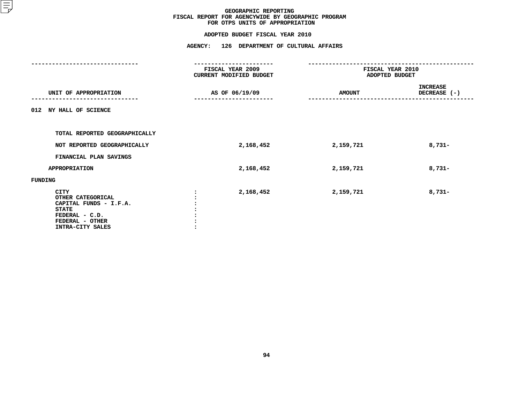|                                                                                                                              | FISCAL YEAR 2009<br>CURRENT MODIFIED BUDGET | FISCAL YEAR 2010<br>ADOPTED BUDGET |                                 |
|------------------------------------------------------------------------------------------------------------------------------|---------------------------------------------|------------------------------------|---------------------------------|
| UNIT OF APPROPRIATION                                                                                                        | AS OF 06/19/09                              | <b>AMOUNT</b>                      | <b>INCREASE</b><br>DECREASE (-) |
| 012 NY HALL OF SCIENCE                                                                                                       |                                             |                                    |                                 |
| TOTAL REPORTED GEOGRAPHICALLY                                                                                                |                                             |                                    |                                 |
| NOT REPORTED GEOGRAPHICALLY                                                                                                  | 2,168,452                                   | 2,159,721                          | $8,731-$                        |
| FINANCIAL PLAN SAVINGS                                                                                                       |                                             |                                    |                                 |
| <b>APPROPRIATION</b>                                                                                                         | 2,168,452                                   | 2,159,721                          | $8,731-$                        |
| FUNDING                                                                                                                      |                                             |                                    |                                 |
| CITY<br>OTHER CATEGORICAL<br>CAPITAL FUNDS - I.F.A.<br><b>STATE</b><br>FEDERAL - C.D.<br>FEDERAL - OTHER<br>INTRA-CITY SALES | 2,168,452                                   | 2,159,721                          | $8,731-$                        |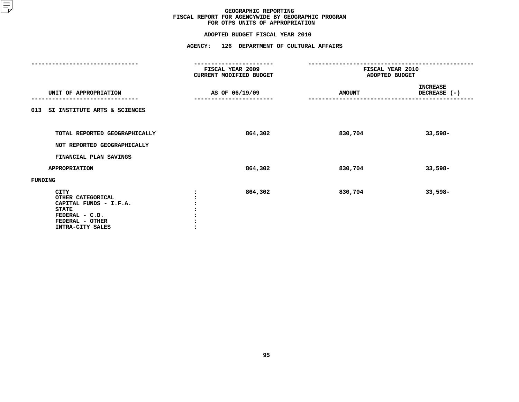|                                                                                                                                     | FISCAL YEAR 2009<br>CURRENT MODIFIED BUDGET | FISCAL YEAR 2010<br>ADOPTED BUDGET |                            |
|-------------------------------------------------------------------------------------------------------------------------------------|---------------------------------------------|------------------------------------|----------------------------|
| UNIT OF APPROPRIATION                                                                                                               | AS OF 06/19/09                              | <b>AMOUNT</b>                      | INCREASE<br>DECREASE $(-)$ |
| 013 SI INSTITUTE ARTS & SCIENCES                                                                                                    |                                             |                                    |                            |
| TOTAL REPORTED GEOGRAPHICALLY                                                                                                       | 864,302                                     | 830,704                            | $33,598-$                  |
| NOT REPORTED GEOGRAPHICALLY                                                                                                         |                                             |                                    |                            |
| FINANCIAL PLAN SAVINGS                                                                                                              |                                             |                                    |                            |
| <b>APPROPRIATION</b>                                                                                                                | 864,302                                     | 830,704                            | $33,598-$                  |
| FUNDING                                                                                                                             |                                             |                                    |                            |
| <b>CITY</b><br>OTHER CATEGORICAL<br>CAPITAL FUNDS - I.F.A.<br><b>STATE</b><br>FEDERAL - C.D.<br>FEDERAL - OTHER<br>INTRA-CITY SALES | 864,302                                     | 830,704                            | $33,598-$                  |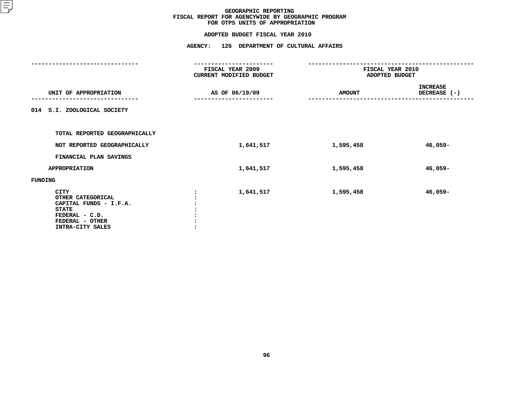|                                                                                                                                     | FISCAL YEAR 2009<br>CURRENT MODIFIED BUDGET | FISCAL YEAR 2010<br>ADOPTED BUDGET |                                 |
|-------------------------------------------------------------------------------------------------------------------------------------|---------------------------------------------|------------------------------------|---------------------------------|
| UNIT OF APPROPRIATION                                                                                                               | AS OF 06/19/09                              | <b>AMOUNT</b>                      | <b>INCREASE</b><br>DECREASE (-) |
| 014 S.I. ZOOLOGICAL SOCIETY                                                                                                         |                                             |                                    |                                 |
| TOTAL REPORTED GEOGRAPHICALLY                                                                                                       |                                             |                                    |                                 |
| NOT REPORTED GEOGRAPHICALLY                                                                                                         | 1,641,517                                   | 1,595,458                          | 46,059-                         |
| FINANCIAL PLAN SAVINGS                                                                                                              |                                             |                                    |                                 |
| <b>APPROPRIATION</b>                                                                                                                | 1,641,517                                   | 1,595,458                          | 46,059-                         |
| FUNDING                                                                                                                             |                                             |                                    |                                 |
| <b>CITY</b><br>OTHER CATEGORICAL<br>CAPITAL FUNDS - I.F.A.<br><b>STATE</b><br>FEDERAL - C.D.<br>FEDERAL - OTHER<br>INTRA-CITY SALES | 1,641,517                                   | 1,595,458                          | 46,059-                         |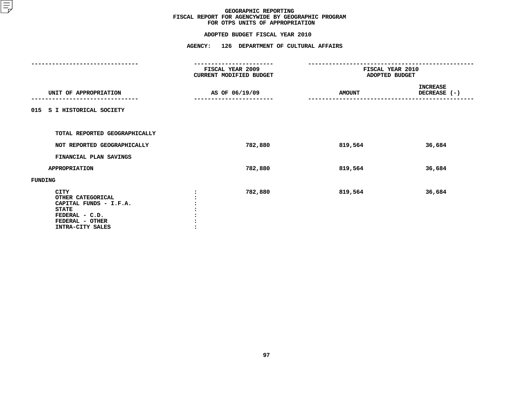|                                                                                                                              | FISCAL YEAR 2009<br>CURRENT MODIFIED BUDGET | FISCAL YEAR 2010<br>ADOPTED BUDGET |                                 |
|------------------------------------------------------------------------------------------------------------------------------|---------------------------------------------|------------------------------------|---------------------------------|
| UNIT OF APPROPRIATION                                                                                                        | AS OF 06/19/09                              | <b>AMOUNT</b>                      | <b>INCREASE</b><br>DECREASE (-) |
| 015 S I HISTORICAL SOCIETY                                                                                                   |                                             |                                    |                                 |
| TOTAL REPORTED GEOGRAPHICALLY                                                                                                |                                             |                                    |                                 |
| NOT REPORTED GEOGRAPHICALLY                                                                                                  | 782,880                                     | 819,564                            | 36,684                          |
| FINANCIAL PLAN SAVINGS                                                                                                       |                                             |                                    |                                 |
| <b>APPROPRIATION</b>                                                                                                         | 782,880                                     | 819,564                            | 36,684                          |
| FUNDING                                                                                                                      |                                             |                                    |                                 |
| CITY<br>OTHER CATEGORICAL<br>CAPITAL FUNDS - I.F.A.<br><b>STATE</b><br>FEDERAL - C.D.<br>FEDERAL - OTHER<br>INTRA-CITY SALES | 782,880                                     | 819,564                            | 36,684                          |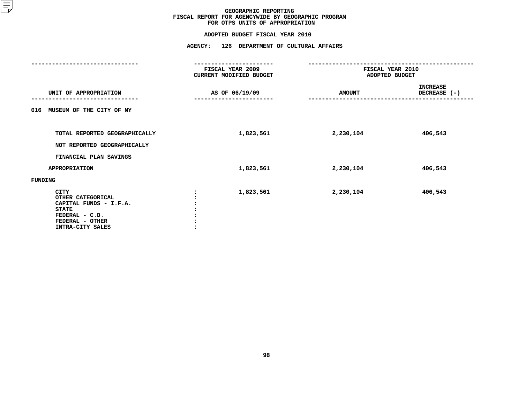|                                                                                                                              | FISCAL YEAR 2009<br>CURRENT MODIFIED BUDGET | FISCAL YEAR 2010<br>ADOPTED BUDGET |                                 |
|------------------------------------------------------------------------------------------------------------------------------|---------------------------------------------|------------------------------------|---------------------------------|
| UNIT OF APPROPRIATION                                                                                                        | AS OF 06/19/09                              | <b>AMOUNT</b>                      | <b>INCREASE</b><br>DECREASE (-) |
| MUSEUM OF THE CITY OF NY<br>016                                                                                              |                                             |                                    |                                 |
| TOTAL REPORTED GEOGRAPHICALLY<br>NOT REPORTED GEOGRAPHICALLY                                                                 | 1,823,561                                   | 2,230,104                          | 406,543                         |
| FINANCIAL PLAN SAVINGS                                                                                                       |                                             |                                    |                                 |
| <b>APPROPRIATION</b>                                                                                                         | 1,823,561                                   | 2,230,104                          | 406,543                         |
| FUNDING                                                                                                                      |                                             |                                    |                                 |
| CITY<br>OTHER CATEGORICAL<br>CAPITAL FUNDS - I.F.A.<br><b>STATE</b><br>FEDERAL - C.D.<br>FEDERAL - OTHER<br>INTRA-CITY SALES | 1,823,561                                   | 2,230,104                          | 406,543                         |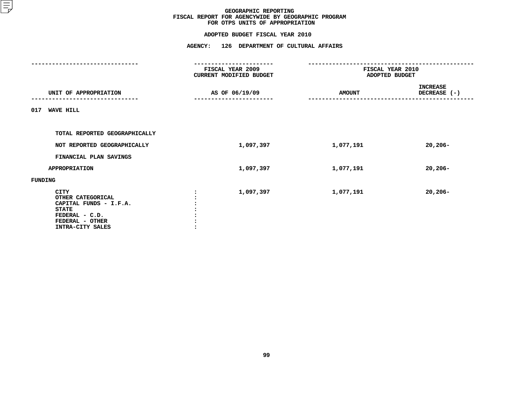|                                                                                                                                     | FISCAL YEAR 2009<br>CURRENT MODIFIED BUDGET | FISCAL YEAR 2010<br>ADOPTED BUDGET |                                   |
|-------------------------------------------------------------------------------------------------------------------------------------|---------------------------------------------|------------------------------------|-----------------------------------|
| UNIT OF APPROPRIATION                                                                                                               | AS OF 06/19/09                              | <b>AMOUNT</b>                      | <b>INCREASE</b><br>DECREASE $(-)$ |
| 017<br><b>WAVE HILL</b>                                                                                                             |                                             |                                    |                                   |
| TOTAL REPORTED GEOGRAPHICALLY                                                                                                       |                                             |                                    |                                   |
| NOT REPORTED GEOGRAPHICALLY                                                                                                         | 1,097,397                                   | 1,077,191                          | $20,206 -$                        |
| FINANCIAL PLAN SAVINGS                                                                                                              |                                             |                                    |                                   |
| <b>APPROPRIATION</b>                                                                                                                | 1,097,397                                   | 1,077,191                          | $20,206 -$                        |
| FUNDING                                                                                                                             |                                             |                                    |                                   |
| <b>CITY</b><br>OTHER CATEGORICAL<br>CAPITAL FUNDS - I.F.A.<br><b>STATE</b><br>FEDERAL - C.D.<br>FEDERAL - OTHER<br>INTRA-CITY SALES | 1,097,397                                   | 1,077,191                          | $20,206 -$                        |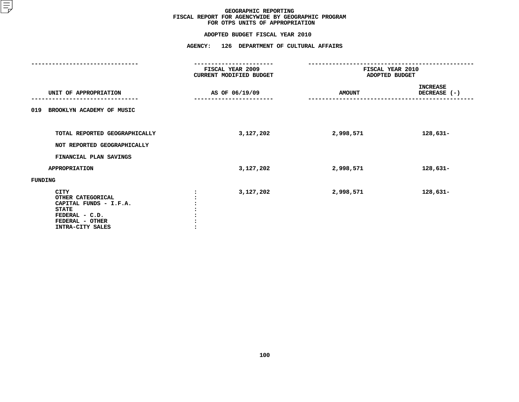|                                                                                                                              | FISCAL YEAR 2009<br>CURRENT MODIFIED BUDGET | FISCAL YEAR 2010<br>ADOPTED BUDGET |                                 |
|------------------------------------------------------------------------------------------------------------------------------|---------------------------------------------|------------------------------------|---------------------------------|
| UNIT OF APPROPRIATION                                                                                                        | AS OF 06/19/09                              | <b>AMOUNT</b>                      | <b>INCREASE</b><br>DECREASE (-) |
| BROOKLYN ACADEMY OF MUSIC<br>019                                                                                             |                                             |                                    |                                 |
| TOTAL REPORTED GEOGRAPHICALLY<br>NOT REPORTED GEOGRAPHICALLY                                                                 | 3,127,202                                   | 2,998,571                          | 128,631-                        |
| FINANCIAL PLAN SAVINGS                                                                                                       |                                             |                                    |                                 |
| APPROPRIATION                                                                                                                | 3,127,202                                   | 2,998,571                          | $128,631-$                      |
| FUNDING                                                                                                                      |                                             |                                    |                                 |
| CITY<br>OTHER CATEGORICAL<br>CAPITAL FUNDS - I.F.A.<br><b>STATE</b><br>FEDERAL - C.D.<br>FEDERAL - OTHER<br>INTRA-CITY SALES | 3,127,202                                   | 2,998,571                          | 128,631-                        |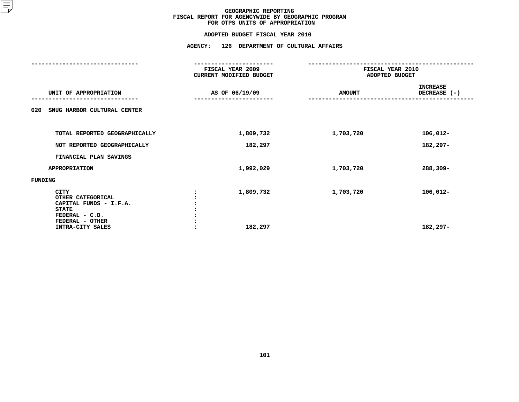|                                                                                                          | FISCAL YEAR 2009<br>CURRENT MODIFIED BUDGET | FISCAL YEAR 2010<br>ADOPTED BUDGET |                                 |
|----------------------------------------------------------------------------------------------------------|---------------------------------------------|------------------------------------|---------------------------------|
| UNIT OF APPROPRIATION                                                                                    | AS OF 06/19/09                              | <b>AMOUNT</b>                      | <b>INCREASE</b><br>DECREASE (-) |
| SNUG HARBOR CULTURAL CENTER<br>020                                                                       |                                             |                                    |                                 |
| TOTAL REPORTED GEOGRAPHICALLY                                                                            | 1,809,732                                   | 1,703,720                          | 106,012-                        |
| NOT REPORTED GEOGRAPHICALLY                                                                              | 182,297                                     |                                    | 182,297-                        |
| FINANCIAL PLAN SAVINGS                                                                                   |                                             |                                    |                                 |
| <b>APPROPRIATION</b>                                                                                     | 1,992,029                                   | 1,703,720                          | 288,309-                        |
| FUNDING                                                                                                  |                                             |                                    |                                 |
| CITY<br>OTHER CATEGORICAL<br>CAPITAL FUNDS - I.F.A.<br><b>STATE</b><br>FEDERAL - C.D.<br>FEDERAL - OTHER | 1,809,732                                   | 1,703,720                          | 106,012-                        |
| INTRA-CITY SALES                                                                                         | 182,297                                     |                                    | 182,297-                        |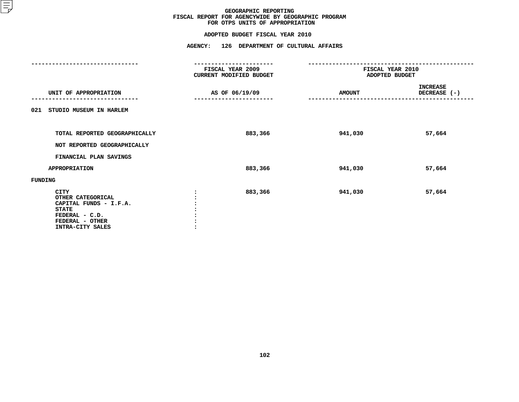|                                                                                                                              | FISCAL YEAR 2009<br>CURRENT MODIFIED BUDGET | FISCAL YEAR 2010<br>ADOPTED BUDGET |                                 |
|------------------------------------------------------------------------------------------------------------------------------|---------------------------------------------|------------------------------------|---------------------------------|
| UNIT OF APPROPRIATION                                                                                                        | AS OF 06/19/09                              | <b>AMOUNT</b>                      | <b>INCREASE</b><br>DECREASE (-) |
| 021 STUDIO MUSEUM IN HARLEM                                                                                                  |                                             |                                    |                                 |
| TOTAL REPORTED GEOGRAPHICALLY<br>NOT REPORTED GEOGRAPHICALLY                                                                 | 883,366                                     | 941,030                            | 57,664                          |
| FINANCIAL PLAN SAVINGS                                                                                                       |                                             |                                    |                                 |
| <b>APPROPRIATION</b>                                                                                                         | 883,366                                     | 941,030                            | 57,664                          |
| FUNDING                                                                                                                      |                                             |                                    |                                 |
| CITY<br>OTHER CATEGORICAL<br>CAPITAL FUNDS - I.F.A.<br><b>STATE</b><br>FEDERAL - C.D.<br>FEDERAL - OTHER<br>INTRA-CITY SALES | 883,366                                     | 941,030                            | 57,664                          |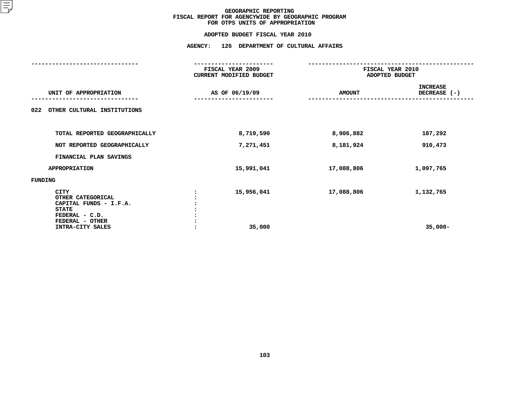|                                                                                       | FISCAL YEAR 2009<br>CURRENT MODIFIED BUDGET | FISCAL YEAR 2010<br>ADOPTED BUDGET |                                 |
|---------------------------------------------------------------------------------------|---------------------------------------------|------------------------------------|---------------------------------|
| UNIT OF APPROPRIATION                                                                 | AS OF 06/19/09                              | <b>AMOUNT</b>                      | <b>INCREASE</b><br>DECREASE (-) |
| 022<br>OTHER CULTURAL INSTITUTIONS                                                    |                                             |                                    |                                 |
| TOTAL REPORTED GEOGRAPHICALLY                                                         | 8,719,590                                   | 8,906,882                          | 187,292                         |
| NOT REPORTED GEOGRAPHICALLY                                                           | 7,271,451                                   | 8,181,924                          | 910,473                         |
| FINANCIAL PLAN SAVINGS                                                                |                                             |                                    |                                 |
| <b>APPROPRIATION</b>                                                                  | 15,991,041                                  | 17,088,806                         | 1,097,765                       |
| FUNDING                                                                               |                                             |                                    |                                 |
| CITY<br>OTHER CATEGORICAL<br>CAPITAL FUNDS - I.F.A.<br><b>STATE</b><br>FEDERAL - C.D. | 15,956,041                                  | 17,088,806                         | 1,132,765                       |
| FEDERAL - OTHER<br>INTRA-CITY SALES                                                   | 35,000                                      |                                    | $35,000-$                       |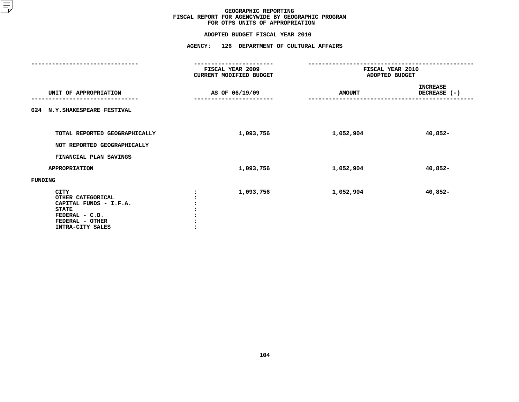|                                                                                                                                     | FISCAL YEAR 2009<br><b>CURRENT MODIFIED BUDGET</b> | FISCAL YEAR 2010<br>ADOPTED BUDGET |                                 |
|-------------------------------------------------------------------------------------------------------------------------------------|----------------------------------------------------|------------------------------------|---------------------------------|
| UNIT OF APPROPRIATION                                                                                                               | AS OF 06/19/09                                     | <b>AMOUNT</b>                      | <b>INCREASE</b><br>DECREASE (-) |
| 024 N.Y. SHAKESPEARE FESTIVAL                                                                                                       |                                                    |                                    |                                 |
| TOTAL REPORTED GEOGRAPHICALLY<br>NOT REPORTED GEOGRAPHICALLY                                                                        | 1,093,756                                          | 1,052,904                          | 40,852-                         |
| FINANCIAL PLAN SAVINGS                                                                                                              |                                                    |                                    |                                 |
| APPROPRIATION                                                                                                                       | 1,093,756                                          | 1,052,904                          | 40,852-                         |
| FUNDING                                                                                                                             |                                                    |                                    |                                 |
| <b>CITY</b><br>OTHER CATEGORICAL<br>CAPITAL FUNDS - I.F.A.<br><b>STATE</b><br>FEDERAL - C.D.<br>FEDERAL - OTHER<br>INTRA-CITY SALES | 1,093,756                                          | 1,052,904                          | 40,852-                         |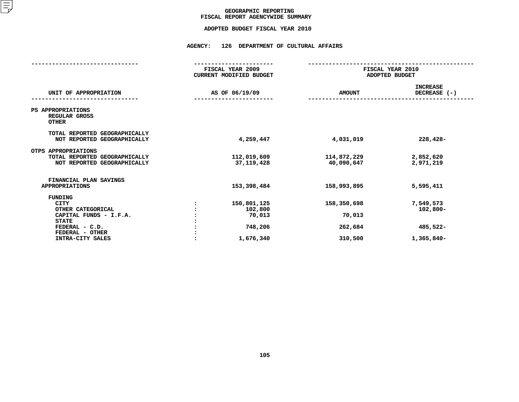## GEOGRAPHIC REPORTING<br>FISCAL REPORT AGENCYWIDE SUMMARY

## **FISCAL REPORT AGENCYWIDE SUMMARY ADOPTED BUDGET FISCAL YEAR <sup>2010</sup>**

#### **AGENCY: <sup>126</sup> DEPARTMENT OF CULTURAL AFFAIRS**

|                                                                                                                                                       | FISCAL YEAR 2009<br><b>CURRENT MODIFIED BUDGET</b>       | FISCAL YEAR 2010<br>ADOPTED BUDGET          |                                                    |  |
|-------------------------------------------------------------------------------------------------------------------------------------------------------|----------------------------------------------------------|---------------------------------------------|----------------------------------------------------|--|
| UNIT OF APPROPRIATION                                                                                                                                 | AS OF 06/19/09                                           | <b>AMOUNT</b>                               | <b>INCREASE</b><br>DECREASE (-)                    |  |
| PS APPROPRIATIONS<br>REGULAR GROSS<br><b>OTHER</b>                                                                                                    |                                                          |                                             |                                                    |  |
| TOTAL REPORTED GEOGRAPHICALLY<br>NOT REPORTED GEOGRAPHICALLY                                                                                          | 4,259,447                                                | 4,031,019                                   | $228,428-$                                         |  |
| OTPS APPROPRIATIONS<br>TOTAL REPORTED GEOGRAPHICALLY<br>NOT REPORTED GEOGRAPHICALLY                                                                   | 112,019,609<br>37, 119, 428                              | 114,872,229<br>40,090,647                   | 2,852,620<br>2,971,219                             |  |
| FINANCIAL PLAN SAVINGS<br><b>APPROPRIATIONS</b>                                                                                                       | 153,398,484                                              | 158,993,895                                 | 5,595,411                                          |  |
| <b>FUNDING</b><br><b>CITY</b><br>OTHER CATEGORICAL<br>CAPITAL FUNDS - I.F.A.<br><b>STATE</b><br>FEDERAL - C.D.<br>FEDERAL - OTHER<br>INTRA-CITY SALES | 150,801,125<br>102,800<br>70,013<br>748,206<br>1,676,340 | 158,350,698<br>70,013<br>262,684<br>310,500 | 7,549,573<br>$102,800 -$<br>485,522-<br>1,365,840- |  |
|                                                                                                                                                       |                                                          |                                             |                                                    |  |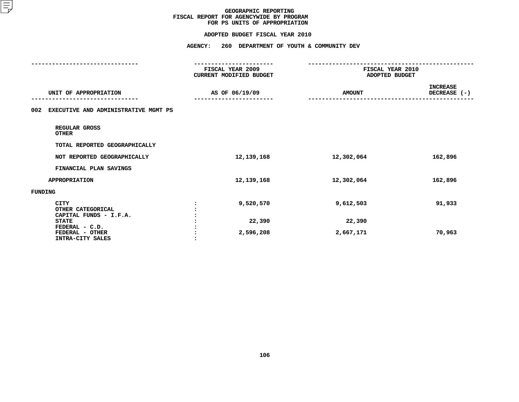#### **ADOPTED BUDGET FISCAL YEAR 2010**

|                                                            | ----------------                            |                                    |                                 |
|------------------------------------------------------------|---------------------------------------------|------------------------------------|---------------------------------|
|                                                            | FISCAL YEAR 2009<br>CURRENT MODIFIED BUDGET | FISCAL YEAR 2010<br>ADOPTED BUDGET |                                 |
| UNIT OF APPROPRIATION                                      | AS OF 06/19/09                              | <b>AMOUNT</b>                      | <b>INCREASE</b><br>DECREASE (-) |
| EXECUTIVE AND ADMINISTRATIVE MGMT PS<br>002                |                                             |                                    |                                 |
| REGULAR GROSS<br><b>OTHER</b>                              |                                             |                                    |                                 |
| TOTAL REPORTED GEOGRAPHICALLY                              |                                             |                                    |                                 |
| NOT REPORTED GEOGRAPHICALLY                                | 12,139,168                                  | 12,302,064                         | 162,896                         |
| FINANCIAL PLAN SAVINGS                                     |                                             |                                    |                                 |
| <b>APPROPRIATION</b>                                       | 12,139,168                                  | 12,302,064                         | 162,896                         |
| FUNDING                                                    |                                             |                                    |                                 |
| <b>CITY</b><br>OTHER CATEGORICAL<br>CAPITAL FUNDS - I.F.A. | 9,520,570                                   | 9,612,503                          | 91,933                          |
| <b>STATE</b>                                               | 22,390                                      | 22,390                             |                                 |
| FEDERAL - C.D.<br>FEDERAL - OTHER<br>INTRA-CITY SALES      | 2,596,208                                   | 2,667,171                          | 70,963                          |
|                                                            |                                             |                                    |                                 |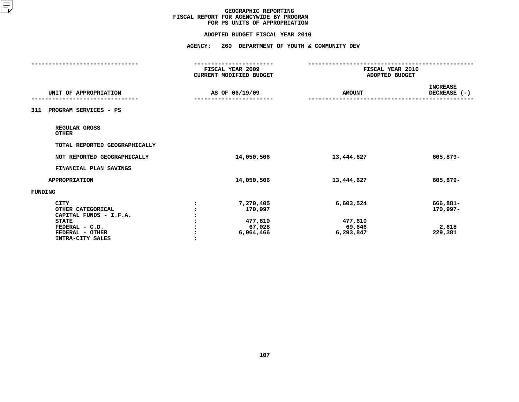#### **ADOPTED BUDGET FISCAL YEAR 2010**

|                                                                                                                                     | -----------------<br>FISCAL YEAR 2009<br>CURRENT MODIFIED BUDGET | FISCAL YEAR 2010<br>ADOPTED BUDGET          |                                          |
|-------------------------------------------------------------------------------------------------------------------------------------|------------------------------------------------------------------|---------------------------------------------|------------------------------------------|
| UNIT OF APPROPRIATION                                                                                                               | AS OF 06/19/09                                                   | <b>AMOUNT</b>                               | <b>INCREASE</b><br>DECREASE (-)          |
| PROGRAM SERVICES - PS<br>311                                                                                                        |                                                                  |                                             |                                          |
| REGULAR GROSS<br><b>OTHER</b>                                                                                                       |                                                                  |                                             |                                          |
| TOTAL REPORTED GEOGRAPHICALLY                                                                                                       |                                                                  |                                             |                                          |
| NOT REPORTED GEOGRAPHICALLY                                                                                                         | 14,050,506                                                       | 13,444,627                                  | 605,879-                                 |
| FINANCIAL PLAN SAVINGS                                                                                                              |                                                                  |                                             |                                          |
| <b>APPROPRIATION</b>                                                                                                                | 14,050,506                                                       | 13,444,627                                  | 605,879-                                 |
| FUNDING                                                                                                                             |                                                                  |                                             |                                          |
| <b>CITY</b><br>OTHER CATEGORICAL<br>CAPITAL FUNDS - I.F.A.<br><b>STATE</b><br>FEDERAL - C.D.<br>FEDERAL - OTHER<br>INTRA-CITY SALES | 7,270,405<br>170,997<br>477,610<br>67,028<br>6,064,466           | 6,603,524<br>477,610<br>69,646<br>6,293,847 | 666,881-<br>170,997-<br>2,618<br>229,381 |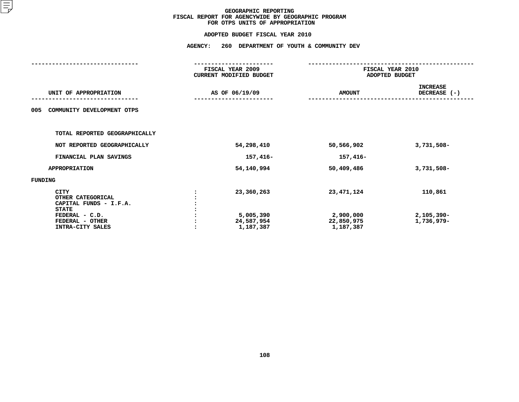|                                                                                                                                     | <b>AGENCY:</b> | 260 DEPARTMENT OF YOUTH & COMMUNITY DEV            |                                                      |                                        |  |
|-------------------------------------------------------------------------------------------------------------------------------------|----------------|----------------------------------------------------|------------------------------------------------------|----------------------------------------|--|
|                                                                                                                                     |                | FISCAL YEAR 2009<br>CURRENT MODIFIED BUDGET        |                                                      | FISCAL YEAR 2010<br>ADOPTED BUDGET     |  |
| UNIT OF APPROPRIATION                                                                                                               |                | AS OF 06/19/09                                     | <b>AMOUNT</b>                                        | <b>INCREASE</b><br>DECREASE (-)        |  |
| 005<br>COMMUNITY DEVELOPMENT OTPS                                                                                                   |                |                                                    |                                                      |                                        |  |
| TOTAL REPORTED GEOGRAPHICALLY                                                                                                       |                |                                                    |                                                      |                                        |  |
| NOT REPORTED GEOGRAPHICALLY                                                                                                         |                | 54,298,410                                         | 50,566,902                                           | 3,731,508-                             |  |
| FINANCIAL PLAN SAVINGS                                                                                                              |                | 157,416-                                           | 157,416-                                             |                                        |  |
| <b>APPROPRIATION</b>                                                                                                                |                | 54,140,994                                         | 50,409,486                                           | 3,731,508-                             |  |
| FUNDING                                                                                                                             |                |                                                    |                                                      |                                        |  |
| <b>CITY</b><br>OTHER CATEGORICAL<br>CAPITAL FUNDS - I.F.A.<br><b>STATE</b><br>FEDERAL - C.D.<br>FEDERAL - OTHER<br>INTRA-CITY SALES |                | 23,360,263<br>5,005,390<br>24,587,954<br>1,187,387 | 23, 471, 124<br>2,900,000<br>22,850,975<br>1,187,387 | 110,861<br>$2,105,390 -$<br>1,736,979- |  |
|                                                                                                                                     |                |                                                    |                                                      |                                        |  |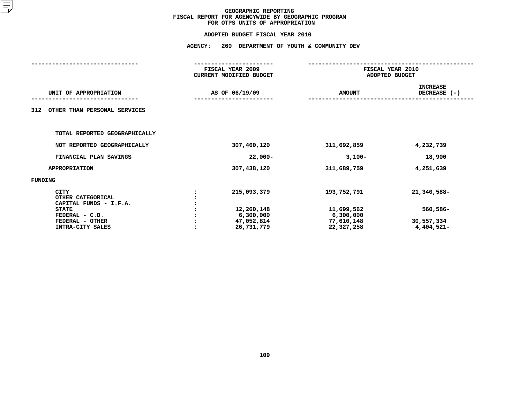|                                                                       | <b>AGENCY:</b> | 260<br>DEPARTMENT OF YOUTH & COMMUNITY DEV          |                                                     |                                         |  |  |
|-----------------------------------------------------------------------|----------------|-----------------------------------------------------|-----------------------------------------------------|-----------------------------------------|--|--|
|                                                                       |                | FISCAL YEAR 2009<br><b>CURRENT MODIFIED BUDGET</b>  |                                                     | FISCAL YEAR 2010<br>ADOPTED BUDGET      |  |  |
| UNIT OF APPROPRIATION                                                 | AS OF 06/19/09 |                                                     | <b>AMOUNT</b>                                       | <b>INCREASE</b><br>DECREASE (-)         |  |  |
| OTHER THAN PERSONAL SERVICES<br>312                                   |                |                                                     |                                                     |                                         |  |  |
| TOTAL REPORTED GEOGRAPHICALLY                                         |                |                                                     |                                                     |                                         |  |  |
| NOT REPORTED GEOGRAPHICALLY                                           |                | 307,460,120                                         | 311,692,859                                         | 4,232,739                               |  |  |
| FINANCIAL PLAN SAVINGS                                                |                | $22,000-$                                           | $3,100-$                                            | 18,900                                  |  |  |
| <b>APPROPRIATION</b>                                                  |                | 307,438,120                                         | 311,689,759                                         | 4,251,639                               |  |  |
| FUNDING                                                               |                |                                                     |                                                     |                                         |  |  |
| <b>CITY</b><br>OTHER CATEGORICAL<br>CAPITAL FUNDS - I.F.A.            |                | 215,093,379                                         | 193,752,791                                         | 21,340,588-                             |  |  |
| <b>STATE</b><br>FEDERAL - C.D.<br>FEDERAL - OTHER<br>INTRA-CITY SALES |                | 12,260,148<br>6,300,000<br>47,052,814<br>26,731,779 | 11,699,562<br>6,300,000<br>77,610,148<br>22,327,258 | $560,586 -$<br>30,557,334<br>4,404,521- |  |  |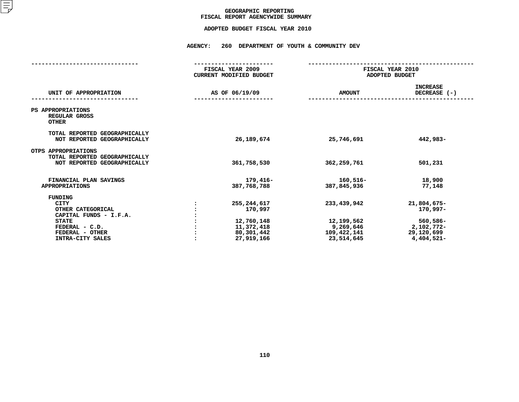## GEOGRAPHIC REPORTING<br>FISCAL REPORT AGENCYWIDE SUMMARY

## **FISCAL REPORT AGENCYWIDE SUMMARY ADOPTED BUDGET FISCAL YEAR <sup>2010</sup>**

#### **AGENCY: <sup>260</sup> DEPARTMENT OF YOUTH & COMMUNITY DEV**

|                                                                                                                                                |                | FISCAL YEAR 2009<br><b>CURRENT MODIFIED BUDGET</b>                               | FISCAL YEAR 2010<br>ADOPTED BUDGET                                  |                                                                               |  |
|------------------------------------------------------------------------------------------------------------------------------------------------|----------------|----------------------------------------------------------------------------------|---------------------------------------------------------------------|-------------------------------------------------------------------------------|--|
| UNIT OF APPROPRIATION                                                                                                                          | AS OF 06/19/09 |                                                                                  | <b>AMOUNT</b>                                                       | <b>INCREASE</b><br>DECREASE $(-)$                                             |  |
| PS APPROPRIATIONS<br>REGULAR GROSS<br><b>OTHER</b>                                                                                             |                |                                                                                  |                                                                     |                                                                               |  |
| TOTAL REPORTED GEOGRAPHICALLY<br>NOT REPORTED GEOGRAPHICALLY                                                                                   |                | 26,189,674                                                                       | 25,746,691                                                          | 442,983-                                                                      |  |
| OTPS APPROPRIATIONS<br>TOTAL REPORTED GEOGRAPHICALLY<br>NOT REPORTED GEOGRAPHICALLY                                                            |                | 361,758,530                                                                      | 362,259,761                                                         | 501,231                                                                       |  |
| FINANCIAL PLAN SAVINGS<br><b>APPROPRIATIONS</b>                                                                                                |                | 179,416-<br>387,768,788                                                          | 160,516-<br>387,845,936                                             | 18,900<br>77,148                                                              |  |
| FUNDING<br><b>CITY</b><br>OTHER CATEGORICAL<br>CAPITAL FUNDS - I.F.A.<br><b>STATE</b><br>FEDERAL - C.D.<br>FEDERAL - OTHER<br>INTRA-CITY SALES |                | 255, 244, 617<br>170,997<br>12,760,148<br>11,372,418<br>80,301,442<br>27,919,166 | 233,439,942<br>12,199,562<br>9,269,646<br>109,422,141<br>23,514,645 | 21,804,675-<br>170,997-<br>560,586-<br>2,102,772-<br>29,120,699<br>4,404,521- |  |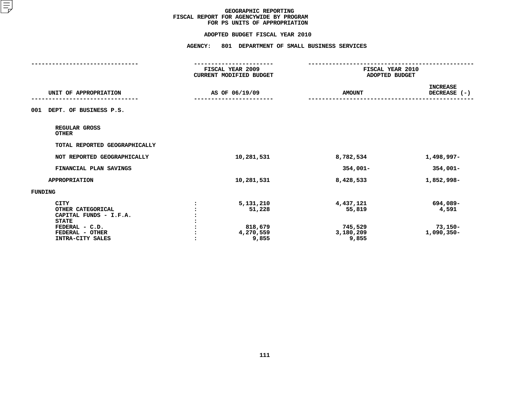#### **ADOPTED BUDGET FISCAL YEAR 2010**

|                                                                                                                                     | <b>AGENCY:</b><br>801 DEPARTMENT OF SMALL BUSINESS SERVICES |                                                      |                                                |
|-------------------------------------------------------------------------------------------------------------------------------------|-------------------------------------------------------------|------------------------------------------------------|------------------------------------------------|
|                                                                                                                                     | FISCAL YEAR 2009<br>CURRENT MODIFIED BUDGET                 | FISCAL YEAR 2010<br>ADOPTED BUDGET                   |                                                |
| UNIT OF APPROPRIATION                                                                                                               | AS OF 06/19/09                                              | <b>AMOUNT</b>                                        | <b>INCREASE</b><br>DECREASE (-)                |
| DEPT. OF BUSINESS P.S.<br>001                                                                                                       |                                                             |                                                      |                                                |
| REGULAR GROSS<br><b>OTHER</b>                                                                                                       |                                                             |                                                      |                                                |
| TOTAL REPORTED GEOGRAPHICALLY                                                                                                       |                                                             |                                                      |                                                |
| NOT REPORTED GEOGRAPHICALLY                                                                                                         | 10,281,531                                                  | 8,782,534                                            | 1,498,997-                                     |
| FINANCIAL PLAN SAVINGS                                                                                                              |                                                             | $354,001 -$                                          | $354,001 -$                                    |
| <b>APPROPRIATION</b>                                                                                                                | 10,281,531                                                  | 8,428,533                                            | 1,852,998-                                     |
| <b>FUNDING</b>                                                                                                                      |                                                             |                                                      |                                                |
| <b>CITY</b><br>OTHER CATEGORICAL<br>CAPITAL FUNDS - I.F.A.<br><b>STATE</b><br>FEDERAL - C.D.<br>FEDERAL - OTHER<br>INTRA-CITY SALES | 5,131,210<br>51,228<br>818,679<br>4,270,559<br>9,855        | 4,437,121<br>55,819<br>745,529<br>3,180,209<br>9,855 | 694,089-<br>4,591<br>$73,150-$<br>$1,090,350-$ |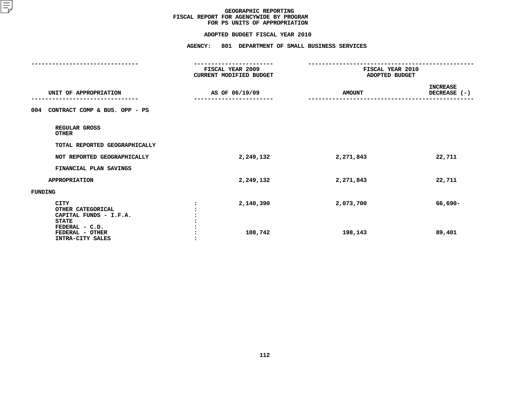#### **ADOPTED BUDGET FISCAL YEAR 2010**

**ADOPTED BUDGET FISCAL YEAR <sup>2010</sup>AGENCY: <sup>801</sup> DEPARTMENT OF SMALL BUSINESS SERVICES**

|                                             | FISCAL YEAR 2009<br>CURRENT MODIFIED BUDGET | FISCAL YEAR 2010<br>ADOPTED BUDGET |                 |
|---------------------------------------------|---------------------------------------------|------------------------------------|-----------------|
|                                             |                                             |                                    |                 |
|                                             |                                             |                                    | <b>INCREASE</b> |
| UNIT OF APPROPRIATION                       | AS OF 06/19/09                              | <b>AMOUNT</b>                      | DECREASE (-)    |
| CONTRACT COMP & BUS. OPP - PS<br>004        |                                             |                                    |                 |
| REGULAR GROSS<br><b>OTHER</b>               |                                             |                                    |                 |
| TOTAL REPORTED GEOGRAPHICALLY               |                                             |                                    |                 |
| NOT REPORTED GEOGRAPHICALLY                 | 2,249,132                                   | 2,271,843                          | 22,711          |
| FINANCIAL PLAN SAVINGS                      |                                             |                                    |                 |
| <b>APPROPRIATION</b>                        | 2,249,132                                   | 2,271,843                          | 22,711          |
| FUNDING                                     |                                             |                                    |                 |
| <b>CITY</b>                                 | 2,140,390                                   | 2,073,700                          | 66,690-         |
| OTHER CATEGORICAL<br>CAPITAL FUNDS - I.F.A. |                                             |                                    |                 |
| <b>STATE</b>                                |                                             |                                    |                 |
| FEDERAL - C.D.                              |                                             |                                    |                 |
| FEDERAL - OTHER<br>INTRA-CITY SALES         | 108,742                                     | 198,143                            | 89,401          |
|                                             |                                             |                                    |                 |
|                                             |                                             |                                    |                 |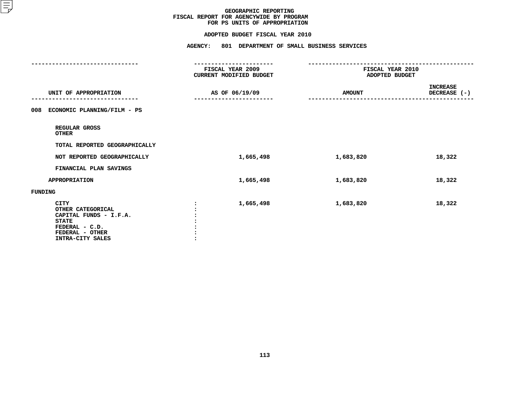#### **ADOPTED BUDGET FISCAL YEAR 2010**

|                                                                                                                                     | <b>AGENCY:</b><br>801 DEPARTMENT OF SMALL BUSINESS SERVICES      |                                    |                          |  |
|-------------------------------------------------------------------------------------------------------------------------------------|------------------------------------------------------------------|------------------------------------|--------------------------|--|
|                                                                                                                                     | -----------------<br>FISCAL YEAR 2009<br>CURRENT MODIFIED BUDGET | FISCAL YEAR 2010<br>ADOPTED BUDGET |                          |  |
| UNIT OF APPROPRIATION                                                                                                               | AS OF 06/19/09                                                   | <b>AMOUNT</b>                      | INCREASE<br>DECREASE (-) |  |
| ECONOMIC PLANNING/FILM - PS<br>008                                                                                                  |                                                                  |                                    |                          |  |
| REGULAR GROSS<br><b>OTHER</b>                                                                                                       |                                                                  |                                    |                          |  |
| TOTAL REPORTED GEOGRAPHICALLY                                                                                                       |                                                                  |                                    |                          |  |
| NOT REPORTED GEOGRAPHICALLY                                                                                                         | 1,665,498                                                        | 1,683,820                          | 18,322                   |  |
| FINANCIAL PLAN SAVINGS                                                                                                              |                                                                  |                                    |                          |  |
| <b>APPROPRIATION</b>                                                                                                                | 1,665,498                                                        | 1,683,820                          | 18,322                   |  |
| FUNDING                                                                                                                             |                                                                  |                                    |                          |  |
| <b>CITY</b><br>OTHER CATEGORICAL<br>CAPITAL FUNDS - I.F.A.<br><b>STATE</b><br>FEDERAL - C.D.<br>FEDERAL - OTHER<br>INTRA-CITY SALES | 1,665,498                                                        | 1,683,820                          | 18,322                   |  |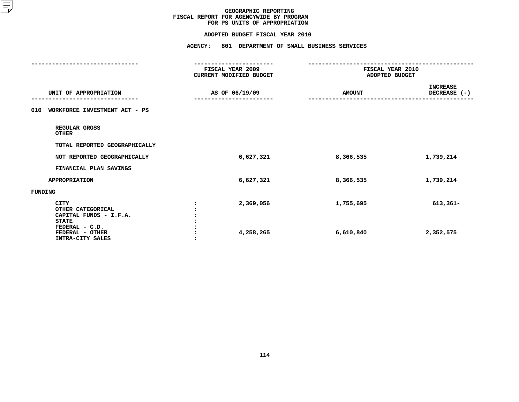#### **ADOPTED BUDGET FISCAL YEAR 2010**

**ADOPTED BUDGET FISCAL YEAR <sup>2010</sup>AGENCY: <sup>801</sup> DEPARTMENT OF SMALL BUSINESS SERVICES**

| FISCAL YEAR 2009       | FISCAL YEAR 2010               |                                 |  |
|------------------------|--------------------------------|---------------------------------|--|
|                        |                                |                                 |  |
| AS OF 06/19/09         | <b>AMOUNT</b>                  | <b>INCREASE</b><br>DECREASE (-) |  |
|                        |                                |                                 |  |
|                        |                                |                                 |  |
|                        |                                |                                 |  |
| 6,627,321              | 8,366,535                      | 1,739,214                       |  |
|                        |                                |                                 |  |
| 6,627,321              | 8,366,535                      | 1,739,214                       |  |
|                        |                                |                                 |  |
| 2,369,056<br>4,258,265 | 1,755,695<br>6,610,840         | $613,361-$<br>2,352,575         |  |
|                        | <b>CURRENT MODIFIED BUDGET</b> | ADOPTED BUDGET                  |  |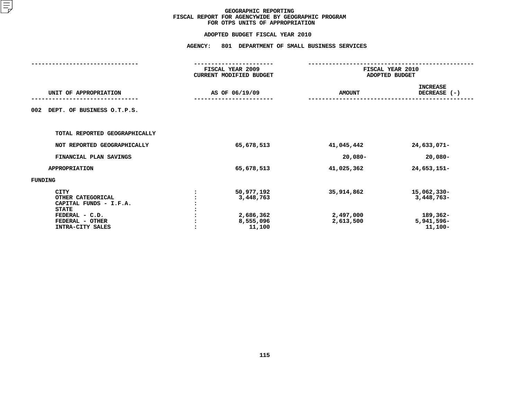#### **FOR OTPS UNITS OF APPROPRIATION**

|                                                                                              | <b>AGENCY:</b> | 801 DEPARTMENT OF SMALL BUSINESS SERVICES   |                         |                                       |  |  |
|----------------------------------------------------------------------------------------------|----------------|---------------------------------------------|-------------------------|---------------------------------------|--|--|
|                                                                                              |                | FISCAL YEAR 2009<br>CURRENT MODIFIED BUDGET |                         | FISCAL YEAR 2010<br>ADOPTED BUDGET    |  |  |
| UNIT OF APPROPRIATION                                                                        | AS OF 06/19/09 |                                             | <b>AMOUNT</b>           | <b>INCREASE</b><br>DECREASE (-)       |  |  |
| DEPT. OF BUSINESS O.T.P.S.<br>002                                                            |                |                                             |                         |                                       |  |  |
| TOTAL REPORTED GEOGRAPHICALLY                                                                |                |                                             |                         |                                       |  |  |
| NOT REPORTED GEOGRAPHICALLY                                                                  |                | 65,678,513                                  | 41,045,442              | 24,633,071-                           |  |  |
| FINANCIAL PLAN SAVINGS                                                                       |                |                                             | $20,080 -$              | $20,080 -$                            |  |  |
| <b>APPROPRIATION</b>                                                                         |                | 65,678,513                                  | 41,025,362              | 24,653,151-                           |  |  |
| <b>FUNDING</b>                                                                               |                |                                             |                         |                                       |  |  |
| <b>CITY</b><br>OTHER CATEGORICAL<br>CAPITAL FUNDS - I.F.A.<br><b>STATE</b><br>FEDERAL - C.D. |                | 50,977,192<br>3,448,763<br>2,686,362        | 35,914,862<br>2,497,000 | 15,062,330-<br>3,448,763-<br>189,362- |  |  |
| FEDERAL - OTHER<br>INTRA-CITY SALES                                                          |                | 8,555,096<br>11,100                         | 2,613,500               | 5,941,596-<br>$11,100-$               |  |  |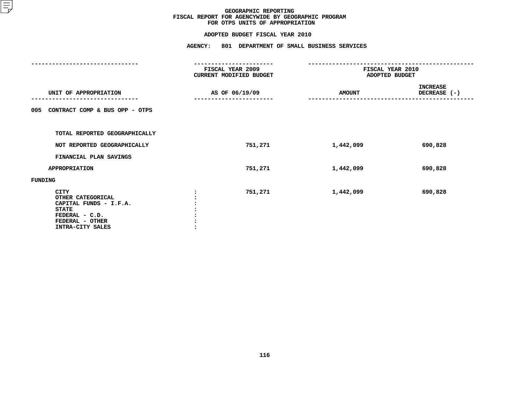|                                                                                                                                     | <b>AGENCY:</b><br>801 DEPARTMENT OF SMALL BUSINESS SERVICES |               |                                    |  |  |
|-------------------------------------------------------------------------------------------------------------------------------------|-------------------------------------------------------------|---------------|------------------------------------|--|--|
|                                                                                                                                     | <b>FISCAL YEAR 2009</b><br>CURRENT MODIFIED BUDGET          |               | FISCAL YEAR 2010<br>ADOPTED BUDGET |  |  |
| UNIT OF APPROPRIATION                                                                                                               | AS OF 06/19/09                                              | <b>AMOUNT</b> | <b>INCREASE</b><br>DECREASE (-)    |  |  |
| CONTRACT COMP & BUS OPP - OTPS<br>005                                                                                               |                                                             |               |                                    |  |  |
| TOTAL REPORTED GEOGRAPHICALLY                                                                                                       |                                                             |               |                                    |  |  |
| NOT REPORTED GEOGRAPHICALLY                                                                                                         | 751,271                                                     | 1,442,099     | 690,828                            |  |  |
| FINANCIAL PLAN SAVINGS                                                                                                              |                                                             |               |                                    |  |  |
| APPROPRIATION                                                                                                                       | 751,271                                                     | 1,442,099     | 690,828                            |  |  |
| FUNDING                                                                                                                             |                                                             |               |                                    |  |  |
| <b>CITY</b><br>OTHER CATEGORICAL<br>CAPITAL FUNDS - I.F.A.<br><b>STATE</b><br>FEDERAL - C.D.<br>FEDERAL - OTHER<br>INTRA-CITY SALES | 751,271                                                     | 1,442,099     | 690,828                            |  |  |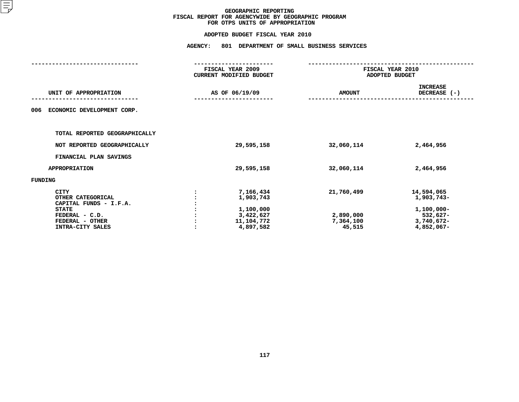| <b>AGENCY:</b> |                                                                             |                                                               |                                                                                   |  |  |
|----------------|-----------------------------------------------------------------------------|---------------------------------------------------------------|-----------------------------------------------------------------------------------|--|--|
|                |                                                                             |                                                               | FISCAL YEAR 2010<br>ADOPTED BUDGET                                                |  |  |
|                |                                                                             | <b>AMOUNT</b>                                                 | <b>INCREASE</b><br>DECREASE (-)                                                   |  |  |
|                |                                                                             |                                                               |                                                                                   |  |  |
|                |                                                                             |                                                               |                                                                                   |  |  |
|                | 29,595,158                                                                  | 32,060,114                                                    | 2,464,956                                                                         |  |  |
|                |                                                                             |                                                               |                                                                                   |  |  |
|                | 29,595,158                                                                  | 32,060,114                                                    | 2,464,956                                                                         |  |  |
|                |                                                                             |                                                               |                                                                                   |  |  |
|                | 7,166,434<br>1,903,743<br>1,100,000<br>3,422,627<br>11,104,772<br>4,897,582 | 21,760,499<br>2,890,000<br>7,364,100<br>45,515                | 14,594,065<br>1,903,743-<br>$1,100,000 -$<br>532,627-<br>3,740,672-<br>4,852,067- |  |  |
|                |                                                                             | FISCAL YEAR 2009<br>CURRENT MODIFIED BUDGET<br>AS OF 06/19/09 | 801 DEPARTMENT OF SMALL BUSINESS SERVICES                                         |  |  |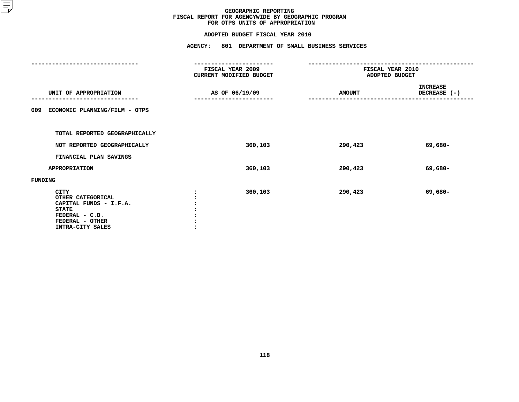|                                                                                                                                     | <b>AGENCY:</b><br>801 DEPARTMENT OF SMALL BUSINESS SERVICES |               |                                    |  |  |  |
|-------------------------------------------------------------------------------------------------------------------------------------|-------------------------------------------------------------|---------------|------------------------------------|--|--|--|
|                                                                                                                                     | <b>FISCAL YEAR 2009</b><br>CURRENT MODIFIED BUDGET          |               | FISCAL YEAR 2010<br>ADOPTED BUDGET |  |  |  |
| UNIT OF APPROPRIATION                                                                                                               | AS OF 06/19/09                                              | <b>AMOUNT</b> | <b>INCREASE</b><br>DECREASE (-)    |  |  |  |
| ECONOMIC PLANNING/FILM - OTPS<br>009                                                                                                |                                                             |               |                                    |  |  |  |
| TOTAL REPORTED GEOGRAPHICALLY                                                                                                       |                                                             |               |                                    |  |  |  |
| NOT REPORTED GEOGRAPHICALLY                                                                                                         | 360,103                                                     | 290,423       | 69,680-                            |  |  |  |
| FINANCIAL PLAN SAVINGS                                                                                                              |                                                             |               |                                    |  |  |  |
| <b>APPROPRIATION</b>                                                                                                                | 360,103                                                     | 290,423       | 69,680-                            |  |  |  |
| FUNDING                                                                                                                             |                                                             |               |                                    |  |  |  |
| <b>CITY</b><br>OTHER CATEGORICAL<br>CAPITAL FUNDS - I.F.A.<br><b>STATE</b><br>FEDERAL - C.D.<br>FEDERAL - OTHER<br>INTRA-CITY SALES | 360,103                                                     | 290,423       | 69,680-                            |  |  |  |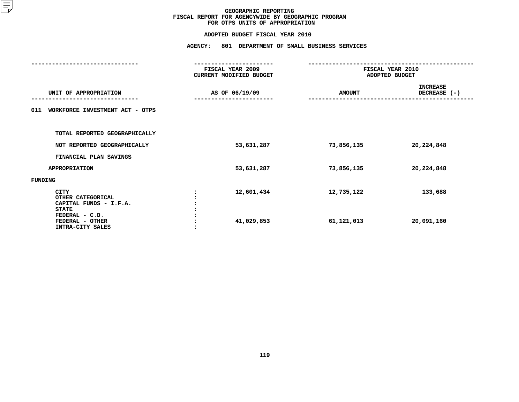|                                                                                              | <b>AGENCY:</b>                              | 801 DEPARTMENT OF SMALL BUSINESS SERVICES |                                    |  |  |
|----------------------------------------------------------------------------------------------|---------------------------------------------|-------------------------------------------|------------------------------------|--|--|
|                                                                                              | FISCAL YEAR 2009<br>CURRENT MODIFIED BUDGET |                                           | FISCAL YEAR 2010<br>ADOPTED BUDGET |  |  |
| UNIT OF APPROPRIATION                                                                        | AS OF 06/19/09                              | <b>AMOUNT</b>                             | <b>INCREASE</b><br>DECREASE (-)    |  |  |
| WORKFORCE INVESTMENT ACT - OTPS<br>011                                                       |                                             |                                           |                                    |  |  |
| TOTAL REPORTED GEOGRAPHICALLY                                                                |                                             |                                           |                                    |  |  |
| NOT REPORTED GEOGRAPHICALLY                                                                  | 53,631,287                                  | 73,856,135                                | 20,224,848                         |  |  |
| FINANCIAL PLAN SAVINGS                                                                       |                                             |                                           |                                    |  |  |
| <b>APPROPRIATION</b>                                                                         | 53,631,287                                  | 73,856,135                                | 20,224,848                         |  |  |
| FUNDING                                                                                      |                                             |                                           |                                    |  |  |
| <b>CITY</b><br>OTHER CATEGORICAL<br>CAPITAL FUNDS - I.F.A.<br><b>STATE</b><br>FEDERAL - C.D. | 12,601,434                                  | 12,735,122                                | 133,688                            |  |  |
| FEDERAL - OTHER<br>INTRA-CITY SALES                                                          | 41,029,853                                  | 61,121,013                                | 20,091,160                         |  |  |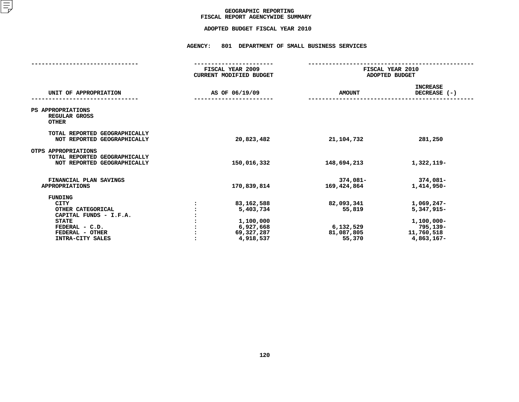## GEOGRAPHIC REPORTING<br>FISCAL REPORT AGENCYWIDE SUMMARY

## **FISCAL REPORT AGENCYWIDE SUMMARY ADOPTED BUDGET FISCAL YEAR <sup>2010</sup>**

#### **AGENCY: <sup>801</sup> DEPARTMENT OF SMALL BUSINESS SERVICES**

|                                                                                                                                         | FISCAL YEAR 2009<br><b>CURRENT MODIFIED BUDGET</b>                           | FISCAL YEAR 2010<br>ADOPTED BUDGET                        |                                                                                    |  |
|-----------------------------------------------------------------------------------------------------------------------------------------|------------------------------------------------------------------------------|-----------------------------------------------------------|------------------------------------------------------------------------------------|--|
| UNIT OF APPROPRIATION                                                                                                                   | AS OF 06/19/09                                                               | <b>AMOUNT</b>                                             | <b>INCREASE</b><br>DECREASE $(-)$                                                  |  |
| PS APPROPRIATIONS<br>REGULAR GROSS<br><b>OTHER</b>                                                                                      |                                                                              |                                                           |                                                                                    |  |
| TOTAL REPORTED GEOGRAPHICALLY<br>NOT REPORTED GEOGRAPHICALLY                                                                            | 20,823,482                                                                   | 21,104,732                                                | 281,250                                                                            |  |
| OTPS APPROPRIATIONS<br>TOTAL REPORTED GEOGRAPHICALLY<br>NOT REPORTED GEOGRAPHICALLY                                                     | 150,016,332                                                                  | 148,694,213                                               | 1,322,119-                                                                         |  |
| FINANCIAL PLAN SAVINGS<br><b>APPROPRIATIONS</b>                                                                                         | 170,839,814                                                                  | 374,081-<br>169,424,864                                   | 374,081-<br>1,414,950-                                                             |  |
| FUNDING<br>CITY<br>OTHER CATEGORICAL<br>CAPITAL FUNDS - I.F.A.<br><b>STATE</b><br>FEDERAL - C.D.<br>FEDERAL - OTHER<br>INTRA-CITY SALES | 83,162,588<br>5,403,734<br>1,100,000<br>6,927,668<br>69,327,287<br>4,918,537 | 82,093,341<br>55,819<br>6,132,529<br>81,087,805<br>55,370 | $1,069,247-$<br>5,347,915-<br>1,100,000-<br>795,139-<br>11,760,518<br>$4,863,167-$ |  |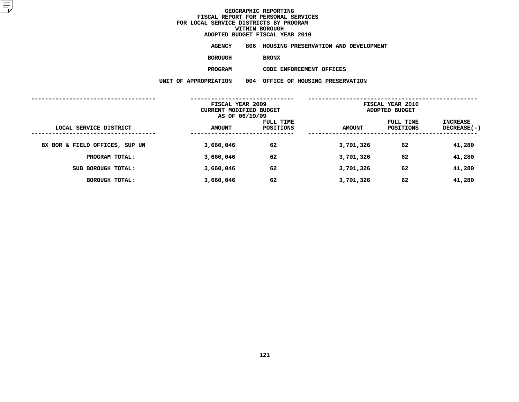**ADOPTED BUDGET FISCAL YEAR <sup>2010</sup>AGENCY <sup>806</sup> HOUSING PRESERVATION AND DEVELOPMENT**

**BOROUGH**

BRONX<br>CODE ENFORCEMENT OFFICES **PROGRAM**

|                                | FISCAL YEAR 2009<br>CURRENT MODIFIED BUDGET<br>AS OF 06/19/09 |                        | FISCAL YEAR 2010<br>ADOPTED BUDGET |                        |                                |
|--------------------------------|---------------------------------------------------------------|------------------------|------------------------------------|------------------------|--------------------------------|
| LOCAL SERVICE DISTRICT         | <b>AMOUNT</b>                                                 | FULL TIME<br>POSITIONS | <b>AMOUNT</b>                      | FULL TIME<br>POSITIONS | INCREASE<br><b>DECREASE(-)</b> |
| BX BOR & FIELD OFFICES, SUP UN | 3,660,046                                                     | 62                     | 3,701,326                          | 62                     | 41,280                         |
| PROGRAM TOTAL:                 | 3,660,046                                                     | 62                     | 3,701,326                          | 62                     | 41,280                         |
| SUB BOROUGH TOTAL:             | 3,660,046                                                     | 62                     | 3,701,326                          | 62                     | 41,280                         |
| <b>BOROUGH TOTAL:</b>          | 3,660,046                                                     | 62                     | 3,701,326                          | 62                     | 41,280                         |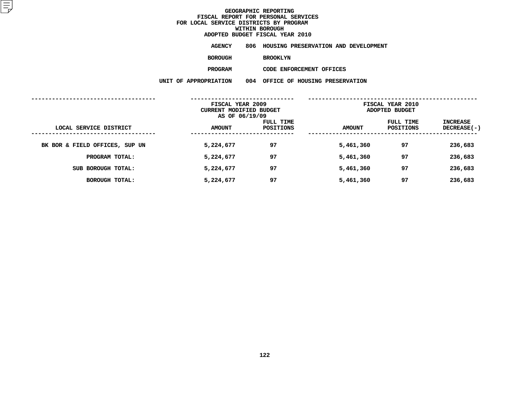**ADOPTED BUDGET FISCAL YEAR <sup>2010</sup>AGENCY <sup>806</sup> HOUSING PRESERVATION AND DEVELOPMENT**

**BOROUGH**

BROOKLYN<br>CODE ENFORCEMENT OFFICES **PROGRAM**

**M**<br>**N** 004 OFFICE OF HOUSING PRESER<br>**N** 004 OFFICE OF HOUSING PRESER

|                                | UNIT OF APPROPRIATION                                         | 004 |                        | OFFICE OF HOUSING PRESERVATION |                                    |                                       |
|--------------------------------|---------------------------------------------------------------|-----|------------------------|--------------------------------|------------------------------------|---------------------------------------|
|                                | FISCAL YEAR 2009<br>CURRENT MODIFIED BUDGET<br>AS OF 06/19/09 |     |                        |                                | FISCAL YEAR 2010<br>ADOPTED BUDGET |                                       |
| LOCAL SERVICE DISTRICT         | <b>AMOUNT</b>                                                 |     | FULL TIME<br>POSITIONS | <b>AMOUNT</b>                  | FULL TIME<br><b>POSITIONS</b>      | <b>INCREASE</b><br><b>DECREASE(-)</b> |
| BK BOR & FIELD OFFICES, SUP UN | 5,224,677                                                     |     | 97                     | 5,461,360                      | 97                                 | 236,683                               |
| PROGRAM TOTAL:                 | 5,224,677                                                     |     | 97                     | 5,461,360                      | 97                                 | 236,683                               |
| SUB BOROUGH TOTAL:             | 5,224,677                                                     |     | 97                     | 5,461,360                      | 97                                 | 236,683                               |
| <b>BOROUGH TOTAL:</b>          | 5,224,677                                                     |     | 97                     | 5,461,360                      | 97                                 | 236,683                               |
|                                |                                                               |     |                        |                                |                                    |                                       |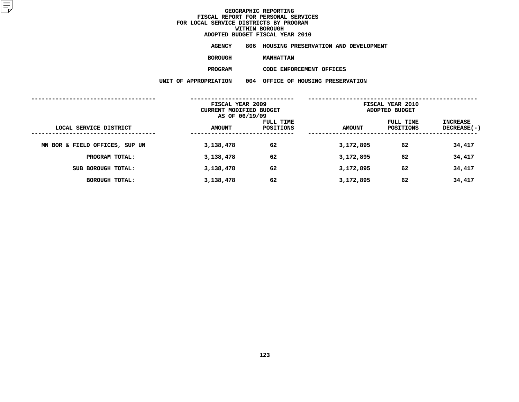**ADOPTED BUDGET FISCAL YEAR <sup>2010</sup>AGENCY <sup>806</sup> HOUSING PRESERVATION AND DEVELOPMENT**

**BOROUGH**

**MANHATTAN<br>CODE ENFORCEMENT OFFICES PROGRAM**

|                                | FISCAL YEAR 2009<br>CURRENT MODIFIED BUDGET<br>AS OF 06/19/09 |                        | FISCAL YEAR 2010<br>ADOPTED BUDGET |                        |                                |
|--------------------------------|---------------------------------------------------------------|------------------------|------------------------------------|------------------------|--------------------------------|
| LOCAL SERVICE DISTRICT         | <b>AMOUNT</b>                                                 | FULL TIME<br>POSITIONS | <b>AMOUNT</b>                      | FULL TIME<br>POSITIONS | INCREASE<br><b>DECREASE(-)</b> |
| MN BOR & FIELD OFFICES, SUP UN | 3,138,478                                                     | 62                     | 3,172,895                          | 62                     | 34,417                         |
| PROGRAM TOTAL:                 | 3,138,478                                                     | 62                     | 3,172,895                          | 62                     | 34,417                         |
| SUB BOROUGH TOTAL:             | 3,138,478                                                     | 62                     | 3,172,895                          | 62                     | 34,417                         |
| <b>BOROUGH TOTAL:</b>          | 3,138,478                                                     | 62                     | 3,172,895                          | 62                     | 34,417                         |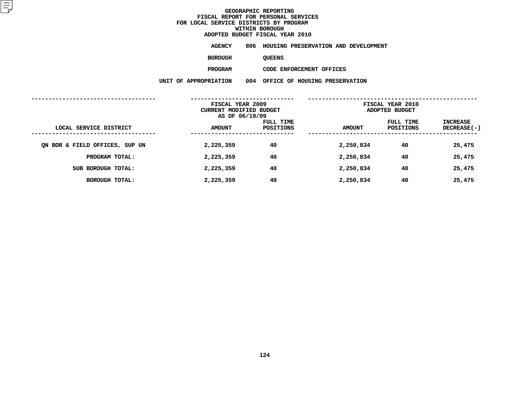**ADOPTED BUDGET FISCAL YEAR <sup>2010</sup>AGENCY <sup>806</sup> HOUSING PRESERVATION AND DEVELOPMENT**

**BOROUGH**

QUEENS<br>CODE ENFORCEMENT OFFICES **PROGRAM**

|                                | FISCAL YEAR 2009<br>CURRENT MODIFIED BUDGET<br>AS OF 06/19/09 |                        | FISCAL YEAR 2010<br>ADOPTED BUDGET |                        |                                |
|--------------------------------|---------------------------------------------------------------|------------------------|------------------------------------|------------------------|--------------------------------|
| LOCAL SERVICE DISTRICT         | <b>AMOUNT</b>                                                 | FULL TIME<br>POSITIONS | <b>AMOUNT</b>                      | FULL TIME<br>POSITIONS | INCREASE<br><b>DECREASE(-)</b> |
| ON BOR & FIELD OFFICES, SUP UN | 2,225,359                                                     | 40                     | 2,250,834                          | 40                     | 25,475                         |
| PROGRAM TOTAL:                 | 2,225,359                                                     | 40                     | 2,250,834                          | 40                     | 25,475                         |
| SUB BOROUGH TOTAL:             | 2,225,359                                                     | 40                     | 2,250,834                          | 40                     | 25,475                         |
| <b>BOROUGH TOTAL:</b>          | 2,225,359                                                     | 40                     | 2,250,834                          | 40                     | 25,475                         |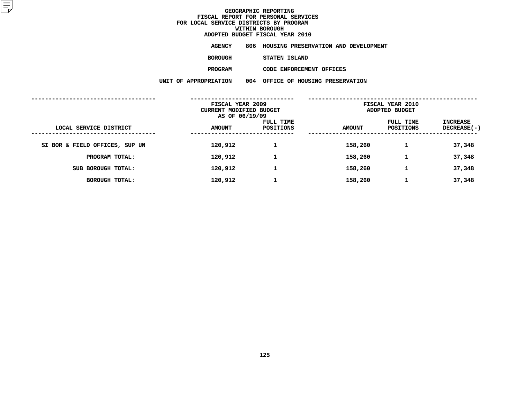**ADOPTED BUDGET FISCAL YEAR <sup>2010</sup>AGENCY <sup>806</sup> HOUSING PRESERVATION AND DEVELOPMENT**

**BOROUGH**

STATEN ISLAND<br>CODE ENFORCEMENT OFFICES **PROGRAM**

|                                | FISCAL YEAR 2009<br>CURRENT MODIFIED BUDGET<br>AS OF 06/19/09 |                        | FISCAL YEAR 2010<br>ADOPTED BUDGET |                               |                                |
|--------------------------------|---------------------------------------------------------------|------------------------|------------------------------------|-------------------------------|--------------------------------|
| LOCAL SERVICE DISTRICT         | <b>AMOUNT</b>                                                 | FULL TIME<br>POSITIONS | <b>AMOUNT</b>                      | FULL TIME<br><b>POSITIONS</b> | INCREASE<br><b>DECREASE(-)</b> |
| SI BOR & FIELD OFFICES, SUP UN | 120,912                                                       |                        | 158,260                            |                               | 37,348                         |
| PROGRAM TOTAL:                 | 120,912                                                       | 1                      | 158,260                            | 1                             | 37,348                         |
| SUB BOROUGH TOTAL:             | 120,912                                                       | 1                      | 158,260                            |                               | 37,348                         |
| BOROUGH TOTAL:                 | 120,912                                                       |                        | 158,260                            |                               | 37,348                         |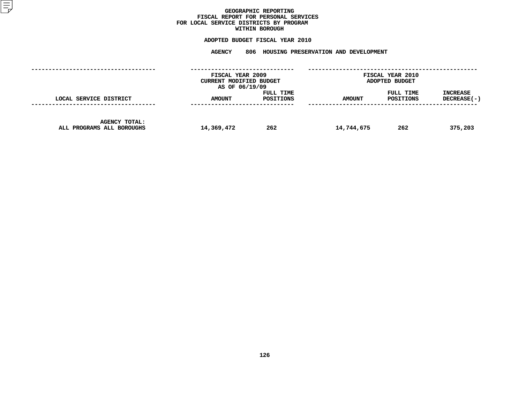### GEOGRAPHIC REPORTING<br>FISCAL REPORT FOR PERSONAL SERVICES<br>OCAL SERVICE DISTRICTS BY PROGRAM<br>WITHIN BOROUGH **FISCAL REPORT FOR PERSONAL SERVICES FOR LOCAL SERVICE DISTRICTS BY PROGRAM**

## **WITHIN BOROUGH ADOPTED BUDGET FISCAL YEAR <sup>2010</sup>**

# **AGENCY <sup>806</sup> HOUSING PRESERVATION AND DEVELOPMENT**

|                                                   | FISCAL YEAR 2009<br>CURRENT MODIFIED BUDGET<br>AS OF 06/19/09 |                        | FISCAL YEAR 2010<br>ADOPTED BUDGET |                        |                                |
|---------------------------------------------------|---------------------------------------------------------------|------------------------|------------------------------------|------------------------|--------------------------------|
| LOCAL SERVICE DISTRICT                            | <b>AMOUNT</b>                                                 | FULL TIME<br>POSITIONS | <b>AMOUNT</b>                      | FULL TIME<br>POSITIONS | <b>INCREASE</b><br>DECREASE(-) |
| <b>AGENCY TOTAL:</b><br>ALL PROGRAMS ALL BOROUGHS | 14,369,472                                                    | 262                    | 14,744,675                         | 262                    | 375,203                        |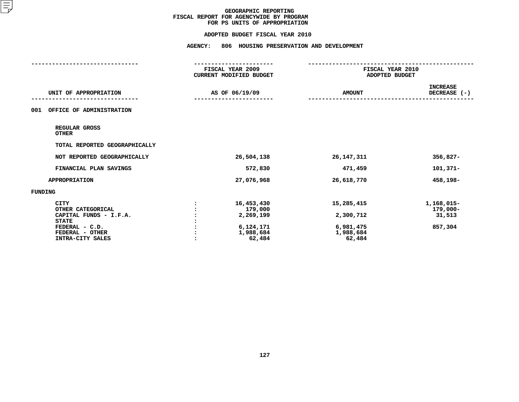#### **ADOPTED BUDGET FISCAL YEAR 2010**

|                                                                            | FISCAL YEAR 2009<br>CURRENT MODIFIED BUDGET | FISCAL YEAR 2010<br>ADOPTED BUDGET |                                  |
|----------------------------------------------------------------------------|---------------------------------------------|------------------------------------|----------------------------------|
| UNIT OF APPROPRIATION                                                      | AS OF 06/19/09                              | <b>AMOUNT</b>                      | <b>INCREASE</b><br>DECREASE (-)  |
| 001<br>OFFICE OF ADMINISTRATION                                            |                                             |                                    |                                  |
| REGULAR GROSS<br><b>OTHER</b>                                              |                                             |                                    |                                  |
| TOTAL REPORTED GEOGRAPHICALLY                                              |                                             |                                    |                                  |
| NOT REPORTED GEOGRAPHICALLY                                                | 26,504,138                                  | 26, 147, 311                       | $356,827-$                       |
| FINANCIAL PLAN SAVINGS                                                     | 572,830                                     | 471,459                            | $101,371-$                       |
| <b>APPROPRIATION</b>                                                       | 27,076,968                                  | 26,618,770                         | 458,198-                         |
| FUNDING                                                                    |                                             |                                    |                                  |
| <b>CITY</b><br>OTHER CATEGORICAL<br>CAPITAL FUNDS - I.F.A.<br><b>STATE</b> | 16,453,430<br>179,000<br>2,269,199          | 15,285,415<br>2,300,712            | 1,168,015-<br>179,000-<br>31,513 |
| FEDERAL - C.D.<br>FEDERAL - OTHER<br>INTRA-CITY SALES                      | 6,124,171<br>1,988,684<br>62,484            | 6,981,475<br>1,988,684<br>62,484   | 857,304                          |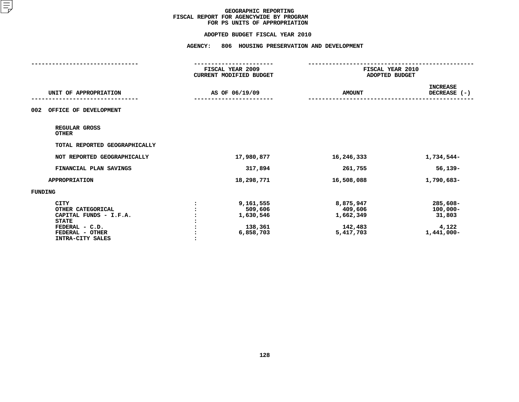#### **ADOPTED BUDGET FISCAL YEAR 2010**

|                                                                                                                                     | FISCAL YEAR 2009<br>CURRENT MODIFIED BUDGET               | FISCAL YEAR 2010<br>ADOPTED BUDGET                        |                                                          |
|-------------------------------------------------------------------------------------------------------------------------------------|-----------------------------------------------------------|-----------------------------------------------------------|----------------------------------------------------------|
| UNIT OF APPROPRIATION                                                                                                               | AS OF 06/19/09                                            | <b>AMOUNT</b>                                             | <b>INCREASE</b><br>DECREASE (-)                          |
| OFFICE OF DEVELOPMENT<br>002                                                                                                        |                                                           |                                                           |                                                          |
| REGULAR GROSS<br><b>OTHER</b>                                                                                                       |                                                           |                                                           |                                                          |
| TOTAL REPORTED GEOGRAPHICALLY                                                                                                       |                                                           |                                                           |                                                          |
| NOT REPORTED GEOGRAPHICALLY                                                                                                         | 17,980,877                                                | 16,246,333                                                | 1,734,544-                                               |
| FINANCIAL PLAN SAVINGS                                                                                                              | 317,894                                                   | 261,755                                                   | $56,139-$                                                |
| <b>APPROPRIATION</b>                                                                                                                | 18,298,771                                                | 16,508,088                                                | 1,790,683-                                               |
| FUNDING                                                                                                                             |                                                           |                                                           |                                                          |
| <b>CITY</b><br>OTHER CATEGORICAL<br>CAPITAL FUNDS - I.F.A.<br><b>STATE</b><br>FEDERAL - C.D.<br>FEDERAL - OTHER<br>INTRA-CITY SALES | 9,161,555<br>509,606<br>1,630,546<br>138,361<br>6,858,703 | 8,875,947<br>409,606<br>1,662,349<br>142,483<br>5,417,703 | 285,608-<br>$100,000 -$<br>31,803<br>4,122<br>1,441,000- |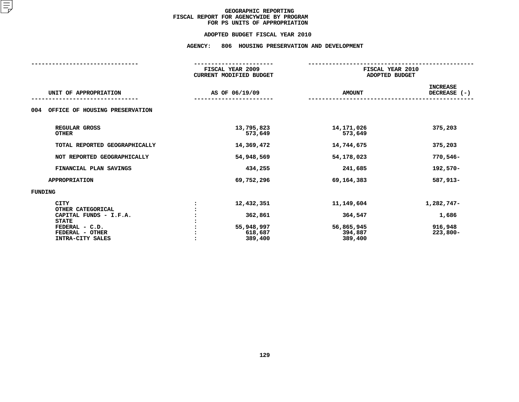#### **ADOPTED BUDGET FISCAL YEAR 2010**

## **ADOPTED BUDGET FISCAL YEAR <sup>2010</sup>AGENCY: <sup>806</sup> HOUSING PRESERVATION AND DEVELOPMENT**

|                                       | FISCAL YEAR 2009               |               | FISCAL YEAR 2010 |  |  |  |
|---------------------------------------|--------------------------------|---------------|------------------|--|--|--|
|                                       | <b>CURRENT MODIFIED BUDGET</b> |               | ADOPTED BUDGET   |  |  |  |
|                                       |                                |               | <b>INCREASE</b>  |  |  |  |
| UNIT OF APPROPRIATION                 | AS OF 06/19/09                 | <b>AMOUNT</b> | DECREASE $(-)$   |  |  |  |
|                                       |                                |               |                  |  |  |  |
| OFFICE OF HOUSING PRESERVATION<br>004 |                                |               |                  |  |  |  |
| REGULAR GROSS                         | 13,795,823                     | 14, 171, 026  | 375,203          |  |  |  |
| <b>OTHER</b>                          | 573,649                        | 573,649       |                  |  |  |  |
| TOTAL REPORTED GEOGRAPHICALLY         | 14,369,472                     | 14,744,675    | 375,203          |  |  |  |
| NOT REPORTED GEOGRAPHICALLY           | 54,948,569                     | 54,178,023    | 770,546-         |  |  |  |
| FINANCIAL PLAN SAVINGS                | 434,255                        | 241,685       | 192,570-         |  |  |  |
| <b>APPROPRIATION</b>                  | 69,752,296                     | 69, 164, 383  | 587,913-         |  |  |  |
| FUNDING                               |                                |               |                  |  |  |  |
| <b>CITY</b>                           | 12,432,351                     | 11,149,604    | 1,282,747-       |  |  |  |
| OTHER CATEGORICAL                     |                                |               |                  |  |  |  |
| CAPITAL FUNDS - I.F.A.                | 362,861                        | 364,547       | 1,686            |  |  |  |
| <b>STATE</b><br>FEDERAL - C.D.        | 55,948,997                     | 56,865,945    | 916,948          |  |  |  |
| FEDERAL - OTHER                       |                                | 394,887       |                  |  |  |  |
| INTRA-CITY SALES                      | 618,687<br>389,400             | 389,400       | $223,800-$       |  |  |  |
|                                       |                                |               |                  |  |  |  |
|                                       |                                |               |                  |  |  |  |
|                                       |                                |               |                  |  |  |  |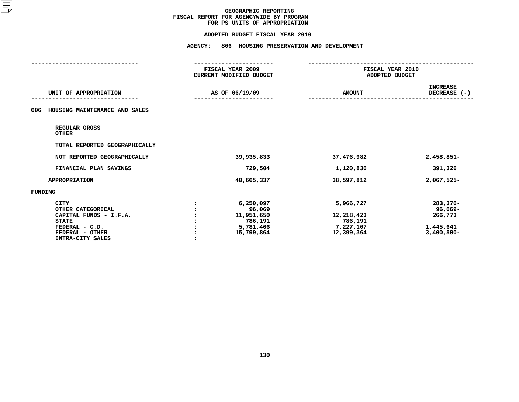#### **ADOPTED BUDGET FISCAL YEAR 2010**

| AS OF 06/19/09                                            | <b>AMOUNT</b>                                   | <b>INCREASE</b><br>DECREASE (-)                                |
|-----------------------------------------------------------|-------------------------------------------------|----------------------------------------------------------------|
|                                                           |                                                 |                                                                |
|                                                           |                                                 |                                                                |
|                                                           |                                                 |                                                                |
|                                                           |                                                 |                                                                |
| 39,935,833                                                | 37,476,982                                      | $2,458,851-$                                                   |
| 729,504                                                   | 1,120,830                                       | 391,326                                                        |
| 40,665,337                                                | 38,597,812                                      | 2,067,525-                                                     |
|                                                           |                                                 |                                                                |
| 6,250,097<br>96,069<br>11,951,650<br>786,191<br>5,781,466 | 5,966,727<br>12,218,423<br>786,191<br>7,227,107 | $283,370-$<br>96,069-<br>266,773<br>1,445,641<br>$3,400,500 -$ |
|                                                           | 15,799,864                                      | 12,399,364                                                     |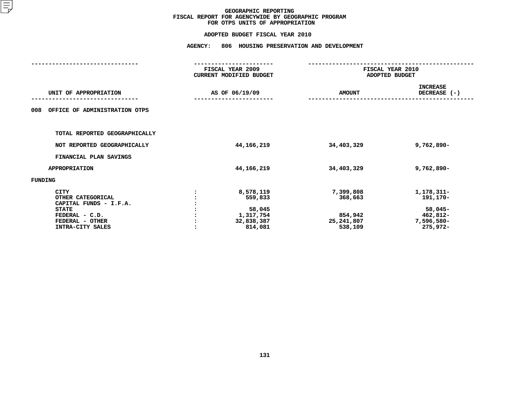|                                        | <b>AGENCY:</b> | 806 HOUSING PRESERVATION AND DEVELOPMENT    |               |                                    |  |  |
|----------------------------------------|----------------|---------------------------------------------|---------------|------------------------------------|--|--|
|                                        |                | FISCAL YEAR 2009<br>CURRENT MODIFIED BUDGET |               | FISCAL YEAR 2010<br>ADOPTED BUDGET |  |  |
| UNIT OF APPROPRIATION                  |                | AS OF 06/19/09                              | <b>AMOUNT</b> | <b>INCREASE</b><br>DECREASE (-)    |  |  |
| OFFICE OF ADMINISTRATION OTPS<br>008   |                |                                             |               |                                    |  |  |
| TOTAL REPORTED GEOGRAPHICALLY          |                |                                             |               |                                    |  |  |
| NOT REPORTED GEOGRAPHICALLY            |                | 44, 166, 219                                | 34,403,329    | $9,762,890 -$                      |  |  |
| FINANCIAL PLAN SAVINGS                 |                |                                             |               |                                    |  |  |
| <b>APPROPRIATION</b>                   |                | 44, 166, 219                                | 34,403,329    | 9,762,890-                         |  |  |
| <b>FUNDING</b>                         |                |                                             |               |                                    |  |  |
| <b>CITY</b>                            |                | 8,578,119                                   | 7,399,808     | 1,178,311-                         |  |  |
| OTHER CATEGORICAL                      |                | 559,833                                     | 368,663       | 191,170-                           |  |  |
| CAPITAL FUNDS - I.F.A.<br><b>STATE</b> |                | 58,045                                      |               | $58,045-$                          |  |  |
| FEDERAL - C.D.                         |                | 1,317,754                                   | 854,942       | 462,812-                           |  |  |
| FEDERAL - OTHER                        |                | 32,838,387                                  | 25,241,807    | 7,596,580-                         |  |  |
| INTRA-CITY SALES                       |                | 814,081                                     | 538,109       | 275,972-                           |  |  |
|                                        |                |                                             |               |                                    |  |  |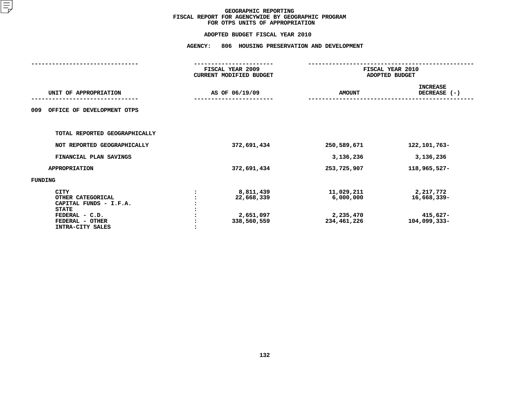|                                                                                                                                     | <b>AGENCY:</b> | 806 HOUSING PRESERVATION AND DEVELOPMENT            |                                                     |                                                      |  |  |
|-------------------------------------------------------------------------------------------------------------------------------------|----------------|-----------------------------------------------------|-----------------------------------------------------|------------------------------------------------------|--|--|
|                                                                                                                                     |                | FISCAL YEAR 2009<br>CURRENT MODIFIED BUDGET         |                                                     | FISCAL YEAR 2010<br>ADOPTED BUDGET                   |  |  |
| UNIT OF APPROPRIATION                                                                                                               |                | AS OF 06/19/09                                      | <b>AMOUNT</b>                                       | <b>INCREASE</b><br>DECREASE (-)                      |  |  |
| OFFICE OF DEVELOPMENT OTPS<br>009                                                                                                   |                |                                                     |                                                     |                                                      |  |  |
| TOTAL REPORTED GEOGRAPHICALLY                                                                                                       |                |                                                     |                                                     |                                                      |  |  |
| NOT REPORTED GEOGRAPHICALLY                                                                                                         |                | 372,691,434                                         | 250,589,671                                         | 122, 101, 763-                                       |  |  |
| FINANCIAL PLAN SAVINGS                                                                                                              |                |                                                     | 3,136,236                                           | 3,136,236                                            |  |  |
| <b>APPROPRIATION</b>                                                                                                                |                | 372,691,434                                         | 253,725,907                                         | 118,965,527-                                         |  |  |
| <b>FUNDING</b>                                                                                                                      |                |                                                     |                                                     |                                                      |  |  |
| <b>CITY</b><br>OTHER CATEGORICAL<br>CAPITAL FUNDS - I.F.A.<br><b>STATE</b><br>FEDERAL - C.D.<br>FEDERAL - OTHER<br>INTRA-CITY SALES |                | 8,811,439<br>22,668,339<br>2,651,097<br>338,560,559 | 11,029,211<br>6,000,000<br>2,235,470<br>234,461,226 | 2,217,772<br>16,668,339-<br>415,627-<br>104,099,333- |  |  |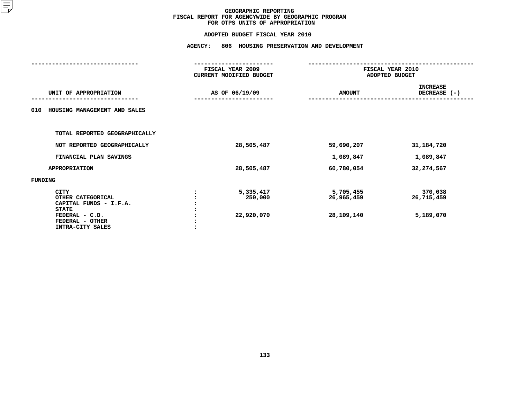|                                                                                                                                     | <b>AGENCY:</b><br>806 HOUSING PRESERVATION AND DEVELOPMENT |                                       |                                    |  |  |
|-------------------------------------------------------------------------------------------------------------------------------------|------------------------------------------------------------|---------------------------------------|------------------------------------|--|--|
|                                                                                                                                     | FISCAL YEAR 2009<br>CURRENT MODIFIED BUDGET                | FISCAL YEAR 2010<br>ADOPTED BUDGET    |                                    |  |  |
| UNIT OF APPROPRIATION                                                                                                               | AS OF 06/19/09                                             | <b>AMOUNT</b>                         | <b>INCREASE</b><br>DECREASE (-)    |  |  |
| HOUSING MANAGEMENT AND SALES<br>010                                                                                                 |                                                            |                                       |                                    |  |  |
| TOTAL REPORTED GEOGRAPHICALLY                                                                                                       |                                                            |                                       |                                    |  |  |
| NOT REPORTED GEOGRAPHICALLY                                                                                                         | 28,505,487                                                 | 59,690,207                            | 31,184,720                         |  |  |
| FINANCIAL PLAN SAVINGS                                                                                                              |                                                            | 1,089,847                             | 1,089,847                          |  |  |
| <b>APPROPRIATION</b>                                                                                                                | 28,505,487                                                 | 60,780,054                            | 32, 274, 567                       |  |  |
| FUNDING                                                                                                                             |                                                            |                                       |                                    |  |  |
| <b>CITY</b><br>OTHER CATEGORICAL<br>CAPITAL FUNDS - I.F.A.<br><b>STATE</b><br>FEDERAL - C.D.<br>FEDERAL - OTHER<br>INTRA-CITY SALES | 5,335,417<br>250,000<br>22,920,070                         | 5,705,455<br>26,965,459<br>28,109,140 | 370,038<br>26,715,459<br>5,189,070 |  |  |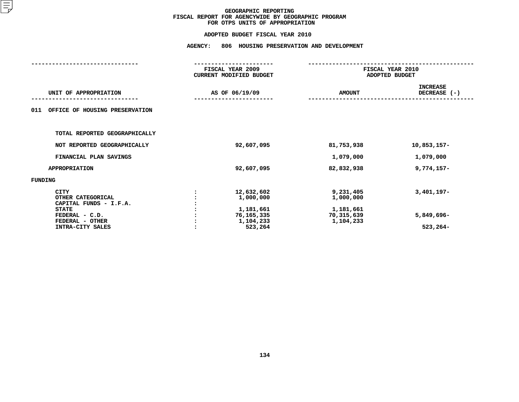|                                                                                                                                     | <b>AGENCY:</b> | 806 HOUSING PRESERVATION AND DEVELOPMENT                                   |                                                                |                                            |  |
|-------------------------------------------------------------------------------------------------------------------------------------|----------------|----------------------------------------------------------------------------|----------------------------------------------------------------|--------------------------------------------|--|
|                                                                                                                                     |                | FISCAL YEAR 2009<br><b>CURRENT MODIFIED BUDGET</b>                         | FISCAL YEAR 2010<br>ADOPTED BUDGET                             |                                            |  |
| UNIT OF APPROPRIATION                                                                                                               |                | AS OF 06/19/09                                                             | <b>AMOUNT</b>                                                  | <b>INCREASE</b><br>DECREASE (-)            |  |
| 011<br>OFFICE OF HOUSING PRESERVATION                                                                                               |                |                                                                            |                                                                |                                            |  |
| TOTAL REPORTED GEOGRAPHICALLY                                                                                                       |                |                                                                            |                                                                |                                            |  |
| NOT REPORTED GEOGRAPHICALLY                                                                                                         |                | 92,607,095                                                                 | 81,753,938                                                     | 10,853,157-                                |  |
| FINANCIAL PLAN SAVINGS                                                                                                              |                |                                                                            | 1,079,000                                                      | 1,079,000                                  |  |
| <b>APPROPRIATION</b>                                                                                                                |                | 92,607,095                                                                 | 82,832,938                                                     | $9,774,157-$                               |  |
| FUNDING                                                                                                                             |                |                                                                            |                                                                |                                            |  |
| <b>CITY</b><br>OTHER CATEGORICAL<br>CAPITAL FUNDS - I.F.A.<br><b>STATE</b><br>FEDERAL - C.D.<br>FEDERAL - OTHER<br>INTRA-CITY SALES |                | 12,632,602<br>1,000,000<br>1,181,661<br>76,165,335<br>1,104,233<br>523,264 | 9,231,405<br>1,000,000<br>1,181,661<br>70,315,639<br>1,104,233 | $3,401,197-$<br>5,849,696-<br>$523, 264 -$ |  |
|                                                                                                                                     |                |                                                                            |                                                                |                                            |  |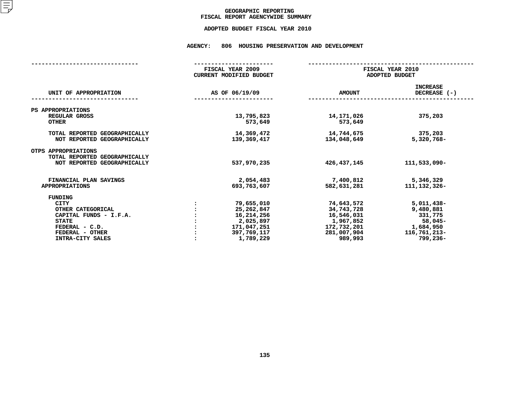## GEOGRAPHIC REPORTING<br>FISCAL REPORT AGENCYWIDE SUMMARY

## **FISCAL REPORT AGENCYWIDE SUMMARY ADOPTED BUDGET FISCAL YEAR <sup>2010</sup>**

#### **AGENCY: <sup>806</sup> HOUSING PRESERVATION AND DEVELOPMENT**

|                                                                                     | FISCAL YEAR 2009<br>CURRENT MODIFIED BUDGET | FISCAL YEAR 2010<br>ADOPTED BUDGET |                                   |  |  |
|-------------------------------------------------------------------------------------|---------------------------------------------|------------------------------------|-----------------------------------|--|--|
| UNIT OF APPROPRIATION                                                               | AS OF 06/19/09                              | <b>AMOUNT</b>                      | <b>INCREASE</b><br>DECREASE $(-)$ |  |  |
| PS APPROPRIATIONS                                                                   |                                             |                                    |                                   |  |  |
| REGULAR GROSS<br><b>OTHER</b>                                                       | 13,795,823<br>573,649                       | 14,171,026<br>573,649              | 375,203                           |  |  |
| TOTAL REPORTED GEOGRAPHICALLY<br>NOT REPORTED GEOGRAPHICALLY                        | 14,369,472<br>139,369,417                   | 14,744,675<br>134,048,649          | 375,203<br>5,320,768-             |  |  |
| OTPS APPROPRIATIONS<br>TOTAL REPORTED GEOGRAPHICALLY<br>NOT REPORTED GEOGRAPHICALLY | 537,970,235                                 | 426, 437, 145                      | 111,533,090-                      |  |  |
|                                                                                     |                                             |                                    |                                   |  |  |
| FINANCIAL PLAN SAVINGS<br><b>APPROPRIATIONS</b>                                     | 2,054,483<br>693,763,607                    | 7,400,812<br>582,631,281           | 5,346,329<br>111, 132, 326-       |  |  |
| FUNDING                                                                             |                                             |                                    |                                   |  |  |
| <b>CITY</b>                                                                         | 79,655,010                                  | 74,643,572                         | $5,011,438-$                      |  |  |
| OTHER CATEGORICAL                                                                   | 25,262,847                                  | 34,743,728                         | 9,480,881                         |  |  |
| CAPITAL FUNDS - I.F.A.                                                              | 16,214,256                                  | 16,546,031                         | 331,775                           |  |  |
| <b>STATE</b>                                                                        | 2,025,897                                   | 1,967,852                          | $58,045-$                         |  |  |
| FEDERAL - C.D.                                                                      | 171,047,251                                 | 172,732,201                        | 1,684,950                         |  |  |
| FEDERAL - OTHER                                                                     | 397,769,117                                 | 281,007,904                        | 116,761,213-                      |  |  |
| INTRA-CITY SALES                                                                    | 1,789,229                                   | 989,993                            | $799,236 -$                       |  |  |
|                                                                                     |                                             |                                    |                                   |  |  |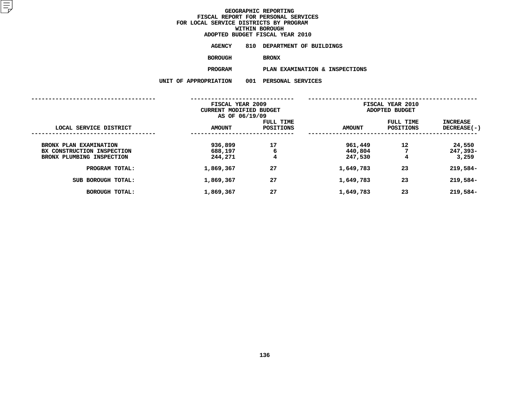**ADOPTED BUDGET FISCAL YEAR <sup>2010</sup>AGENCY <sup>810</sup> DEPARTMENT OF BUILDINGS**

**BOROUGH**

BRONX<br>PLAN EXAMINATION & INSPECTIONS **PROGRAM**

**PLAN EXAMINATION & INSPECTIONS**

|                                                                                   | FISCAL YEAR 2009<br>CURRENT MODIFIED BUDGET<br>AS OF 06/19/09 |                        | FISCAL YEAR 2010<br>ADOPTED BUDGET |                               |                             |
|-----------------------------------------------------------------------------------|---------------------------------------------------------------|------------------------|------------------------------------|-------------------------------|-----------------------------|
| LOCAL SERVICE DISTRICT                                                            | <b>AMOUNT</b>                                                 | FULL TIME<br>POSITIONS | <b>AMOUNT</b>                      | FULL TIME<br><b>POSITIONS</b> | INCREASE<br>$DECREASE(-)$   |
| BRONX PLAN EXAMINATION<br>BX CONSTRUCTION INSPECTION<br>BRONX PLUMBING INSPECTION | 936,899<br>688,197<br>244,271                                 | 17<br>6<br>4           | 961,449<br>440,804<br>247,530      | 12<br>7<br>4                  | 24,550<br>247,393-<br>3,259 |
| PROGRAM TOTAL:                                                                    | 1,869,367                                                     | 27                     | 1,649,783                          | 23                            | 219,584-                    |
| SUB BOROUGH TOTAL:                                                                | 1,869,367                                                     | 27                     | 1,649,783                          | 23                            | 219,584-                    |
| <b>BOROUGH TOTAL:</b>                                                             | 1,869,367                                                     | 27                     | 1,649,783                          | 23                            | 219,584-                    |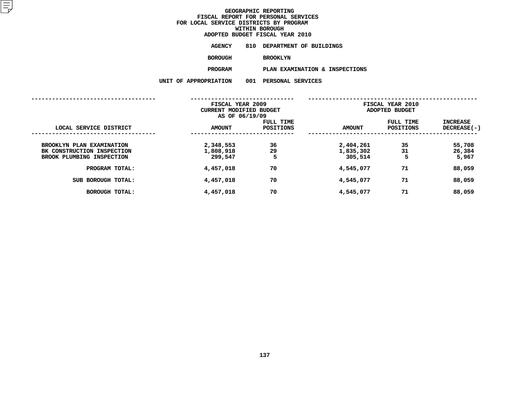# **ADOPTED BUDGET FISCAL YEAR <sup>2010</sup>**

| AGENCY  |                 | 810 DEPARTMENT OF BUILDINGS |  |  |
|---------|-----------------|-----------------------------|--|--|
| BOROUGH | <b>BROOKLYN</b> |                             |  |  |
| PROGRAM |                 | PLAN EXAMINATION & INSP     |  |  |

**PROGRAMPLAN EXAMINATION & INSPECTIONS**

|                                                                                      | FISCAL YEAR 2009<br>CURRENT MODIFIED BUDGET<br>AS OF 06/19/09 |                        | FISCAL YEAR 2010<br>ADOPTED BUDGET |                        |                           |
|--------------------------------------------------------------------------------------|---------------------------------------------------------------|------------------------|------------------------------------|------------------------|---------------------------|
| LOCAL SERVICE DISTRICT                                                               | <b>AMOUNT</b>                                                 | FULL TIME<br>POSITIONS | <b>AMOUNT</b>                      | FULL TIME<br>POSITIONS | INCREASE<br>DECREASE(-)   |
| BROOKLYN PLAN EXAMINATION<br>BK CONSTRUCTION INSPECTION<br>BROOK PLUMBING INSPECTION | 2,348,553<br>1,808,918<br>299,547                             | 36<br>29<br>5          | 2,404,261<br>1,835,302<br>305,514  | 35<br>31<br>5          | 55,708<br>26,384<br>5,967 |
| PROGRAM TOTAL:                                                                       | 4,457,018                                                     | 70                     | 4,545,077                          | 71                     | 88,059                    |
| SUB BOROUGH TOTAL:                                                                   | 4,457,018                                                     | 70                     | 4,545,077                          | 71                     | 88,059                    |
| <b>BOROUGH TOTAL:</b>                                                                | 4,457,018                                                     | 70                     | 4,545,077                          | 71                     | 88,059                    |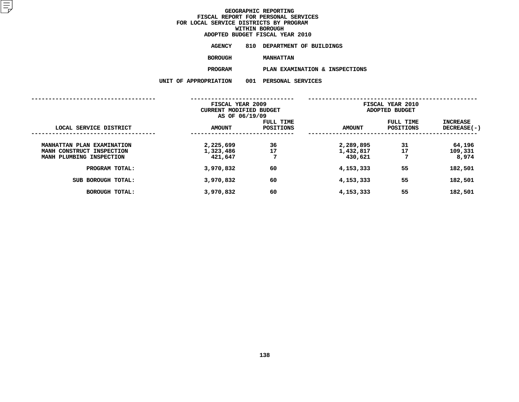**ADOPTED BUDGET FISCAL YEAR <sup>2010</sup>AGENCY <sup>810</sup> DEPARTMENT OF BUILDINGS**

**BOROUGH**

 **MANHATTAN PROGRAMPLAN EXAMINATION & INSPECTIONS**

|                                                                                     | FISCAL YEAR 2009<br>CURRENT MODIFIED BUDGET<br>AS OF 06/19/09 |                        | FISCAL YEAR 2010<br>ADOPTED BUDGET |                        |                                |
|-------------------------------------------------------------------------------------|---------------------------------------------------------------|------------------------|------------------------------------|------------------------|--------------------------------|
| LOCAL SERVICE DISTRICT                                                              | <b>AMOUNT</b>                                                 | FULL TIME<br>POSITIONS | <b>AMOUNT</b>                      | FULL TIME<br>POSITIONS | INCREASE<br><b>DECREASE(-)</b> |
| MANHATTAN PLAN EXAMINATION<br>MANH CONSTRUCT INSPECTION<br>MANH PLUMBING INSPECTION | 2,225,699<br>1,323,486<br>421,647                             | 36<br>17<br>7          | 2,289,895<br>1,432,817<br>430,621  | 31<br>17<br>7          | 64,196<br>109,331<br>8,974     |
| PROGRAM TOTAL:                                                                      | 3,970,832                                                     | 60                     | 4,153,333                          | 55                     | 182,501                        |
| SUB BOROUGH TOTAL:                                                                  | 3,970,832                                                     | 60                     | 4,153,333                          | 55                     | 182,501                        |
| <b>BOROUGH TOTAL:</b>                                                               | 3,970,832                                                     | 60                     | 4,153,333                          | 55                     | 182,501                        |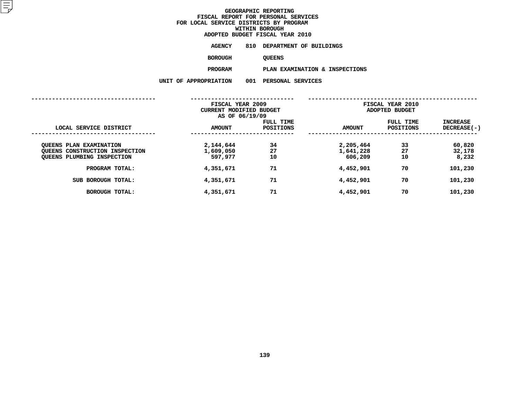**ADOPTED BUDGET FISCAL YEAR <sup>2010</sup>AGENCY <sup>810</sup> DEPARTMENT OF BUILDINGS**

**BOROUGH**

QUEENS<br>PLAN EXAMINATION & INSPECTIONS **PROGRAMPLAN EXAMINATION & INSPECTIONS**

|                                                                                                | FISCAL YEAR 2009<br>CURRENT MODIFIED BUDGET<br>AS OF 06/19/09 |                               | FISCAL YEAR 2010<br>ADOPTED BUDGET |                        |                                       |  |
|------------------------------------------------------------------------------------------------|---------------------------------------------------------------|-------------------------------|------------------------------------|------------------------|---------------------------------------|--|
| LOCAL SERVICE DISTRICT                                                                         | <b>AMOUNT</b>                                                 | FULL TIME<br><b>POSITIONS</b> | <b>AMOUNT</b>                      | FULL TIME<br>POSITIONS | <b>INCREASE</b><br><b>DECREASE(-)</b> |  |
| <b>QUEENS PLAN EXAMINATION</b><br>QUEENS CONSTRUCTION INSPECTION<br>QUEENS PLUMBING INSPECTION | 2,144,644<br>1,609,050<br>597,977                             | 34<br>27<br>10                | 2,205,464<br>1,641,228<br>606,209  | 33<br>27<br>10         | 60,820<br>32,178<br>8,232             |  |
| PROGRAM TOTAL:                                                                                 | 4,351,671                                                     | 71                            | 4,452,901                          | 70                     | 101,230                               |  |
| SUB BOROUGH TOTAL:                                                                             | 4,351,671                                                     | 71                            | 4,452,901                          | 70                     | 101,230                               |  |
| <b>BOROUGH TOTAL:</b>                                                                          | 4,351,671                                                     | 71                            | 4,452,901                          | 70                     | 101,230                               |  |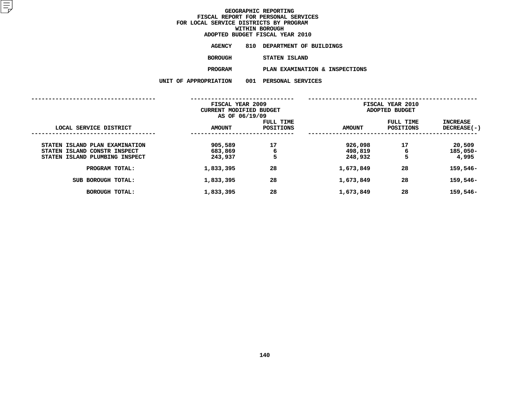| ADOPTED BUDGET FISCAL YEAR 2010 |                                |
|---------------------------------|--------------------------------|
| AGENCY                          | 810 DEPARTMENT OF BUILDINGS    |
| BOROUGH                         | STATEN ISLAND                  |
| <b>PROGRAM</b>                  | PLAN EXAMINATION & INSPECTIONS |
| <b>OPRIATION</b>                | 001 PERSONAL SERVICES          |

|                                                                | FISCAL YEAR 2009<br>CURRENT MODIFIED BUDGET<br>AS OF 06/19/09 |                        | FISCAL YEAR 2010<br>ADOPTED BUDGET |                               |                           |
|----------------------------------------------------------------|---------------------------------------------------------------|------------------------|------------------------------------|-------------------------------|---------------------------|
| LOCAL SERVICE DISTRICT                                         | <b>AMOUNT</b>                                                 | FULL TIME<br>POSITIONS | <b>AMOUNT</b>                      | FULL TIME<br><b>POSITIONS</b> | INCREASE<br>$DECREASE(-)$ |
| STATEN ISLAND PLAN EXAMINATION<br>STATEN ISLAND CONSTR INSPECT | 905,589<br>683,869                                            | 17<br>6                | 926,098<br>498,819                 | 17<br>6                       | 20,509<br>$185,050 -$     |
| STATEN ISLAND PLUMBING INSPECT                                 | 243,937                                                       | 5                      | 248,932                            | 5                             | 4,995                     |
| PROGRAM TOTAL:                                                 | 1,833,395                                                     | 28                     | 1,673,849                          | 28                            | 159,546-                  |
| SUB BOROUGH TOTAL:                                             | 1,833,395                                                     | 28                     | 1,673,849                          | 28                            | 159,546-                  |
| <b>BOROUGH TOTAL:</b>                                          | 1,833,395                                                     | 28                     | 1,673,849                          | 28                            | 159,546-                  |
|                                                                |                                                               |                        |                                    |                               |                           |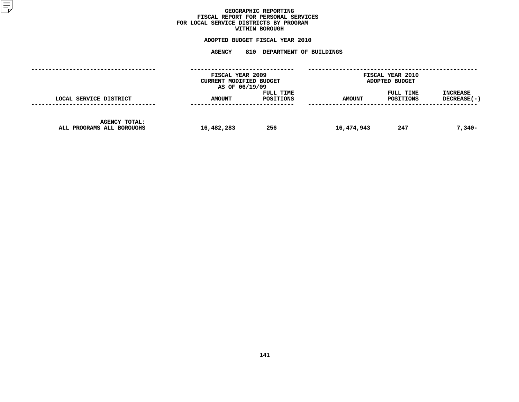## GEOGRAPHIC REPORTING<br>FISCAL REPORT FOR PERSONAL SERVICES<br>OCAL SERVICE DISTRICTS BY PROGRAM<br>WITHIN BOROUGH **FISCAL REPORT FOR PERSONAL SERVICES FOR LOCAL SERVICE DISTRICTS BY PROGRAM**

# **WITHIN BOROUGH**

# **ADOPTED BUDGET FISCAL YEAR <sup>2010</sup> AGENCY <sup>810</sup> DEPARTMENT OF BUILDINGS**

|                                                   | FISCAL YEAR 2009<br>CURRENT MODIFIED BUDGET<br>AS OF 06/19/09 |                        | FISCAL YEAR 2010<br>ADOPTED BUDGET |                        |                                |
|---------------------------------------------------|---------------------------------------------------------------|------------------------|------------------------------------|------------------------|--------------------------------|
| LOCAL SERVICE DISTRICT                            | <b>AMOUNT</b>                                                 | FULL TIME<br>POSITIONS | <b>AMOUNT</b>                      | FULL TIME<br>POSITIONS | <b>INCREASE</b><br>DECREASE(-) |
| <b>AGENCY TOTAL:</b><br>ALL PROGRAMS ALL BOROUGHS | 16,482,283                                                    | 256                    | 16,474,943                         | 247                    | $7,340-$                       |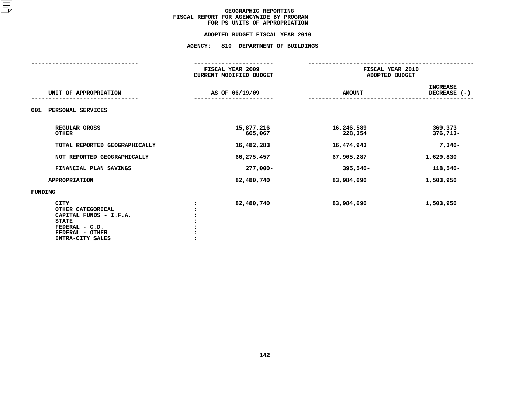#### **ADOPTED BUDGET FISCAL YEAR 2010**

# **ADOPTED BUDGET FISCAL YEAR <sup>2010</sup>AGENCY: <sup>810</sup> DEPARTMENT OF BUILDINGS**

|                                                                                                                                     | FISCAL YEAR 2009<br><b>CURRENT MODIFIED BUDGET</b> | FISCAL YEAR 2010<br>ADOPTED BUDGET |                                 |
|-------------------------------------------------------------------------------------------------------------------------------------|----------------------------------------------------|------------------------------------|---------------------------------|
| UNIT OF APPROPRIATION                                                                                                               | AS OF 06/19/09                                     | <b>AMOUNT</b>                      | <b>INCREASE</b><br>DECREASE (-) |
| PERSONAL SERVICES<br>001                                                                                                            |                                                    |                                    |                                 |
| REGULAR GROSS<br><b>OTHER</b>                                                                                                       | 15,877,216<br>605,067                              | 16,246,589<br>228,354              | 369,373<br>376,713-             |
| TOTAL REPORTED GEOGRAPHICALLY                                                                                                       | 16,482,283                                         | 16,474,943                         | $7,340-$                        |
| NOT REPORTED GEOGRAPHICALLY                                                                                                         | 66,275,457                                         | 67,905,287                         | 1,629,830                       |
| FINANCIAL PLAN SAVINGS                                                                                                              | 277,000-                                           | $395,540-$                         | $118,540-$                      |
| <b>APPROPRIATION</b>                                                                                                                | 82,480,740                                         | 83,984,690                         | 1,503,950                       |
| FUNDING                                                                                                                             |                                                    |                                    |                                 |
| <b>CITY</b><br>OTHER CATEGORICAL<br>CAPITAL FUNDS - I.F.A.<br><b>STATE</b><br>FEDERAL - C.D.<br>FEDERAL - OTHER<br>INTRA-CITY SALES | 82,480,740                                         | 83,984,690                         | 1,503,950                       |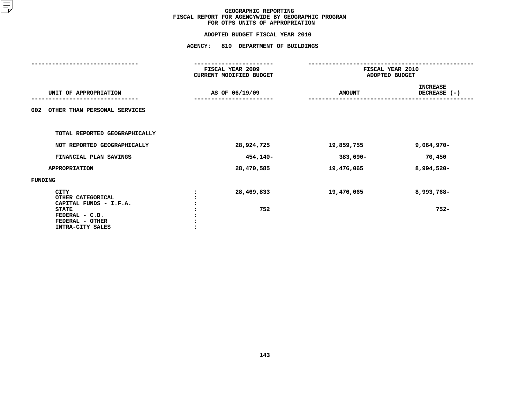# **ADOPTED BUDGET FISCAL YEAR <sup>2010</sup>AGENCY: <sup>810</sup> DEPARTMENT OF BUILDINGS**

| FISCAL YEAR 2009 |               | FISCAL YEAR 2010<br>ADOPTED BUDGET  |
|------------------|---------------|-------------------------------------|
| AS OF 06/19/09   | <b>AMOUNT</b> | <b>INCREASE</b><br>DECREASE (-)     |
|                  |               |                                     |
|                  |               |                                     |
| 28,924,725       | 19,859,755    | $9,064,970 -$                       |
|                  | 383,690-      | 70,450                              |
| 28,470,585       | 19,476,065    | 8,994,520-                          |
|                  |               |                                     |
| 28,469,833       | 19,476,065    | 8,993,768-                          |
| 752              |               | $752 -$                             |
|                  |               | CURRENT MODIFIED BUDGET<br>454,140- |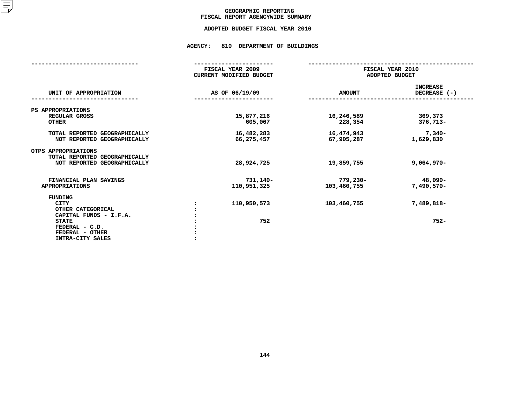## GEOGRAPHIC REPORTING<br>FISCAL REPORT AGENCYWIDE SUMMARY

# **FISCAL REPORT AGENCYWIDE SUMMARY ADOPTED BUDGET FISCAL YEAR <sup>2010</sup>**

#### **AGENCY: <sup>810</sup> DEPARTMENT OF BUILDINGS**

|                                                                                                                                                | FISCAL YEAR 2009<br><b>CURRENT MODIFIED BUDGET</b> | FISCAL YEAR 2010<br>ADOPTED BUDGET |                                 |
|------------------------------------------------------------------------------------------------------------------------------------------------|----------------------------------------------------|------------------------------------|---------------------------------|
| UNIT OF APPROPRIATION                                                                                                                          | AS OF 06/19/09                                     | <b>AMOUNT</b>                      | <b>INCREASE</b><br>DECREASE (-) |
| PS APPROPRIATIONS<br>REGULAR GROSS<br><b>OTHER</b>                                                                                             | 15,877,216<br>605,067                              | 16,246,589<br>228,354              | 369,373<br>376,713-             |
| TOTAL REPORTED GEOGRAPHICALLY<br>NOT REPORTED GEOGRAPHICALLY                                                                                   | 16,482,283<br>66,275,457                           | 16,474,943<br>67,905,287           | $7,340-$<br>1,629,830           |
| OTPS APPROPRIATIONS<br>TOTAL REPORTED GEOGRAPHICALLY<br>NOT REPORTED GEOGRAPHICALLY                                                            | 28,924,725                                         | 19,859,755                         | $9,064,970 -$                   |
| FINANCIAL PLAN SAVINGS<br><b>APPROPRIATIONS</b>                                                                                                | 731,140-<br>110,951,325                            | 779,230-<br>103,460,755            | 48,090-<br>$7,490,570-$         |
| FUNDING<br><b>CITY</b><br>OTHER CATEGORICAL<br>CAPITAL FUNDS - I.F.A.<br><b>STATE</b><br>FEDERAL - C.D.<br>FEDERAL - OTHER<br>INTRA-CITY SALES | 110,950,573<br>752                                 | 103,460,755                        | 7,489,818-<br>$752 -$           |
|                                                                                                                                                |                                                    |                                    |                                 |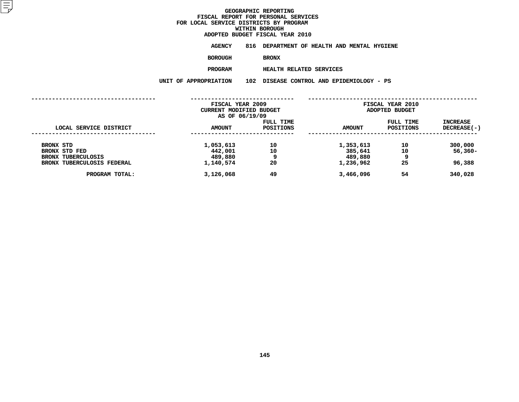**ADOPTED BUDGET FISCAL YEAR <sup>2010</sup>AGENCY <sup>816</sup> DEPARTMENT OF HEALTH AND MENTAL HYGIENE**

**BOROUGH**

BRONX<br>HEALTH RELATED SERVICES **PROGRAM**

 **HEALTH RELATED SERVICES UNIT OF APPROPRIATION <sup>102</sup> DISEASE CONTROL AND EPIDEMIOLOGY - PS**

|                                                         | FISCAL YEAR 2009<br><b>CURRENT MODIFIED BUDGET</b><br>AS OF 06/19/09 |                        |                      | <b>FISCAL YEAR 2010</b><br>ADOPTED BUDGET |                                  |  |
|---------------------------------------------------------|----------------------------------------------------------------------|------------------------|----------------------|-------------------------------------------|----------------------------------|--|
| LOCAL SERVICE DISTRICT                                  | <b>AMOUNT</b>                                                        | FULL TIME<br>POSITIONS | <b>AMOUNT</b>        | FULL TIME<br>POSITIONS                    | <b>INCREASE</b><br>$DECREASE(-)$ |  |
| BRONX STD<br>BRONX STD FED                              | 1,053,613<br>442,001                                                 | 10<br>10               | 1,353,613<br>385,641 | 10<br>10                                  | 300,000<br>$56,360 -$            |  |
| <b>BRONX TUBERCULOSIS</b><br>BRONX TUBERCULOSIS FEDERAL | 489,880<br>1,140,574                                                 | 9<br>20                | 489,880<br>1,236,962 | 9<br>25                                   | 96,388                           |  |
| PROGRAM TOTAL:                                          | 3,126,068                                                            | 49                     | 3,466,096            | 54                                        | 340,028                          |  |
|                                                         |                                                                      |                        |                      |                                           |                                  |  |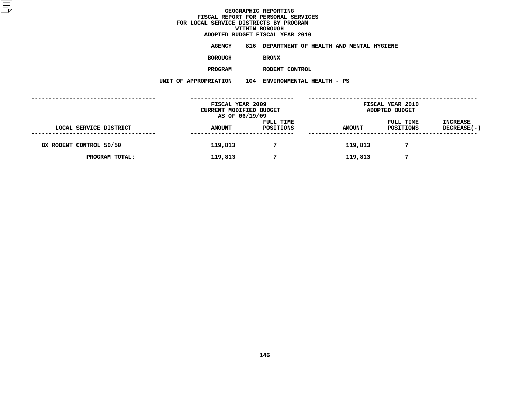**ADOPTED BUDGET FISCAL YEAR <sup>2010</sup>AGENCY <sup>816</sup> DEPARTMENT OF HEALTH AND MENTAL HYGIENE**

**BOROUGH**

 **BRONX PROGRAM**

 **RODENT CONTROL UNIT OF APPROPRIATION <sup>104</sup> ENVIRONMENTAL HEALTH - PS**

|                         | FISCAL YEAR 2009<br>CURRENT MODIFIED BUDGET<br>AS OF 06/19/09 |                        | <b>FISCAL YEAR 2010</b><br>ADOPTED BUDGET |                        |                                |
|-------------------------|---------------------------------------------------------------|------------------------|-------------------------------------------|------------------------|--------------------------------|
| LOCAL SERVICE DISTRICT  | <b>AMOUNT</b>                                                 | FULL TIME<br>POSITIONS | <b>AMOUNT</b>                             | FULL TIME<br>POSITIONS | <b>INCREASE</b><br>DECREASE(-) |
| BX RODENT CONTROL 50/50 | 119,813                                                       |                        | 119,813                                   |                        |                                |
| PROGRAM TOTAL:          | 119,813                                                       | 7                      | 119,813                                   | 7                      |                                |
|                         |                                                               |                        |                                           |                        |                                |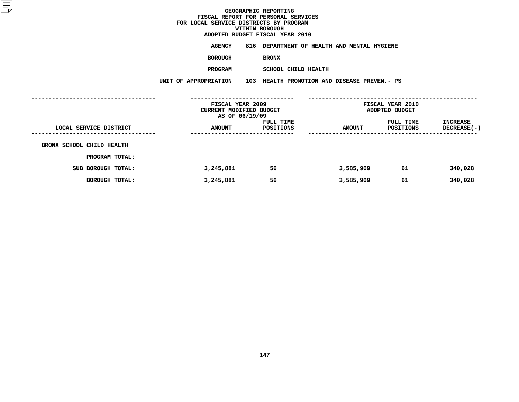**ADOPTED BUDGET FISCAL YEAR <sup>2010</sup>AGENCY <sup>816</sup> DEPARTMENT OF HEALTH AND MENTAL HYGIENE**

**BOROUGH**

 **BRONX PROGRAM**

 **SCHOOL CHILD HEALTH UNIT OF APPROPRIATION <sup>103</sup> HEALTH PROMOTION AND DISEASE PREVEN.- PS**

|                           | FISCAL YEAR 2009<br>CURRENT MODIFIED BUDGET<br>AS OF 06/19/09 |                        | FISCAL YEAR 2010<br>ADOPTED BUDGET |                        |                                       |
|---------------------------|---------------------------------------------------------------|------------------------|------------------------------------|------------------------|---------------------------------------|
| LOCAL SERVICE DISTRICT    | <b>AMOUNT</b><br>-----------------                            | FULL TIME<br>POSITIONS | <b>AMOUNT</b>                      | FULL TIME<br>POSITIONS | <b>INCREASE</b><br><b>DECREASE(-)</b> |
| BRONX SCHOOL CHILD HEALTH |                                                               |                        |                                    |                        |                                       |
| PROGRAM TOTAL:            |                                                               |                        |                                    |                        |                                       |
| SUB BOROUGH TOTAL:        | 3,245,881                                                     | 56                     | 3,585,909                          | 61                     | 340,028                               |
| BOROUGH TOTAL:            | 3,245,881                                                     | 56                     | 3,585,909                          | 61                     | 340,028                               |
|                           |                                                               |                        |                                    |                        |                                       |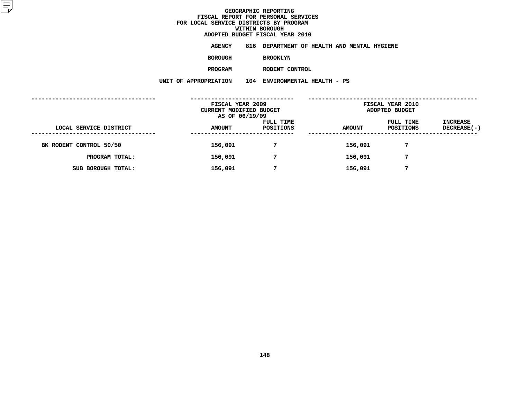**ADOPTED BUDGET FISCAL YEAR <sup>2010</sup>AGENCY <sup>816</sup> DEPARTMENT OF HEALTH AND MENTAL HYGIENE**

**BOROUGH**

 **BROOKLYN PROGRAM**

 **RODENT CONTROL UNIT OF APPROPRIATION <sup>104</sup> ENVIRONMENTAL HEALTH - PS**

|                         | FISCAL YEAR 2009<br>CURRENT MODIFIED BUDGET<br>AS OF 06/19/09 |                        | FISCAL YEAR 2010<br>ADOPTED BUDGET |                        |                         |
|-------------------------|---------------------------------------------------------------|------------------------|------------------------------------|------------------------|-------------------------|
| LOCAL SERVICE DISTRICT  | <b>AMOUNT</b>                                                 | FULL TIME<br>POSITIONS | <b>AMOUNT</b>                      | FULL TIME<br>POSITIONS | INCREASE<br>DECREASE(-) |
| BK RODENT CONTROL 50/50 | 156,091                                                       | 7                      | 156,091                            | 7                      |                         |
| PROGRAM TOTAL:          | 156,091                                                       | 7                      | 156,091                            | 7                      |                         |
| SUB BOROUGH TOTAL:      | 156,091                                                       | 7                      | 156,091                            | 7                      |                         |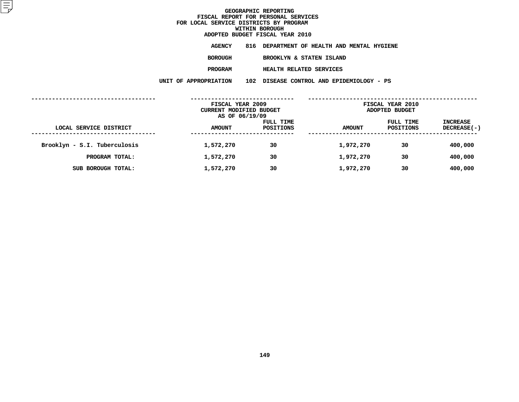|                         | ADOPTED BUDGET FISCAL YEAR 2010             |
|-------------------------|---------------------------------------------|
| AGENCY                  | 816 DEPARTMENT OF HEALTH AND MENTAL HYGIENE |
| <b>BOROUGH</b>          | BROOKLYN & STATEN ISLAND                    |
| <b>PROGRAM</b>          | <b>HEALTH RELATED SERVICES</b>              |
| <b>DF APPROPRIATION</b> | 102 DISEASE CONTROL AND EPIDEMIOLOGY - PS   |

**UNIT OF APPROPRIATION <sup>102</sup> DISEASE CONTROL AND EPIDEMIOLOGY - PS ------------------------------------ ------------------------------ ------------------------------------------------- FISCAL YEAR <sup>2009</sup> FISCAL YEAR <sup>2010</sup> CURRENT MODIFIED** BUDGET **ADOPTED** BUDGET<br> **ADOPTED** BUDGET<br> **ADOPTED** BUDGET<br> **ADOPTED** BUDGET<br> **ADOPTED** BUDGET<br> **ADOPTED** BUDGET **AS OF 06/19/09 FULL TIME FULL TIME INCREASE LOCAL SERVICE DISTRICT AMOUNT POSITIONS AMOUNT POSITIONS DECREASE(-) ------------------------------------ ------------------------------ ------------------------------------------------- Brooklyn - S.I. Tuberculosis 1,572,270 <sup>30</sup> 1,972,270 <sup>30</sup> 400,000 PROGRAM <b>TOTAL: 1,572,270 30 1,972,270 30 30 400,000**<br> **1,572,270 30 1,972,270 30 400,000 SUB BOROUGH TOTAL: 1,572,270 <sup>30</sup> 1,972,270 <sup>30</sup> 400,000**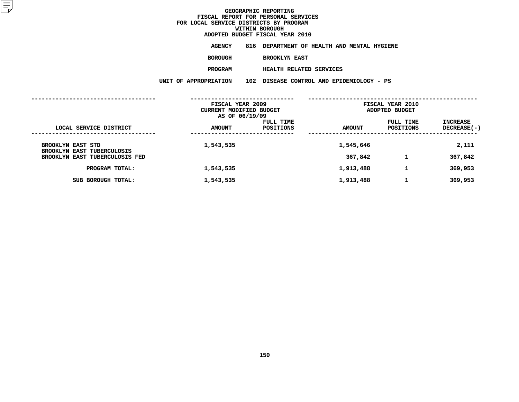**ADOPTED BUDGET FISCAL YEAR <sup>2010</sup>AGENCY <sup>816</sup> DEPARTMENT OF HEALTH AND MENTAL HYGIENE**

**BOROUGH**

 **BROOKLYN EAST PROGRAM**

 **HEALTH RELATED SERVICES UNIT OF APPROPRIATION <sup>102</sup> DISEASE CONTROL AND EPIDEMIOLOGY - PS**

|                                                               | FISCAL YEAR 2009<br><b>CURRENT MODIFIED BUDGET</b><br>AS OF 06/19/09 |                               | <b>FISCAL YEAR 2010</b><br>ADOPTED BUDGET |                        |                           |  |
|---------------------------------------------------------------|----------------------------------------------------------------------|-------------------------------|-------------------------------------------|------------------------|---------------------------|--|
| LOCAL SERVICE DISTRICT                                        | <b>AMOUNT</b>                                                        | <b>FULL TIME</b><br>POSITIONS | <b>AMOUNT</b>                             | FULL TIME<br>POSITIONS | INCREASE<br>$DECREASE(-)$ |  |
| <b>BROOKLYN EAST STD</b><br><b>BROOKLYN EAST TUBERCULOSIS</b> | 1,543,535                                                            |                               | 1,545,646                                 |                        | 2,111                     |  |
| BROOKLYN EAST TUBERCULOSIS FED                                |                                                                      |                               | 367,842                                   | 1                      | 367,842                   |  |
| PROGRAM TOTAL:                                                | 1,543,535                                                            |                               | 1,913,488                                 | 1                      | 369,953                   |  |
| SUB BOROUGH TOTAL:                                            | 1,543,535                                                            |                               | 1,913,488                                 | 1                      | 369,953                   |  |
|                                                               |                                                                      |                               |                                           |                        |                           |  |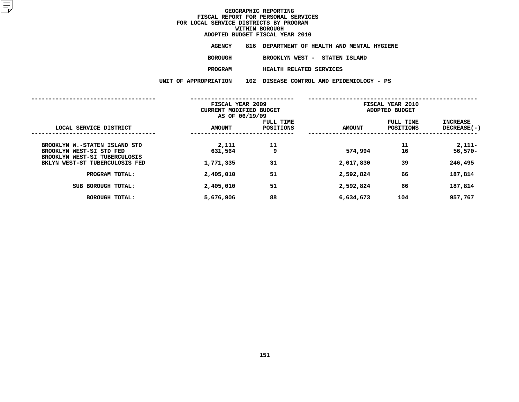| ADOPTED BUDGET FISCAL YEAR 2010 |                                             |
|---------------------------------|---------------------------------------------|
| AGENCY                          | 816 DEPARTMENT OF HEALTH AND MENTAL HYGIENE |
| <b>BOROUGH</b>                  | BROOKLYN WEST - STATEN ISLAND               |
| <b>PROGRAM</b>                  | HEALTH RELATED SERVICES                     |
| <b>PPROPRIATION</b>             | 102 DISEASE CONTROL AND EPIDEMIOLOGY - PS   |

**UNIT OF APPROPRIATION <sup>102</sup> DISEASE CONTROL AND EPIDEMIOLOGY - PS**

|                                                                 | FISCAL YEAR 2009<br>CURRENT MODIFIED BUDGET<br>AS OF 06/19/09 |                               | FISCAL YEAR 2010<br>ADOPTED BUDGET |                        |                         |
|-----------------------------------------------------------------|---------------------------------------------------------------|-------------------------------|------------------------------------|------------------------|-------------------------|
| LOCAL SERVICE DISTRICT                                          | AMOUNT                                                        | FULL TIME<br><b>POSITIONS</b> | <b>AMOUNT</b>                      | FULL TIME<br>POSITIONS | INCREASE<br>DECREASE(-) |
| BROOKLYN W.-STATEN ISLAND STD<br>BROOKLYN WEST-SI STD FED       | 2,111<br>631,564                                              | 11<br>9                       | 574,994                            | 11<br>16               | $2,111-$<br>$56,570-$   |
| BROOKLYN WEST-SI TUBERCULOSIS<br>BKLYN WEST-ST TUBERCULOSIS FED | 1,771,335                                                     | 31                            | 2,017,830                          | 39                     | 246,495                 |
| PROGRAM TOTAL:                                                  | 2,405,010                                                     | 51                            | 2,592,824                          | 66                     | 187,814                 |
| SUB BOROUGH TOTAL:                                              | 2,405,010                                                     | 51                            | 2,592,824                          | 66                     | 187,814                 |
| BOROUGH TOTAL:                                                  | 5,676,906                                                     | 88                            | 6,634,673                          | 104                    | 957,767                 |
|                                                                 |                                                               |                               |                                    |                        |                         |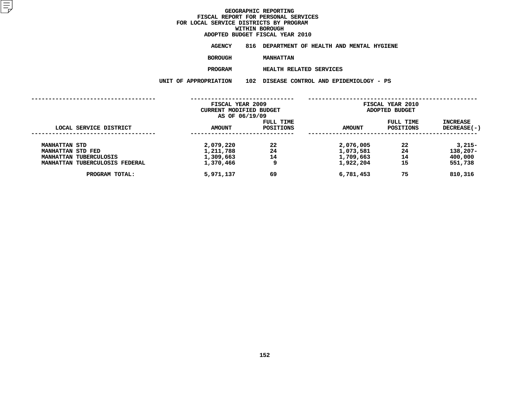# **ADOPTED BUDGET FISCAL YEAR <sup>2010</sup>**

**AGENCY <sup>816</sup> DEPARTMENT OF HEALTH AND MENTAL HYGIENE**

**BOROUGH**

MANHATTAN<br>HEALTH RELATED SERVICES **PROGRAM**

 **HEALTH RELATED SERVICES UNIT OF APPROPRIATION <sup>102</sup> DISEASE CONTROL AND EPIDEMIOLOGY - PS**

|                                           | FISCAL YEAR 2009<br>CURRENT MODIFIED BUDGET<br>AS OF 06/19/09 |                        | FISCAL YEAR 2010<br>ADOPTED BUDGET |                        |                           |
|-------------------------------------------|---------------------------------------------------------------|------------------------|------------------------------------|------------------------|---------------------------|
| LOCAL SERVICE DISTRICT                    | <b>AMOUNT</b>                                                 | FULL TIME<br>POSITIONS | <b>AMOUNT</b>                      | FULL TIME<br>POSITIONS | INCREASE<br>$DECREASE(-)$ |
| <b>MANHATTAN STD</b><br>MANHATTAN STD FED | 2,079,220<br>1,211,788                                        | 22<br>24               | 2,076,005<br>1,073,581             | 22<br>24               | $3,215-$<br>$138,207-$    |
| MANHATTAN TUBERCULOSIS                    | 1,309,663                                                     | 14                     | 1,709,663                          | 14                     | 400,000                   |
| MANHATTAN TUBERCULOSIS FEDERAL            | 1,370,466                                                     | 9                      | 1,922,204                          | 15                     | 551,738                   |
| PROGRAM TOTAL:                            | 5,971,137                                                     | 69                     | 6,781,453                          | 75                     | 810,316                   |
|                                           |                                                               |                        |                                    |                        |                           |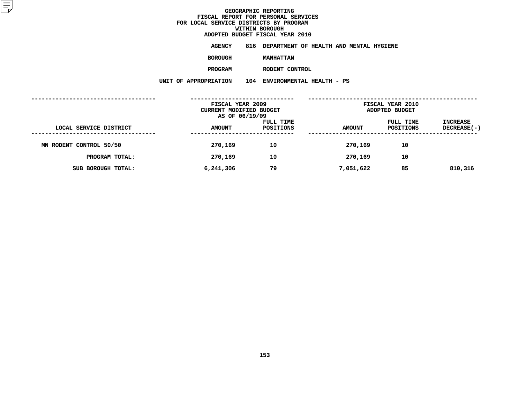**ADOPTED BUDGET FISCAL YEAR <sup>2010</sup>AGENCY <sup>816</sup> DEPARTMENT OF HEALTH AND MENTAL HYGIENE**

**BOROUGH**

 **MANHATTAN PROGRAM**

 **RODENT CONTROL UNIT OF APPROPRIATION <sup>104</sup> ENVIRONMENTAL HEALTH - PS**

|                         | FISCAL YEAR 2009<br><b>CURRENT MODIFIED BUDGET</b><br>AS OF 06/19/09 |                        | FISCAL YEAR 2010<br>ADOPTED BUDGET |                        |                                |
|-------------------------|----------------------------------------------------------------------|------------------------|------------------------------------|------------------------|--------------------------------|
| LOCAL SERVICE DISTRICT  | <b>AMOUNT</b>                                                        | FULL TIME<br>POSITIONS | <b>AMOUNT</b>                      | FULL TIME<br>POSITIONS | <b>INCREASE</b><br>DECREASE(-) |
| MN RODENT CONTROL 50/50 | 270,169                                                              | 10                     | 270,169                            | 10                     |                                |
| PROGRAM TOTAL:          | 270,169                                                              | 10                     | 270,169                            | 10                     |                                |
| SUB BOROUGH TOTAL:      | 6,241,306                                                            | 79                     | 7,051,622                          | 85                     | 810,316                        |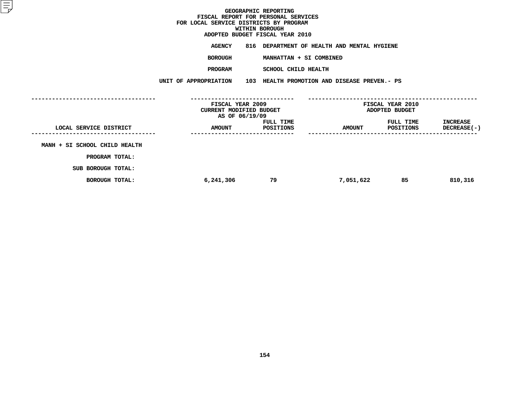|                                   | ADOPTED BUDGET FISCAL YEAR 2010             |
|-----------------------------------|---------------------------------------------|
| <b>AGENCY</b>                     | 816 DEPARTMENT OF HEALTH AND MENTAL HYGIENE |
| <b>BOROUGH</b>                    | MANHATTAN + SI COMBINED                     |
| <b>PROGRAM</b>                    | SCHOOL CHILD HEALTH                         |
| <b>IT OF APPROPRIATION</b><br>103 | HEALTH PROMOTION AND DISEASE PREVEN.- PS    |

|                               | UNIT OF APPROPRIATION |                                                               | 103 HEALTH PROMOTION AND DISEASE PREVEN.- PS |                                    |                                       |
|-------------------------------|-----------------------|---------------------------------------------------------------|----------------------------------------------|------------------------------------|---------------------------------------|
|                               |                       | FISCAL YEAR 2009<br>CURRENT MODIFIED BUDGET<br>AS OF 06/19/09 |                                              | FISCAL YEAR 2010<br>ADOPTED BUDGET |                                       |
| LOCAL SERVICE DISTRICT        | <b>AMOUNT</b>         | FULL TIME<br>POSITIONS                                        | <b>AMOUNT</b>                                | FULL TIME<br>POSITIONS             | <b>INCREASE</b><br><b>DECREASE(-)</b> |
| MANH + SI SCHOOL CHILD HEALTH |                       |                                                               |                                              |                                    |                                       |
| PROGRAM TOTAL:                |                       |                                                               |                                              |                                    |                                       |
| SUB BOROUGH TOTAL:            |                       |                                                               |                                              |                                    |                                       |
| <b>BOROUGH TOTAL:</b>         | 6,241,306             | 79                                                            | 7,051,622                                    | 85                                 | 810,316                               |
|                               |                       |                                                               |                                              |                                    |                                       |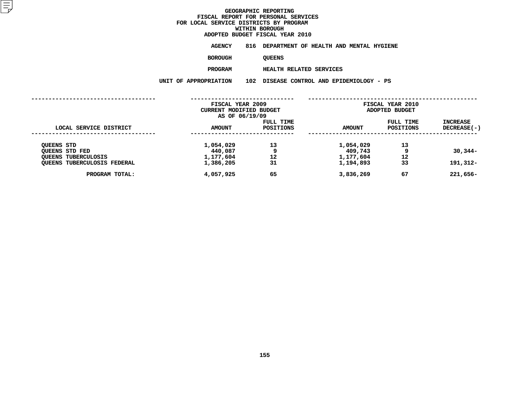# **ADOPTED BUDGET FISCAL YEAR <sup>2010</sup>AGENCY <sup>816</sup> DEPARTMENT OF HEALTH AND MENTAL HYGIENE**

**BOROUGH**

QUEENS<br>HEALTH RELATED SERVICES **PROGRAM**

 **HEALTH RELATED SERVICES UNIT OF APPROPRIATION <sup>102</sup> DISEASE CONTROL AND EPIDEMIOLOGY - PS**

|                                               | FISCAL YEAR 2009<br><b>CURRENT MODIFIED BUDGET</b><br>AS OF 06/19/09 |                               | FISCAL YEAR 2010<br>ADOPTED BUDGET |                        |                                  |
|-----------------------------------------------|----------------------------------------------------------------------|-------------------------------|------------------------------------|------------------------|----------------------------------|
| LOCAL SERVICE DISTRICT                        | <b>AMOUNT</b>                                                        | <b>FULL TIME</b><br>POSITIONS | <b>AMOUNT</b>                      | FULL TIME<br>POSITIONS | <b>INCREASE</b><br>$DECREASE(-)$ |
| <b>QUEENS STD</b><br>OUEENS STD FED           | 1,054,029<br>440,087                                                 | 13<br>9                       | 1,054,029<br>409,743               | 13                     | $30,344-$                        |
| <b>OUEENS TUBERCULOSIS</b>                    | 1,177,604                                                            | 12                            | 1,177,604                          | 12                     |                                  |
| QUEENS TUBERCULOSIS FEDERAL<br>PROGRAM TOTAL: | 1,386,205<br>4,057,925                                               | 31<br>65                      | 1,194,893<br>3,836,269             | 33<br>67               | 191,312-<br>$221,656 -$          |
|                                               |                                                                      |                               |                                    |                        |                                  |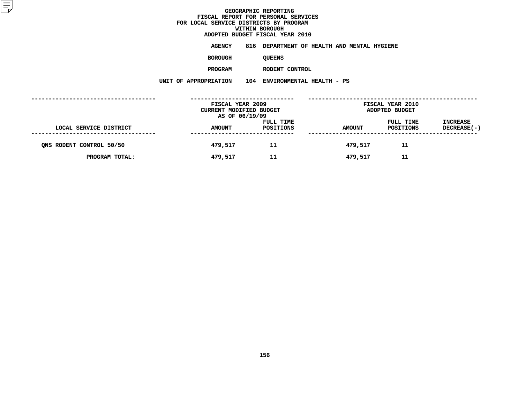**ADOPTED BUDGET FISCAL YEAR <sup>2010</sup>AGENCY <sup>816</sup> DEPARTMENT OF HEALTH AND MENTAL HYGIENE**

**BOROUGH**

QUEENS<br>RODENT CONTROL **PROGRAM**

 **RODENT CONTROL UNIT OF APPROPRIATION <sup>104</sup> ENVIRONMENTAL HEALTH - PS**

|                          | FISCAL YEAR 2009<br>CURRENT MODIFIED BUDGET<br>AS OF 06/19/09 |                        | <b>FISCAL YEAR 2010</b><br>ADOPTED BUDGET |                        |                                |  |
|--------------------------|---------------------------------------------------------------|------------------------|-------------------------------------------|------------------------|--------------------------------|--|
| LOCAL SERVICE DISTRICT   | <b>AMOUNT</b>                                                 | FULL TIME<br>POSITIONS | <b>AMOUNT</b>                             | FULL TIME<br>POSITIONS | <b>INCREASE</b><br>DECREASE(-) |  |
| ONS RODENT CONTROL 50/50 | 479,517                                                       | 11                     | 479,517                                   | 11                     |                                |  |
| PROGRAM TOTAL:           | 479,517                                                       | 11                     | 479,517                                   | 11                     |                                |  |
|                          |                                                               |                        |                                           |                        |                                |  |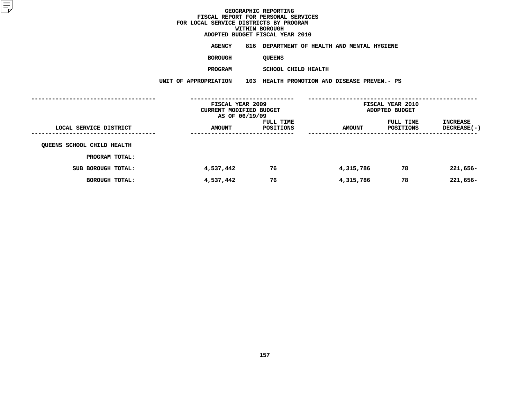**ADOPTED BUDGET FISCAL YEAR <sup>2010</sup>AGENCY <sup>816</sup> DEPARTMENT OF HEALTH AND MENTAL HYGIENE**

**BOROUGH**

QUEENS<br>SCHOOL CHILD HEALTH **PROGRAM**

 **SCHOOL CHILD HEALTH UNIT OF APPROPRIATION <sup>103</sup> HEALTH PROMOTION AND DISEASE PREVEN.- PS**

|                            | FISCAL YEAR 2009<br>CURRENT MODIFIED BUDGET<br>AS OF 06/19/09 |                        | FISCAL YEAR 2010<br>ADOPTED BUDGET |                        |                                |  |
|----------------------------|---------------------------------------------------------------|------------------------|------------------------------------|------------------------|--------------------------------|--|
| LOCAL SERVICE DISTRICT     | <b>AMOUNT</b>                                                 | FULL TIME<br>POSITIONS | <b>AMOUNT</b>                      | FULL TIME<br>POSITIONS | INCREASE<br><b>DECREASE(-)</b> |  |
| QUEENS SCHOOL CHILD HEALTH |                                                               |                        |                                    |                        |                                |  |
| PROGRAM TOTAL:             |                                                               |                        |                                    |                        |                                |  |
| SUB BOROUGH TOTAL:         | 4,537,442                                                     | 76                     | 4,315,786                          | 78                     | $221,656-$                     |  |
| BOROUGH TOTAL:             | 4,537,442                                                     | 76                     | 4,315,786                          | 78                     | $221,656-$                     |  |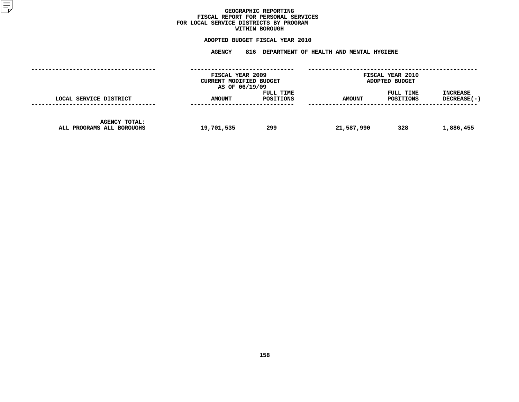## GEOGRAPHIC REPORTING<br>FISCAL REPORT FOR PERSONAL SERVICES<br>OCAL SERVICE DISTRICTS BY PROGRAM<br>WITHIN BOROUGH **FISCAL REPORT FOR PERSONAL SERVICES FOR LOCAL SERVICE DISTRICTS BY PROGRAM**

# **WITHIN BOROUGH**

# **ADOPTED BUDGET FISCAL YEAR <sup>2010</sup> AGENCY <sup>816</sup> DEPARTMENT OF HEALTH AND MENTAL HYGIENE**

| FISCAL YEAR 2009<br>CURRENT MODIFIED BUDGET<br>AS OF 06/19/09 |               |                        | <b>FISCAL YEAR 2010</b><br>ADOPTED BUDGET |                        |                                |
|---------------------------------------------------------------|---------------|------------------------|-------------------------------------------|------------------------|--------------------------------|
| LOCAL SERVICE DISTRICT                                        | <b>AMOUNT</b> | FULL TIME<br>POSITIONS | <b>AMOUNT</b>                             | FULL TIME<br>POSITIONS | <b>INCREASE</b><br>DECREASE(-) |
| <b>AGENCY TOTAL:</b><br>ALL PROGRAMS ALL BOROUGHS             | 19,701,535    | 299                    | 21,587,990                                | 328                    | 1,886,455                      |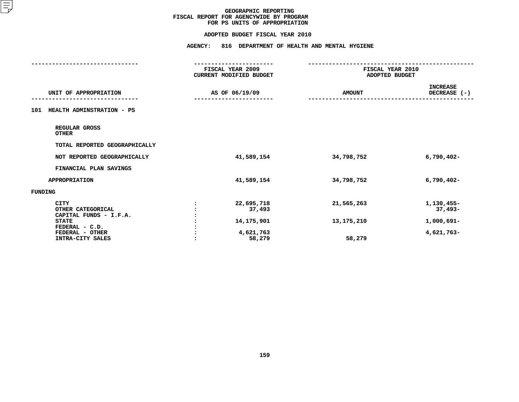#### **ADOPTED BUDGET FISCAL YEAR 2010**

|                                                          | . _ _ _ _ _ _ _ _ _ _ _ _ _ _ _ _ _ _<br>FISCAL YEAR 2009 | FISCAL YEAR 2010 |                                 |
|----------------------------------------------------------|-----------------------------------------------------------|------------------|---------------------------------|
|                                                          | CURRENT MODIFIED BUDGET                                   | ADOPTED BUDGET   |                                 |
| UNIT OF APPROPRIATION                                    | AS OF 06/19/09                                            | <b>AMOUNT</b>    | <b>INCREASE</b><br>DECREASE (-) |
| HEALTH ADMINSTRATION - PS<br>101                         |                                                           |                  |                                 |
| REGULAR GROSS<br><b>OTHER</b>                            |                                                           |                  |                                 |
| TOTAL REPORTED GEOGRAPHICALLY                            |                                                           |                  |                                 |
| NOT REPORTED GEOGRAPHICALLY                              | 41,589,154                                                | 34,798,752       | $6,790,402 -$                   |
| FINANCIAL PLAN SAVINGS                                   |                                                           |                  |                                 |
| <b>APPROPRIATION</b>                                     | 41,589,154                                                | 34,798,752       | $6,790,402 -$                   |
| <b>FUNDING</b>                                           |                                                           |                  |                                 |
| <b>CITY</b><br>OTHER CATEGORICAL                         | 22,695,718<br>37,493                                      | 21,565,263       | 1,130,455-<br>$37,493-$         |
| CAPITAL FUNDS - I.F.A.<br><b>STATE</b><br>FEDERAL - C.D. | 14,175,901                                                | 13,175,210       | 1,000,691-                      |
| FEDERAL - OTHER<br>INTRA-CITY SALES                      | 4,621,763<br>58,279                                       | 58,279           | 4,621,763-                      |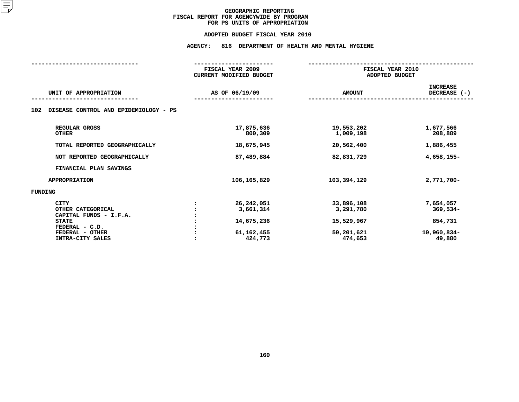#### **ADOPTED BUDGET FISCAL YEAR 2010**

# **ADOPTED BUDGET FISCAL YEAR <sup>2010</sup>AGENCY: <sup>816</sup> DEPARTMENT OF HEALTH AND MENTAL HYGIENE**

|                                              | FISCAL YEAR 2009 |                                | FISCAL YEAR 2010        |                                   |
|----------------------------------------------|------------------|--------------------------------|-------------------------|-----------------------------------|
|                                              |                  | <b>CURRENT MODIFIED BUDGET</b> | ADOPTED BUDGET          |                                   |
| UNIT OF APPROPRIATION                        |                  | AS OF 06/19/09                 | <b>AMOUNT</b>           | <b>INCREASE</b><br>DECREASE $(-)$ |
| DISEASE CONTROL AND EPIDEMIOLOGY - PS<br>102 |                  |                                |                         |                                   |
| REGULAR GROSS<br><b>OTHER</b>                |                  | 17,875,636<br>800,309          | 19,553,202<br>1,009,198 | 1,677,566<br>208,889              |
| TOTAL REPORTED GEOGRAPHICALLY                |                  | 18,675,945                     | 20,562,400              | 1,886,455                         |
| NOT REPORTED GEOGRAPHICALLY                  |                  | 87,489,884                     | 82,831,729              | 4,658,155-                        |
| FINANCIAL PLAN SAVINGS                       |                  |                                |                         |                                   |
| <b>APPROPRIATION</b>                         |                  | 106, 165, 829                  | 103,394,129             | 2,771,700-                        |
| FUNDING                                      |                  |                                |                         |                                   |
| <b>CITY</b>                                  |                  | 26,242,051                     | 33,896,108              | 7,654,057                         |
| OTHER CATEGORICAL                            |                  | 3,661,314                      | 3,291,780               | $369,534-$                        |
| CAPITAL FUNDS - I.F.A.                       |                  |                                |                         |                                   |
| <b>STATE</b>                                 |                  | 14,675,236                     | 15,529,967              | 854,731                           |
| FEDERAL - C.D.                               |                  |                                |                         |                                   |
| FEDERAL - OTHER                              |                  | 61,162,455                     | 50,201,621              | 10,960,834-                       |
| INTRA-CITY SALES                             |                  | 424,773                        | 474,653                 | 49,880                            |
|                                              |                  |                                |                         |                                   |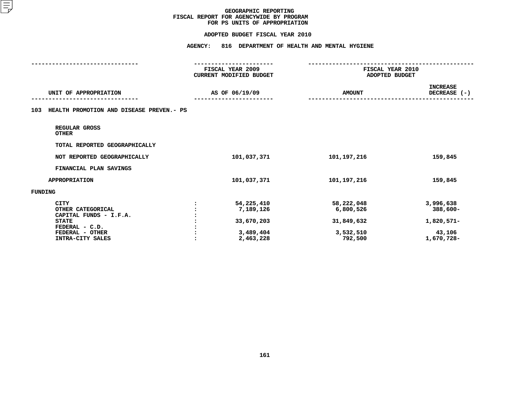#### **ADOPTED BUDGET FISCAL YEAR 2010**

|                                                          | FISCAL YEAR 2009        | FISCAL YEAR 2010        |                                 |
|----------------------------------------------------------|-------------------------|-------------------------|---------------------------------|
|                                                          | CURRENT MODIFIED BUDGET | ADOPTED BUDGET          |                                 |
| UNIT OF APPROPRIATION                                    | AS OF 06/19/09          | <b>AMOUNT</b>           | <b>INCREASE</b><br>DECREASE (-) |
| HEALTH PROMOTION AND DISEASE PREVEN.- PS<br>103          |                         |                         |                                 |
| REGULAR GROSS<br><b>OTHER</b>                            |                         |                         |                                 |
| TOTAL REPORTED GEOGRAPHICALLY                            |                         |                         |                                 |
| NOT REPORTED GEOGRAPHICALLY                              | 101,037,371             | 101, 197, 216           | 159,845                         |
| FINANCIAL PLAN SAVINGS                                   |                         |                         |                                 |
| <b>APPROPRIATION</b>                                     | 101,037,371             | 101,197,216             | 159,845                         |
| <b>FUNDING</b>                                           |                         |                         |                                 |
| <b>CITY</b><br>OTHER CATEGORICAL                         | 54,225,410<br>7,189,126 | 58,222,048<br>6,800,526 | 3,996,638<br>388,600-           |
| CAPITAL FUNDS - I.F.A.<br><b>STATE</b><br>FEDERAL - C.D. | 33,670,203              | 31,849,632              | 1,820,571-                      |
| FEDERAL - OTHER<br>INTRA-CITY SALES                      | 3,489,404<br>2,463,228  | 3,532,510<br>792,500    | 43,106<br>1,670,728-            |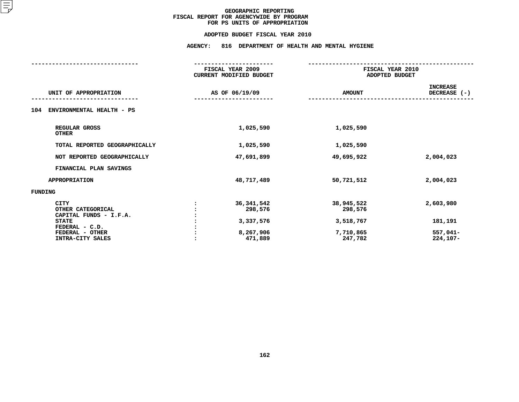#### **ADOPTED BUDGET FISCAL YEAR 2010**

# **ADOPTED BUDGET FISCAL YEAR <sup>2010</sup>AGENCY: <sup>816</sup> DEPARTMENT OF HEALTH AND MENTAL HYGIENE**

|                                                            | FISCAL YEAR 2009<br><b>CURRENT MODIFIED BUDGET</b> | FISCAL YEAR 2010<br>ADOPTED BUDGET |                                 |
|------------------------------------------------------------|----------------------------------------------------|------------------------------------|---------------------------------|
|                                                            |                                                    |                                    |                                 |
| UNIT OF APPROPRIATION                                      | AS OF 06/19/09                                     | <b>AMOUNT</b>                      | <b>INCREASE</b><br>DECREASE (-) |
| ENVIRONMENTAL HEALTH - PS<br>104                           |                                                    |                                    |                                 |
| REGULAR GROSS<br><b>OTHER</b>                              | 1,025,590                                          | 1,025,590                          |                                 |
| TOTAL REPORTED GEOGRAPHICALLY                              | 1,025,590                                          | 1,025,590                          |                                 |
| NOT REPORTED GEOGRAPHICALLY                                | 47,691,899                                         | 49,695,922                         | 2,004,023                       |
| FINANCIAL PLAN SAVINGS                                     |                                                    |                                    |                                 |
| <b>APPROPRIATION</b>                                       | 48,717,489                                         | 50,721,512                         | 2,004,023                       |
| <b>FUNDING</b>                                             |                                                    |                                    |                                 |
| <b>CITY</b><br>OTHER CATEGORICAL<br>CAPITAL FUNDS - I.F.A. | 36, 341, 542<br>298,576                            | 38,945,522<br>298,576              | 2,603,980                       |
| <b>STATE</b><br>FEDERAL - C.D.                             | 3,337,576                                          | 3,518,767                          | 181,191                         |
| FEDERAL - OTHER<br>INTRA-CITY SALES                        | 8,267,906<br>471,889                               | 7,710,865<br>247,782               | 557,041-<br>$224,107-$          |
|                                                            |                                                    |                                    |                                 |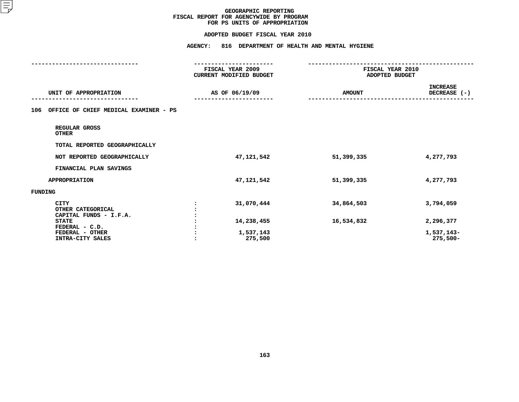#### **ADOPTED BUDGET FISCAL YEAR 2010**

|                                                            | <b>AGENCY:</b><br>816 DEPARTMENT OF HEALTH AND MENTAL HYGIENE    |               |                                    |  |
|------------------------------------------------------------|------------------------------------------------------------------|---------------|------------------------------------|--|
|                                                            | -----------------<br>FISCAL YEAR 2009<br>CURRENT MODIFIED BUDGET |               | FISCAL YEAR 2010<br>ADOPTED BUDGET |  |
| UNIT OF APPROPRIATION                                      | AS OF 06/19/09                                                   | <b>AMOUNT</b> | <b>INCREASE</b><br>DECREASE (-)    |  |
| OFFICE OF CHIEF MEDICAL EXAMINER - PS<br>106               |                                                                  |               |                                    |  |
| REGULAR GROSS<br><b>OTHER</b>                              |                                                                  |               |                                    |  |
| TOTAL REPORTED GEOGRAPHICALLY                              |                                                                  |               |                                    |  |
| NOT REPORTED GEOGRAPHICALLY                                | 47,121,542                                                       | 51,399,335    | 4,277,793                          |  |
| FINANCIAL PLAN SAVINGS                                     |                                                                  |               |                                    |  |
| <b>APPROPRIATION</b>                                       | 47,121,542                                                       | 51,399,335    | 4,277,793                          |  |
| FUNDING                                                    |                                                                  |               |                                    |  |
| <b>CITY</b><br>OTHER CATEGORICAL<br>CAPITAL FUNDS - I.F.A. | 31,070,444                                                       | 34,864,503    | 3,794,059                          |  |
| <b>STATE</b>                                               | 14,238,455                                                       | 16,534,832    | 2,296,377                          |  |
| FEDERAL - C.D.<br>FEDERAL - OTHER<br>INTRA-CITY SALES      | 1,537,143<br>275,500                                             |               | 1,537,143-<br>$275,500 -$          |  |
|                                                            |                                                                  |               |                                    |  |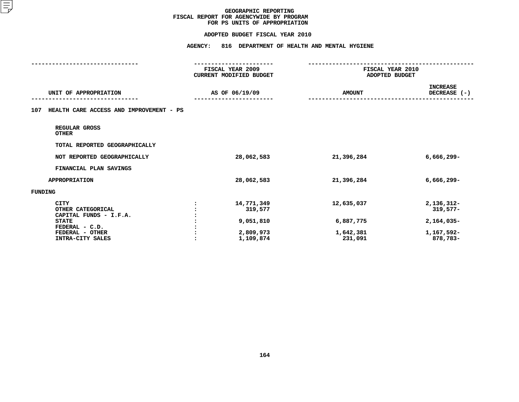#### **ADOPTED BUDGET FISCAL YEAR 2010**

|                                                            | <b>AGENCY:</b><br>816 DEPARTMENT OF HEALTH AND MENTAL HYGIENE<br>--------------- |                                    |                                 |
|------------------------------------------------------------|----------------------------------------------------------------------------------|------------------------------------|---------------------------------|
|                                                            | FISCAL YEAR 2009<br><b>CURRENT MODIFIED BUDGET</b>                               | FISCAL YEAR 2010<br>ADOPTED BUDGET |                                 |
| UNIT OF APPROPRIATION                                      | AS OF 06/19/09                                                                   | <b>AMOUNT</b>                      | <b>INCREASE</b><br>DECREASE (-) |
| HEALTH CARE ACCESS AND IMPROVEMENT - PS<br>107             |                                                                                  |                                    |                                 |
| REGULAR GROSS<br><b>OTHER</b>                              |                                                                                  |                                    |                                 |
| TOTAL REPORTED GEOGRAPHICALLY                              |                                                                                  |                                    |                                 |
| NOT REPORTED GEOGRAPHICALLY                                | 28,062,583                                                                       | 21,396,284                         | $6,666,299-$                    |
| FINANCIAL PLAN SAVINGS                                     |                                                                                  |                                    |                                 |
| <b>APPROPRIATION</b>                                       | 28,062,583                                                                       | 21,396,284                         | $6,666,299-$                    |
| FUNDING                                                    |                                                                                  |                                    |                                 |
| <b>CITY</b><br>OTHER CATEGORICAL<br>CAPITAL FUNDS - I.F.A. | 14,771,349<br>319,577                                                            | 12,635,037                         | 2,136,312-<br>$319,577-$        |
| <b>STATE</b>                                               | 9,051,810                                                                        | 6,887,775                          | 2,164,035-                      |
| FEDERAL - C.D.<br>FEDERAL - OTHER<br>INTRA-CITY SALES      | 2,809,973<br>1,109,874                                                           | 1,642,381<br>231,091               | 1,167,592-<br>878,783-          |
|                                                            |                                                                                  |                                    |                                 |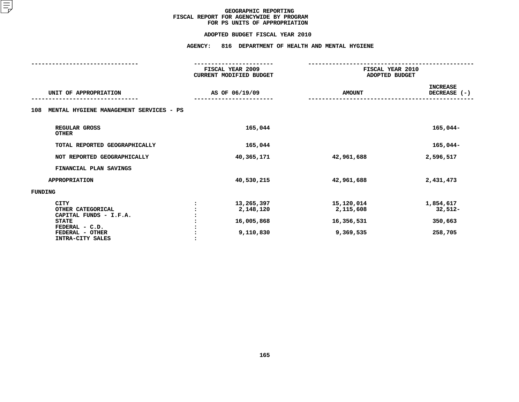#### **ADOPTED BUDGET FISCAL YEAR 2010**

**ADOPTED BUDGET FISCAL YEAR <sup>2010</sup>AGENCY: <sup>816</sup> DEPARTMENT OF HEALTH AND MENTAL HYGIENE**

|                                                                                                                                     | FISCAL YEAR 2009<br><b>CURRENT MODIFIED BUDGET</b> | FISCAL YEAR 2010<br>ADOPTED BUDGET                 |                                              |  |
|-------------------------------------------------------------------------------------------------------------------------------------|----------------------------------------------------|----------------------------------------------------|----------------------------------------------|--|
| UNIT OF APPROPRIATION                                                                                                               | AS OF 06/19/09                                     | <b>AMOUNT</b>                                      | <b>INCREASE</b><br>DECREASE (-)              |  |
| MENTAL HYGIENE MANAGEMENT SERVICES - PS<br>108                                                                                      |                                                    |                                                    |                                              |  |
| REGULAR GROSS<br><b>OTHER</b>                                                                                                       | 165,044                                            |                                                    | $165,044-$                                   |  |
| TOTAL REPORTED GEOGRAPHICALLY                                                                                                       | 165,044                                            |                                                    | $165,044-$                                   |  |
| NOT REPORTED GEOGRAPHICALLY                                                                                                         | 40,365,171                                         | 42,961,688                                         | 2,596,517                                    |  |
| FINANCIAL PLAN SAVINGS                                                                                                              |                                                    |                                                    |                                              |  |
| <b>APPROPRIATION</b>                                                                                                                | 40,530,215                                         | 42,961,688                                         | 2,431,473                                    |  |
| <b>FUNDING</b>                                                                                                                      |                                                    |                                                    |                                              |  |
| <b>CITY</b><br>OTHER CATEGORICAL<br>CAPITAL FUNDS - I.F.A.<br><b>STATE</b><br>FEDERAL - C.D.<br>FEDERAL - OTHER<br>INTRA-CITY SALES | 13,265,397<br>2,148,120<br>16,005,868<br>9,110,830 | 15,120,014<br>2,115,608<br>16,356,531<br>9,369,535 | 1,854,617<br>$32,512-$<br>350,663<br>258,705 |  |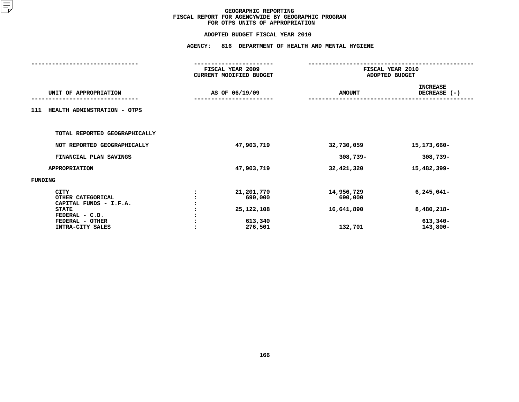|                                                                                                                                     | <b>AGENCY:</b> | 816 DEPARTMENT OF HEALTH AND MENTAL HYGIENE               |                                                |                                                      |  |  |
|-------------------------------------------------------------------------------------------------------------------------------------|----------------|-----------------------------------------------------------|------------------------------------------------|------------------------------------------------------|--|--|
|                                                                                                                                     |                | FISCAL YEAR 2009<br>CURRENT MODIFIED BUDGET               |                                                | FISCAL YEAR 2010<br>ADOPTED BUDGET                   |  |  |
| UNIT OF APPROPRIATION                                                                                                               |                | AS OF 06/19/09                                            | <b>AMOUNT</b>                                  | <b>INCREASE</b><br>DECREASE (-)                      |  |  |
| HEALTH ADMINSTRATION - OTPS<br>111                                                                                                  |                |                                                           |                                                |                                                      |  |  |
| TOTAL REPORTED GEOGRAPHICALLY                                                                                                       |                |                                                           |                                                |                                                      |  |  |
| NOT REPORTED GEOGRAPHICALLY                                                                                                         |                | 47,903,719                                                | 32,730,059                                     | 15,173,660-                                          |  |  |
| FINANCIAL PLAN SAVINGS                                                                                                              |                |                                                           | $308,739 -$                                    | $308,739-$                                           |  |  |
| <b>APPROPRIATION</b>                                                                                                                |                | 47,903,719                                                | 32,421,320                                     | 15,482,399-                                          |  |  |
| <b>FUNDING</b>                                                                                                                      |                |                                                           |                                                |                                                      |  |  |
| <b>CITY</b><br>OTHER CATEGORICAL<br>CAPITAL FUNDS - I.F.A.<br><b>STATE</b><br>FEDERAL - C.D.<br>FEDERAL - OTHER<br>INTRA-CITY SALES |                | 21,201,770<br>690,000<br>25,122,108<br>613,340<br>276,501 | 14,956,729<br>690,000<br>16,641,890<br>132,701 | $6,245,041-$<br>$8,480,218-$<br>613,340-<br>143,800- |  |  |
|                                                                                                                                     |                |                                                           |                                                |                                                      |  |  |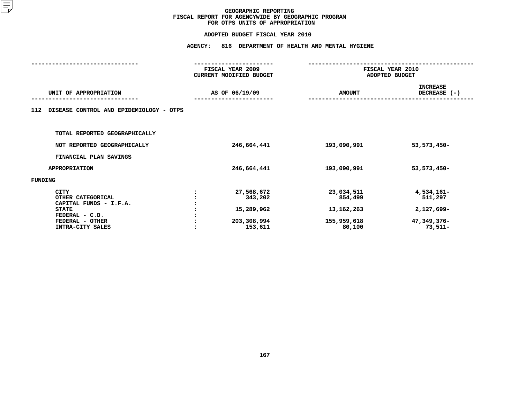|                                                    |                    | 816 DEPARTMENT OF HEALTH AND MENTAL HYGIENE                                             |                                                                   |  |
|----------------------------------------------------|--------------------|-----------------------------------------------------------------------------------------|-------------------------------------------------------------------|--|
| FISCAL YEAR 2009<br><b>CURRENT MODIFIED BUDGET</b> |                    | FISCAL YEAR 2010<br>ADOPTED BUDGET                                                      |                                                                   |  |
|                                                    |                    | <b>AMOUNT</b>                                                                           | <b>INCREASE</b><br>DECREASE (-)                                   |  |
|                                                    |                    |                                                                                         |                                                                   |  |
|                                                    |                    |                                                                                         |                                                                   |  |
|                                                    |                    | 193,090,991                                                                             | 53, 573, 450-                                                     |  |
|                                                    |                    |                                                                                         |                                                                   |  |
|                                                    |                    | 193,090,991                                                                             | 53, 573, 450-                                                     |  |
|                                                    |                    |                                                                                         |                                                                   |  |
|                                                    | 343,202<br>153,611 | 23,034,511<br>854,499<br>13, 162, 263<br>155,959,618<br>80,100                          | 4,534,161-<br>511,297<br>$2,127,699-$<br>47,349,376-<br>$73,511-$ |  |
|                                                    |                    | AS OF 06/19/09<br>246,664,441<br>246,664,441<br>27,568,672<br>15,289,962<br>203,308,994 |                                                                   |  |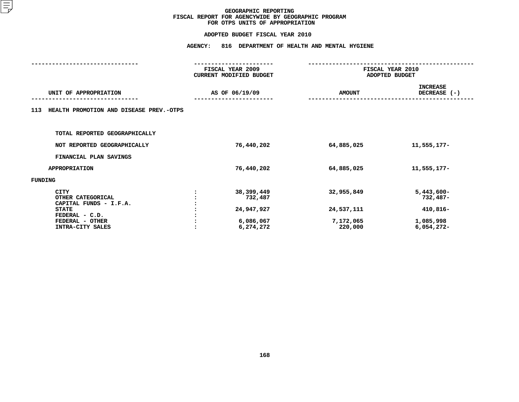|                                                                                              | <b>AGENCY:</b> |                                             | 816 DEPARTMENT OF HEALTH AND MENTAL HYGIENE |                                         |  |  |
|----------------------------------------------------------------------------------------------|----------------|---------------------------------------------|---------------------------------------------|-----------------------------------------|--|--|
|                                                                                              |                | FISCAL YEAR 2009<br>CURRENT MODIFIED BUDGET |                                             | FISCAL YEAR 2010<br>ADOPTED BUDGET      |  |  |
| UNIT OF APPROPRIATION                                                                        |                | AS OF 06/19/09                              | <b>AMOUNT</b>                               | <b>INCREASE</b><br>DECREASE (-)         |  |  |
| HEALTH PROMOTION AND DISEASE PREV.-OTPS<br>113                                               |                |                                             |                                             |                                         |  |  |
| TOTAL REPORTED GEOGRAPHICALLY                                                                |                |                                             |                                             |                                         |  |  |
| NOT REPORTED GEOGRAPHICALLY                                                                  |                | 76,440,202                                  | 64,885,025                                  | 11,555,177-                             |  |  |
| FINANCIAL PLAN SAVINGS                                                                       |                |                                             |                                             |                                         |  |  |
| <b>APPROPRIATION</b>                                                                         |                | 76,440,202                                  | 64,885,025                                  | 11,555,177-                             |  |  |
| FUNDING                                                                                      |                |                                             |                                             |                                         |  |  |
| <b>CITY</b><br>OTHER CATEGORICAL<br>CAPITAL FUNDS - I.F.A.<br><b>STATE</b><br>FEDERAL - C.D. |                | 38, 399, 449<br>732,487<br>24,947,927       | 32,955,849<br>24,537,111                    | $5,443,600 -$<br>$732,487-$<br>410,816- |  |  |
| FEDERAL - OTHER<br>INTRA-CITY SALES                                                          |                | 6,086,067<br>6,274,272                      | 7,172,065<br>220,000                        | 1,085,998<br>$6,054,272-$               |  |  |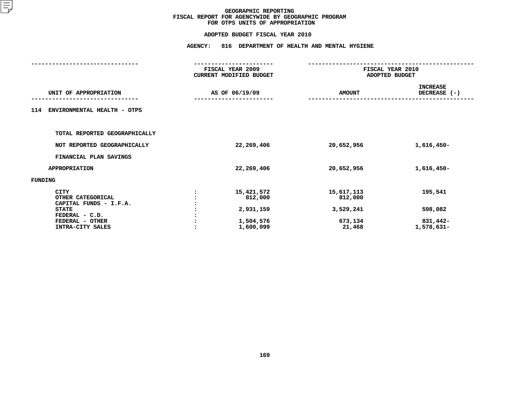|                        |                                                                            | FISCAL YEAR 2010<br>ADOPTED BUDGET |  |  |
|------------------------|----------------------------------------------------------------------------|------------------------------------|--|--|
|                        | <b>AMOUNT</b>                                                              | <b>INCREASE</b><br>DECREASE (-)    |  |  |
|                        |                                                                            |                                    |  |  |
|                        |                                                                            |                                    |  |  |
| 22,269,406             | 20,652,956                                                                 | $1,616,450-$                       |  |  |
|                        |                                                                            |                                    |  |  |
| 22,269,406             | 20,652,956                                                                 | 1,616,450-                         |  |  |
|                        |                                                                            |                                    |  |  |
| 15,421,572<br>812,000  | 15,617,113<br>812,000                                                      | 195,541                            |  |  |
| 1,504,576<br>1,600,099 | 673,134<br>21,468                                                          | 598,082<br>831,442-<br>1,578,631-  |  |  |
|                        | FISCAL YEAR 2009<br>CURRENT MODIFIED BUDGET<br>AS OF 06/19/09<br>2,931,159 | 3,529,241                          |  |  |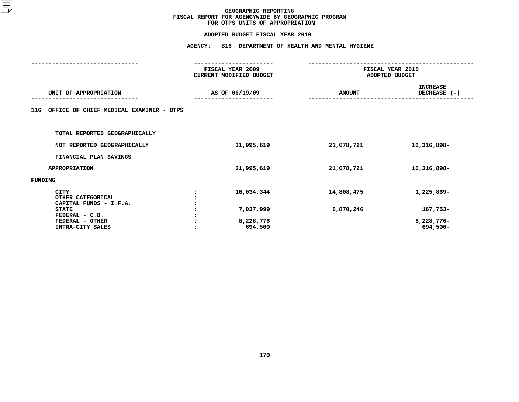|                                                            | <b>AGENCY:</b> | 816 DEPARTMENT OF HEALTH AND MENTAL HYGIENE |                |                                 |  |  |
|------------------------------------------------------------|----------------|---------------------------------------------|----------------|---------------------------------|--|--|
|                                                            |                | FISCAL YEAR 2009<br>CURRENT MODIFIED BUDGET | ADOPTED BUDGET | FISCAL YEAR 2010                |  |  |
|                                                            |                |                                             |                |                                 |  |  |
| UNIT OF APPROPRIATION                                      |                | AS OF 06/19/09                              | <b>AMOUNT</b>  | <b>INCREASE</b><br>DECREASE (-) |  |  |
| OFFICE OF CHIEF MEDICAL EXAMINER - OTPS<br>116             |                |                                             |                |                                 |  |  |
| TOTAL REPORTED GEOGRAPHICALLY                              |                |                                             |                |                                 |  |  |
| NOT REPORTED GEOGRAPHICALLY                                |                | 31,995,619                                  | 21,678,721     | 10,316,898-                     |  |  |
| FINANCIAL PLAN SAVINGS                                     |                |                                             |                |                                 |  |  |
| <b>APPROPRIATION</b>                                       |                | 31,995,619                                  | 21,678,721     | 10,316,898-                     |  |  |
| FUNDING                                                    |                |                                             |                |                                 |  |  |
| <b>CITY</b><br>OTHER CATEGORICAL<br>CAPITAL FUNDS - I.F.A. |                | 16,034,344                                  | 14,808,475     | 1,225,869-                      |  |  |
| <b>STATE</b><br>FEDERAL - C.D.                             |                | 7,037,999                                   | 6,870,246      | 167,753-                        |  |  |
| FEDERAL - OTHER<br>INTRA-CITY SALES                        |                | 8,228,776<br>694,500                        |                | 8,228,776-<br>694,500-          |  |  |
|                                                            |                |                                             |                |                                 |  |  |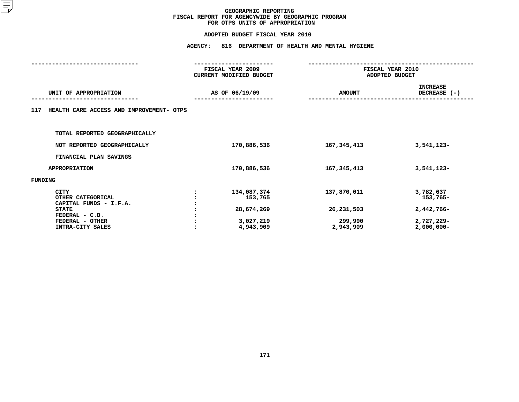| <b>AGENCY:</b><br>816 DEPARTMENT OF HEALTH AND MENTAL HYGIENE |                                                                |                                                   |                                                                    |  |  |
|---------------------------------------------------------------|----------------------------------------------------------------|---------------------------------------------------|--------------------------------------------------------------------|--|--|
| FISCAL YEAR 2009<br>CURRENT MODIFIED BUDGET                   |                                                                | FISCAL YEAR 2010<br>ADOPTED BUDGET                |                                                                    |  |  |
|                                                               |                                                                | <b>AMOUNT</b>                                     | <b>INCREASE</b><br>DECREASE (-)                                    |  |  |
|                                                               |                                                                |                                                   |                                                                    |  |  |
|                                                               |                                                                |                                                   |                                                                    |  |  |
|                                                               | 170,886,536                                                    | 167,345,413                                       | 3,541,123-                                                         |  |  |
|                                                               |                                                                |                                                   |                                                                    |  |  |
|                                                               | 170,886,536                                                    | 167, 345, 413                                     | 3,541,123-                                                         |  |  |
|                                                               |                                                                |                                                   |                                                                    |  |  |
|                                                               | 134,087,374<br>153,765<br>28,674,269<br>3,027,219<br>4,943,909 | 137,870,011<br>26,231,503<br>299,990<br>2,943,909 | 3,782,637<br>153,765-<br>2,442,766-<br>2,727,229-<br>$2,000,000 -$ |  |  |
|                                                               | HEALTH CARE ACCESS AND IMPROVEMENT- OTPS                       | AS OF 06/19/09                                    |                                                                    |  |  |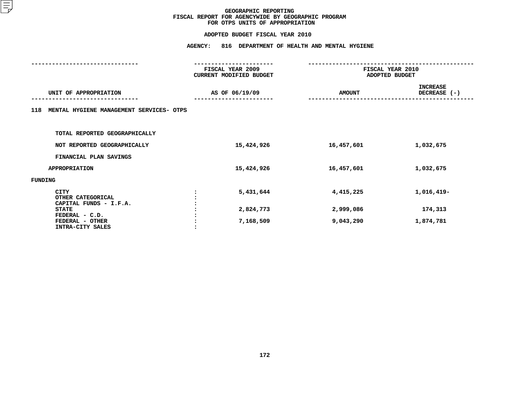|                                                            | <b>AGENCY:</b> | 816 DEPARTMENT OF HEALTH AND MENTAL HYGIENE |               |                                    |  |
|------------------------------------------------------------|----------------|---------------------------------------------|---------------|------------------------------------|--|
|                                                            |                | FISCAL YEAR 2009<br>CURRENT MODIFIED BUDGET |               | FISCAL YEAR 2010<br>ADOPTED BUDGET |  |
| UNIT OF APPROPRIATION                                      |                | AS OF 06/19/09                              | <b>AMOUNT</b> | <b>INCREASE</b><br>DECREASE (-)    |  |
| MENTAL HYGIENE MANAGEMENT SERVICES- OTPS<br>118            |                |                                             |               |                                    |  |
| TOTAL REPORTED GEOGRAPHICALLY                              |                |                                             |               |                                    |  |
| NOT REPORTED GEOGRAPHICALLY                                |                | 15,424,926                                  | 16,457,601    | 1,032,675                          |  |
| FINANCIAL PLAN SAVINGS                                     |                |                                             |               |                                    |  |
| <b>APPROPRIATION</b>                                       |                | 15,424,926                                  | 16,457,601    | 1,032,675                          |  |
| FUNDING                                                    |                |                                             |               |                                    |  |
| <b>CITY</b><br>OTHER CATEGORICAL<br>CAPITAL FUNDS - I.F.A. |                | 5,431,644                                   | 4,415,225     | 1,016,419-                         |  |
| <b>STATE</b>                                               |                | 2,824,773                                   | 2,999,086     | 174,313                            |  |
| FEDERAL - C.D.<br>FEDERAL - OTHER<br>INTRA-CITY SALES      |                | 7,168,509                                   | 9,043,290     | 1,874,781                          |  |
|                                                            |                |                                             |               |                                    |  |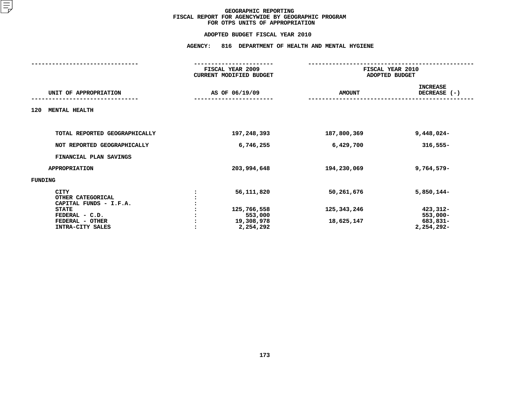#### **FOR OTPS UNITS OF APPROPRIATION**

# **ADOPTED BUDGET FISCAL YEAR <sup>2010</sup>AGENCY: <sup>816</sup> DEPARTMENT OF HEALTH AND MENTAL HYGIENE**

|                                                     | FISCAL YEAR 2009<br>CURRENT MODIFIED BUDGET |               | FISCAL YEAR 2010<br>ADOPTED BUDGET |  |  |
|-----------------------------------------------------|---------------------------------------------|---------------|------------------------------------|--|--|
| UNIT OF APPROPRIATION                               | AS OF 06/19/09                              | <b>AMOUNT</b> | <b>INCREASE</b><br>DECREASE (-)    |  |  |
| <b>MENTAL HEALTH</b><br>120                         |                                             |               |                                    |  |  |
| TOTAL REPORTED GEOGRAPHICALLY                       |                                             |               |                                    |  |  |
|                                                     | 197,248,393                                 | 187,800,369   | $9,448,024-$                       |  |  |
| NOT REPORTED GEOGRAPHICALLY                         | 6,746,255                                   | 6,429,700     | $316,555 -$                        |  |  |
| FINANCIAL PLAN SAVINGS                              |                                             |               |                                    |  |  |
| <b>APPROPRIATION</b>                                | 203,994,648                                 | 194,230,069   | $9,764,579-$                       |  |  |
| FUNDING                                             |                                             |               |                                    |  |  |
| CITY<br>OTHER CATEGORICAL<br>CAPITAL FUNDS - I.F.A. | 56,111,820                                  | 50,261,676    | $5,850,144-$                       |  |  |
| <b>STATE</b>                                        | 125,766,558                                 | 125,343,246   | 423,312-                           |  |  |
| FEDERAL - C.D.                                      | 553,000                                     |               | $553,000-$                         |  |  |
| FEDERAL - OTHER<br>INTRA-CITY SALES                 | 19,308,978<br>2,254,292                     | 18,625,147    | 683,831-<br>2,254,292-             |  |  |
|                                                     |                                             |               |                                    |  |  |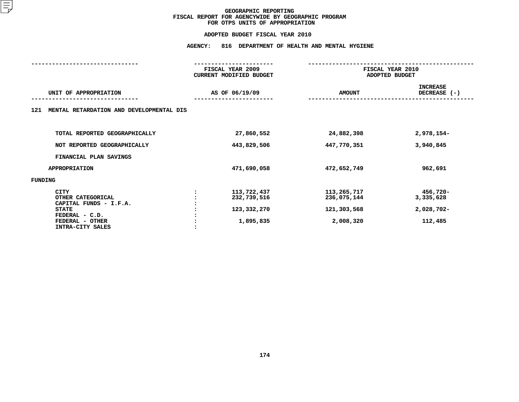# **ADOPTED BUDGET FISCAL YEAR <sup>2010</sup>AGENCY: <sup>816</sup> DEPARTMENT OF HEALTH AND MENTAL HYGIENE**

|                                                                                                                                     | FISCAL YEAR 2009<br>CURRENT MODIFIED BUDGET            | FISCAL YEAR 2010<br>ADOPTED BUDGET                     |                                                  |  |
|-------------------------------------------------------------------------------------------------------------------------------------|--------------------------------------------------------|--------------------------------------------------------|--------------------------------------------------|--|
| UNIT OF APPROPRIATION                                                                                                               | AS OF 06/19/09                                         | <b>AMOUNT</b>                                          | <b>INCREASE</b><br>DECREASE (-)                  |  |
| MENTAL RETARDATION AND DEVELOPMENTAL DIS<br>121                                                                                     |                                                        |                                                        |                                                  |  |
| TOTAL REPORTED GEOGRAPHICALLY                                                                                                       | 27,860,552                                             | 24,882,398                                             | 2,978,154-                                       |  |
| NOT REPORTED GEOGRAPHICALLY                                                                                                         | 443,829,506                                            | 447,770,351                                            | 3,940,845                                        |  |
| FINANCIAL PLAN SAVINGS                                                                                                              |                                                        |                                                        |                                                  |  |
| <b>APPROPRIATION</b>                                                                                                                | 471,690,058                                            | 472,652,749                                            | 962,691                                          |  |
| FUNDING                                                                                                                             |                                                        |                                                        |                                                  |  |
| <b>CITY</b><br>OTHER CATEGORICAL<br>CAPITAL FUNDS - I.F.A.<br><b>STATE</b><br>FEDERAL - C.D.<br>FEDERAL - OTHER<br>INTRA-CITY SALES | 113,722,437<br>232,739,516<br>123,332,270<br>1,895,835 | 113,265,717<br>236,075,144<br>121,303,568<br>2,008,320 | 456,720-<br>3,335,628<br>$2,028,702-$<br>112,485 |  |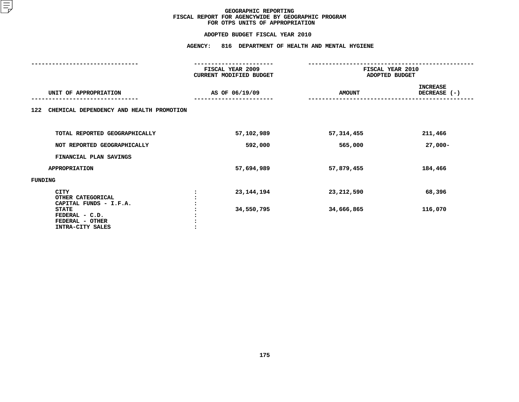|                                                                       | 816 DEPARTMENT OF HEALTH AND MENTAL HYGIENE |                                    |                                 |
|-----------------------------------------------------------------------|---------------------------------------------|------------------------------------|---------------------------------|
|                                                                       | FISCAL YEAR 2009<br>CURRENT MODIFIED BUDGET | FISCAL YEAR 2010<br>ADOPTED BUDGET |                                 |
| UNIT OF APPROPRIATION                                                 | AS OF 06/19/09                              | <b>AMOUNT</b>                      | <b>INCREASE</b><br>DECREASE (-) |
| CHEMICAL DEPENDENCY AND HEALTH PROMOTION<br>122                       |                                             |                                    |                                 |
| TOTAL REPORTED GEOGRAPHICALLY                                         | 57,102,989                                  | 57,314,455                         | 211,466                         |
| NOT REPORTED GEOGRAPHICALLY                                           | 592,000                                     | 565,000                            | $27,000-$                       |
| FINANCIAL PLAN SAVINGS                                                |                                             |                                    |                                 |
| <b>APPROPRIATION</b>                                                  | 57,694,989                                  | 57,879,455                         | 184,466                         |
| FUNDING                                                               |                                             |                                    |                                 |
| <b>CITY</b><br>OTHER CATEGORICAL<br>CAPITAL FUNDS - I.F.A.            | 23, 144, 194                                | 23,212,590                         | 68,396                          |
| <b>STATE</b><br>FEDERAL - C.D.<br>FEDERAL - OTHER<br>INTRA-CITY SALES | 34,550,795                                  | 34,666,865                         | 116,070                         |
|                                                                       |                                             |                                    |                                 |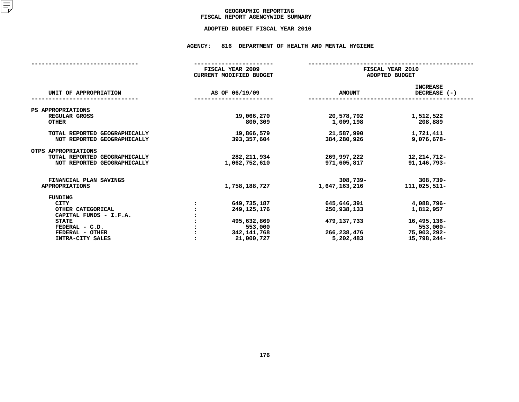## GEOGRAPHIC REPORTING<br>FISCAL REPORT AGENCYWIDE SUMMARY

# **FISCAL REPORT AGENCYWIDE SUMMARY ADOPTED BUDGET FISCAL YEAR <sup>2010</sup>**

#### **AGENCY: <sup>816</sup> DEPARTMENT OF HEALTH AND MENTAL HYGIENE**

|                                                                                     |  | FISCAL YEAR 2009<br>CURRENT MODIFIED BUDGET | FISCAL YEAR 2010<br>ADOPTED BUDGET |                                 |
|-------------------------------------------------------------------------------------|--|---------------------------------------------|------------------------------------|---------------------------------|
| UNIT OF APPROPRIATION                                                               |  | AS OF 06/19/09                              | <b>AMOUNT</b>                      | <b>INCREASE</b><br>DECREASE (-) |
| PS APPROPRIATIONS                                                                   |  |                                             |                                    |                                 |
| REGULAR GROSS<br><b>OTHER</b>                                                       |  | 19,066,270<br>800,309                       | 20,578,792<br>1,009,198            | 1,512,522<br>208,889            |
| TOTAL REPORTED GEOGRAPHICALLY<br>NOT REPORTED GEOGRAPHICALLY                        |  | 19,866,579<br>393, 357, 604                 | 21,587,990<br>384,280,926          | 1,721,411<br>9,076,678-         |
| OTPS APPROPRIATIONS<br>TOTAL REPORTED GEOGRAPHICALLY<br>NOT REPORTED GEOGRAPHICALLY |  | 282, 211, 934<br>1,062,752,610              | 269,997,222<br>971,605,817         | 12, 214, 712-<br>91, 146, 793-  |
| FINANCIAL PLAN SAVINGS<br><b>APPROPRIATIONS</b>                                     |  | 1,758,188,727                               | $308,739 -$<br>1,647,163,216       | $308,739 -$<br>111,025,511-     |
| FUNDING                                                                             |  |                                             |                                    |                                 |
| <b>CITY</b>                                                                         |  | 649,735,187                                 | 645,646,391                        | 4,088,796-                      |
| OTHER CATEGORICAL                                                                   |  | 249, 125, 176                               | 250,938,133                        | 1,812,957                       |
| CAPITAL FUNDS - I.F.A.                                                              |  |                                             |                                    |                                 |
| <b>STATE</b>                                                                        |  | 495,632,869                                 | 479,137,733                        | 16,495,136-                     |
| FEDERAL - C.D.                                                                      |  | 553,000                                     |                                    | $553,000 -$                     |
| FEDERAL - OTHER                                                                     |  | 342,141,768                                 | 266,238,476                        | 75,903,292-                     |
| <b>INTRA-CITY SALES</b>                                                             |  | 21,000,727                                  | 5,202,483                          | 15,798,244-                     |
|                                                                                     |  |                                             |                                    |                                 |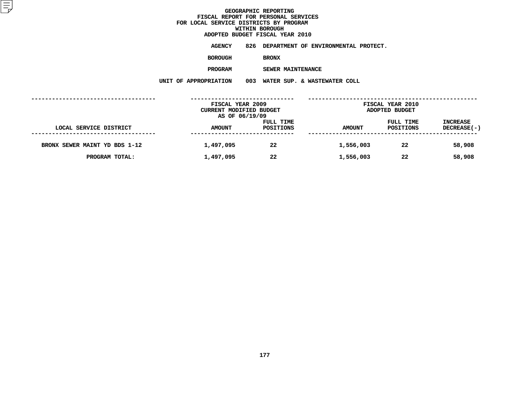**ADOPTED BUDGET FISCAL YEAR <sup>2010</sup>AGENCY <sup>826</sup> DEPARTMENT OF ENVIRONMENTAL PROTECT.**

**BOROUGH**

 **BRONX PROGRAM**

 **SEWER MAINTENANCE UNIT OF APPROPRIATION <sup>003</sup> WATER SUP. & WASTEWATER COLL**

|                               | FISCAL YEAR 2009        |           |               | <b>FISCAL YEAR 2010</b> |                 |
|-------------------------------|-------------------------|-----------|---------------|-------------------------|-----------------|
|                               | CURRENT MODIFIED BUDGET |           |               | ADOPTED BUDGET          |                 |
|                               | AS OF 06/19/09          |           |               |                         |                 |
|                               |                         | FULL TIME |               | FULL TIME               | <b>INCREASE</b> |
| LOCAL SERVICE DISTRICT        | <b>AMOUNT</b>           | POSITIONS | <b>AMOUNT</b> | POSITIONS               | DECREASE(-)     |
|                               |                         |           |               |                         |                 |
| BRONX SEWER MAINT YD BDS 1-12 | 1,497,095               | 22        | 1,556,003     | 22                      | 58,908          |
|                               |                         |           |               |                         |                 |
| PROGRAM TOTAL:                | 1,497,095               | 22        | 1,556,003     | 22                      | 58,908          |
|                               |                         |           |               |                         |                 |
|                               |                         |           |               |                         |                 |
|                               |                         |           |               |                         |                 |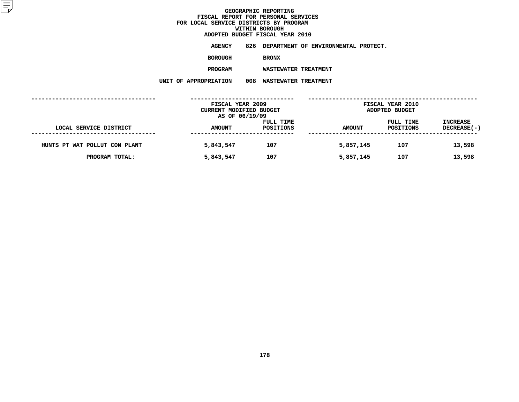**ADOPTED BUDGET FISCAL YEAR <sup>2010</sup>AGENCY <sup>826</sup> DEPARTMENT OF ENVIRONMENTAL PROTECT.**

**BOROUGH**

BRONX<br>WASTEWATER TREATMENT **PROGRAM**

 **WASTEWATER TREATMENT UNIT OF APPROPRIATION <sup>008</sup> WASTEWATER TREATMENT**

|                               | FISCAL YEAR 2009<br>CURRENT MODIFIED BUDGET |                        |               | <b>FISCAL YEAR 2010</b><br>ADOPTED BUDGET |                                |
|-------------------------------|---------------------------------------------|------------------------|---------------|-------------------------------------------|--------------------------------|
| LOCAL SERVICE DISTRICT        | AS OF 06/19/09<br><b>AMOUNT</b>             | FULL TIME<br>POSITIONS | <b>AMOUNT</b> | FULL TIME<br>POSITIONS                    | <b>INCREASE</b><br>DECREASE(-) |
| HUNTS PT WAT POLLUT CON PLANT | 5,843,547                                   | 107                    | 5,857,145     | 107                                       | 13,598                         |
| PROGRAM TOTAL:                | 5,843,547                                   | 107                    | 5,857,145     | 107                                       | 13,598                         |
|                               |                                             |                        |               |                                           |                                |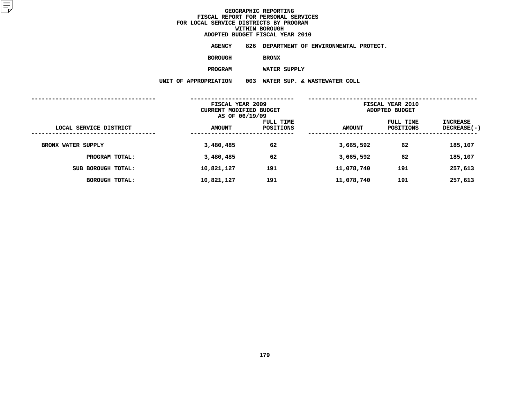**ADOPTED BUDGET FISCAL YEAR <sup>2010</sup>AGENCY <sup>826</sup> DEPARTMENT OF ENVIRONMENTAL PROTECT.**

**BOROUGH**

**BRONX**

**PROGRAM**

 **WATER SUPPLY UNIT OF APPROPRIATION <sup>003</sup> WATER SUP. & WASTEWATER COLL**

|                           | FISCAL YEAR 2009<br>CURRENT MODIFIED BUDGET<br>AS OF 06/19/09 |                        | FISCAL YEAR 2010<br>ADOPTED BUDGET |                        |                                |
|---------------------------|---------------------------------------------------------------|------------------------|------------------------------------|------------------------|--------------------------------|
| LOCAL SERVICE DISTRICT    | <b>AMOUNT</b>                                                 | FULL TIME<br>POSITIONS | <b>AMOUNT</b>                      | FULL TIME<br>POSITIONS | INCREASE<br><b>DECREASE(-)</b> |
| <b>BRONX WATER SUPPLY</b> | 3,480,485                                                     | 62                     | 3,665,592                          | 62                     | 185,107                        |
| PROGRAM TOTAL:            | 3,480,485                                                     | 62                     | 3,665,592                          | 62                     | 185,107                        |
| SUB BOROUGH TOTAL:        | 10,821,127                                                    | 191                    | 11,078,740                         | 191                    | 257,613                        |
| BOROUGH TOTAL:            | 10,821,127                                                    | 191                    | 11,078,740                         | 191                    | 257,613                        |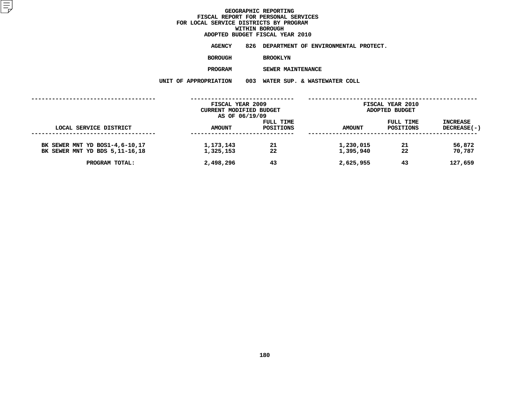# **ADOPTED BUDGET FISCAL YEAR <sup>2010</sup>**

**AGENCY <sup>826</sup> DEPARTMENT OF ENVIRONMENTAL PROTECT.**

**BOROUGH**

 **BROOKLYN PROGRAM**

 **SEWER MAINTENANCE UNIT OF APPROPRIATION <sup>003</sup> WATER SUP. & WASTEWATER COLL**

|                                                                    | FISCAL YEAR 2009        |           |                        | FISCAL YEAR 2010 |                  |  |
|--------------------------------------------------------------------|-------------------------|-----------|------------------------|------------------|------------------|--|
|                                                                    | CURRENT MODIFIED BUDGET |           |                        | ADOPTED BUDGET   |                  |  |
|                                                                    | AS OF 06/19/09          |           |                        |                  |                  |  |
|                                                                    |                         | FULL TIME |                        | FULL TIME        | <b>INCREASE</b>  |  |
| LOCAL SERVICE DISTRICT                                             | <b>AMOUNT</b>           | POSITIONS | <b>AMOUNT</b>          | POSITIONS        | DECREASE(-)      |  |
| BK SEWER MNT YD BOS1-4,6-10,17<br>BK SEWER MNT YD BDS 5, 11-16, 18 | 1,173,143<br>1,325,153  | 21<br>22  | 1,230,015<br>1,395,940 | 21<br>22         | 56,872<br>70,787 |  |
| PROGRAM TOTAL:                                                     | 2,498,296               | 43        | 2,625,955              | 43               | 127,659          |  |
|                                                                    |                         |           |                        |                  |                  |  |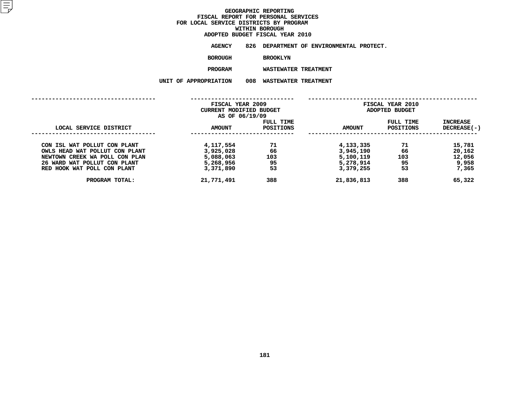**ADOPTED BUDGET FISCAL YEAR <sup>2010</sup>AGENCY <sup>826</sup> DEPARTMENT OF ENVIRONMENTAL PROTECT.**

**BOROUGH**

BROOKLYN<br>WASTEWATER TREATMENT **PROGRAM**

 **WASTEWATER TREATMENT UNIT OF APPROPRIATION <sup>008</sup> WASTEWATER TREATMENT**

|                                | FISCAL YEAR 2009<br><b>CURRENT MODIFIED BUDGET</b><br>AS OF 06/19/09 |                        | FISCAL YEAR 2010<br>ADOPTED BUDGET |                        |                                  |
|--------------------------------|----------------------------------------------------------------------|------------------------|------------------------------------|------------------------|----------------------------------|
| LOCAL SERVICE DISTRICT         | <b>AMOUNT</b>                                                        | FULL TIME<br>POSITIONS | <b>AMOUNT</b>                      | FULL TIME<br>POSITIONS | <b>INCREASE</b><br>$DECREASE(-)$ |
| CON ISL WAT POLLUT CON PLANT   | 4,117,554                                                            | 71                     | 4,133,335                          | 71                     | 15,781                           |
| OWLS HEAD WAT POLLUT CON PLANT | 3,925,028                                                            | 66                     | 3,945,190                          | 66                     | 20,162                           |
| NEWTOWN CREEK WA POLL CON PLAN | 5,088,063                                                            | 103                    | 5,100,119                          | 103                    | 12,056                           |
| 26 WARD WAT POLLUT CON PLANT   | 5,268,956                                                            | 95                     | 5,278,914                          | 95                     | 9,958                            |
| RED HOOK WAT POLL CON PLANT    | 3,371,890                                                            | 53                     | 3,379,255                          | 53                     | 7,365                            |
| PROGRAM TOTAL:                 | 21,771,491                                                           | 388                    | 21,836,813                         | 388                    | 65,322                           |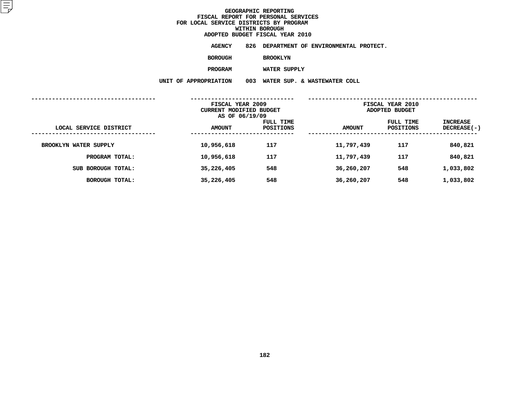**ADOPTED BUDGET FISCAL YEAR <sup>2010</sup>AGENCY <sup>826</sup> DEPARTMENT OF ENVIRONMENTAL PROTECT.**

**BOROUGH**

 **BROOKLYN PROGRAM**

 **WATER SUPPLY UNIT OF APPROPRIATION <sup>003</sup> WATER SUP. & WASTEWATER COLL**

|                        | FISCAL YEAR 2009<br><b>CURRENT MODIFIED BUDGET</b><br>AS OF 06/19/09 |                        | FISCAL YEAR 2010<br>ADOPTED BUDGET |                        |                                  |
|------------------------|----------------------------------------------------------------------|------------------------|------------------------------------|------------------------|----------------------------------|
| LOCAL SERVICE DISTRICT | <b>AMOUNT</b>                                                        | FULL TIME<br>POSITIONS | <b>AMOUNT</b>                      | FULL TIME<br>POSITIONS | <b>INCREASE</b><br>$DECREASE(-)$ |
| BROOKLYN WATER SUPPLY  | 10,956,618                                                           | 117                    | 11,797,439                         | 117                    | 840,821                          |
| PROGRAM TOTAL:         | 10,956,618                                                           | 117                    | 11,797,439                         | 117                    | 840,821                          |
| SUB BOROUGH TOTAL:     | 35,226,405                                                           | 548                    | 36,260,207                         | 548                    | 1,033,802                        |
| BOROUGH TOTAL:         | 35,226,405                                                           | 548                    | 36,260,207                         | 548                    | 1,033,802                        |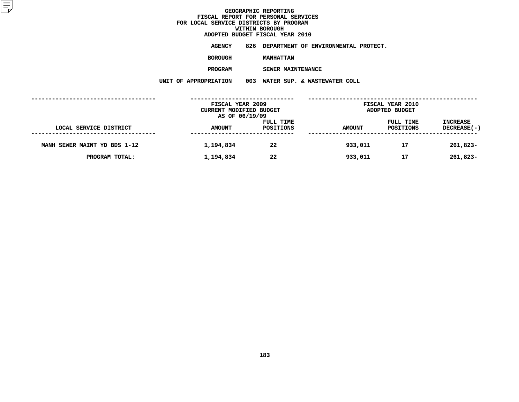**ADOPTED BUDGET FISCAL YEAR <sup>2010</sup>AGENCY <sup>826</sup> DEPARTMENT OF ENVIRONMENTAL PROTECT.**

**BOROUGH**

 **MANHATTAN PROGRAM**

**SEWER MAINTENANCE**

**UNIT OF APPROPRIATION <sup>003</sup> WATER SUP. & WASTEWATER COLL**

|                              | FISCAL YEAR 2009<br><b>CURRENT MODIFIED BUDGET</b><br>AS OF 06/19/09 |                        |               | FISCAL YEAR 2010<br>ADOPTED BUDGET |                         |  |
|------------------------------|----------------------------------------------------------------------|------------------------|---------------|------------------------------------|-------------------------|--|
| LOCAL SERVICE DISTRICT       | <b>AMOUNT</b>                                                        | FULL TIME<br>POSITIONS | <b>AMOUNT</b> | FULL TIME<br>POSITIONS             | INCREASE<br>DECREASE(-) |  |
| MANH SEWER MAINT YD BDS 1-12 | 1,194,834                                                            | 22                     | 933,011       | 17                                 | 261,823-                |  |
| PROGRAM TOTAL:               | 1,194,834                                                            | 22                     | 933,011       | 17                                 | 261,823-                |  |
|                              |                                                                      |                        |               |                                    |                         |  |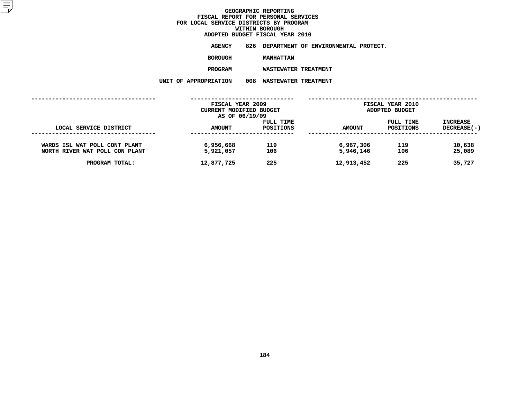**ADOPTED BUDGET FISCAL YEAR <sup>2010</sup>AGENCY <sup>826</sup> DEPARTMENT OF ENVIRONMENTAL PROTECT.**

**BOROUGH**

MANHATTAN<br>WASTEWATER TREATMENT **PROGRAMWASTEWATER TREATMENT**

**UNIT OF APPROPRIATION <sup>008</sup> WASTEWATER TREATMENT**

|                                                                 | FISCAL YEAR 2009<br>CURRENT MODIFIED BUDGET<br>AS OF 06/19/09 |                        |                        | FISCAL YEAR 2010<br>ADOPTED BUDGET |                                       |  |
|-----------------------------------------------------------------|---------------------------------------------------------------|------------------------|------------------------|------------------------------------|---------------------------------------|--|
| LOCAL SERVICE DISTRICT                                          | <b>AMOUNT</b>                                                 | FULL TIME<br>POSITIONS | <b>AMOUNT</b>          | FULL TIME<br>POSITIONS             | <b>INCREASE</b><br><b>DECREASE(-)</b> |  |
| WARDS ISL WAT POLL CONT PLANT<br>NORTH RIVER WAT POLL CON PLANT | 6,956,668<br>5,921,057                                        | 119<br>106             | 6,967,306<br>5,946,146 | 119<br>106                         | 10,638<br>25,089                      |  |
| PROGRAM TOTAL:                                                  | 12,877,725                                                    | 225                    | 12,913,452             | 225                                | 35,727                                |  |
|                                                                 |                                                               |                        |                        |                                    |                                       |  |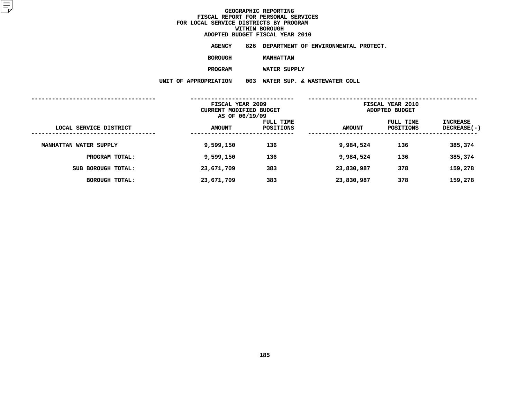**ADOPTED BUDGET FISCAL YEAR <sup>2010</sup>AGENCY <sup>826</sup> DEPARTMENT OF ENVIRONMENTAL PROTECT.**

**BOROUGH**

 **MANHATTAN PROGRAM**

 **WATER SUPPLY UNIT OF APPROPRIATION <sup>003</sup> WATER SUP. & WASTEWATER COLL**

|                        | FISCAL YEAR 2009<br>CURRENT MODIFIED BUDGET<br>AS OF 06/19/09 |                        | FISCAL YEAR 2010<br>ADOPTED BUDGET |                        |                                |
|------------------------|---------------------------------------------------------------|------------------------|------------------------------------|------------------------|--------------------------------|
| LOCAL SERVICE DISTRICT | <b>AMOUNT</b>                                                 | FULL TIME<br>POSITIONS | <b>AMOUNT</b>                      | FULL TIME<br>POSITIONS | INCREASE<br><b>DECREASE(-)</b> |
| MANHATTAN WATER SUPPLY | 9,599,150                                                     | 136                    | 9,984,524                          | 136                    | 385,374                        |
| PROGRAM TOTAL:         | 9,599,150                                                     | 136                    | 9,984,524                          | 136                    | 385,374                        |
| SUB BOROUGH TOTAL:     | 23,671,709                                                    | 383                    | 23,830,987                         | 378                    | 159,278                        |
| BOROUGH TOTAL:         | 23,671,709                                                    | 383                    | 23,830,987                         | 378                    | 159,278                        |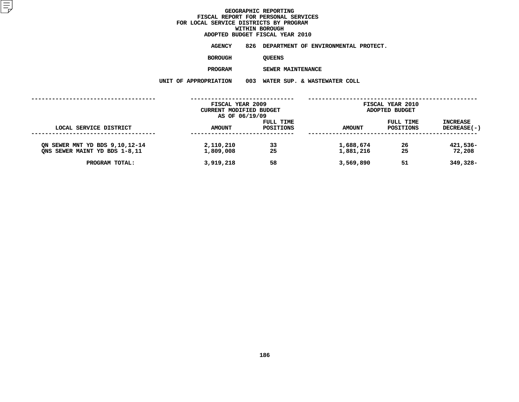**ADOPTED BUDGET FISCAL YEAR <sup>2010</sup>AGENCY <sup>826</sup> DEPARTMENT OF ENVIRONMENTAL PROTECT.**

**BOROUGH**

QUEENS<br>SEWER MAINTENANCE **PROGRAM**

 **SEWER MAINTENANCE UNIT OF APPROPRIATION <sup>003</sup> WATER SUP. & WASTEWATER COLL**

|                                                                 | FISCAL YEAR 2009<br>CURRENT MODIFIED BUDGET<br>AS OF 06/19/09 |                        |                        | FISCAL YEAR 2010<br><b>ADOPTED BUDGET</b> |                                |  |
|-----------------------------------------------------------------|---------------------------------------------------------------|------------------------|------------------------|-------------------------------------------|--------------------------------|--|
| LOCAL SERVICE DISTRICT                                          | <b>AMOUNT</b>                                                 | FULL TIME<br>POSITIONS | AMOUNT                 | FULL TIME<br>POSITIONS                    | <b>INCREASE</b><br>DECREASE(-) |  |
| ON SEWER MNT YD BDS 9,10,12-14<br>ONS SEWER MAINT YD BDS 1-8,11 | 2,110,210<br>1,809,008                                        | 33<br>25               | 1,688,674<br>1,881,216 | 26<br>25                                  | 421,536-<br>72,208             |  |
| PROGRAM TOTAL:                                                  | 3,919,218                                                     | 58                     | 3,569,890              | 51                                        | 349,328-                       |  |
|                                                                 |                                                               |                        |                        |                                           |                                |  |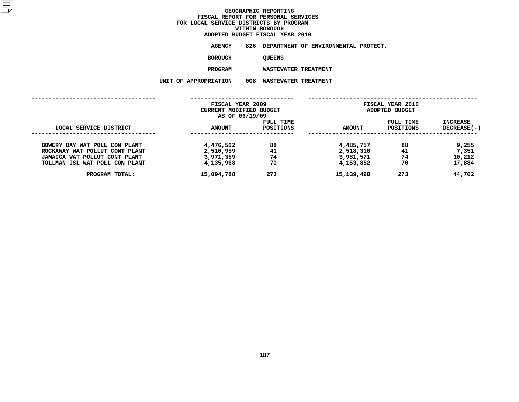# **ADOPTED BUDGET FISCAL YEAR <sup>2010</sup>**

**AGENCY <sup>826</sup> DEPARTMENT OF ENVIRONMENTAL PROTECT. BOROUGH**

QUEENS<br>WASTEWATER TREATMENT **PROGRAM**

 **WASTEWATER TREATMENT UNIT OF APPROPRIATION <sup>008</sup> WASTEWATER TREATMENT**

|                                                                 | FISCAL YEAR 2009<br>CURRENT MODIFIED BUDGET<br>AS OF 06/19/09 |                        | FISCAL YEAR 2010<br>ADOPTED BUDGET |                        |                           |
|-----------------------------------------------------------------|---------------------------------------------------------------|------------------------|------------------------------------|------------------------|---------------------------|
| LOCAL SERVICE DISTRICT                                          | <b>AMOUNT</b>                                                 | FULL TIME<br>POSITIONS | <b>AMOUNT</b>                      | FULL TIME<br>POSITIONS | INCREASE<br>$DECREASE(-)$ |
| BOWERY BAY WAT POLL CON PLANT<br>ROCKAWAY WAT POLLUT CONT PLANT | 4,476,502<br>2,510,959                                        | 88<br>41               | 4,485,757<br>2,518,310             | 88<br>41               | 9,255<br>7,351            |
| JAMAICA WAT POLLUT CONT PLANT<br>TOLLMAN ISL WAT POLL CON PLANT | 3,971,359<br>4,135,968                                        | 74<br>70               | 3,981,571<br>4,153,852             | 74<br>70               | 10,212<br>17,884          |
| PROGRAM TOTAL:                                                  | 15,094,788                                                    | 273                    | 15,139,490                         | 273                    | 44,702                    |
|                                                                 |                                                               |                        |                                    |                        |                           |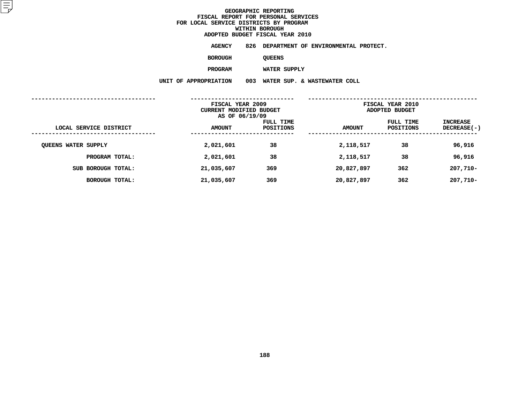**ADOPTED BUDGET FISCAL YEAR <sup>2010</sup>AGENCY <sup>826</sup> DEPARTMENT OF ENVIRONMENTAL PROTECT.**

**BOROUGH**

QUEENS<br>WATER SUPPLY

**PROGRAM**

 **WATER SUPPLY UNIT OF APPROPRIATION <sup>003</sup> WATER SUP. & WASTEWATER COLL**

|                            | FISCAL YEAR 2009<br>CURRENT MODIFIED BUDGET<br>AS OF 06/19/09 |                        | FISCAL YEAR 2010<br>ADOPTED BUDGET |                        |                                |
|----------------------------|---------------------------------------------------------------|------------------------|------------------------------------|------------------------|--------------------------------|
| LOCAL SERVICE DISTRICT     | <b>AMOUNT</b>                                                 | FULL TIME<br>POSITIONS | <b>AMOUNT</b>                      | FULL TIME<br>POSITIONS | <b>INCREASE</b><br>DECREASE(-) |
| <b>QUEENS WATER SUPPLY</b> | 2,021,601                                                     | 38                     | 2,118,517                          | 38                     | 96,916                         |
| PROGRAM TOTAL:             | 2,021,601                                                     | 38                     | 2,118,517                          | 38                     | 96,916                         |
| SUB BOROUGH TOTAL:         | 21,035,607                                                    | 369                    | 20,827,897                         | 362                    | $207,710-$                     |
| BOROUGH TOTAL:             | 21,035,607                                                    | 369                    | 20,827,897                         | 362                    | $207,710-$                     |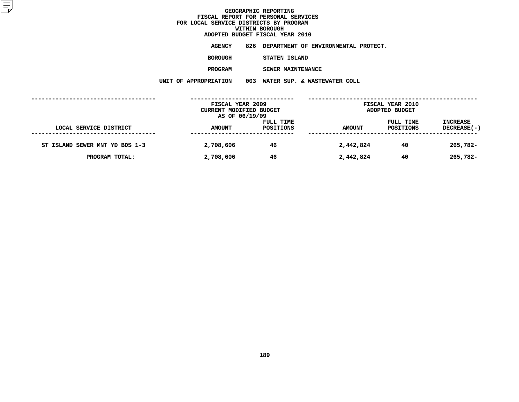**ADOPTED BUDGET FISCAL YEAR <sup>2010</sup>AGENCY <sup>826</sup> DEPARTMENT OF ENVIRONMENTAL PROTECT.**

**BOROUGH**

 **STATEN ISLAND PROGRAM**

 **SEWER MAINTENANCE UNIT OF APPROPRIATION <sup>003</sup> WATER SUP. & WASTEWATER COLL**

|                                | FISCAL YEAR 2009<br>CURRENT MODIFIED BUDGET |           |               | FISCAL YEAR 2010<br>ADOPTED BUDGET |                    |
|--------------------------------|---------------------------------------------|-----------|---------------|------------------------------------|--------------------|
|                                | AS OF 06/19/09                              |           |               |                                    |                    |
|                                |                                             | FULL TIME |               | FULL TIME                          | <b>INCREASE</b>    |
| LOCAL SERVICE DISTRICT         | <b>AMOUNT</b>                               | POSITIONS | <b>AMOUNT</b> | POSITIONS                          | <b>DECREASE(-)</b> |
|                                |                                             |           |               |                                    |                    |
| ST ISLAND SEWER MNT YD BDS 1-3 | 2,708,606                                   | 46        | 2,442,824     | 40                                 | 265,782-           |
| PROGRAM TOTAL:                 | 2,708,606                                   | 46        | 2,442,824     | 40                                 | 265,782-           |
|                                |                                             |           |               |                                    |                    |
|                                |                                             |           |               |                                    |                    |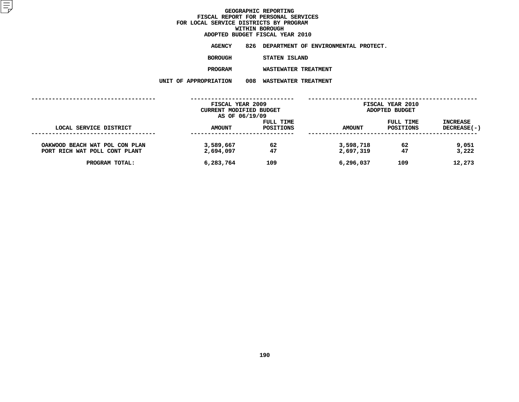**ADOPTED BUDGET FISCAL YEAR <sup>2010</sup>AGENCY <sup>826</sup> DEPARTMENT OF ENVIRONMENTAL PROTECT.**

**BOROUGH**

**STATEN ISLAND**

**PROGRAM**

 **WASTEWATER TREATMENT UNIT OF APPROPRIATION <sup>008</sup> WASTEWATER TREATMENT**

|                                                                 | FISCAL YEAR 2009<br>CURRENT MODIFIED BUDGET |                        |                        | FISCAL YEAR 2010<br>ADOPTED BUDGET |                                       |
|-----------------------------------------------------------------|---------------------------------------------|------------------------|------------------------|------------------------------------|---------------------------------------|
| LOCAL SERVICE DISTRICT                                          | AS OF 06/19/09<br><b>AMOUNT</b>             | FULL TIME<br>POSITIONS | <b>AMOUNT</b>          | FULL TIME<br>POSITIONS             | <b>INCREASE</b><br><b>DECREASE(-)</b> |
| OAKWOOD BEACH WAT POL CON PLAN<br>PORT RICH WAT POLL CONT PLANT | 3,589,667<br>2,694,097                      | 62<br>47               | 3,598,718<br>2,697,319 | 62<br>47                           | 9,051<br>3,222                        |
| PROGRAM TOTAL:                                                  | 6,283,764                                   | 109                    | 6,296,037              | 109                                | 12,273                                |
|                                                                 |                                             |                        |                        |                                    |                                       |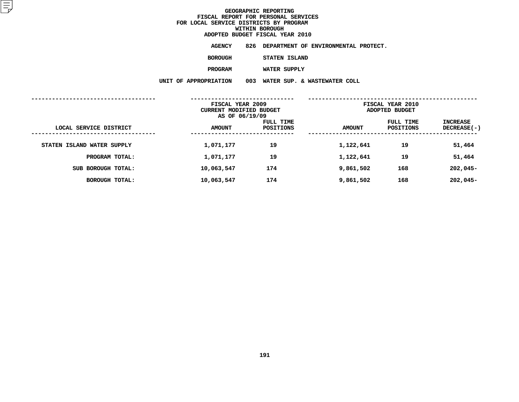**ADOPTED BUDGET FISCAL YEAR <sup>2010</sup>AGENCY <sup>826</sup> DEPARTMENT OF ENVIRONMENTAL PROTECT. BOROUGH STATEN ISLAND PROGRAMWATER SUPPLY**

**UNIT OF APPROPRIATION <sup>003</sup> WATER SUP. & WASTEWATER COLL**

|                            | FISCAL YEAR 2009<br>CURRENT MODIFIED BUDGET<br>AS OF 06/19/09 |                        | FISCAL YEAR 2010<br>ADOPTED BUDGET |                        |                                  |  |
|----------------------------|---------------------------------------------------------------|------------------------|------------------------------------|------------------------|----------------------------------|--|
| LOCAL SERVICE DISTRICT     | <b>AMOUNT</b>                                                 | FULL TIME<br>POSITIONS | <b>AMOUNT</b>                      | FULL TIME<br>POSITIONS | <b>INCREASE</b><br>$DECREASE(-)$ |  |
| STATEN ISLAND WATER SUPPLY | 1,071,177                                                     | 19                     | 1,122,641                          | 19                     | 51,464                           |  |
| PROGRAM TOTAL:             | 1,071,177                                                     | 19                     | 1,122,641                          | 19                     | 51,464                           |  |
| SUB BOROUGH TOTAL:         | 10,063,547                                                    | 174                    | 9,861,502                          | 168                    | $202,045-$                       |  |
| <b>BOROUGH TOTAL:</b>      | 10,063,547                                                    | 174                    | 9,861,502                          | 168                    | $202,045-$                       |  |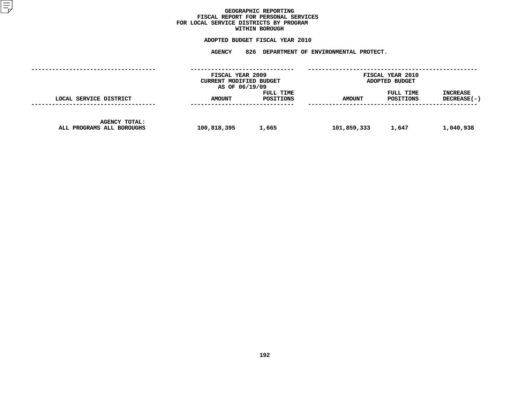### GEOGRAPHIC REPORTING<br>FISCAL REPORT FOR PERSONAL SERVICES<br>OCAL SERVICE DISTRICTS BY PROGRAM<br>WITHIN BOROUGH **FISCAL REPORT FOR PERSONAL SERVICES FOR LOCAL SERVICE DISTRICTS BY PROGRAM**

### **WITHIN BOROUGH**

**ADOPTED BUDGET FISCAL YEAR <sup>2010</sup> AGENCY <sup>826</sup> DEPARTMENT OF ENVIRONMENTAL PROTECT.**

|                                                   | FISCAL YEAR 2009<br>CURRENT MODIFIED BUDGET<br>AS OF 06/19/09 |                        |               | <b>FISCAL YEAR 2010</b><br>ADOPTED BUDGET |                                  |
|---------------------------------------------------|---------------------------------------------------------------|------------------------|---------------|-------------------------------------------|----------------------------------|
| LOCAL SERVICE DISTRICT                            | <b>AMOUNT</b>                                                 | FULL TIME<br>POSITIONS | <b>AMOUNT</b> | FULL TIME<br>POSITIONS                    | <b>INCREASE</b><br>$DECREASE(-)$ |
| <b>AGENCY TOTAL:</b><br>ALL PROGRAMS ALL BOROUGHS | 100,818,395                                                   | 1,665                  | 101,859,333   | 1,647                                     | 1,040,938                        |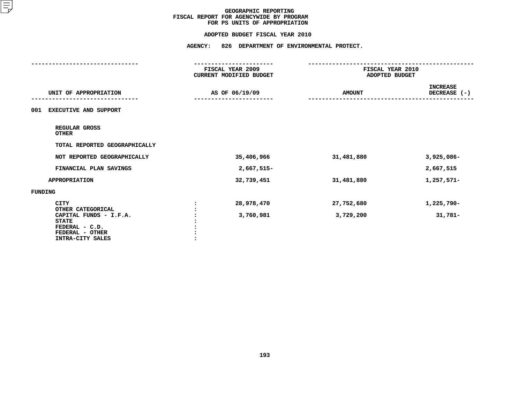#### **ADOPTED BUDGET FISCAL YEAR 2010**

|                                                                                                                      | <b>AGENCY:</b><br>826 DEPARTMENT OF ENVIRONMENTAL PROTECT.<br>---------------- |                                    |                                 |
|----------------------------------------------------------------------------------------------------------------------|--------------------------------------------------------------------------------|------------------------------------|---------------------------------|
|                                                                                                                      | FISCAL YEAR 2009<br><b>CURRENT MODIFIED BUDGET</b>                             | FISCAL YEAR 2010<br>ADOPTED BUDGET |                                 |
| UNIT OF APPROPRIATION                                                                                                | AS OF 06/19/09                                                                 | <b>AMOUNT</b>                      | <b>INCREASE</b><br>DECREASE (-) |
| <b>EXECUTIVE AND SUPPORT</b><br>001                                                                                  |                                                                                |                                    |                                 |
| REGULAR GROSS<br><b>OTHER</b>                                                                                        |                                                                                |                                    |                                 |
| TOTAL REPORTED GEOGRAPHICALLY                                                                                        |                                                                                |                                    |                                 |
| NOT REPORTED GEOGRAPHICALLY                                                                                          | 35,406,966                                                                     | 31,481,880                         | $3,925,086 -$                   |
| FINANCIAL PLAN SAVINGS                                                                                               | 2,667,515-                                                                     |                                    | 2,667,515                       |
| <b>APPROPRIATION</b>                                                                                                 | 32,739,451                                                                     | 31,481,880                         | 1,257,571-                      |
| <b>FUNDING</b>                                                                                                       |                                                                                |                                    |                                 |
| <b>CITY</b>                                                                                                          | 28,978,470                                                                     | 27,752,680                         | 1,225,790-                      |
| OTHER CATEGORICAL<br>CAPITAL FUNDS - I.F.A.<br><b>STATE</b><br>FEDERAL - C.D.<br>FEDERAL - OTHER<br>INTRA-CITY SALES | 3,760,981                                                                      | 3,729,200                          | $31,781-$                       |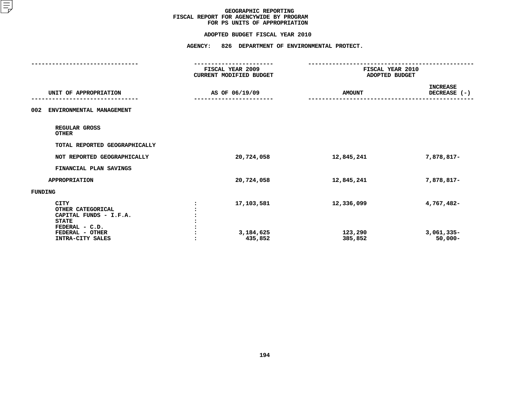#### **ADOPTED BUDGET FISCAL YEAR 2010**

|                                                                                                                                     | <b>AGENCY:</b><br>826 DEPARTMENT OF ENVIRONMENTAL PROTECT.               |                                                                |                                          |  |
|-------------------------------------------------------------------------------------------------------------------------------------|--------------------------------------------------------------------------|----------------------------------------------------------------|------------------------------------------|--|
|                                                                                                                                     | ------------------<br>FISCAL YEAR 2009<br><b>CURRENT MODIFIED BUDGET</b> | ------------------------<br>FISCAL YEAR 2010<br>ADOPTED BUDGET |                                          |  |
| UNIT OF APPROPRIATION                                                                                                               | AS OF 06/19/09                                                           | <b>AMOUNT</b>                                                  | <b>INCREASE</b><br>DECREASE (-)          |  |
| 002<br>ENVIRONMENTAL MANAGEMENT                                                                                                     |                                                                          |                                                                |                                          |  |
| REGULAR GROSS<br><b>OTHER</b>                                                                                                       |                                                                          |                                                                |                                          |  |
| TOTAL REPORTED GEOGRAPHICALLY                                                                                                       |                                                                          |                                                                |                                          |  |
| NOT REPORTED GEOGRAPHICALLY                                                                                                         | 20,724,058                                                               | 12,845,241                                                     | 7,878,817-                               |  |
| FINANCIAL PLAN SAVINGS                                                                                                              |                                                                          |                                                                |                                          |  |
| <b>APPROPRIATION</b>                                                                                                                | 20,724,058                                                               | 12,845,241                                                     | 7,878,817-                               |  |
| <b>FUNDING</b>                                                                                                                      |                                                                          |                                                                |                                          |  |
| <b>CITY</b><br>OTHER CATEGORICAL<br>CAPITAL FUNDS - I.F.A.<br><b>STATE</b><br>FEDERAL - C.D.<br>FEDERAL - OTHER<br>INTRA-CITY SALES | 17,103,581<br>3,184,625<br>435,852                                       | 12,336,099<br>123,290<br>385,852                               | 4,767,482-<br>$3,061,335-$<br>$50,000 -$ |  |
|                                                                                                                                     |                                                                          |                                                                |                                          |  |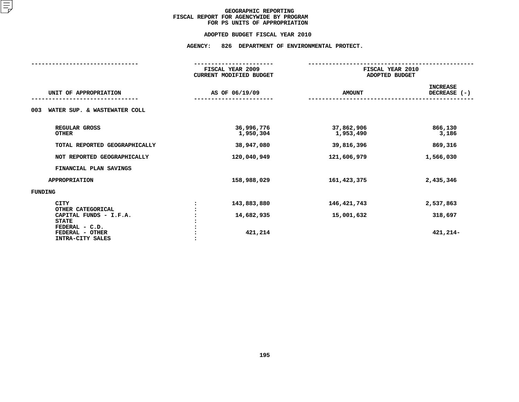#### **ADOPTED BUDGET FISCAL YEAR 2010**

### **ADOPTED BUDGET FISCAL YEAR <sup>2010</sup>AGENCY: <sup>826</sup> DEPARTMENT OF ENVIRONMENTAL PROTECT.**

|                                                       | FISCAL YEAR 2009<br><b>CURRENT MODIFIED BUDGET</b> |                         | FISCAL YEAR 2010<br>ADOPTED BUDGET |  |  |
|-------------------------------------------------------|----------------------------------------------------|-------------------------|------------------------------------|--|--|
| UNIT OF APPROPRIATION                                 | AS OF 06/19/09                                     | <b>AMOUNT</b>           | <b>INCREASE</b><br>DECREASE $(-)$  |  |  |
| WATER SUP. & WASTEWATER COLL<br>003                   |                                                    |                         |                                    |  |  |
| REGULAR GROSS<br><b>OTHER</b>                         | 36,996,776<br>1,950,304                            | 37,862,906<br>1,953,490 | 866,130<br>3,186                   |  |  |
| TOTAL REPORTED GEOGRAPHICALLY                         | 38,947,080                                         | 39,816,396              | 869,316                            |  |  |
| NOT REPORTED GEOGRAPHICALLY                           | 120,040,949                                        | 121,606,979             | 1,566,030                          |  |  |
| FINANCIAL PLAN SAVINGS                                |                                                    |                         |                                    |  |  |
| <b>APPROPRIATION</b>                                  | 158,988,029                                        | 161, 423, 375           | 2,435,346                          |  |  |
| <b>FUNDING</b>                                        |                                                    |                         |                                    |  |  |
| <b>CITY</b><br>OTHER CATEGORICAL                      | 143,883,880                                        | 146,421,743             | 2,537,863                          |  |  |
| CAPITAL FUNDS - I.F.A.<br><b>STATE</b>                | 14,682,935                                         | 15,001,632              | 318,697                            |  |  |
| FEDERAL - C.D.<br>FEDERAL - OTHER<br>INTRA-CITY SALES | 421,214                                            |                         | 421,214-                           |  |  |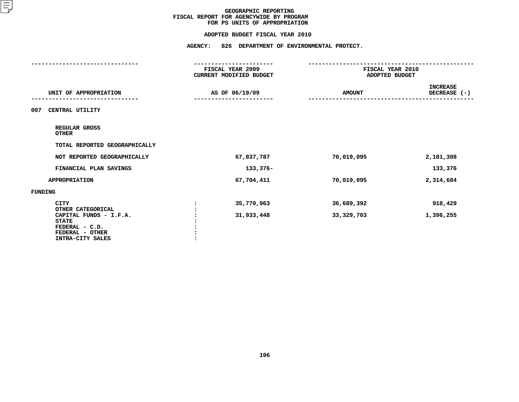#### **ADOPTED BUDGET FISCAL YEAR 2010**

|                                                                                                                      | ----------------<br>FISCAL YEAR 2009<br>CURRENT MODIFIED BUDGET | FISCAL YEAR 2010<br>ADOPTED BUDGET |                                 |  |
|----------------------------------------------------------------------------------------------------------------------|-----------------------------------------------------------------|------------------------------------|---------------------------------|--|
| UNIT OF APPROPRIATION                                                                                                | AS OF 06/19/09                                                  | <b>AMOUNT</b>                      | <b>INCREASE</b><br>DECREASE (-) |  |
| CENTRAL UTILITY<br>007                                                                                               |                                                                 |                                    |                                 |  |
| REGULAR GROSS<br><b>OTHER</b>                                                                                        |                                                                 |                                    |                                 |  |
| TOTAL REPORTED GEOGRAPHICALLY                                                                                        |                                                                 |                                    |                                 |  |
| NOT REPORTED GEOGRAPHICALLY                                                                                          | 67,837,787                                                      | 70,019,095                         | 2,181,308                       |  |
| FINANCIAL PLAN SAVINGS                                                                                               | 133,376-                                                        |                                    | 133,376                         |  |
| <b>APPROPRIATION</b>                                                                                                 | 67,704,411                                                      | 70,019,095                         | 2,314,684                       |  |
| <b>FUNDING</b>                                                                                                       |                                                                 |                                    |                                 |  |
| <b>CITY</b>                                                                                                          | 35,770,963                                                      | 36,689,392                         | 918,429                         |  |
| OTHER CATEGORICAL<br>CAPITAL FUNDS - I.F.A.<br><b>STATE</b><br>FEDERAL - C.D.<br>FEDERAL - OTHER<br>INTRA-CITY SALES | 31,933,448                                                      | 33, 329, 703                       | 1,396,255                       |  |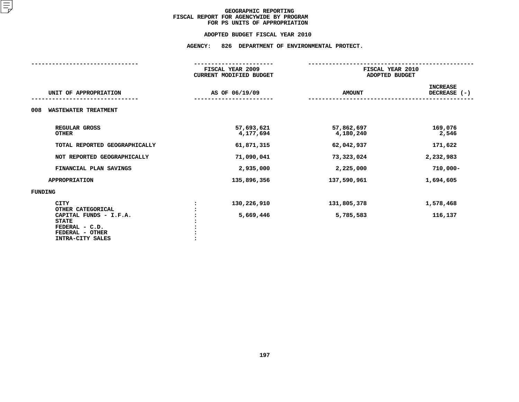#### **ADOPTED BUDGET FISCAL YEAR 2010**

### **ADOPTED BUDGET FISCAL YEAR <sup>2010</sup>AGENCY: <sup>826</sup> DEPARTMENT OF ENVIRONMENTAL PROTECT.**

|                                             | FISCAL YEAR 2009<br><b>CURRENT MODIFIED BUDGET</b> |               | FISCAL YEAR 2010<br>ADOPTED BUDGET |                                   |  |
|---------------------------------------------|----------------------------------------------------|---------------|------------------------------------|-----------------------------------|--|
|                                             |                                                    |               |                                    |                                   |  |
| UNIT OF APPROPRIATION                       | AS OF 06/19/09                                     | <b>AMOUNT</b> |                                    | <b>INCREASE</b><br>DECREASE $(-)$ |  |
|                                             |                                                    |               |                                    |                                   |  |
| <b>WASTEWATER TREATMENT</b><br>008          |                                                    |               |                                    |                                   |  |
| REGULAR GROSS                               | 57,693,621                                         | 57,862,697    |                                    | 169,076                           |  |
| <b>OTHER</b>                                | 4,177,694                                          | 4,180,240     |                                    | 2,546                             |  |
| TOTAL REPORTED GEOGRAPHICALLY               | 61,871,315                                         | 62,042,937    |                                    | 171,622                           |  |
| NOT REPORTED GEOGRAPHICALLY                 | 71,090,041                                         | 73,323,024    |                                    | 2,232,983                         |  |
| FINANCIAL PLAN SAVINGS                      | 2,935,000                                          | 2,225,000     |                                    | $710,000 -$                       |  |
| <b>APPROPRIATION</b>                        | 135,896,356                                        | 137,590,961   |                                    | 1,694,605                         |  |
| FUNDING                                     |                                                    |               |                                    |                                   |  |
| <b>CITY</b>                                 | 130,226,910                                        | 131,805,378   |                                    | 1,578,468                         |  |
| OTHER CATEGORICAL<br>CAPITAL FUNDS - I.F.A. | 5,669,446                                          | 5,785,583     |                                    | 116,137                           |  |
| <b>STATE</b>                                |                                                    |               |                                    |                                   |  |
| FEDERAL - C.D.                              |                                                    |               |                                    |                                   |  |
| FEDERAL - OTHER<br>INTRA-CITY SALES         |                                                    |               |                                    |                                   |  |
|                                             |                                                    |               |                                    |                                   |  |
|                                             |                                                    |               |                                    |                                   |  |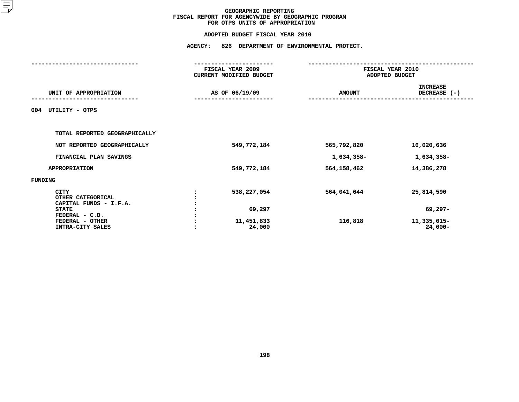|                                                            | <b>AGENCY:</b> |                                             | 826 DEPARTMENT OF ENVIRONMENTAL PROTECT. |                                    |  |  |
|------------------------------------------------------------|----------------|---------------------------------------------|------------------------------------------|------------------------------------|--|--|
|                                                            |                | FISCAL YEAR 2009<br>CURRENT MODIFIED BUDGET |                                          | FISCAL YEAR 2010<br>ADOPTED BUDGET |  |  |
| UNIT OF APPROPRIATION                                      |                | AS OF 06/19/09                              | <b>AMOUNT</b>                            | <b>INCREASE</b><br>DECREASE (-)    |  |  |
| UTILITY - OTPS<br>004                                      |                |                                             |                                          |                                    |  |  |
| TOTAL REPORTED GEOGRAPHICALLY                              |                |                                             |                                          |                                    |  |  |
| NOT REPORTED GEOGRAPHICALLY                                |                | 549,772,184                                 | 565,792,820                              | 16,020,636                         |  |  |
| FINANCIAL PLAN SAVINGS                                     |                |                                             | 1,634,358-                               | 1,634,358-                         |  |  |
| <b>APPROPRIATION</b>                                       |                | 549,772,184                                 | 564, 158, 462                            | 14,386,278                         |  |  |
| FUNDING                                                    |                |                                             |                                          |                                    |  |  |
| <b>CITY</b><br>OTHER CATEGORICAL<br>CAPITAL FUNDS - I.F.A. |                | 538,227,054                                 | 564,041,644                              | 25,814,590                         |  |  |
| <b>STATE</b>                                               |                | 69,297                                      |                                          | $69,297-$                          |  |  |
| FEDERAL - C.D.<br>FEDERAL - OTHER<br>INTRA-CITY SALES      |                | 11,451,833<br>24,000                        | 116,818                                  | 11,335,015-<br>$24,000-$           |  |  |
|                                                            |                |                                             |                                          |                                    |  |  |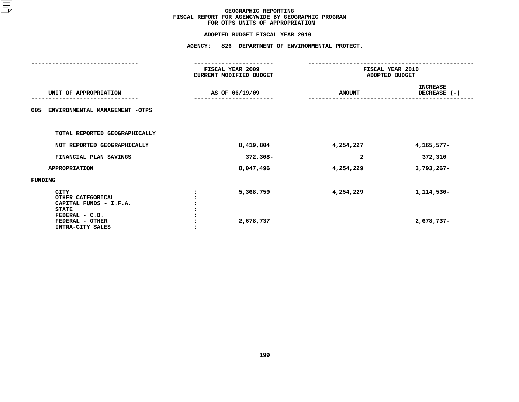|                                                                                              | <b>AGENCY:</b><br>826 DEPARTMENT OF ENVIRONMENTAL PROTECT. |               |                                    |  |  |
|----------------------------------------------------------------------------------------------|------------------------------------------------------------|---------------|------------------------------------|--|--|
|                                                                                              | FISCAL YEAR 2009<br>CURRENT MODIFIED BUDGET                |               | FISCAL YEAR 2010<br>ADOPTED BUDGET |  |  |
| UNIT OF APPROPRIATION                                                                        | AS OF 06/19/09                                             | <b>AMOUNT</b> | <b>INCREASE</b><br>DECREASE (-)    |  |  |
| ENVIRONMENTAL MANAGEMENT -OTPS<br>005                                                        |                                                            |               |                                    |  |  |
| TOTAL REPORTED GEOGRAPHICALLY                                                                |                                                            |               |                                    |  |  |
| NOT REPORTED GEOGRAPHICALLY                                                                  | 8,419,804                                                  | 4,254,227     | 4,165,577-                         |  |  |
| FINANCIAL PLAN SAVINGS                                                                       | $372,308-$                                                 | 2             | 372,310                            |  |  |
| <b>APPROPRIATION</b>                                                                         | 8,047,496                                                  | 4,254,229     | $3,793,267-$                       |  |  |
| <b>FUNDING</b>                                                                               |                                                            |               |                                    |  |  |
| <b>CITY</b><br>OTHER CATEGORICAL<br>CAPITAL FUNDS - I.F.A.<br><b>STATE</b><br>FEDERAL - C.D. | 5,368,759                                                  | 4,254,229     | 1,114,530-                         |  |  |
| FEDERAL - OTHER<br>INTRA-CITY SALES                                                          | 2,678,737                                                  |               | 2,678,737-                         |  |  |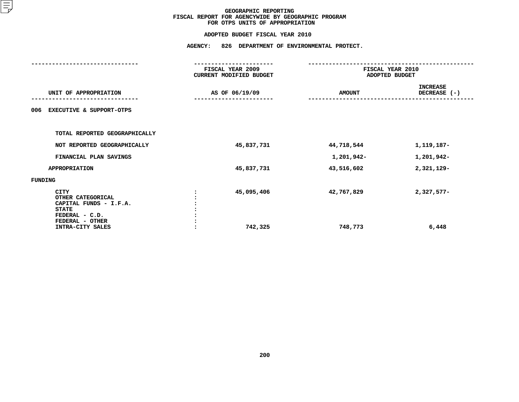|                                                                                                                                     | <b>AGENCY:</b><br>826 DEPARTMENT OF ENVIRONMENTAL PROTECT. |                       |                       |                                    |  |  |
|-------------------------------------------------------------------------------------------------------------------------------------|------------------------------------------------------------|-----------------------|-----------------------|------------------------------------|--|--|
|                                                                                                                                     | FISCAL YEAR 2009<br>CURRENT MODIFIED BUDGET                |                       |                       | FISCAL YEAR 2010<br>ADOPTED BUDGET |  |  |
| UNIT OF APPROPRIATION                                                                                                               |                                                            | AS OF 06/19/09        | <b>AMOUNT</b>         | <b>INCREASE</b><br>DECREASE (-)    |  |  |
| <b>EXECUTIVE &amp; SUPPORT-OTPS</b><br>006                                                                                          |                                                            |                       |                       |                                    |  |  |
| TOTAL REPORTED GEOGRAPHICALLY                                                                                                       |                                                            |                       |                       |                                    |  |  |
| NOT REPORTED GEOGRAPHICALLY                                                                                                         |                                                            | 45,837,731            | 44,718,544            | 1, 119, 187-                       |  |  |
| FINANCIAL PLAN SAVINGS                                                                                                              |                                                            |                       | 1,201,942-            | 1,201,942-                         |  |  |
| <b>APPROPRIATION</b>                                                                                                                |                                                            | 45,837,731            | 43,516,602            | 2,321,129-                         |  |  |
| FUNDING                                                                                                                             |                                                            |                       |                       |                                    |  |  |
| <b>CITY</b><br>OTHER CATEGORICAL<br>CAPITAL FUNDS - I.F.A.<br><b>STATE</b><br>FEDERAL - C.D.<br>FEDERAL - OTHER<br>INTRA-CITY SALES |                                                            | 45,095,406<br>742,325 | 42,767,829<br>748,773 | $2,327,577-$<br>6,448              |  |  |
|                                                                                                                                     |                                                            |                       |                       |                                    |  |  |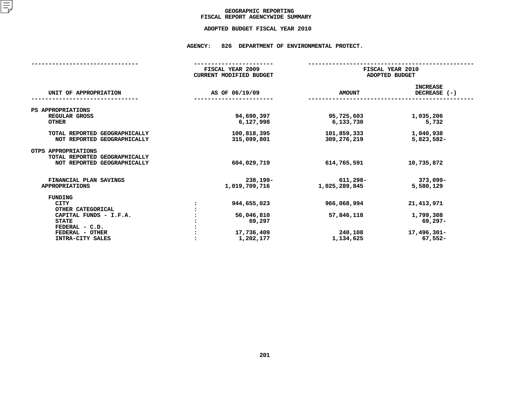### GEOGRAPHIC REPORTING<br>FISCAL REPORT AGENCYWIDE SUMMARY

### **FISCAL REPORT AGENCYWIDE SUMMARY ADOPTED BUDGET FISCAL YEAR <sup>2010</sup>**

#### **AGENCY: <sup>826</sup> DEPARTMENT OF ENVIRONMENTAL PROTECT.**

|                                                                                     | FISCAL YEAR 2009<br><b>CURRENT MODIFIED BUDGET</b> | FISCAL YEAR 2010<br>ADOPTED BUDGET |                                   |
|-------------------------------------------------------------------------------------|----------------------------------------------------|------------------------------------|-----------------------------------|
| UNIT OF APPROPRIATION                                                               | AS OF 06/19/09                                     | <b>AMOUNT</b>                      | <b>INCREASE</b><br>DECREASE $(-)$ |
| PS APPROPRIATIONS                                                                   |                                                    |                                    |                                   |
| REGULAR GROSS<br><b>OTHER</b>                                                       | 94,690,397<br>6,127,998                            | 95,725,603<br>6,133,730            | 1,035,206<br>5,732                |
| TOTAL REPORTED GEOGRAPHICALLY<br>NOT REPORTED GEOGRAPHICALLY                        | 100,818,395<br>315,099,801                         | 101,859,333<br>309,276,219         | 1,040,938<br>5,823,582-           |
| OTPS APPROPRIATIONS<br>TOTAL REPORTED GEOGRAPHICALLY<br>NOT REPORTED GEOGRAPHICALLY | 604,029,719                                        | 614,765,591                        | 10,735,872                        |
|                                                                                     |                                                    |                                    |                                   |
| FINANCIAL PLAN SAVINGS<br><b>APPROPRIATIONS</b>                                     | $238,199-$<br>1,019,709,716                        | 611,298-<br>1,025,289,845          | $373,099 -$<br>5,580,129          |
| <b>FUNDING</b>                                                                      |                                                    |                                    |                                   |
| <b>CITY</b><br>OTHER CATEGORICAL                                                    | 944,655,023                                        | 966,068,994                        | 21, 413, 971                      |
| CAPITAL FUNDS - I.F.A.<br><b>STATE</b>                                              | 56,046,810<br>69,297                               | 57,846,118                         | 1,799,308<br>69,297-              |
| FEDERAL - C.D.                                                                      |                                                    |                                    |                                   |
| FEDERAL - OTHER<br>INTRA-CITY SALES                                                 | 17,736,409<br>1,202,177                            | 240,108<br>1,134,625               | $17,496,301 -$<br>$67,552-$       |
|                                                                                     |                                                    |                                    |                                   |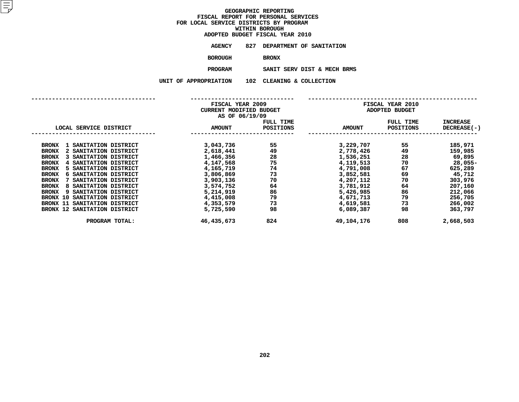|                | ADOPTED BUDGET FISCAL YEAR 2010 |
|----------------|---------------------------------|
| <b>AGENCY</b>  | 827 DEPARTMENT OF SANITATION    |
| <b>BOROUGH</b> | <b>BRONX</b>                    |
| <b>PROGRAM</b> | SANIT SERV DIST & MECH BI       |

**M**<br>**N** 102 CLEANING & COLLECTION<br>**N** 102 CLEANING & COLLECTION **UNIT OF APPROPRIATION <sup>102</sup> CLEANING & COLLECTION**

|                                              | FISCAL YEAR 2009        |           |               | FISCAL YEAR 2010 |             |
|----------------------------------------------|-------------------------|-----------|---------------|------------------|-------------|
|                                              | CURRENT MODIFIED BUDGET |           |               | ADOPTED BUDGET   |             |
|                                              | AS OF 06/19/09          |           |               |                  |             |
|                                              |                         | FULL TIME |               | FULL TIME        | INCREASE    |
| LOCAL SERVICE DISTRICT                       | <b>AMOUNT</b>           | POSITIONS | <b>AMOUNT</b> | <b>POSITIONS</b> | DECREASE(-) |
|                                              |                         |           |               |                  |             |
| <b>BRONX</b><br>1 SANITATION DISTRICT        | 3,043,736               | 55        | 3,229,707     | 55               | 185,971     |
| 2 SANITATION DISTRICT<br><b>BRONX</b>        | 2,618,441               | 49        | 2,778,426     | 49               | 159,985     |
| 3 SANITATION DISTRICT<br><b>BRONX</b>        | 1,466,356               | 28        | 1,536,251     | 28               | 69,895      |
| <b>BRONX</b><br>4 SANITATION DISTRICT        | 4,147,568               | 75        | 4,119,513     | 70               | $28,055-$   |
| 5 SANITATION DISTRICT<br><b>BRONX</b>        | 4,165,719               | 74        | 4,791,008     | 67               | 625,289     |
| <b>6 SANITATION DISTRICT</b><br><b>BRONX</b> | 3,806,869               | 73        | 3,852,581     | 69               | 45,712      |
| SANITATION DISTRICT<br><b>BRONX</b>          | 3,903,136               | 70        | 4,207,112     | 70               | 303,976     |
| 8 SANITATION DISTRICT<br><b>BRONX</b>        | 3,574,752               | 64        | 3,781,912     | 64               | 207,160     |
| <b>BRONX</b><br>SANITATION DISTRICT<br>9.    | 5,214,919               | 86        | 5,426,985     | 86               | 212,066     |
| SANITATION DISTRICT<br>BRONX 10              | 4,415,008               | 79        | 4,671,713     | 79               | 256,705     |
| BRONX 11 SANITATION DISTRICT                 | 4,353,579               | 73        | 4,619,581     | 73               | 266,002     |
| BRONX 12 SANITATION DISTRICT                 | 5,725,590               | 98        | 6,089,387     | 98               | 363,797     |
| PROGRAM TOTAL:                               | 46,435,673              | 824       | 49,104,176    | 808              | 2,668,503   |
|                                              |                         |           |               |                  |             |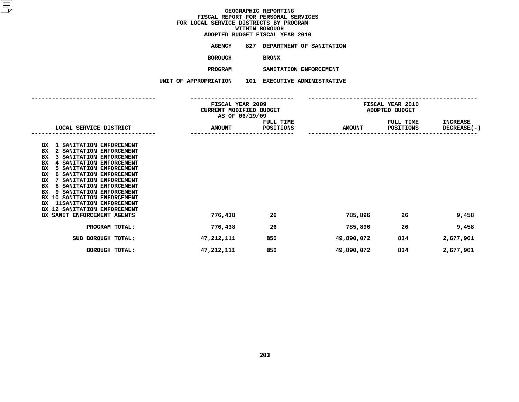**ADOPTED BUDGET FISCAL YEAR <sup>2010</sup>AGENCY <sup>827</sup> DEPARTMENT OF SANITATION**

**BOROUGH**

BRONX<br>SANITATION ENFORCEMENT **PROGRAM**

 **SANITATION ENFORCEMENT UNIT OF APPROPRIATION <sup>101</sup> EXECUTIVE ADMINISTRATIVE**

|                                                                                                                                                                                                                                                                                                                                                                                                                                                                 |  |               | FISCAL YEAR 2009<br><b>CURRENT MODIFIED BUDGET</b><br>AS OF 06/19/09 |               |                        | FISCAL YEAR 2010<br>ADOPTED BUDGET    |  |  |
|-----------------------------------------------------------------------------------------------------------------------------------------------------------------------------------------------------------------------------------------------------------------------------------------------------------------------------------------------------------------------------------------------------------------------------------------------------------------|--|---------------|----------------------------------------------------------------------|---------------|------------------------|---------------------------------------|--|--|
| LOCAL SERVICE DISTRICT                                                                                                                                                                                                                                                                                                                                                                                                                                          |  | <b>AMOUNT</b> | FULL TIME<br>POSITIONS                                               | <b>AMOUNT</b> | FULL TIME<br>POSITIONS | <b>INCREASE</b><br><b>DECREASE(-)</b> |  |  |
| 1 SANITATION ENFORCEMENT<br>вx<br>BX<br>2 SANITATION ENFORCEMENT<br>BX<br>3 SANITATION ENFORCEMENT<br>BX<br>SANITATION ENFORCEMENT<br>BX<br>5 SANITATION ENFORCEMENT<br>BX<br>SANITATION ENFORCEMENT<br>6.<br>BX<br>SANITATION ENFORCEMENT<br>BX<br>SANITATION ENFORCEMENT<br>8<br>BX<br>9 SANITATION ENFORCEMENT<br>SANITATION ENFORCEMENT<br>BX 10<br><b>11SANITATION ENFORCEMENT</b><br>BX<br>12 SANITATION ENFORCEMENT<br>BX<br>BX SANIT ENFORCEMENT AGENTS |  | 776,438       | 26                                                                   | 785,896       | 26                     | 9,458                                 |  |  |
| PROGRAM TOTAL:                                                                                                                                                                                                                                                                                                                                                                                                                                                  |  | 776,438       | 26                                                                   | 785,896       | 26                     | 9,458                                 |  |  |
| SUB BOROUGH TOTAL:                                                                                                                                                                                                                                                                                                                                                                                                                                              |  | 47,212,111    | 850                                                                  | 49,890,072    | 834                    | 2,677,961                             |  |  |
| <b>BOROUGH TOTAL:</b>                                                                                                                                                                                                                                                                                                                                                                                                                                           |  | 47,212,111    | 850                                                                  | 49,890,072    | 834                    | 2,677,961                             |  |  |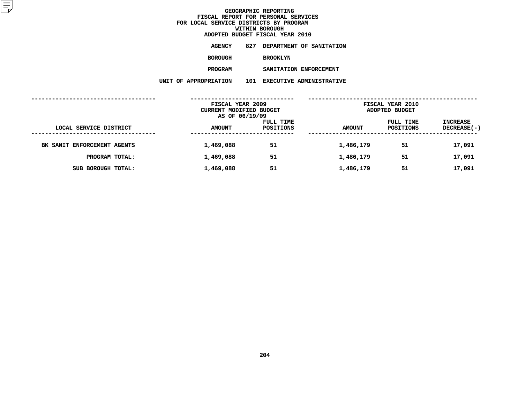**ADOPTED BUDGET FISCAL YEAR <sup>2010</sup>AGENCY <sup>827</sup> DEPARTMENT OF SANITATION BOROUGH**BROOKLYN<br>SANITATION ENFORCEMENT

**PROGRAM**

 **SANITATION ENFORCEMENT UNIT OF APPROPRIATION <sup>101</sup> EXECUTIVE ADMINISTRATIVE**

|                                            | FISCAL YEAR 2009<br><b>CURRENT MODIFIED BUDGET</b><br>AS OF 06/19/09 |                        | FISCAL YEAR 2010<br>ADOPTED BUDGET |                        |                                |
|--------------------------------------------|----------------------------------------------------------------------|------------------------|------------------------------------|------------------------|--------------------------------|
| LOCAL SERVICE DISTRICT<br>---------------- | <b>AMOUNT</b>                                                        | FULL TIME<br>POSITIONS | <b>AMOUNT</b>                      | FULL TIME<br>POSITIONS | <b>INCREASE</b><br>DECREASE(-) |
| BK SANIT ENFORCEMENT AGENTS                | 1,469,088                                                            | 51                     | 1,486,179                          | 51                     | 17,091                         |
| PROGRAM TOTAL:                             | 1,469,088                                                            | 51                     | 1,486,179                          | 51                     | 17,091                         |
| SUB BOROUGH TOTAL:                         | 1,469,088                                                            | 51                     | 1,486,179                          | 51                     | 17,091                         |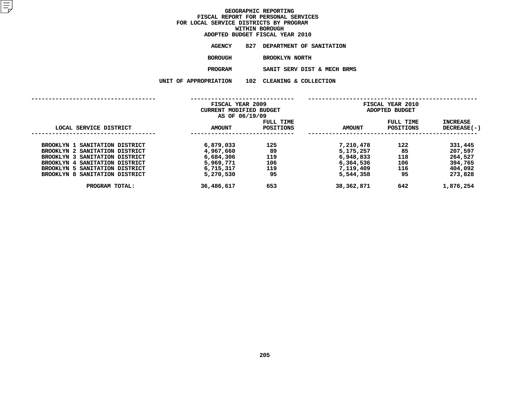|                   | ADOPTED BUDGET FISCAL YEAR 2010 |
|-------------------|---------------------------------|
| AGENCY            | 827 DEPARTMENT OF SANITATION    |
| BOROUGH           | <b>BROOKLYN NORTH</b>           |
| <b>PROGRAM</b>    | SANIT SERV DIST & MECH BRMS     |
| <b>ROPRIATION</b> | 102 CLEANING & COLLECTION       |

|                                | UNIT OF APPROPRIATION   | 102<br>CLEANING & COLLECTION |               |                  |                    |
|--------------------------------|-------------------------|------------------------------|---------------|------------------|--------------------|
|                                |                         |                              |               |                  |                    |
|                                | FISCAL YEAR 2009        |                              |               | FISCAL YEAR 2010 |                    |
|                                | CURRENT MODIFIED BUDGET |                              |               | ADOPTED BUDGET   |                    |
|                                | AS OF 06/19/09          |                              |               |                  |                    |
|                                |                         | FULL TIME                    |               | FULL TIME        | <b>INCREASE</b>    |
| LOCAL SERVICE DISTRICT         | <b>AMOUNT</b>           | <b>POSITIONS</b>             | <b>AMOUNT</b> | <b>POSITIONS</b> | <b>DECREASE(-)</b> |
|                                |                         |                              |               |                  |                    |
| BROOKLYN 1 SANITATION DISTRICT | 6,879,033               | 125                          | 7,210,478     | 122              | 331,445            |
| BROOKLYN 2 SANITATION DISTRICT | 4,967,660               | 89                           | 5,175,257     | 85               | 207,597            |
| BROOKLYN 3 SANITATION DISTRICT | 6,684,306               | 119                          | 6,948,833     | 118              | 264,527            |
| BROOKLYN 4 SANITATION DISTRICT | 5,969,771               | 106                          | 6,364,536     | 106              | 394,765            |
| BROOKLYN 5 SANITATION DISTRICT | 6,715,317               | 119                          | 7,119,409     | 116              | 404,092            |
| BROOKLYN 8 SANITATION DISTRICT | 5,270,530               | 95                           | 5,544,358     | 95               | 273,828            |
| PROGRAM TOTAL:                 | 36,486,617              | 653                          | 38,362,871    | 642              | 1,876,254          |
|                                |                         |                              |               |                  |                    |
|                                |                         |                              |               |                  |                    |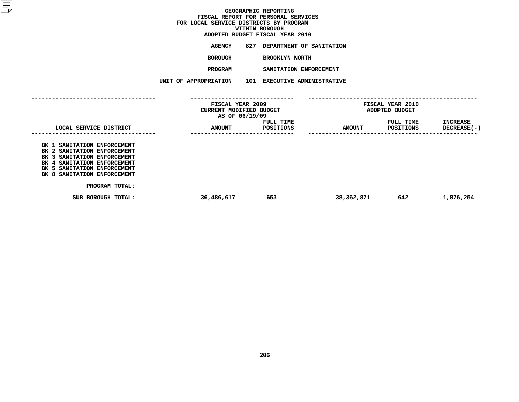**ADOPTED BUDGET FISCAL YEAR <sup>2010</sup>AGENCY <sup>827</sup> DEPARTMENT OF SANITATION**

**BOROUGH**

 **BROOKLYN NORTH PROGRAM**

 **SANITATION ENFORCEMENT UNIT OF APPROPRIATION <sup>101</sup> EXECUTIVE ADMINISTRATIVE**

|                                                                                                                                                                                        | FISCAL YEAR 2009<br>CURRENT MODIFIED BUDGET<br>AS OF 06/19/09 |                        | FISCAL YEAR 2010<br>ADOPTED BUDGET |                        |                                           |
|----------------------------------------------------------------------------------------------------------------------------------------------------------------------------------------|---------------------------------------------------------------|------------------------|------------------------------------|------------------------|-------------------------------------------|
| LOCAL SERVICE DISTRICT                                                                                                                                                                 | <b>AMOUNT</b>                                                 | FULL TIME<br>POSITIONS | <b>AMOUNT</b>                      | FULL TIME<br>POSITIONS | INCREASE<br>DECREASE(-)<br>-------------- |
| BK 1 SANITATION ENFORCEMENT<br>BK 2 SANITATION ENFORCEMENT<br>BK 3 SANITATION ENFORCEMENT<br>BK 4 SANITATION ENFORCEMENT<br>BK 5 SANITATION ENFORCEMENT<br>BK 8 SANITATION ENFORCEMENT |                                                               |                        |                                    |                        |                                           |
| PROGRAM TOTAL:                                                                                                                                                                         |                                                               |                        |                                    |                        |                                           |
| SUB BOROUGH TOTAL:                                                                                                                                                                     | 36,486,617                                                    | 653                    | 38,362,871                         | 642                    | 1,876,254                                 |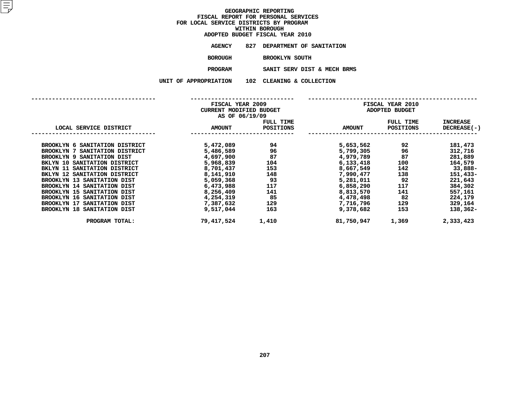|                    | ADOPTED BUDGET FISCAL YEAR 2010 |
|--------------------|---------------------------------|
| AGENCY             | 827 DEPARTMENT OF SANITATION    |
| <b>BOROUGH</b>     | BROOKLYN SOUTH                  |
| <b>PROGRAM</b>     | SANIT SERV DIST & MECH BRMS     |
| <b>PROPRIATION</b> | 102 CLEANING & COLLECTION       |

|                                | FISCAL YEAR 2009<br>CURRENT MODIFIED BUDGET<br>AS OF 06/19/09 |                        |               | FISCAL YEAR 2010<br>ADOPTED BUDGET                                                                                                                                                                                              |                                |
|--------------------------------|---------------------------------------------------------------|------------------------|---------------|---------------------------------------------------------------------------------------------------------------------------------------------------------------------------------------------------------------------------------|--------------------------------|
| LOCAL SERVICE DISTRICT         | <b>AMOUNT</b>                                                 | FULL TIME<br>POSITIONS | <b>AMOUNT</b> | FULL TIME<br>POSITIONS                                                                                                                                                                                                          | <b>INCREASE</b><br>DECREASE(-) |
| BROOKLYN 6 SANITATION DISTRICT | 5,472,089                                                     | 94                     | 5,653,562     |                                                                                                                                                                                                                                 | 181,473                        |
| BROOKLYN 7 SANITATION DISTRICT | 5,486,589                                                     | 96                     | 5,799,305     | 96 — 100 — 100 — 100 — 100 — 100 — 100 — 100 — 100 — 100 — 100 — 100 — 100 — 100 — 100 — 100 — 100 — 100 — 100 — 100 — 100 — 100 — 100 — 100 — 100 — 100 — 100 — 100 — 100 — 100 — 100 — 100 — 100 — 100 — 100 — 100 — 100 — 10 | 312,716                        |
| BROOKLYN 9 SANITATION DIST     | 4,697,900                                                     | 87 -                   | 4,979,789     | 87                                                                                                                                                                                                                              | 281,889                        |
| BKLYN 10 SANITATION DISTRICT   | 5,968,839                                                     | 104                    | 6,133,418     |                                                                                                                                                                                                                                 | 164,579                        |
| BKLYN 11 SANITATION DISTRICT   | 8,701,437                                                     | 153                    | 8,667,549     |                                                                                                                                                                                                                                 | $142$ 33,888-                  |
| BKLYN 12 SANITATION DISTRICT   | 8,141,910                                                     | 148                    | 7,990,477     | 138 200                                                                                                                                                                                                                         | 151,433-                       |
| BROOKLYN 13 SANITATION DIST    | 5,059,368                                                     | 93                     | 5,281,011     | 92                                                                                                                                                                                                                              | 221,643                        |
| BROOKLYN 14 SANITATION DIST    | 6,473,988                                                     | 117                    | 6,858,290     | 117                                                                                                                                                                                                                             | 384,302                        |
| BROOKLYN 15 SANITATION DIST    | 8,256,409                                                     | 141                    | 8,813,570     | 141                                                                                                                                                                                                                             | 557,161                        |
| BROOKLYN 16 SANITATION DIST    | 4,254,319                                                     | 85                     | 4,478,498     | 82                                                                                                                                                                                                                              | 224,179                        |
| BROOKLYN 17 SANITATION DIST    | 7,387,632                                                     | 129                    | 7,716,796     | 129                                                                                                                                                                                                                             | 329,164                        |
| BROOKLYN 18 SANITATION DIST    | 9,517,044                                                     | 163                    | 9,378,682     | 153                                                                                                                                                                                                                             | 138,362-                       |
| PROGRAM TOTAL:                 | 79,417,524                                                    | 1,410                  | 81,750,947    | 1,369                                                                                                                                                                                                                           | 2,333,423                      |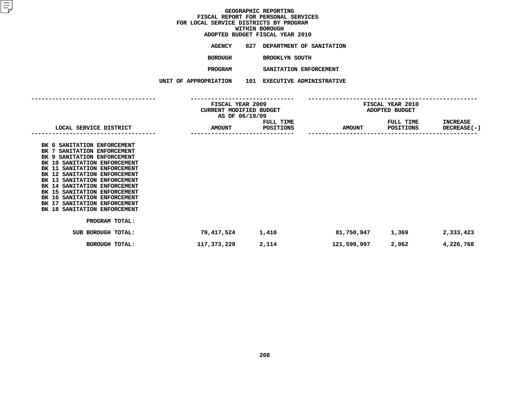|         | ADOPTED BUDGET FISCAL YEAR 2010 |
|---------|---------------------------------|
| AGENCY  | 827 DEPARTMENT OF SANITATION    |
| BOROUGH | BROOKLYN SOUTH                  |

**SANITATION ENFORCEMENT PROGRAM**

 **SANITATION ENFORCEMENT UNIT OF APPROPRIATION <sup>101</sup> EXECUTIVE ADMINISTRATIVE**

|                                                                                                                                                                                                                                                                                                                                                                                                             | FISCAL YEAR 2009<br>CURRENT MODIFIED BUDGET<br>AS OF 06/19/09 |                               | FISCAL YEAR 2010<br>ADOPTED BUDGET |                        |                                |
|-------------------------------------------------------------------------------------------------------------------------------------------------------------------------------------------------------------------------------------------------------------------------------------------------------------------------------------------------------------------------------------------------------------|---------------------------------------------------------------|-------------------------------|------------------------------------|------------------------|--------------------------------|
| LOCAL SERVICE DISTRICT                                                                                                                                                                                                                                                                                                                                                                                      | <b>AMOUNT</b>                                                 | FULL TIME<br><b>POSITIONS</b> | <b>AMOUNT</b>                      | FULL TIME<br>POSITIONS | INCREASE<br><b>DECREASE(-)</b> |
| BK 6 SANITATION ENFORCEMENT<br>BK 7 SANITATION ENFORCEMENT<br>BK 9 SANITATION ENFORCEMENT<br>BK 10 SANITATION ENFORCEMENT<br>BK 11 SANITATION ENFORCEMENT<br>BK 12 SANITATION ENFORCEMENT<br>BK 13 SANITATION ENFORCEMENT<br>BK 14 SANITATION ENFORCEMENT<br>BK 15 SANITATION ENFORCEMENT<br>BK 16 SANITATION ENFORCEMENT<br>BK 17 SANITATION ENFORCEMENT<br>BK 18 SANITATION ENFORCEMENT<br>PROGRAM TOTAL: |                                                               |                               |                                    |                        |                                |
| SUB BOROUGH TOTAL:                                                                                                                                                                                                                                                                                                                                                                                          | 79,417,524                                                    | 1,410                         | 81,750,947                         | 1,369                  | 2,333,423                      |
| <b>BOROUGH TOTAL:</b>                                                                                                                                                                                                                                                                                                                                                                                       | 117,373,229                                                   | 2,114                         | 121,599,997                        | 2,062                  | 4,226,768                      |
|                                                                                                                                                                                                                                                                                                                                                                                                             |                                                               |                               |                                    |                        |                                |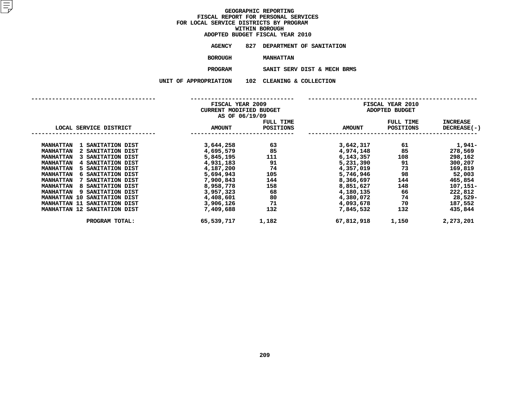| ADOPTED BUDGET FISCAL YEAR 2010 |                              |  |  |  |
|---------------------------------|------------------------------|--|--|--|
| AGENCY                          | 827 DEPARTMENT OF SANITATION |  |  |  |
| <b>BOROUGH</b>                  | <b>MANHATTAN</b>             |  |  |  |
| <b>DDAAD314</b>                 | aivem appur pram e voau p    |  |  |  |

SANIT SERV DIST & MECH BRMS **PROGRAMM**<br>**N** 102 CLEANING & COLLECTION<br>**N** 102 CLEANING & COLLECTION

**UNIT OF APPROPRIATION <sup>102</sup> CLEANING & COLLECTION**

|                                               | FISCAL YEAR 2009<br><b>CURRENT MODIFIED BUDGET</b> |           | FISCAL YEAR 2010<br>ADOPTED BUDGET<br>FULL TIME<br><b>INCREASE</b> |           |             |
|-----------------------------------------------|----------------------------------------------------|-----------|--------------------------------------------------------------------|-----------|-------------|
|                                               | AS OF 06/19/09                                     | FULL TIME |                                                                    |           |             |
| LOCAL SERVICE DISTRICT                        | <b>AMOUNT</b>                                      | POSITIONS | <b>AMOUNT</b>                                                      | POSITIONS | DECREASE(-) |
| <b>MANHATTAN</b><br>1 SANITATION DIST         | 3,644,258                                          | 63        | 3,642,317                                                          | 61        | 1,941–      |
| <b>MANHATTAN</b><br>2 SANITATION DIST         | 4,695,579                                          | 85        | 4,974,148                                                          | 85        | 278,569     |
| <b>MANHATTAN</b><br>3 SANITATION DIST         | 5,845,195                                          | 111       | 6,143,357                                                          | 108       | 298,162     |
| 4 SANITATION DIST<br><b>MANHATTAN</b>         | 4,931,183                                          | 91        | 5,231,390                                                          | 91        | 300,207     |
| <b>MANHATTAN</b><br>5 SANITATION DIST         | 4,187,200                                          | 74        | 4,357,019                                                          | 73        | 169,819     |
| <b>MANHATTAN</b><br><b>6 SANITATION DIST</b>  | 5,694,943                                          | 105       | 5,746,946                                                          | 98        | 52,003      |
| <b>MANHATTAN</b><br>7 SANITATION DIST         | 7,900,843                                          | 144       | 8,366,697                                                          | 144       | 465,854     |
| 8 SANITATION DIST<br><b>MANHATTAN</b>         | 8,958,778                                          | 158       | 8,851,627                                                          | 148       | 107,151-    |
| <b>MANHATTAN</b><br><b>9 SANITATION DIST</b>  | 3,957,323                                          | 68        | 4,180,135                                                          | 66        | 222,812     |
| <b>MANHATTAN 10</b><br>SANITATION DIST        | 4,408,601                                          | 80        | 4,380,072                                                          | 74        | 28,529-     |
| <b>MANHATTAN 11</b><br>SANITATION DIST        | 3,906,126                                          | 71        | 4,093,678                                                          | 70        | 187,552     |
| <b>MANHATTAN 12</b><br><b>SANITATION DIST</b> | 7,409,688                                          | 132       | 7,845,532                                                          | 132       | 435,844     |
| PROGRAM TOTAL:                                | 65,539,717                                         | 1,182     | 67,812,918                                                         | 1,150     | 2,273,201   |
|                                               |                                                    |           |                                                                    |           |             |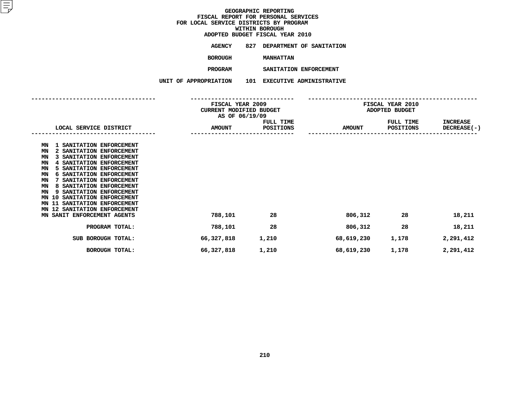# **ADOPTED BUDGET FISCAL YEAR <sup>2010</sup>**

**AGENCY <sup>827</sup> DEPARTMENT OF SANITATION**

**BOROUGH**

 **MANHATTAN PROGRAM**

 **SANITATION ENFORCEMENT UNIT OF APPROPRIATION <sup>101</sup> EXECUTIVE ADMINISTRATIVE**

| LOCAL SERVICE DISTRICT                                                                                                                                                                                                                                                                                                                                                                                                                                            | FISCAL YEAR 2009<br>CURRENT MODIFIED BUDGET<br>AS OF 06/19/09 | <b>FULL TIME</b><br>POSITIONS | FISCAL YEAR 2010<br>ADOPTED BUDGET<br><b>FULL TIME</b><br><b>INCREASE</b> |           |                    |
|-------------------------------------------------------------------------------------------------------------------------------------------------------------------------------------------------------------------------------------------------------------------------------------------------------------------------------------------------------------------------------------------------------------------------------------------------------------------|---------------------------------------------------------------|-------------------------------|---------------------------------------------------------------------------|-----------|--------------------|
|                                                                                                                                                                                                                                                                                                                                                                                                                                                                   | <b>AMOUNT</b>                                                 |                               | <b>AMOUNT</b>                                                             | POSITIONS | <b>DECREASE(-)</b> |
| 1 SANITATION ENFORCEMENT<br>ΜN<br>2 SANITATION ENFORCEMENT<br>MN<br>SANITATION ENFORCEMENT<br>ΜN<br>4 SANITATION ENFORCEMENT<br>ΜN<br>5 SANITATION ENFORCEMENT<br>ΜN<br>SANITATION ENFORCEMENT<br>ΜN<br>6<br>SANITATION ENFORCEMENT<br>MN<br>SANITATION ENFORCEMENT<br>MN<br>8<br>SANITATION ENFORCEMENT<br>ΜN<br>9<br>SANITATION ENFORCEMENT<br>ΜN<br>10<br>SANITATION ENFORCEMENT<br>11<br>MΝ<br>12 SANITATION ENFORCEMENT<br>ΜN<br>MN SANIT ENFORCEMENT AGENTS | 788,101                                                       | 28                            | 806,312                                                                   | 28        | 18,211             |
| PROGRAM TOTAL:                                                                                                                                                                                                                                                                                                                                                                                                                                                    | 788,101                                                       | 28                            | 806,312                                                                   | 28        | 18,211             |
| SUB BOROUGH TOTAL:                                                                                                                                                                                                                                                                                                                                                                                                                                                | 66,327,818                                                    | 1,210                         | 68,619,230                                                                | 1,178     | 2,291,412          |
| BOROUGH TOTAL:                                                                                                                                                                                                                                                                                                                                                                                                                                                    | 66,327,818                                                    | 1,210                         | 68,619,230                                                                | 1,178     | 2,291,412          |
|                                                                                                                                                                                                                                                                                                                                                                                                                                                                   |                                                               |                               |                                                                           |           |                    |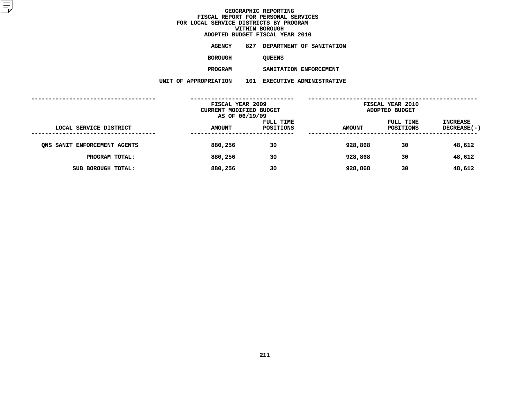**ADOPTED BUDGET FISCAL YEAR <sup>2010</sup>AGENCY <sup>827</sup> DEPARTMENT OF SANITATION**

**BOROUGH**

QUEENS<br>SANITATION ENFORCEMENT **PROGRAM**

**SANITATION ENFORCEMENT**

**UNIT OF APPROPRIATION <sup>101</sup> EXECUTIVE ADMINISTRATIVE**

|                              | FISCAL YEAR 2009<br>CURRENT MODIFIED BUDGET<br>AS OF 06/19/09 |                        | FISCAL YEAR 2010<br>ADOPTED BUDGET |                        |                         |
|------------------------------|---------------------------------------------------------------|------------------------|------------------------------------|------------------------|-------------------------|
| LOCAL SERVICE DISTRICT       | <b>AMOUNT</b>                                                 | FULL TIME<br>POSITIONS | <b>AMOUNT</b>                      | FULL TIME<br>POSITIONS | INCREASE<br>DECREASE(-) |
| ONS SANIT ENFORCEMENT AGENTS | 880,256                                                       | 30                     | 928,868                            | 30                     | 48,612                  |
| PROGRAM TOTAL:               | 880,256                                                       | 30                     | 928,868                            | 30                     | 48,612                  |
| SUB BOROUGH TOTAL:           | 880,256                                                       | 30                     | 928,868                            | 30                     | 48,612                  |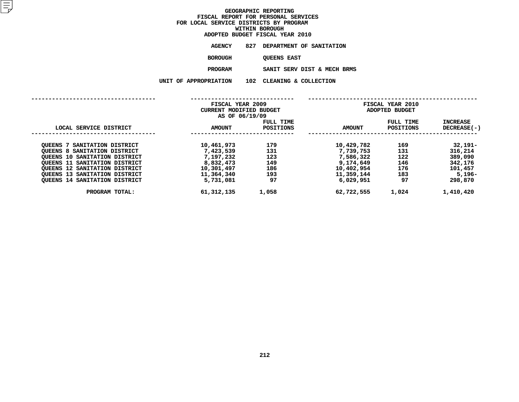|                    |     | ADOPTED BUDGET FISCAL YEAR 2010 |
|--------------------|-----|---------------------------------|
| AGENCY             |     | 827 DEPARTMENT OF SANITATION    |
| <b>BOROUGH</b>     |     | <b>OUEENS EAST</b>              |
| <b>PROGRAM</b>     |     | SANIT SERV DIST & MECH BRMS     |
| <b>PROPRIATION</b> | 102 | CLEANING & COLLECTION           |

**UNIT OF APPROPRIATION <sup>102</sup> CLEANING & COLLECTION**

|                                      | FISCAL YEAR 2009<br>CURRENT MODIFIED BUDGET<br>AS OF 06/19/09 |                               | <b>FISCAL YEAR 2010</b><br>ADOPTED BUDGET |                               |                         |
|--------------------------------------|---------------------------------------------------------------|-------------------------------|-------------------------------------------|-------------------------------|-------------------------|
| LOCAL SERVICE DISTRICT               | <b>AMOUNT</b>                                                 | FULL TIME<br><b>POSITIONS</b> | <b>AMOUNT</b>                             | FULL TIME<br><b>POSITIONS</b> | INCREASE<br>DECREASE(-) |
| SANITATION DISTRICT<br>OUEENS 7      | 10,461,973                                                    | 179                           | 10,429,782                                | 169                           | $32,191 -$              |
| QUEENS 8 SANITATION DISTRICT         | 7,423,539                                                     | 131                           | 7,739,753                                 | 131                           | 316,214                 |
| <b>QUEENS 10 SANITATION DISTRICT</b> | 7,197,232                                                     | 123                           | 7,586,322                                 | 122                           | 389,090                 |
| OUEENS 11 SANITATION DISTRICT        | 8,832,473                                                     | 149                           | 9,174,649                                 | 146                           | 342,176                 |
| <b>OUEENS 12 SANITATION DISTRICT</b> | 10,301,497                                                    | 186                           | 10,402,954                                | 176                           | 101,457                 |
| QUEENS 13 SANITATION DISTRICT        | 11,364,340                                                    | 193                           | 11,359,144                                | 183                           | $5,196-$                |
| <b>QUEENS 14 SANITATION DISTRICT</b> | 5,731,081                                                     | 97                            | 6,029,951                                 | 97                            | 298,870                 |
| PROGRAM TOTAL:                       | 61, 312, 135                                                  | 1,058                         | 62,722,555                                | 1,024                         | 1,410,420               |
|                                      |                                                               |                               |                                           |                               |                         |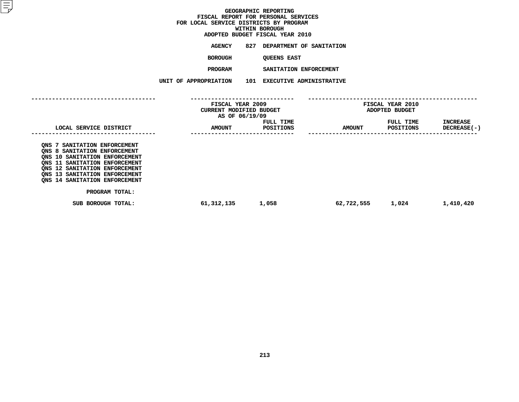# **ADOPTED BUDGET FISCAL YEAR <sup>2010</sup>**

| <b>AGENCY</b> | 827 | DEPARTMENT OF SANITATION |  |
|---------------|-----|--------------------------|--|
| BOROUGH       |     | <b>OUEENS EAST</b>       |  |

 **QUEENS EAST PROGRAM**

 **SANITATION ENFORCEMENT UNIT OF APPROPRIATION <sup>101</sup> EXECUTIVE ADMINISTRATIVE**

|                                                                                                                                                                                                                                   | FISCAL YEAR 2009<br>CURRENT MODIFIED BUDGET<br>AS OF 06/19/09 |                        | <b>FISCAL YEAR 2010</b><br>ADOPTED BUDGET |                               |                                  |
|-----------------------------------------------------------------------------------------------------------------------------------------------------------------------------------------------------------------------------------|---------------------------------------------------------------|------------------------|-------------------------------------------|-------------------------------|----------------------------------|
| LOCAL SERVICE DISTRICT                                                                                                                                                                                                            | <b>AMOUNT</b>                                                 | FULL TIME<br>POSITIONS | <b>AMOUNT</b>                             | FULL TIME<br><b>POSITIONS</b> | <b>INCREASE</b><br>$DECREASE(-)$ |
| ONS 7 SANITATION ENFORCEMENT<br>QNS 8 SANITATION ENFORCEMENT<br>ONS 10 SANITATION ENFORCEMENT<br>ONS 11 SANITATION ENFORCEMENT<br>ONS 12 SANITATION ENFORCEMENT<br>ONS 13 SANITATION ENFORCEMENT<br>ONS 14 SANITATION ENFORCEMENT |                                                               |                        |                                           |                               |                                  |
| PROGRAM TOTAL:<br>SUB BOROUGH TOTAL:                                                                                                                                                                                              | 61,312,135                                                    | 1,058                  | 62,722,555                                | 1,024                         | 1,410,420                        |
|                                                                                                                                                                                                                                   |                                                               |                        |                                           |                               |                                  |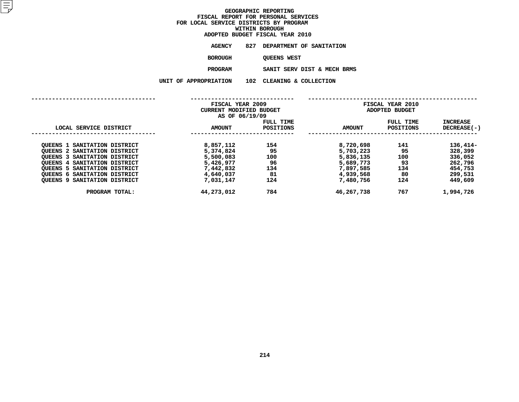| ADOPTED BUDGET FISCAL YEAR 2010 |     |                              |  |  |  |
|---------------------------------|-----|------------------------------|--|--|--|
| AGENCY                          |     | 827 DEPARTMENT OF SANITATION |  |  |  |
| BOROUGH                         |     | <b>OUEENS WEST</b>           |  |  |  |
| <b>PROGRAM</b>                  |     | SANIT SERV DIST & MECH BRMS  |  |  |  |
| <b>PROPRIATION</b>              | 102 | CLEANING & COLLECTION        |  |  |  |

**UNIT OF APPROPRIATION <sup>102</sup> CLEANING & COLLECTION**

|                                        | FISCAL YEAR 2009<br>CURRENT MODIFIED BUDGET<br>AS OF 06/19/09 |                               | FISCAL YEAR 2010<br>ADOPTED BUDGET |                               |                         |
|----------------------------------------|---------------------------------------------------------------|-------------------------------|------------------------------------|-------------------------------|-------------------------|
| LOCAL SERVICE DISTRICT                 | AMOUNT                                                        | FULL TIME<br><b>POSITIONS</b> | <b>AMOUNT</b>                      | FULL TIME<br><b>POSITIONS</b> | INCREASE<br>DECREASE(-) |
| <b>QUEENS 1 SANITATION DISTRICT</b>    | 8,857,112                                                     | 154                           | 8,720,698                          | 141                           | 136,414-                |
| <b>QUEENS 2 SANITATION DISTRICT</b>    | 5,374,824                                                     | 95                            | 5,703,223                          | 95                            | 328,399                 |
| OUEENS 3 SANITATION DISTRICT           | 5,500,083                                                     | 100                           | 5,836,135                          | 100                           | 336,052                 |
| SANITATION DISTRICT<br><b>OUEENS 4</b> | 5,426,977                                                     | 96                            | 5,689,773                          | 93                            | 262,796                 |
| OUEENS 5 SANITATION DISTRICT           | 7,442,832                                                     | 134                           | 7,897,585                          | 134                           | 454,753                 |
| OUEENS 6 SANITATION DISTRICT           | 4,640,037                                                     | 81                            | 4,939,568                          | 80                            | 299,531                 |
| OUEENS 9 SANITATION DISTRICT           | 7,031,147                                                     | 124                           | 7,480,756                          | 124                           | 449,609                 |
| PROGRAM TOTAL:                         | 44,273,012                                                    | 784                           | 46,267,738                         | 767                           | 1,994,726               |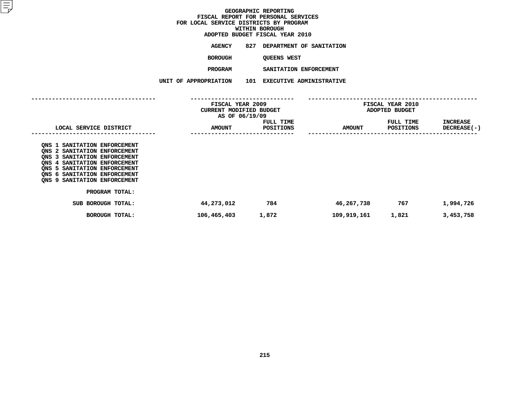# **ADOPTED BUDGET FISCAL YEAR <sup>2010</sup>**

**AGENCY <sup>827</sup> DEPARTMENT OF SANITATION**

**BOROUGH**

 **QUEENS WEST PROGRAM**

 **SANITATION ENFORCEMENT UNIT OF APPROPRIATION <sup>101</sup> EXECUTIVE ADMINISTRATIVE**

|                                                                                                                                                                                                                                                                                               | FISCAL YEAR 2009<br><b>CURRENT MODIFIED BUDGET</b><br>AS OF 06/19/09 |                               | FISCAL YEAR 2010<br>ADOPTED BUDGET |                               |                                |
|-----------------------------------------------------------------------------------------------------------------------------------------------------------------------------------------------------------------------------------------------------------------------------------------------|----------------------------------------------------------------------|-------------------------------|------------------------------------|-------------------------------|--------------------------------|
| LOCAL SERVICE DISTRICT                                                                                                                                                                                                                                                                        | <b>AMOUNT</b>                                                        | FULL TIME<br><b>POSITIONS</b> | <b>AMOUNT</b>                      | FULL TIME<br><b>POSITIONS</b> | <b>INCREASE</b><br>DECREASE(-) |
| ONS 1 SANITATION ENFORCEMENT<br>ONS 2 SANITATION ENFORCEMENT<br>ONS 3 SANITATION ENFORCEMENT<br>ONS 4 SANITATION ENFORCEMENT<br>ONS 5 SANITATION ENFORCEMENT<br>ONS 6 SANITATION ENFORCEMENT<br>ONS 9 SANITATION ENFORCEMENT<br>PROGRAM TOTAL:<br>SUB BOROUGH TOTAL:<br><b>BOROUGH TOTAL:</b> | 44,273,012<br>106,465,403                                            | 784<br>1,872                  | 46,267,738<br>109,919,161          | 767<br>1,821                  | 1,994,726<br>3,453,758         |
|                                                                                                                                                                                                                                                                                               |                                                                      |                               |                                    |                               |                                |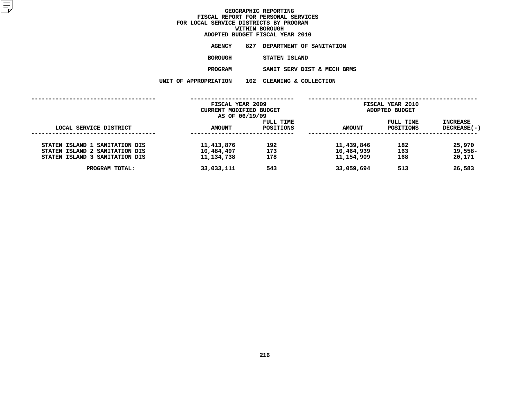| ADOPTED BUDGET FISCAL YEAR 2010 |                       |  |                              |  |  |
|---------------------------------|-----------------------|--|------------------------------|--|--|
|                                 | <b>AGENCY</b>         |  | 827 DEPARTMENT OF SANITATION |  |  |
|                                 | BOROUGH               |  | STATEN ISLAND                |  |  |
|                                 | <b>PROGRAM</b>        |  | SANIT SERV DIST & MECH BRMS  |  |  |
|                                 | UNIT OF APPROPRIATION |  | 102 CLEANING & COLLECTION    |  |  |
|                                 |                       |  |                              |  |  |

|                                                                                                    | FISCAL YEAR 2009<br>CURRENT MODIFIED BUDGET<br>AS OF 06/19/09 |                        | FISCAL YEAR 2010<br>ADOPTED BUDGET     |                        |                             |
|----------------------------------------------------------------------------------------------------|---------------------------------------------------------------|------------------------|----------------------------------------|------------------------|-----------------------------|
| LOCAL SERVICE DISTRICT                                                                             | <b>AMOUNT</b>                                                 | FULL TIME<br>POSITIONS | <b>AMOUNT</b>                          | FULL TIME<br>POSITIONS | INCREASE<br>DECREASE(-)     |
| STATEN ISLAND 1 SANITATION DIS<br>STATEN ISLAND 2 SANITATION DIS<br>STATEN ISLAND 3 SANITATION DIS | 11,413,876<br>10,484,497<br>11,134,738                        | 192<br>173<br>178      | 11,439,846<br>10,464,939<br>11,154,909 | 182<br>163<br>168      | 25,970<br>19,558-<br>20,171 |
| PROGRAM TOTAL:                                                                                     | 33,033,111                                                    | 543                    | 33,059,694                             | 513                    | 26,583                      |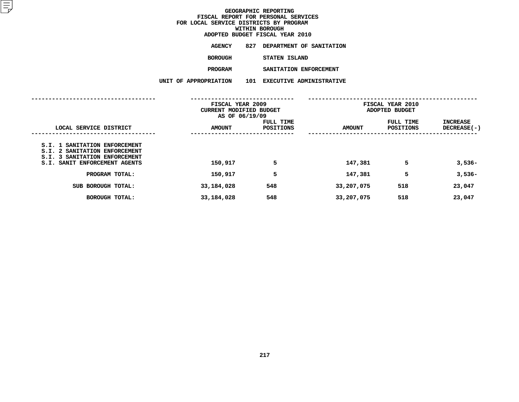| ADOPTED BUDGET FISCAL YEAR 2010 |                       |     |                                 |  |  |  |
|---------------------------------|-----------------------|-----|---------------------------------|--|--|--|
|                                 | AGENCY                | 827 | DEPARTMENT OF SANITATION        |  |  |  |
|                                 | <b>BOROUGH</b>        |     | STATEN ISLAND                   |  |  |  |
|                                 | <b>PROGRAM</b>        |     | SANITATION ENFORCEMENT          |  |  |  |
|                                 | UNIT OF APPROPRIATION | 101 | <b>EXECUTIVE ADMINISTRATIVE</b> |  |  |  |
|                                 |                       |     |                                 |  |  |  |

|                                                                                                                                  | FISCAL YEAR 2009<br>CURRENT MODIFIED BUDGET<br>AS OF 06/19/09 |                        | FISCAL YEAR 2010<br>ADOPTED BUDGET |                        |                                       |
|----------------------------------------------------------------------------------------------------------------------------------|---------------------------------------------------------------|------------------------|------------------------------------|------------------------|---------------------------------------|
| LOCAL SERVICE DISTRICT                                                                                                           | <b>AMOUNT</b>                                                 | FULL TIME<br>POSITIONS | <b>AMOUNT</b>                      | FULL TIME<br>POSITIONS | <b>INCREASE</b><br><b>DECREASE(-)</b> |
| S.I. 1 SANITATION ENFORCEMENT<br>S.I. 2 SANITATION ENFORCEMENT<br>S.I. 3 SANITATION ENFORCEMENT<br>S.I. SANIT ENFORCEMENT AGENTS | 150,917                                                       | 5                      | 147,381                            | 5                      | $3,536-$                              |
| PROGRAM TOTAL:                                                                                                                   | 150,917                                                       | 5                      | 147,381                            | 5                      | $3,536-$                              |
| SUB BOROUGH TOTAL:                                                                                                               | 33,184,028                                                    | 548                    | 33,207,075                         | 518                    | 23,047                                |
| <b>BOROUGH TOTAL:</b>                                                                                                            | 33,184,028                                                    | 548                    | 33,207,075                         | 518                    | 23,047                                |
|                                                                                                                                  |                                                               |                        |                                    |                        |                                       |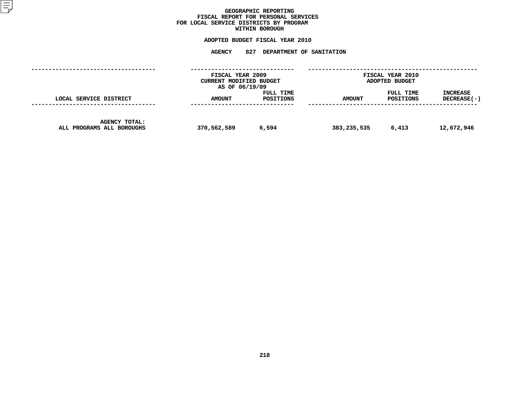### GEOGRAPHIC REPORTING<br>FISCAL REPORT FOR PERSONAL SERVICES<br>OCAL SERVICE DISTRICTS BY PROGRAM<br>WITHIN BOROUGH **FISCAL REPORT FOR PERSONAL SERVICES FOR LOCAL SERVICE DISTRICTS BY PROGRAM**

# **WITHIN BOROUGH**

|                                                   |               | FISCAL YEAR 2009<br>CURRENT MODIFIED BUDGET<br>AS OF 06/19/09 | FISCAL YEAR 2010<br>ADOPTED BUDGET |                        |                                  |  |
|---------------------------------------------------|---------------|---------------------------------------------------------------|------------------------------------|------------------------|----------------------------------|--|
| LOCAL SERVICE DISTRICT                            | <b>AMOUNT</b> | FULL TIME<br>POSITIONS                                        | <b>AMOUNT</b>                      | FULL TIME<br>POSITIONS | <b>INCREASE</b><br>$DECREASE(-)$ |  |
| <b>AGENCY TOTAL:</b><br>ALL PROGRAMS ALL BOROUGHS | 370,562,589   | 6,594                                                         | 383,235,535                        | 6,413                  | 12,672,946                       |  |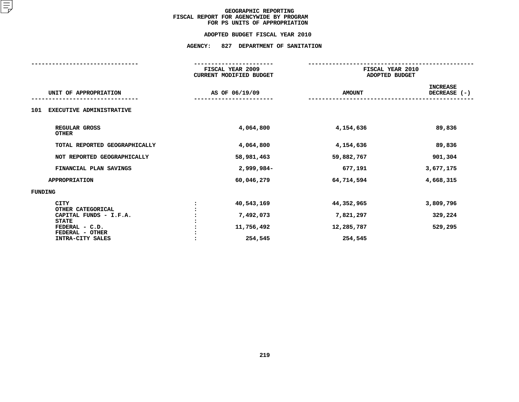#### **ADOPTED BUDGET FISCAL YEAR 2010**

|                                                   | FISCAL YEAR 2009<br><b>CURRENT MODIFIED BUDGET</b> |               | FISCAL YEAR 2010<br>ADOPTED BUDGET |
|---------------------------------------------------|----------------------------------------------------|---------------|------------------------------------|
| UNIT OF APPROPRIATION                             | AS OF 06/19/09                                     | <b>AMOUNT</b> | <b>INCREASE</b><br>DECREASE (-)    |
| EXECUTIVE ADMINISTRATIVE<br>101                   |                                                    |               |                                    |
| REGULAR GROSS<br><b>OTHER</b>                     | 4,064,800                                          | 4,154,636     | 89,836                             |
| TOTAL REPORTED GEOGRAPHICALLY                     | 4,064,800                                          | 4,154,636     | 89,836                             |
| NOT REPORTED GEOGRAPHICALLY                       | 58,981,463                                         | 59,882,767    | 901,304                            |
| FINANCIAL PLAN SAVINGS                            | 2,999,984-                                         | 677,191       | 3,677,175                          |
| <b>APPROPRIATION</b>                              | 60,046,279                                         | 64,714,594    | 4,668,315                          |
| FUNDING                                           |                                                    |               |                                    |
| <b>CITY</b><br>OTHER CATEGORICAL                  | 40,543,169                                         | 44,352,965    | 3,809,796                          |
| CAPITAL FUNDS - I.F.A.                            | 7,492,073                                          | 7,821,297     | 329,224                            |
| <b>STATE</b><br>FEDERAL - C.D.<br>FEDERAL - OTHER | 11,756,492                                         | 12,285,787    | 529,295                            |
| INTRA-CITY SALES                                  | 254,545                                            | 254,545       |                                    |
|                                                   |                                                    |               |                                    |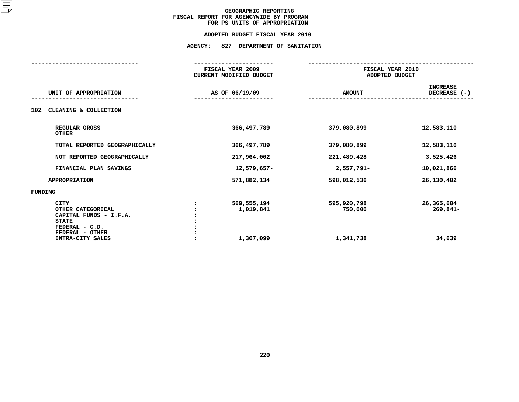#### **ADOPTED BUDGET FISCAL YEAR 2010**

|                                                                                                                                     | FISCAL YEAR 2009<br><b>CURRENT MODIFIED BUDGET</b> |                                     | FISCAL YEAR 2010<br>ADOPTED BUDGET |
|-------------------------------------------------------------------------------------------------------------------------------------|----------------------------------------------------|-------------------------------------|------------------------------------|
| UNIT OF APPROPRIATION                                                                                                               | AS OF 06/19/09                                     | <b>AMOUNT</b>                       | <b>INCREASE</b><br>DECREASE $(-)$  |
| CLEANING & COLLECTION<br>102                                                                                                        |                                                    |                                     |                                    |
| REGULAR GROSS<br><b>OTHER</b>                                                                                                       | 366, 497, 789                                      | 379,080,899                         | 12,583,110                         |
| TOTAL REPORTED GEOGRAPHICALLY                                                                                                       | 366,497,789                                        | 379,080,899                         | 12,583,110                         |
| NOT REPORTED GEOGRAPHICALLY                                                                                                         | 217,964,002                                        | 221,489,428                         | 3,525,426                          |
| FINANCIAL PLAN SAVINGS                                                                                                              | 12,579,657-                                        | 2,557,791-                          | 10,021,866                         |
| <b>APPROPRIATION</b>                                                                                                                | 571,882,134                                        | 598,012,536                         | 26,130,402                         |
| <b>FUNDING</b>                                                                                                                      |                                                    |                                     |                                    |
| <b>CITY</b><br>OTHER CATEGORICAL<br>CAPITAL FUNDS - I.F.A.<br><b>STATE</b><br>FEDERAL - C.D.<br>FEDERAL - OTHER<br>INTRA-CITY SALES | 569,555,194<br>1,019,841<br>1,307,099              | 595,920,798<br>750,000<br>1,341,738 | 26,365,604<br>269,841-<br>34,639   |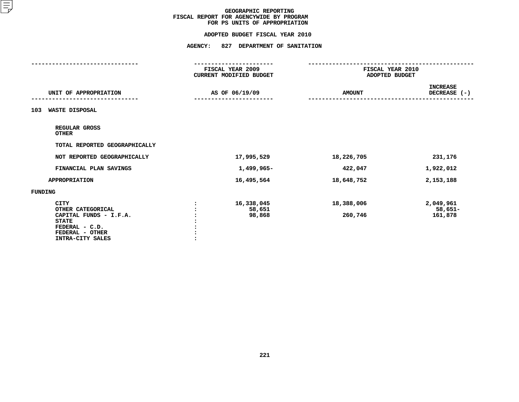#### **ADOPTED BUDGET FISCAL YEAR 2010**

|                                             | FISCAL YEAR 2009               | FISCAL YEAR 2010 |                    |
|---------------------------------------------|--------------------------------|------------------|--------------------|
|                                             | <b>CURRENT MODIFIED BUDGET</b> | ADOPTED BUDGET   |                    |
|                                             |                                |                  | <b>INCREASE</b>    |
| UNIT OF APPROPRIATION                       | AS OF 06/19/09                 | <b>AMOUNT</b>    | DECREASE (-)       |
|                                             |                                |                  |                    |
| <b>WASTE DISPOSAL</b><br>103                |                                |                  |                    |
|                                             |                                |                  |                    |
| REGULAR GROSS                               |                                |                  |                    |
| <b>OTHER</b>                                |                                |                  |                    |
| TOTAL REPORTED GEOGRAPHICALLY               |                                |                  |                    |
| NOT REPORTED GEOGRAPHICALLY                 | 17,995,529                     | 18,226,705       | 231,176            |
| FINANCIAL PLAN SAVINGS                      | 1,499,965-                     |                  | 1,922,012          |
|                                             |                                | 422,047          |                    |
| <b>APPROPRIATION</b>                        | 16,495,564                     | 18,648,752       | 2,153,188          |
| FUNDING                                     |                                |                  |                    |
|                                             |                                |                  |                    |
| <b>CITY</b>                                 | 16,338,045                     | 18,388,006       | 2,049,961          |
| OTHER CATEGORICAL<br>CAPITAL FUNDS - I.F.A. | 58,651<br>98,868               | 260,746          | 58,651-<br>161,878 |
| <b>STATE</b>                                |                                |                  |                    |
| FEDERAL - C.D.                              |                                |                  |                    |
| FEDERAL - OTHER                             |                                |                  |                    |
| <b>INTRA-CITY SALES</b>                     |                                |                  |                    |
|                                             |                                |                  |                    |
|                                             |                                |                  |                    |
|                                             |                                |                  |                    |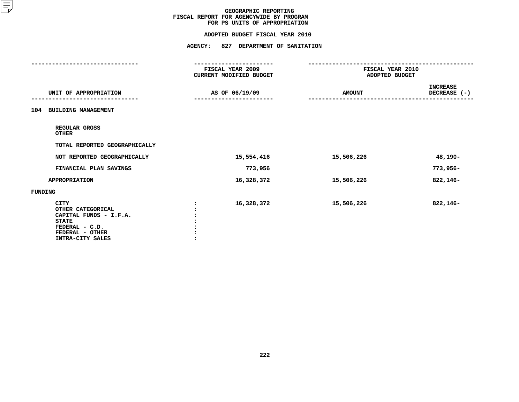#### **ADOPTED BUDGET FISCAL YEAR 2010**

|                                     | FISCAL YEAR 2009        | FISCAL YEAR 2010 |                 |
|-------------------------------------|-------------------------|------------------|-----------------|
|                                     | CURRENT MODIFIED BUDGET | ADOPTED BUDGET   |                 |
|                                     |                         |                  | <b>INCREASE</b> |
| UNIT OF APPROPRIATION               | AS OF 06/19/09          | <b>AMOUNT</b>    | DECREASE (-)    |
| <b>BUILDING MANAGEMENT</b><br>104   |                         |                  |                 |
| REGULAR GROSS<br><b>OTHER</b>       |                         |                  |                 |
| TOTAL REPORTED GEOGRAPHICALLY       |                         |                  |                 |
| NOT REPORTED GEOGRAPHICALLY         | 15,554,416              | 15,506,226       | 48,190-         |
| FINANCIAL PLAN SAVINGS              | 773,956                 |                  | 773,956-        |
| <b>APPROPRIATION</b>                | 16,328,372              | 15,506,226       | 822,146-        |
| FUNDING                             |                         |                  |                 |
| <b>CITY</b><br>OTHER CATEGORICAL    | 16,328,372              | 15,506,226       | 822,146-        |
| CAPITAL FUNDS - I.F.A.              |                         |                  |                 |
| <b>STATE</b>                        |                         |                  |                 |
| FEDERAL - C.D.                      |                         |                  |                 |
| FEDERAL - OTHER<br>INTRA-CITY SALES |                         |                  |                 |
|                                     |                         |                  |                 |
|                                     |                         |                  |                 |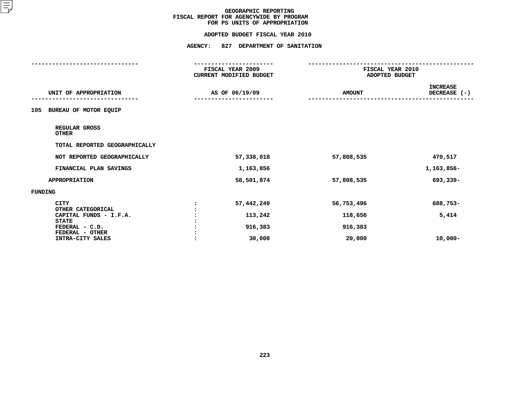#### **ADOPTED BUDGET FISCAL YEAR 2010**

# **ADOPTED BUDGET FISCAL YEAR <sup>2010</sup>**

|                                                             | <b>AGENCY:</b> | 827 DEPARTMENT OF SANITATION<br>---------------- |               |                                                      |  |
|-------------------------------------------------------------|----------------|--------------------------------------------------|---------------|------------------------------------------------------|--|
|                                                             |                | FISCAL YEAR 2009<br>CURRENT MODIFIED BUDGET      |               | --------------<br>FISCAL YEAR 2010<br>ADOPTED BUDGET |  |
| UNIT OF APPROPRIATION                                       |                | AS OF 06/19/09                                   | <b>AMOUNT</b> | <b>INCREASE</b><br>DECREASE (-)                      |  |
| BUREAU OF MOTOR EQUIP<br>105                                |                |                                                  |               |                                                      |  |
| REGULAR GROSS<br><b>OTHER</b>                               |                |                                                  |               |                                                      |  |
| TOTAL REPORTED GEOGRAPHICALLY                               |                |                                                  |               |                                                      |  |
| NOT REPORTED GEOGRAPHICALLY                                 |                | 57,338,018                                       | 57,808,535    | 470,517                                              |  |
| FINANCIAL PLAN SAVINGS                                      |                | 1,163,856                                        |               | 1,163,856-                                           |  |
| <b>APPROPRIATION</b>                                        |                | 58,501,874                                       | 57,808,535    | 693,339-                                             |  |
| <b>FUNDING</b>                                              |                |                                                  |               |                                                      |  |
| <b>CITY</b>                                                 |                | 57,442,249                                       | 56,753,496    | 688,753-                                             |  |
| OTHER CATEGORICAL<br>CAPITAL FUNDS - I.F.A.<br><b>STATE</b> |                | 113,242                                          | 118,656       | 5,414                                                |  |
| FEDERAL - C.D.                                              |                | 916,383                                          | 916,383       |                                                      |  |
| FEDERAL - OTHER<br>INTRA-CITY SALES                         |                | 30,000                                           | 20,000        | $10,000 -$                                           |  |
|                                                             |                |                                                  |               |                                                      |  |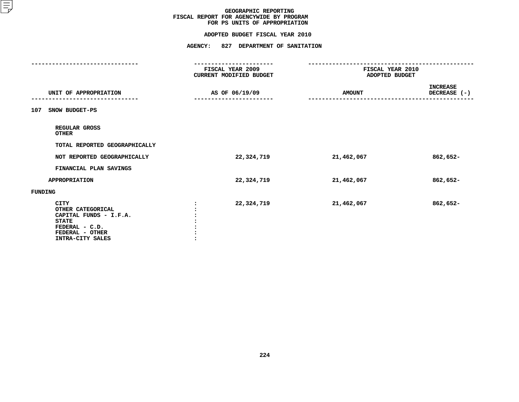#### **ADOPTED BUDGET FISCAL YEAR 2010**

|                                | FISCAL YEAR 2009<br>CURRENT MODIFIED BUDGET | FISCAL YEAR 2010<br>ADOPTED BUDGET |                                 |
|--------------------------------|---------------------------------------------|------------------------------------|---------------------------------|
|                                |                                             |                                    |                                 |
| UNIT OF APPROPRIATION          | AS OF 06/19/09                              | <b>AMOUNT</b>                      | <b>INCREASE</b><br>DECREASE (-) |
|                                |                                             |                                    |                                 |
| SNOW BUDGET-PS<br>107          |                                             |                                    |                                 |
| REGULAR GROSS<br><b>OTHER</b>  |                                             |                                    |                                 |
| TOTAL REPORTED GEOGRAPHICALLY  |                                             |                                    |                                 |
| NOT REPORTED GEOGRAPHICALLY    | 22,324,719                                  | 21,462,067                         | 862,652-                        |
| FINANCIAL PLAN SAVINGS         |                                             |                                    |                                 |
| <b>APPROPRIATION</b>           | 22,324,719                                  | 21,462,067                         | 862,652-                        |
| FUNDING                        |                                             |                                    |                                 |
| <b>CITY</b>                    | 22,324,719                                  | 21,462,067                         | 862,652-                        |
| OTHER CATEGORICAL              |                                             |                                    |                                 |
| CAPITAL FUNDS - I.F.A.         |                                             |                                    |                                 |
| <b>STATE</b><br>FEDERAL - C.D. |                                             |                                    |                                 |
| FEDERAL - OTHER                |                                             |                                    |                                 |
| INTRA-CITY SALES               |                                             |                                    |                                 |
|                                |                                             |                                    |                                 |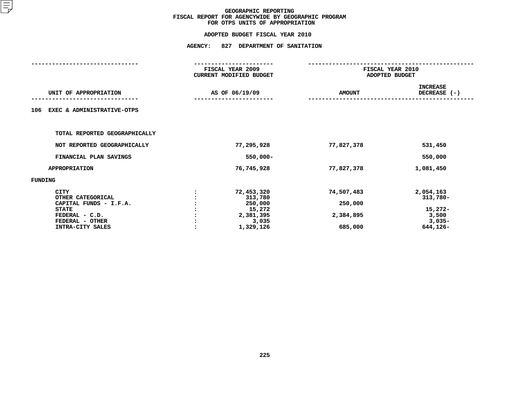| FISCAL YEAR 2009<br>CURRENT MODIFIED BUDGET<br>AS OF 06/19/09 |                                                                               | FISCAL YEAR 2010<br>ADOPTED BUDGET            |                                                                   |  |
|---------------------------------------------------------------|-------------------------------------------------------------------------------|-----------------------------------------------|-------------------------------------------------------------------|--|
|                                                               |                                                                               | <b>AMOUNT</b>                                 | <b>INCREASE</b><br>DECREASE (-)                                   |  |
|                                                               |                                                                               |                                               |                                                                   |  |
|                                                               |                                                                               |                                               |                                                                   |  |
|                                                               | 77,295,928                                                                    | 77,827,378                                    | 531,450                                                           |  |
|                                                               | $550,000 -$                                                                   |                                               | 550,000                                                           |  |
|                                                               | 76,745,928                                                                    | 77,827,378                                    | 1,081,450                                                         |  |
|                                                               |                                                                               |                                               |                                                                   |  |
|                                                               | 72,453,320<br>313,780<br>250,000<br>15,272<br>2,381,395<br>3,035<br>1,329,126 | 74,507,483<br>250,000<br>2,384,895<br>685,000 | 2,054,163<br>313,780-<br>15,272-<br>3,500<br>$3,035-$<br>644,126- |  |
|                                                               |                                                                               |                                               |                                                                   |  |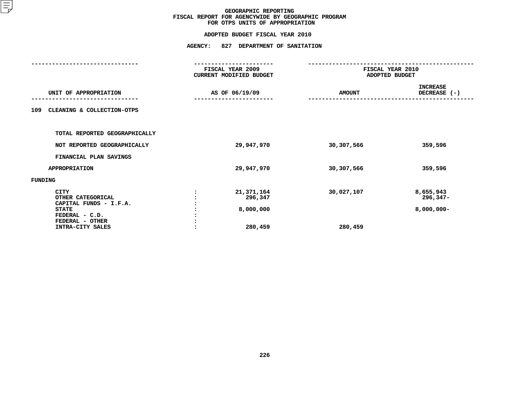| FISCAL YEAR 2009<br>CURRENT MODIFIED BUDGET<br>AS OF 06/19/09 |                                               | FISCAL YEAR 2010<br>ADOPTED BUDGET |                                        |  |
|---------------------------------------------------------------|-----------------------------------------------|------------------------------------|----------------------------------------|--|
|                                                               |                                               | <b>AMOUNT</b>                      | <b>INCREASE</b><br>DECREASE (-)        |  |
|                                                               |                                               |                                    |                                        |  |
|                                                               |                                               |                                    |                                        |  |
|                                                               | 29,947,970                                    | 30,307,566                         | 359,596                                |  |
|                                                               |                                               |                                    |                                        |  |
|                                                               | 29,947,970                                    | 30,307,566                         | 359,596                                |  |
|                                                               |                                               |                                    |                                        |  |
|                                                               | 21,371,164<br>296,347<br>8,000,000<br>280,459 | 30,027,107<br>280,459              | 8,655,943<br>296,347–<br>$8,000,000 -$ |  |
|                                                               |                                               |                                    |                                        |  |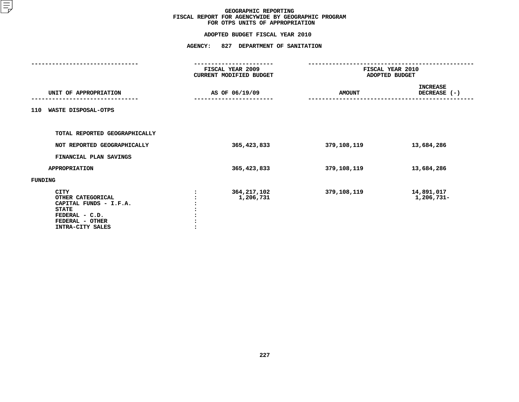|                                                                                                                                     | FISCAL YEAR 2009<br>CURRENT MODIFIED BUDGET |                            | FISCAL YEAR 2010<br>ADOPTED BUDGET |                                 |  |
|-------------------------------------------------------------------------------------------------------------------------------------|---------------------------------------------|----------------------------|------------------------------------|---------------------------------|--|
| UNIT OF APPROPRIATION                                                                                                               |                                             | AS OF 06/19/09             | <b>AMOUNT</b>                      | <b>INCREASE</b><br>DECREASE (-) |  |
| WASTE DISPOSAL-OTPS<br>110                                                                                                          |                                             |                            |                                    |                                 |  |
| TOTAL REPORTED GEOGRAPHICALLY                                                                                                       |                                             |                            |                                    |                                 |  |
| NOT REPORTED GEOGRAPHICALLY                                                                                                         |                                             | 365,423,833                | 379,108,119                        | 13,684,286                      |  |
| FINANCIAL PLAN SAVINGS                                                                                                              |                                             |                            |                                    |                                 |  |
| <b>APPROPRIATION</b>                                                                                                                |                                             | 365,423,833                | 379,108,119                        | 13,684,286                      |  |
| FUNDING                                                                                                                             |                                             |                            |                                    |                                 |  |
| <b>CITY</b><br>OTHER CATEGORICAL<br>CAPITAL FUNDS - I.F.A.<br><b>STATE</b><br>FEDERAL - C.D.<br>FEDERAL - OTHER<br>INTRA-CITY SALES |                                             | 364, 217, 102<br>1,206,731 | 379,108,119                        | 14,891,017<br>1,206,731-        |  |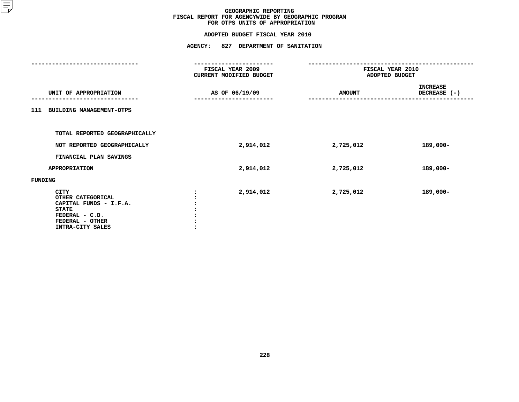|                                                                                                                                     | FISCAL YEAR 2009<br>CURRENT MODIFIED BUDGET | FISCAL YEAR 2010<br>ADOPTED BUDGET |                                 |  |
|-------------------------------------------------------------------------------------------------------------------------------------|---------------------------------------------|------------------------------------|---------------------------------|--|
| UNIT OF APPROPRIATION                                                                                                               | AS OF 06/19/09                              | <b>AMOUNT</b>                      | <b>INCREASE</b><br>DECREASE (-) |  |
| 111 BUILDING MANAGEMENT-OTPS                                                                                                        |                                             |                                    |                                 |  |
| TOTAL REPORTED GEOGRAPHICALLY                                                                                                       |                                             |                                    |                                 |  |
| NOT REPORTED GEOGRAPHICALLY                                                                                                         | 2,914,012                                   | 2,725,012                          | 189,000-                        |  |
| FINANCIAL PLAN SAVINGS                                                                                                              |                                             |                                    |                                 |  |
| <b>APPROPRIATION</b>                                                                                                                | 2,914,012                                   | 2,725,012                          | 189,000-                        |  |
| FUNDING                                                                                                                             |                                             |                                    |                                 |  |
| <b>CITY</b><br>OTHER CATEGORICAL<br>CAPITAL FUNDS - I.F.A.<br><b>STATE</b><br>FEDERAL - C.D.<br>FEDERAL - OTHER<br>INTRA-CITY SALES | 2,914,012                                   | 2,725,012                          | 189,000-                        |  |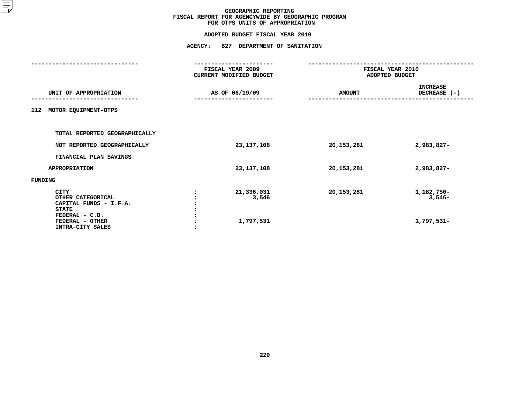|                                                                                                                                     | FISCAL YEAR 2009<br>CURRENT MODIFIED BUDGET |               | FISCAL YEAR 2010<br>ADOPTED BUDGET   |  |  |
|-------------------------------------------------------------------------------------------------------------------------------------|---------------------------------------------|---------------|--------------------------------------|--|--|
| UNIT OF APPROPRIATION                                                                                                               | AS OF 06/19/09                              | <b>AMOUNT</b> | <b>INCREASE</b><br>DECREASE (-)      |  |  |
| 112<br>MOTOR EQUIPMENT-OTPS                                                                                                         |                                             |               |                                      |  |  |
| TOTAL REPORTED GEOGRAPHICALLY                                                                                                       |                                             |               |                                      |  |  |
| NOT REPORTED GEOGRAPHICALLY                                                                                                         | 23,137,108                                  | 20,153,281    | 2,983,827-                           |  |  |
| FINANCIAL PLAN SAVINGS                                                                                                              |                                             |               |                                      |  |  |
| <b>APPROPRIATION</b>                                                                                                                | 23, 137, 108                                | 20, 153, 281  | 2,983,827-                           |  |  |
| FUNDING                                                                                                                             |                                             |               |                                      |  |  |
| <b>CITY</b><br>OTHER CATEGORICAL<br>CAPITAL FUNDS - I.F.A.<br><b>STATE</b><br>FEDERAL - C.D.<br>FEDERAL - OTHER<br>INTRA-CITY SALES | 21,336,031<br>3,546<br>1,797,531            | 20, 153, 281  | 1,182,750-<br>$3,546-$<br>1,797,531- |  |  |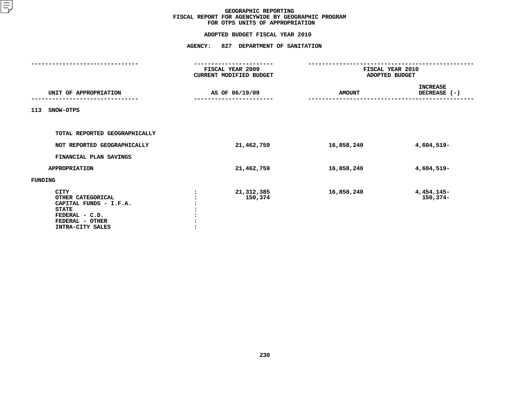|                                                                                                                                     | FISCAL YEAR 2009<br>CURRENT MODIFIED BUDGET |                         | FISCAL YEAR 2010<br>ADOPTED BUDGET |                                 |  |
|-------------------------------------------------------------------------------------------------------------------------------------|---------------------------------------------|-------------------------|------------------------------------|---------------------------------|--|
| UNIT OF APPROPRIATION                                                                                                               |                                             | AS OF 06/19/09          | <b>AMOUNT</b>                      | <b>INCREASE</b><br>DECREASE (-) |  |
| 113<br>SNOW-OTPS                                                                                                                    |                                             |                         |                                    |                                 |  |
| TOTAL REPORTED GEOGRAPHICALLY                                                                                                       |                                             |                         |                                    |                                 |  |
| NOT REPORTED GEOGRAPHICALLY                                                                                                         |                                             | 21,462,759              | 16,858,240                         | 4,604,519-                      |  |
| FINANCIAL PLAN SAVINGS                                                                                                              |                                             |                         |                                    |                                 |  |
| <b>APPROPRIATION</b>                                                                                                                |                                             | 21,462,759              | 16,858,240                         | 4,604,519-                      |  |
| FUNDING                                                                                                                             |                                             |                         |                                    |                                 |  |
| <b>CITY</b><br>OTHER CATEGORICAL<br>CAPITAL FUNDS - I.F.A.<br><b>STATE</b><br>FEDERAL - C.D.<br>FEDERAL - OTHER<br>INTRA-CITY SALES |                                             | 21, 312, 385<br>150,374 | 16,858,240                         | 4,454,145-<br>150,374-          |  |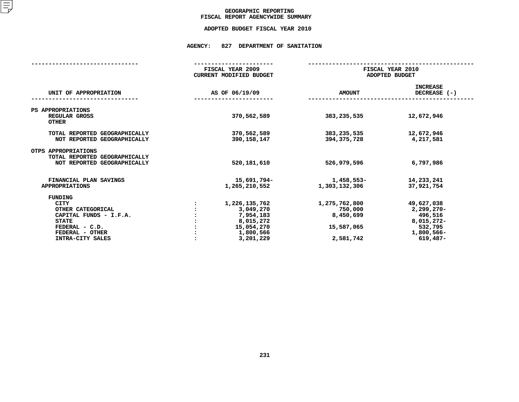### GEOGRAPHIC REPORTING<br>FISCAL REPORT AGENCYWIDE SUMMARY

# **FISCAL REPORT AGENCYWIDE SUMMARY ADOPTED BUDGET FISCAL YEAR <sup>2010</sup>**

#### **AGENCY: <sup>827</sup> DEPARTMENT OF SANITATION**

|                                                                                                                                                | FISCAL YEAR 2009<br><b>CURRENT MODIFIED BUDGET</b>                                           |                                                                  | FISCAL YEAR 2010<br>ADOPTED BUDGET                                                         |  |  |
|------------------------------------------------------------------------------------------------------------------------------------------------|----------------------------------------------------------------------------------------------|------------------------------------------------------------------|--------------------------------------------------------------------------------------------|--|--|
| UNIT OF APPROPRIATION                                                                                                                          | AS OF 06/19/09                                                                               | <b>AMOUNT</b>                                                    | <b>INCREASE</b><br>DECREASE (-)                                                            |  |  |
| PS APPROPRIATIONS<br>REGULAR GROSS<br><b>OTHER</b>                                                                                             | 370,562,589                                                                                  | 383, 235, 535                                                    | 12,672,946                                                                                 |  |  |
| TOTAL REPORTED GEOGRAPHICALLY<br>NOT REPORTED GEOGRAPHICALLY                                                                                   | 370,562,589<br>390,158,147                                                                   | 383,235,535<br>394,375,728                                       | 12,672,946<br>4,217,581                                                                    |  |  |
| OTPS APPROPRIATIONS<br>TOTAL REPORTED GEOGRAPHICALLY<br>NOT REPORTED GEOGRAPHICALLY                                                            | 520, 181, 610                                                                                | 526,979,596                                                      | 6,797,986                                                                                  |  |  |
| FINANCIAL PLAN SAVINGS<br><b>APPROPRIATIONS</b>                                                                                                | 15,691,794-<br>1,265,210,552                                                                 | 1,458,553-<br>1,303,132,306                                      | 14,233,241<br>37,921,754                                                                   |  |  |
| FUNDING<br><b>CITY</b><br>OTHER CATEGORICAL<br>CAPITAL FUNDS - I.F.A.<br><b>STATE</b><br>FEDERAL - C.D.<br>FEDERAL - OTHER<br>INTRA-CITY SALES | 1,226,135,762<br>3,049,270<br>7,954,183<br>8,015,272<br>15,054,270<br>1,800,566<br>3,201,229 | 1,275,762,800<br>750,000<br>8,450,699<br>15,587,065<br>2,581,742 | 49,627,038<br>$2,299,270-$<br>496,516<br>8,015,272-<br>532,795<br>1,800,566-<br>$619,487-$ |  |  |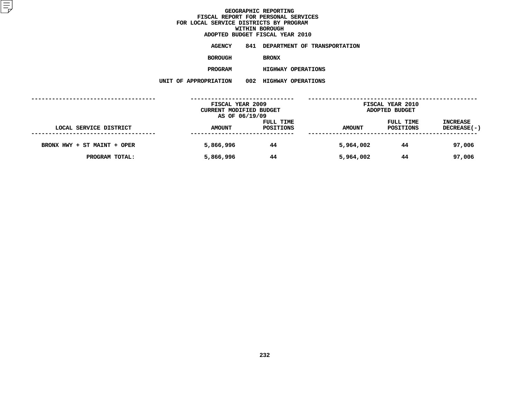|                | ADOPTED BUDGET FISCAL YEAR 2010  |
|----------------|----------------------------------|
| AGENCY         | 841 DEPARTMENT OF TRANSPORTATION |
| <b>BOROUGH</b> | <b>BRONX</b>                     |
| <b>PROGRAM</b> | <b>HIGHWAY OPERATIONS</b>        |

 **HIGHWAY OPERATIONS UNIT OF APPROPRIATION <sup>002</sup> HIGHWAY OPERATIONS**

|                             |               | FISCAL YEAR 2009<br>CURRENT MODIFIED BUDGET<br>AS OF 06/19/09 |               | FISCAL YEAR 2010<br>ADOPTED BUDGET |                                |
|-----------------------------|---------------|---------------------------------------------------------------|---------------|------------------------------------|--------------------------------|
| LOCAL SERVICE DISTRICT      | <b>AMOUNT</b> | FULL TIME<br>POSITIONS                                        | <b>AMOUNT</b> | FULL TIME<br>POSITIONS             | <b>INCREASE</b><br>DECREASE(-) |
| BRONX HWY + ST MAINT + OPER | 5,866,996     | 44                                                            | 5,964,002     | 44                                 | 97,006                         |
| PROGRAM TOTAL:              | 5,866,996     | 44                                                            | 5,964,002     | 44                                 | 97,006                         |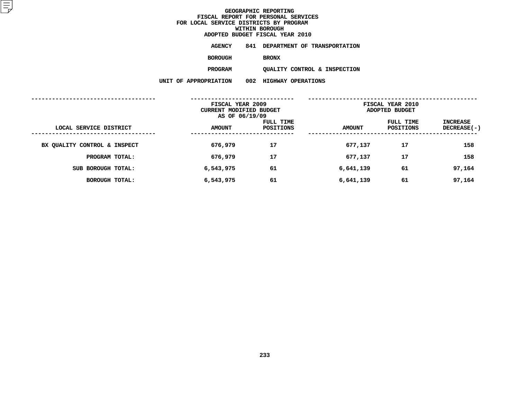|         | ADOPTED BUDGET FISCAL YEAR 2010 |                                  |
|---------|---------------------------------|----------------------------------|
| AGENCY  |                                 | 841 DEPARTMENT OF TRANSPORTATION |
| BOROUGH | <b>BRONX</b>                    |                                  |

QUALITY CONTROL & INSPECTION **PROGRAMQUALITY CONTROL & INSPECTION**

**UNIT OF APPROPRIATION <sup>002</sup> HIGHWAY OPERATIONS**

|                              | FISCAL YEAR 2009<br>CURRENT MODIFIED BUDGET<br>AS OF 06/19/09 |                        | FISCAL YEAR 2010<br>ADOPTED BUDGET |                        |                           |  |
|------------------------------|---------------------------------------------------------------|------------------------|------------------------------------|------------------------|---------------------------|--|
| LOCAL SERVICE DISTRICT       | <b>AMOUNT</b>                                                 | FULL TIME<br>POSITIONS | <b>AMOUNT</b>                      | FULL TIME<br>POSITIONS | INCREASE<br>$DECREASE(-)$ |  |
| BX QUALITY CONTROL & INSPECT | 676,979                                                       | 17                     | 677,137                            | 17                     | 158                       |  |
| PROGRAM TOTAL:               | 676,979                                                       | 17                     | 677,137                            | 17                     | 158                       |  |
| SUB BOROUGH TOTAL:           | 6,543,975                                                     | 61                     | 6,641,139                          | 61                     | 97,164                    |  |
| <b>BOROUGH TOTAL:</b>        | 6,543,975                                                     | 61                     | 6,641,139                          | 61                     | 97,164                    |  |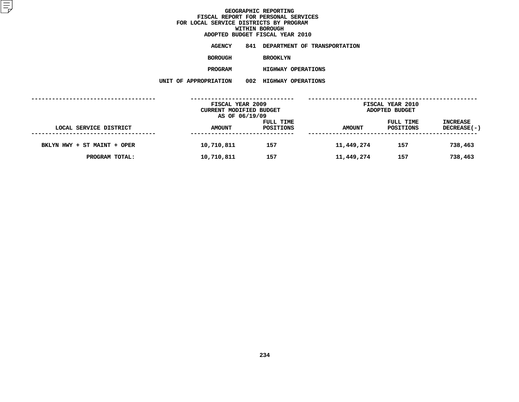|                   |      | ADOPTED BUDGET FISCAL YEAR 2010 |
|-------------------|------|---------------------------------|
| <b>AGENCY</b>     | 841  | DEPARTMENT OF TRANSPORTATION    |
| BOROUGH           |      | <b>BROOKLYN</b>                 |
| PROGRAM           |      | <b>HIGHWAY OPERATIONS</b>       |
| <b>ROPRIATION</b> | 002. | <b>HIGHWAY OPERATIONS</b>       |

|                             |  | UNIT OF APPROPRIATION                                         | 002                    | <b>HIGHWAY OPERATIONS</b> |                                    |                        |                                |
|-----------------------------|--|---------------------------------------------------------------|------------------------|---------------------------|------------------------------------|------------------------|--------------------------------|
|                             |  | FISCAL YEAR 2009<br>CURRENT MODIFIED BUDGET<br>AS OF 06/19/09 |                        |                           | FISCAL YEAR 2010<br>ADOPTED BUDGET |                        |                                |
| LOCAL SERVICE DISTRICT      |  | <b>AMOUNT</b>                                                 | FULL TIME<br>POSITIONS |                           | <b>AMOUNT</b>                      | FULL TIME<br>POSITIONS | <b>INCREASE</b><br>DECREASE(-) |
| BKLYN HWY + ST MAINT + OPER |  | 10,710,811                                                    | 157                    |                           | 11,449,274                         | 157                    | 738,463                        |
| PROGRAM TOTAL:              |  | 10,710,811                                                    | 157                    |                           | 11,449,274                         | 157                    | 738,463                        |
|                             |  |                                                               |                        |                           |                                    |                        |                                |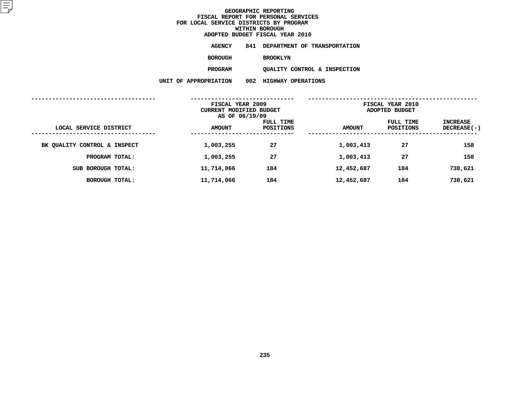| ADOPTED BUDGET FISCAL YEAR 2010 |                 |  |                                  |  |
|---------------------------------|-----------------|--|----------------------------------|--|
| AGENCY                          |                 |  | 841 DEPARTMENT OF TRANSPORTATION |  |
| BOROUGH                         | <b>BROOKLYN</b> |  |                                  |  |

QUALITY CONTROL & INSPECTION **PROGRAMQUALITY CONTROL & INSPECTION**

**UNIT OF APPROPRIATION <sup>002</sup> HIGHWAY OPERATIONS**

|                              | FISCAL YEAR 2009<br>CURRENT MODIFIED BUDGET<br>AS OF 06/19/09 |                               | FISCAL YEAR 2010<br>ADOPTED BUDGET |                        |                         |  |
|------------------------------|---------------------------------------------------------------|-------------------------------|------------------------------------|------------------------|-------------------------|--|
| LOCAL SERVICE DISTRICT       | <b>AMOUNT</b>                                                 | <b>FULL TIME</b><br>POSITIONS | <b>AMOUNT</b>                      | FULL TIME<br>POSITIONS | INCREASE<br>DECREASE(-) |  |
| BK QUALITY CONTROL & INSPECT | 1,003,255                                                     | 27                            | 1,003,413                          | 27                     | 158                     |  |
| PROGRAM TOTAL:               | 1,003,255                                                     | 27                            | 1,003,413                          | 27                     | 158                     |  |
| SUB BOROUGH TOTAL:           | 11,714,066                                                    | 184                           | 12,452,687                         | 184                    | 738,621                 |  |
| BOROUGH TOTAL:               | 11,714,066                                                    | 184                           | 12,452,687                         | 184                    | 738,621                 |  |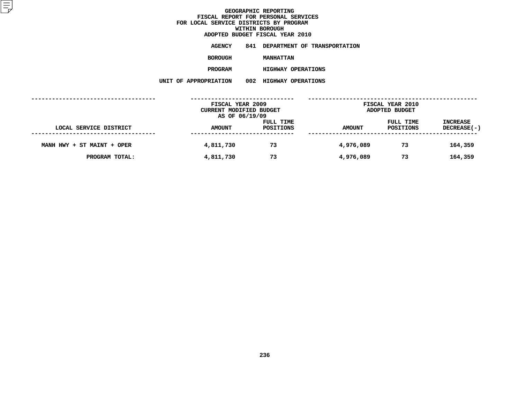|                | ADOPTED BUDGET FISCAL YEAR 2010  |
|----------------|----------------------------------|
| <b>AGENCY</b>  | 841 DEPARTMENT OF TRANSPORTATION |
| <b>BOROUGH</b> | <b>MANHATTAN</b>                 |
| <b>PROGRAM</b> | <b>HIGHWAY OPERATIONS</b>        |

 **HIGHWAY OPERATIONS UNIT OF APPROPRIATION <sup>002</sup> HIGHWAY OPERATIONS**

|                            | FISCAL YEAR 2009<br>CURRENT MODIFIED BUDGET<br>AS OF 06/19/09 |                        | <b>FISCAL YEAR 2010</b><br>ADOPTED BUDGET |                        |                                |
|----------------------------|---------------------------------------------------------------|------------------------|-------------------------------------------|------------------------|--------------------------------|
| LOCAL SERVICE DISTRICT     | <b>AMOUNT</b>                                                 | FULL TIME<br>POSITIONS | <b>AMOUNT</b>                             | FULL TIME<br>POSITIONS | <b>INCREASE</b><br>DECREASE(-) |
| MANH HWY + ST MAINT + OPER | 4,811,730                                                     | 73                     | 4,976,089                                 | 73                     | 164,359                        |
| PROGRAM TOTAL:             | 4,811,730                                                     | 73                     | 4,976,089                                 | 73                     | 164,359                        |
|                            |                                                               |                        |                                           |                        |                                |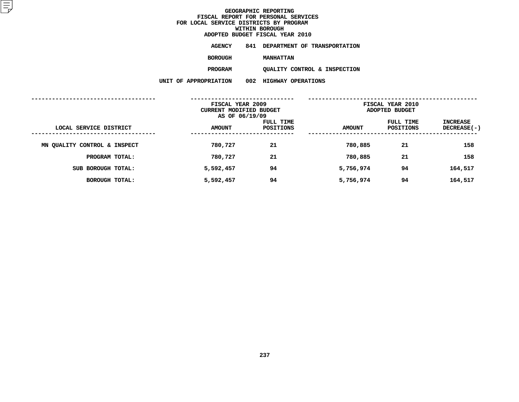|                | ADOPTED BUDGET FISCAL YEAR 2010  |
|----------------|----------------------------------|
| AGENCY         | 841 DEPARTMENT OF TRANSPORTATION |
| <b>BOROUGH</b> | <b>MANHATTAN</b>                 |
| <b>PROGRAM</b> | OUALITY CONTROL & INSPECTION     |

**UNIT OF APPROPRIATION <sup>002</sup> HIGHWAY OPERATIONS**

**QUALITY CONTROL & INSPECTION**

|                              | FISCAL YEAR 2009<br>CURRENT MODIFIED BUDGET<br>AS OF 06/19/09 |                        | FISCAL YEAR 2010<br>ADOPTED BUDGET |                        |                           |  |
|------------------------------|---------------------------------------------------------------|------------------------|------------------------------------|------------------------|---------------------------|--|
| LOCAL SERVICE DISTRICT       | <b>AMOUNT</b>                                                 | FULL TIME<br>POSITIONS | <b>AMOUNT</b>                      | FULL TIME<br>POSITIONS | INCREASE<br>$DECREASE(-)$ |  |
| MN QUALITY CONTROL & INSPECT | 780,727                                                       | 21                     | 780,885                            | 21                     | 158                       |  |
| PROGRAM TOTAL:               | 780,727                                                       | 21                     | 780,885                            | 21                     | 158                       |  |
| SUB BOROUGH TOTAL:           | 5,592,457                                                     | 94                     | 5,756,974                          | 94                     | 164,517                   |  |
| <b>BOROUGH TOTAL:</b>        | 5,592,457                                                     | 94                     | 5,756,974                          | 94                     | 164,517                   |  |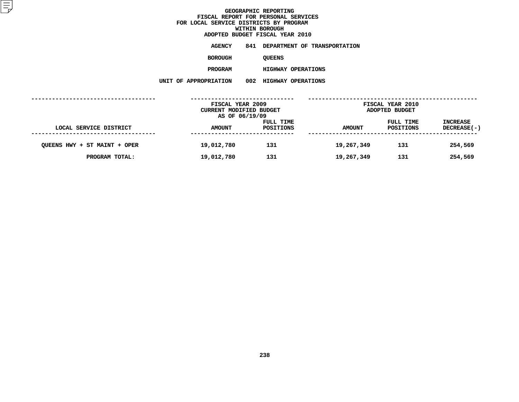|                  |      | ADOPTED BUDGET FISCAL YEAR 2010 |
|------------------|------|---------------------------------|
| AGENCY           | 841  | DEPARTMENT OF TRANSPORTATION    |
| <b>BOROUGH</b>   |      | <b>OUEENS</b>                   |
| <b>PROGRAM</b>   |      | <b>HIGHWAY OPERATIONS</b>       |
| <b>OPRIATION</b> | 002. | <b>HIGHWAY OPERATIONS</b>       |

**UNIT OF APPROPRIATION <sup>002</sup> HIGHWAY OPERATIONS**

|                              | FISCAL YEAR 2009<br><b>CURRENT MODIFIED BUDGET</b><br>AS OF 06/19/09 |                        |               | <b>FISCAL YEAR 2010</b><br>ADOPTED BUDGET |                                |
|------------------------------|----------------------------------------------------------------------|------------------------|---------------|-------------------------------------------|--------------------------------|
| LOCAL SERVICE DISTRICT       | <b>AMOUNT</b>                                                        | FULL TIME<br>POSITIONS | <b>AMOUNT</b> | FULL TIME<br>POSITIONS                    | <b>INCREASE</b><br>DECREASE(-) |
| QUEENS HWY + ST MAINT + OPER | 19,012,780                                                           | 131                    | 19,267,349    | 131                                       | 254,569                        |
| PROGRAM TOTAL:               | 19,012,780                                                           | 131                    | 19,267,349    | 131                                       | 254,569                        |
|                              |                                                                      |                        |               |                                           |                                |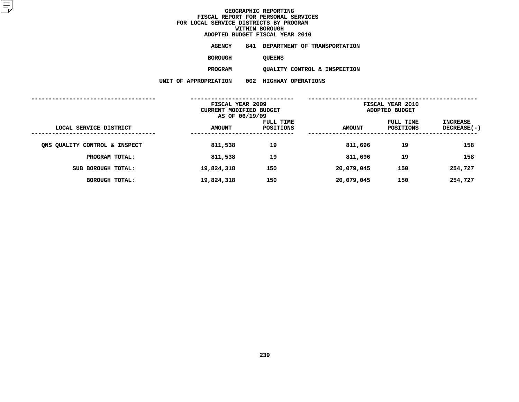|                | ADOPTED BUDGET FISCAL YEAR 2010 |                                  |
|----------------|---------------------------------|----------------------------------|
| AGENCY         |                                 | 841 DEPARTMENT OF TRANSPORTATION |
| <b>BOROUGH</b> | <b>OUEENS</b>                   |                                  |

QUALITY CONTROL & INSPECTION **PROGRAMQUALITY CONTROL & INSPECTION**

**UNIT OF APPROPRIATION <sup>002</sup> HIGHWAY OPERATIONS**

|                               | FISCAL YEAR 2009<br><b>CURRENT MODIFIED BUDGET</b><br>AS OF 06/19/09 |                        | FISCAL YEAR 2010<br>ADOPTED BUDGET |                        |                         |
|-------------------------------|----------------------------------------------------------------------|------------------------|------------------------------------|------------------------|-------------------------|
| LOCAL SERVICE DISTRICT        | <b>AMOUNT</b>                                                        | FULL TIME<br>POSITIONS | <b>AMOUNT</b>                      | FULL TIME<br>POSITIONS | INCREASE<br>DECREASE(-) |
| ONS QUALITY CONTROL & INSPECT | 811,538                                                              | 19                     | 811,696                            | 19                     | 158                     |
| PROGRAM TOTAL:                | 811,538                                                              | 19                     | 811,696                            | 19                     | 158                     |
| SUB BOROUGH TOTAL:            | 19,824,318                                                           | 150                    | 20,079,045                         | 150                    | 254,727                 |
| BOROUGH TOTAL:                | 19,824,318                                                           | 150                    | 20,079,045                         | 150                    | 254,727                 |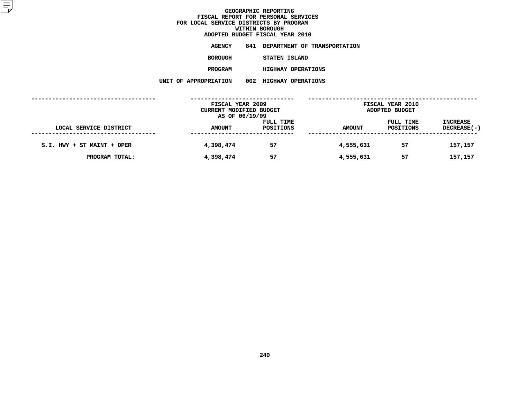#### **GEOGRAPHIC REPORTINGFISCAL REPORT FOR PERSONAL SERVICES<br>CAL SERVICE DISTRICTS BY PROGRAM<br>WITHIN BOROUGH FOR LOCAL SERVICE DISTRICTS BY PROGRAMWITHIN BOROUGH**

|                       |     | ADOPTED BUDGET FISCAL YEAR 2010 |
|-----------------------|-----|---------------------------------|
| AGENCY                | 841 | DEPARTMENT OF TRANSPORTATION    |
| <b>BOROUGH</b>        |     | STATEN ISLAND                   |
| <b>PROGRAM</b>        |     | <b>HIGHWAY OPERATIONS</b>       |
| UNIT OF APPROPRIATION |     | 002 HIGHWAY OPERATIONS          |
|                       |     |                                 |

|                            | FISCAL YEAR 2009<br><b>CURRENT MODIFIED BUDGET</b> |                  |               | FISCAL YEAR 2010<br>ADOPTED BUDGET |                    |  |  |
|----------------------------|----------------------------------------------------|------------------|---------------|------------------------------------|--------------------|--|--|
|                            | AS OF 06/19/09                                     |                  |               |                                    |                    |  |  |
|                            |                                                    | FULL TIME        |               | FULL TIME                          | <b>INCREASE</b>    |  |  |
| LOCAL SERVICE DISTRICT     | <b>AMOUNT</b>                                      | <b>POSITIONS</b> | <b>AMOUNT</b> | POSITIONS                          | <b>DECREASE(-)</b> |  |  |
| S.I. HWY + ST MAINT + OPER | 4,398,474                                          | 57               | 4,555,631     | 57                                 | 157,157            |  |  |
| PROGRAM TOTAL:             | 4,398,474                                          | 57               | 4,555,631     | 57                                 | 157,157            |  |  |
|                            |                                                    |                  |               |                                    |                    |  |  |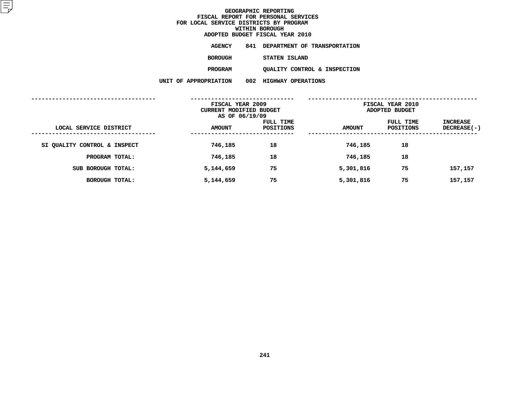|                       | ADOPTED BUDGET FISCAL YEAR 2010  |
|-----------------------|----------------------------------|
| <b>AGENCY</b>         | 841 DEPARTMENT OF TRANSPORTATION |
| <b>BOROUGH</b>        | STATEN ISLAND                    |
| <b>PROGRAM</b>        | OUALITY CONTROL & INSPECTION     |
| UNIT OF APPROPRIATION | 002 HIGHWAY OPERATIONS           |
|                       |                                  |

|                              | FISCAL YEAR 2009<br>CURRENT MODIFIED BUDGET<br>AS OF 06/19/09 |                        | FISCAL YEAR 2010<br>ADOPTED BUDGET |                        |                           |
|------------------------------|---------------------------------------------------------------|------------------------|------------------------------------|------------------------|---------------------------|
| LOCAL SERVICE DISTRICT       | <b>AMOUNT</b>                                                 | FULL TIME<br>POSITIONS | <b>AMOUNT</b>                      | FULL TIME<br>POSITIONS | INCREASE<br>$DECREASE(-)$ |
| SI QUALITY CONTROL & INSPECT | 746,185                                                       | 18                     | 746,185                            | 18                     |                           |
| PROGRAM TOTAL:               | 746,185                                                       | 18                     | 746,185                            | 18                     |                           |
| SUB BOROUGH TOTAL:           | 5,144,659                                                     | 75                     | 5,301,816                          | 75                     | 157,157                   |
| BOROUGH TOTAL:               | 5,144,659                                                     | 75                     | 5,301,816                          | 75                     | 157,157                   |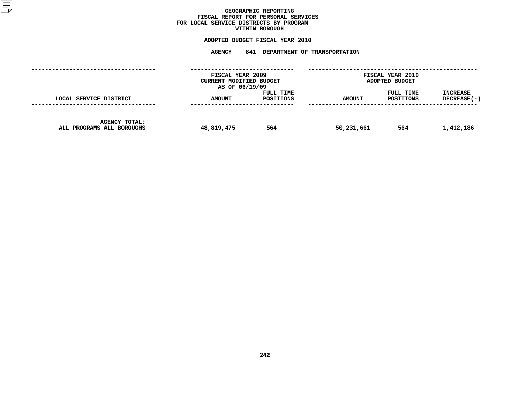### GEOGRAPHIC REPORTING<br>FISCAL REPORT FOR PERSONAL SERVICES<br>OCAL SERVICE DISTRICTS BY PROGRAM<br>WITHIN BOROUGH **FISCAL REPORT FOR PERSONAL SERVICES FOR LOCAL SERVICE DISTRICTS BY PROGRAM**

# **WITHIN BOROUGH ADOPTED BUDGET FISCAL YEAR <sup>2010</sup>**

# **AGENCY <sup>841</sup> DEPARTMENT OF TRANSPORTATION**

|                                                   |               | FISCAL YEAR 2009<br><b>CURRENT MODIFIED BUDGET</b><br>AS OF 06/19/09 |               | FISCAL YEAR 2010<br>ADOPTED BUDGET |                                  |  |
|---------------------------------------------------|---------------|----------------------------------------------------------------------|---------------|------------------------------------|----------------------------------|--|
| LOCAL SERVICE DISTRICT                            | <b>AMOUNT</b> | FULL TIME<br>POSITIONS                                               | <b>AMOUNT</b> | FULL TIME<br>POSITIONS             | <b>INCREASE</b><br>$DECREASE(-)$ |  |
| <b>AGENCY TOTAL:</b><br>ALL PROGRAMS ALL BOROUGHS | 48,819,475    | 564                                                                  | 50,231,661    | 564                                | 1,412,186                        |  |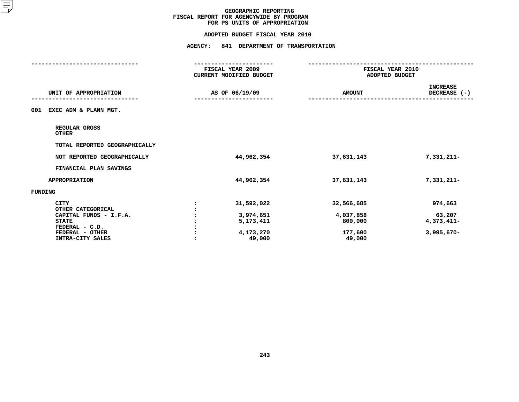#### **ADOPTED BUDGET FISCAL YEAR 2010**

|                                  | FISCAL YEAR 2009<br><b>CURRENT MODIFIED BUDGET</b> |               | FISCAL YEAR 2010<br>ADOPTED BUDGET |  |  |
|----------------------------------|----------------------------------------------------|---------------|------------------------------------|--|--|
| UNIT OF APPROPRIATION            | AS OF 06/19/09                                     | <b>AMOUNT</b> | <b>INCREASE</b><br>DECREASE (-)    |  |  |
| EXEC ADM & PLANN MGT.<br>001     |                                                    |               |                                    |  |  |
| REGULAR GROSS<br><b>OTHER</b>    |                                                    |               |                                    |  |  |
| TOTAL REPORTED GEOGRAPHICALLY    |                                                    |               |                                    |  |  |
| NOT REPORTED GEOGRAPHICALLY      | 44,962,354                                         | 37,631,143    | 7,331,211-                         |  |  |
| FINANCIAL PLAN SAVINGS           |                                                    |               |                                    |  |  |
| <b>APPROPRIATION</b>             | 44,962,354                                         | 37,631,143    | 7,331,211-                         |  |  |
| FUNDING                          |                                                    |               |                                    |  |  |
| <b>CITY</b><br>OTHER CATEGORICAL | 31,592,022                                         | 32,566,685    | 974,663                            |  |  |
| CAPITAL FUNDS - I.F.A.           | 3,974,651                                          | 4,037,858     | 63,207                             |  |  |
| <b>STATE</b>                     | 5,173,411                                          | 800,000       | $4,373,411-$                       |  |  |
| FEDERAL - C.D.                   |                                                    |               |                                    |  |  |
| FEDERAL - OTHER                  | 4,173,270                                          | 177,600       | $3,995,670 -$                      |  |  |
| INTRA-CITY SALES                 | 49,000                                             | 49,000        |                                    |  |  |
|                                  |                                                    |               |                                    |  |  |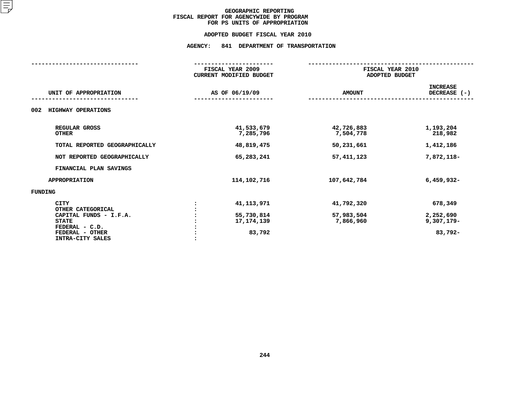#### **ADOPTED BUDGET FISCAL YEAR 2010**

|                                     | FISCAL YEAR 2009<br><b>CURRENT MODIFIED BUDGET</b> |                         | FISCAL YEAR 2010<br>ADOPTED BUDGET |  |  |
|-------------------------------------|----------------------------------------------------|-------------------------|------------------------------------|--|--|
| UNIT OF APPROPRIATION               | AS OF 06/19/09                                     | <b>AMOUNT</b>           | <b>INCREASE</b><br>DECREASE (-)    |  |  |
| HIGHWAY OPERATIONS<br>002           |                                                    |                         |                                    |  |  |
| REGULAR GROSS<br><b>OTHER</b>       | 41,533,679<br>7,285,796                            | 42,726,883<br>7,504,778 | 1,193,204<br>218,982               |  |  |
| TOTAL REPORTED GEOGRAPHICALLY       | 48,819,475                                         | 50,231,661              | 1,412,186                          |  |  |
| NOT REPORTED GEOGRAPHICALLY         | 65,283,241                                         | 57, 411, 123            | 7,872,118-                         |  |  |
| FINANCIAL PLAN SAVINGS              |                                                    |                         |                                    |  |  |
| <b>APPROPRIATION</b>                | 114, 102, 716                                      | 107,642,784             | $6,459,932 -$                      |  |  |
| FUNDING                             |                                                    |                         |                                    |  |  |
| <b>CITY</b><br>OTHER CATEGORICAL    | 41, 113, 971<br>$\ddot{\phantom{a}}$               | 41,792,320              | 678,349                            |  |  |
| CAPITAL FUNDS - I.F.A.              | 55,730,814                                         | 57,983,504              | 2,252,690                          |  |  |
| <b>STATE</b>                        | 17, 174, 139                                       | 7,866,960               | $9,307,179-$                       |  |  |
| FEDERAL - C.D.                      |                                                    |                         |                                    |  |  |
| FEDERAL - OTHER<br>INTRA-CITY SALES | 83,792                                             |                         | 83,792-                            |  |  |
|                                     |                                                    |                         |                                    |  |  |
|                                     |                                                    |                         |                                    |  |  |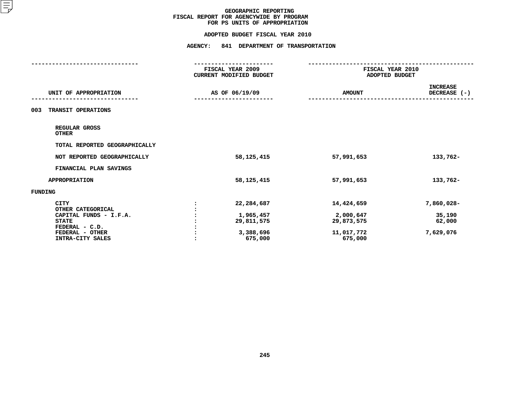#### **ADOPTED BUDGET FISCAL YEAR 2010**

|                               | FISCAL YEAR 2009               | FISCAL YEAR 2010 |                 |
|-------------------------------|--------------------------------|------------------|-----------------|
|                               | <b>CURRENT MODIFIED BUDGET</b> | ADOPTED BUDGET   |                 |
|                               |                                |                  | <b>INCREASE</b> |
| UNIT OF APPROPRIATION         | AS OF 06/19/09                 | <b>AMOUNT</b>    | DECREASE (-)    |
|                               |                                |                  |                 |
| TRANSIT OPERATIONS<br>003     |                                |                  |                 |
|                               |                                |                  |                 |
| REGULAR GROSS<br><b>OTHER</b> |                                |                  |                 |
| TOTAL REPORTED GEOGRAPHICALLY |                                |                  |                 |
|                               |                                |                  |                 |
| NOT REPORTED GEOGRAPHICALLY   | 58, 125, 415                   | 57,991,653       | 133,762-        |
| FINANCIAL PLAN SAVINGS        |                                |                  |                 |
| <b>APPROPRIATION</b>          | 58,125,415                     | 57,991,653       | 133,762-        |
| FUNDING                       |                                |                  |                 |
| <b>CITY</b>                   | 22,284,687                     | 14,424,659       | 7,860,028-      |
| OTHER CATEGORICAL             |                                |                  |                 |
| CAPITAL FUNDS - I.F.A.        | 1,965,457                      | 2,000,647        | 35,190          |
| <b>STATE</b>                  | 29,811,575                     | 29,873,575       | 62,000          |
| FEDERAL - C.D.                |                                |                  |                 |
| FEDERAL - OTHER               | 3,388,696                      | 11,017,772       | 7,629,076       |
| INTRA-CITY SALES              | 675,000                        | 675,000          |                 |
|                               |                                |                  |                 |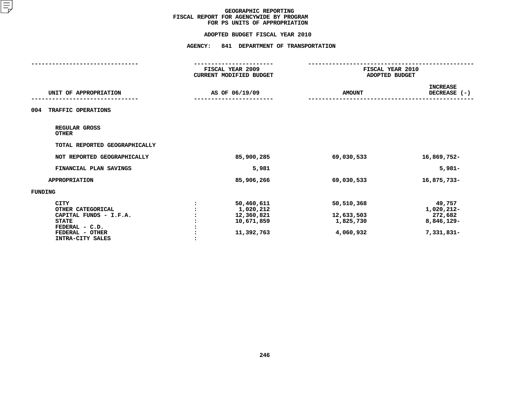# **ADOPTED BUDGET FISCAL YEAR <sup>2010</sup>**

|                                                                                                                                     | FISCAL YEAR 2009<br>CURRENT MODIFIED BUDGET                       | FISCAL YEAR 2010<br>ADOPTED BUDGET                 |                                                             |
|-------------------------------------------------------------------------------------------------------------------------------------|-------------------------------------------------------------------|----------------------------------------------------|-------------------------------------------------------------|
| UNIT OF APPROPRIATION                                                                                                               | AS OF 06/19/09                                                    | <b>AMOUNT</b>                                      | <b>INCREASE</b><br>DECREASE (-)                             |
| TRAFFIC OPERATIONS<br>004                                                                                                           |                                                                   |                                                    |                                                             |
| REGULAR GROSS<br><b>OTHER</b>                                                                                                       |                                                                   |                                                    |                                                             |
| TOTAL REPORTED GEOGRAPHICALLY                                                                                                       |                                                                   |                                                    |                                                             |
| NOT REPORTED GEOGRAPHICALLY                                                                                                         | 85,900,285                                                        | 69,030,533                                         | 16,869,752-                                                 |
| FINANCIAL PLAN SAVINGS                                                                                                              | 5,981                                                             |                                                    | $5,981-$                                                    |
| <b>APPROPRIATION</b>                                                                                                                | 85,906,266                                                        | 69,030,533                                         | 16,875,733-                                                 |
| <b>FUNDING</b>                                                                                                                      |                                                                   |                                                    |                                                             |
| <b>CITY</b><br>OTHER CATEGORICAL<br>CAPITAL FUNDS - I.F.A.<br><b>STATE</b><br>FEDERAL - C.D.<br>FEDERAL - OTHER<br>INTRA-CITY SALES | 50,460,611<br>1,020,212<br>12,360,821<br>10,671,859<br>11,392,763 | 50,510,368<br>12,633,503<br>1,825,730<br>4,060,932 | 49,757<br>1,020,212-<br>272,682<br>8,846,129-<br>7,331,831- |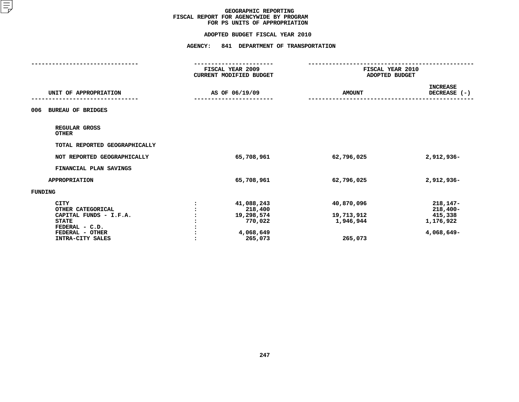#### **ADOPTED BUDGET FISCAL YEAR 2010**

|                                 | FISCAL YEAR 2009<br><b>CURRENT MODIFIED BUDGET</b> |                | FISCAL YEAR 2010<br>ADOPTED BUDGET |                 |
|---------------------------------|----------------------------------------------------|----------------|------------------------------------|-----------------|
|                                 |                                                    |                |                                    |                 |
|                                 |                                                    |                |                                    | <b>INCREASE</b> |
| UNIT OF APPROPRIATION           |                                                    | AS OF 06/19/09 | <b>AMOUNT</b>                      | DECREASE (-)    |
|                                 |                                                    |                |                                    |                 |
| <b>BUREAU OF BRIDGES</b><br>006 |                                                    |                |                                    |                 |
| REGULAR GROSS<br><b>OTHER</b>   |                                                    |                |                                    |                 |
| TOTAL REPORTED GEOGRAPHICALLY   |                                                    |                |                                    |                 |
| NOT REPORTED GEOGRAPHICALLY     |                                                    | 65,708,961     | 62,796,025                         | 2,912,936-      |
| FINANCIAL PLAN SAVINGS          |                                                    |                |                                    |                 |
| <b>APPROPRIATION</b>            |                                                    | 65,708,961     | 62,796,025                         | 2,912,936-      |
| FUNDING                         |                                                    |                |                                    |                 |
| <b>CITY</b>                     |                                                    | 41,088,243     | 40,870,096                         | $218, 147 -$    |
| OTHER CATEGORICAL               |                                                    | 218,400        |                                    | $218,400-$      |
| CAPITAL FUNDS - I.F.A.          |                                                    | 19,298,574     | 19,713,912                         | 415,338         |
| <b>STATE</b>                    |                                                    | 770,022        | 1,946,944                          | 1,176,922       |
| FEDERAL - C.D.                  |                                                    |                |                                    |                 |
| FEDERAL - OTHER                 |                                                    | 4,068,649      |                                    | 4,068,649-      |
| INTRA-CITY SALES                |                                                    | 265,073        | 265,073                            |                 |
|                                 |                                                    |                |                                    |                 |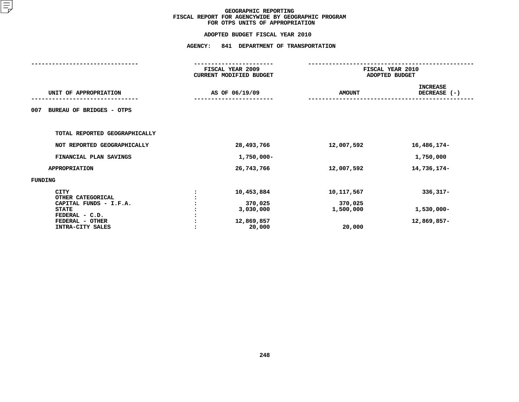|                                                                                                                                     | FISCAL YEAR 2009<br>CURRENT MODIFIED BUDGET                | FISCAL YEAR 2010<br>ADOPTED BUDGET           |                                            |
|-------------------------------------------------------------------------------------------------------------------------------------|------------------------------------------------------------|----------------------------------------------|--------------------------------------------|
| UNIT OF APPROPRIATION                                                                                                               | AS OF 06/19/09                                             | <b>AMOUNT</b>                                | <b>INCREASE</b><br>DECREASE (-)            |
| <b>BUREAU OF BRIDGES - OTPS</b><br>007                                                                                              |                                                            |                                              |                                            |
| TOTAL REPORTED GEOGRAPHICALLY                                                                                                       |                                                            |                                              |                                            |
| NOT REPORTED GEOGRAPHICALLY                                                                                                         | 28,493,766                                                 | 12,007,592                                   | 16,486,174-                                |
| FINANCIAL PLAN SAVINGS                                                                                                              | 1,750,000-                                                 |                                              | 1,750,000                                  |
| <b>APPROPRIATION</b>                                                                                                                | 26,743,766                                                 | 12,007,592                                   | 14,736,174-                                |
| FUNDING                                                                                                                             |                                                            |                                              |                                            |
| <b>CITY</b><br>OTHER CATEGORICAL<br>CAPITAL FUNDS - I.F.A.<br><b>STATE</b><br>FEDERAL - C.D.<br>FEDERAL - OTHER<br>INTRA-CITY SALES | 10,453,884<br>370,025<br>3,030,000<br>12,869,857<br>20,000 | 10,117,567<br>370,025<br>1,500,000<br>20,000 | $336,317-$<br>$1,530,000 -$<br>12,869,857- |
|                                                                                                                                     |                                                            |                                              |                                            |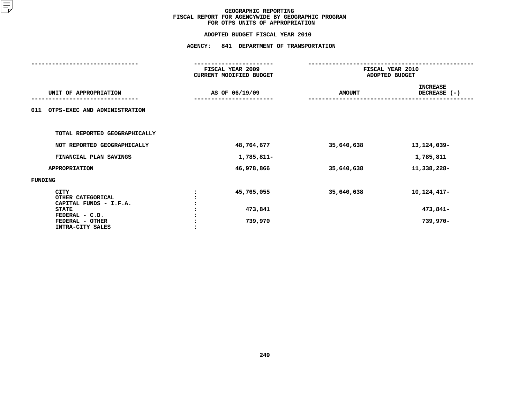# **ADOPTED BUDGET FISCAL YEAR <sup>2010</sup>AGENCY: <sup>841</sup> DEPARTMENT OF TRANSPORTATION**

|                                                            | FISCAL YEAR 2009<br>CURRENT MODIFIED BUDGET | FISCAL YEAR 2010<br>ADOPTED BUDGET |                                 |
|------------------------------------------------------------|---------------------------------------------|------------------------------------|---------------------------------|
| UNIT OF APPROPRIATION                                      | AS OF 06/19/09                              | <b>AMOUNT</b>                      | <b>INCREASE</b><br>DECREASE (-) |
| 011<br>OTPS-EXEC AND ADMINISTRATION                        |                                             |                                    |                                 |
| TOTAL REPORTED GEOGRAPHICALLY                              |                                             |                                    |                                 |
| NOT REPORTED GEOGRAPHICALLY                                | 48,764,677                                  | 35,640,638                         | 13, 124, 039-                   |
| FINANCIAL PLAN SAVINGS                                     | 1,785,811-                                  |                                    | 1,785,811                       |
| <b>APPROPRIATION</b>                                       | 46,978,866                                  | 35,640,638                         | 11,338,228-                     |
| FUNDING                                                    |                                             |                                    |                                 |
| <b>CITY</b><br>OTHER CATEGORICAL<br>CAPITAL FUNDS - I.F.A. | 45,765,055                                  | 35,640,638                         | 10, 124, 417-                   |
| <b>STATE</b>                                               | 473,841                                     |                                    | 473,841-                        |
| FEDERAL - C.D.<br>FEDERAL - OTHER<br>INTRA-CITY SALES      | 739,970                                     |                                    | 739,970-                        |
|                                                            |                                             |                                    |                                 |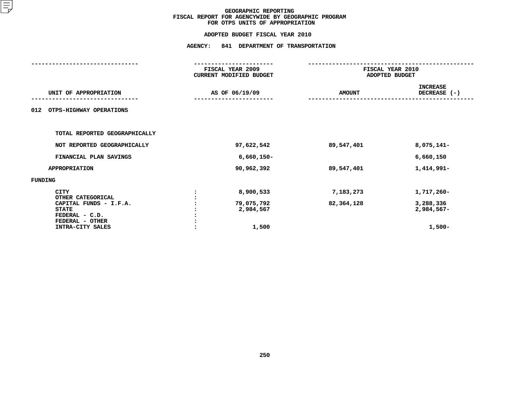# **ADOPTED BUDGET FISCAL YEAR <sup>2010</sup>AGENCY: <sup>841</sup> DEPARTMENT OF TRANSPORTATION**

|                                                                                                                                     | FISCAL YEAR 2009<br>CURRENT MODIFIED BUDGET   | FISCAL YEAR 2010<br>ADOPTED BUDGET |                                                   |
|-------------------------------------------------------------------------------------------------------------------------------------|-----------------------------------------------|------------------------------------|---------------------------------------------------|
| UNIT OF APPROPRIATION                                                                                                               | AS OF 06/19/09                                | <b>AMOUNT</b>                      | <b>INCREASE</b><br>DECREASE (-)                   |
| 012<br>OTPS-HIGHWAY OPERATIONS                                                                                                      |                                               |                                    |                                                   |
| TOTAL REPORTED GEOGRAPHICALLY                                                                                                       |                                               |                                    |                                                   |
| NOT REPORTED GEOGRAPHICALLY                                                                                                         | 97,622,542                                    | 89,547,401                         | 8,075,141-                                        |
| FINANCIAL PLAN SAVINGS                                                                                                              | $6,660,150 -$                                 |                                    | 6,660,150                                         |
| <b>APPROPRIATION</b>                                                                                                                | 90,962,392                                    | 89,547,401                         | 1,414,991-                                        |
| FUNDING                                                                                                                             |                                               |                                    |                                                   |
| <b>CITY</b><br>OTHER CATEGORICAL<br>CAPITAL FUNDS - I.F.A.<br><b>STATE</b><br>FEDERAL - C.D.<br>FEDERAL - OTHER<br>INTRA-CITY SALES | 8,900,533<br>79,075,792<br>2,984,567<br>1,500 | 7,183,273<br>82,364,128            | 1,717,260-<br>3,288,336<br>2,984,567-<br>$1,500-$ |
|                                                                                                                                     |                                               |                                    |                                                   |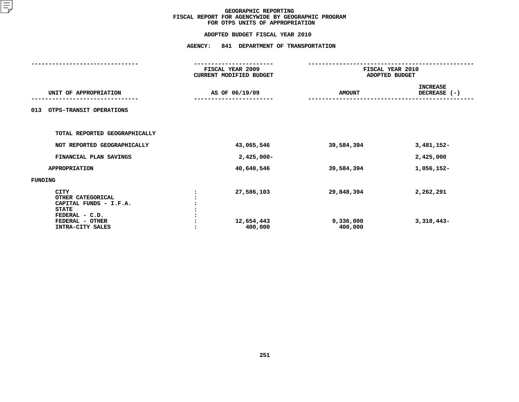# **ADOPTED BUDGET FISCAL YEAR <sup>2010</sup>AGENCY: <sup>841</sup> DEPARTMENT OF TRANSPORTATION**

|                                                                                       | FISCAL YEAR 2009<br>CURRENT MODIFIED BUDGET | FISCAL YEAR 2010<br>ADOPTED BUDGET |                                 |  |  |
|---------------------------------------------------------------------------------------|---------------------------------------------|------------------------------------|---------------------------------|--|--|
| UNIT OF APPROPRIATION                                                                 | AS OF 06/19/09                              | <b>AMOUNT</b>                      | <b>INCREASE</b><br>DECREASE (-) |  |  |
| OTPS-TRANSIT OPERATIONS<br>013                                                        |                                             |                                    |                                 |  |  |
| TOTAL REPORTED GEOGRAPHICALLY                                                         |                                             |                                    |                                 |  |  |
| NOT REPORTED GEOGRAPHICALLY                                                           | 43,065,546                                  | 39,584,394                         | 3,481,152-                      |  |  |
| FINANCIAL PLAN SAVINGS                                                                | $2,425,000 -$                               |                                    | 2,425,000                       |  |  |
| <b>APPROPRIATION</b>                                                                  | 40,640,546                                  | 39,584,394                         | 1,056,152-                      |  |  |
| FUNDING                                                                               |                                             |                                    |                                 |  |  |
| CITY<br>OTHER CATEGORICAL<br>CAPITAL FUNDS - I.F.A.<br><b>STATE</b><br>FEDERAL - C.D. | 27,586,103                                  | 29,848,394                         | 2,262,291                       |  |  |
| FEDERAL - OTHER<br>INTRA-CITY SALES                                                   | 12,654,443<br>400,000                       | 9,336,000<br>400,000               | $3,318,443-$                    |  |  |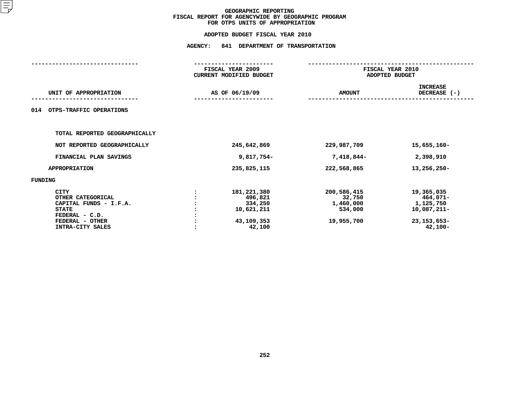# **ADOPTED BUDGET FISCAL YEAR <sup>2010</sup>**

|                                                                                                                                     | FISCAL YEAR 2009                                                        |                                                             | FISCAL YEAR 2010                                                                 |  |  |
|-------------------------------------------------------------------------------------------------------------------------------------|-------------------------------------------------------------------------|-------------------------------------------------------------|----------------------------------------------------------------------------------|--|--|
|                                                                                                                                     | CURRENT MODIFIED BUDGET                                                 |                                                             | ADOPTED BUDGET                                                                   |  |  |
| UNIT OF APPROPRIATION                                                                                                               | AS OF 06/19/09                                                          | <b>AMOUNT</b>                                               | <b>INCREASE</b><br>DECREASE (-)                                                  |  |  |
| OTPS-TRAFFIC OPERATIONS<br>014                                                                                                      |                                                                         |                                                             |                                                                                  |  |  |
| TOTAL REPORTED GEOGRAPHICALLY                                                                                                       |                                                                         |                                                             |                                                                                  |  |  |
| NOT REPORTED GEOGRAPHICALLY                                                                                                         | 245,642,869                                                             | 229,987,709                                                 | 15,655,160-                                                                      |  |  |
| FINANCIAL PLAN SAVINGS                                                                                                              | 9,817,754-                                                              | 7,418,844-                                                  | 2,398,910                                                                        |  |  |
| <b>APPROPRIATION</b>                                                                                                                | 235,825,115                                                             | 222,568,865                                                 | 13,256,250-                                                                      |  |  |
| <b>FUNDING</b>                                                                                                                      |                                                                         |                                                             |                                                                                  |  |  |
| <b>CITY</b><br>OTHER CATEGORICAL<br>CAPITAL FUNDS - I.F.A.<br><b>STATE</b><br>FEDERAL - C.D.<br>FEDERAL - OTHER<br>INTRA-CITY SALES | 181,221,380<br>496,821<br>334,250<br>10,621,211<br>43,109,353<br>42,100 | 200,586,415<br>32,750<br>1,460,000<br>534,000<br>19,955,700 | 19,365,035<br>464,071-<br>1,125,750<br>10,087,211-<br>23, 153, 653-<br>$42,100-$ |  |  |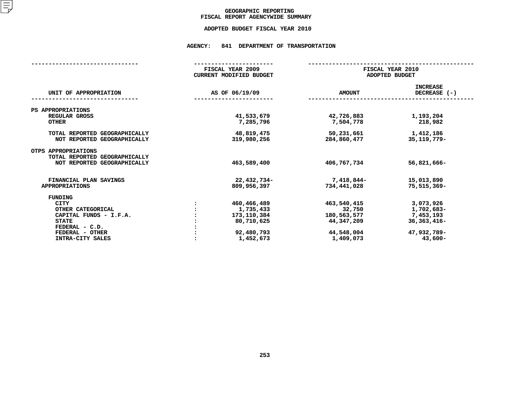## GEOGRAPHIC REPORTING<br>FISCAL REPORT AGENCYWIDE SUMMARY

# **FISCAL REPORT AGENCYWIDE SUMMARY ADOPTED BUDGET FISCAL YEAR <sup>2010</sup>**

#### **AGENCY: <sup>841</sup> DEPARTMENT OF TRANSPORTATION**

|                                                              | FISCAL YEAR 2009<br><b>CURRENT MODIFIED BUDGET</b> | FISCAL YEAR 2010<br>ADOPTED BUDGET |                                 |  |  |
|--------------------------------------------------------------|----------------------------------------------------|------------------------------------|---------------------------------|--|--|
| UNIT OF APPROPRIATION                                        | AS OF 06/19/09                                     | <b>AMOUNT</b>                      | <b>INCREASE</b><br>DECREASE (-) |  |  |
| PS APPROPRIATIONS                                            |                                                    |                                    |                                 |  |  |
| REGULAR GROSS<br><b>OTHER</b>                                | 41,533,679<br>7,285,796                            | 42,726,883<br>7,504,778            | 1,193,204<br>218,982            |  |  |
| TOTAL REPORTED GEOGRAPHICALLY<br>NOT REPORTED GEOGRAPHICALLY | 48,819,475<br>319,980,256                          | 50,231,661<br>284,860,477          | 1,412,186<br>35, 119, 779-      |  |  |
| OTPS APPROPRIATIONS<br>TOTAL REPORTED GEOGRAPHICALLY         |                                                    |                                    |                                 |  |  |
| NOT REPORTED GEOGRAPHICALLY                                  | 463,589,400                                        | 406,767,734                        | 56,821,666-                     |  |  |
| FINANCIAL PLAN SAVINGS<br><b>APPROPRIATIONS</b>              | 22,432,734-<br>809,956,397                         | 7,418,844-<br>734,441,028          | 15,013,890<br>75,515,369-       |  |  |
|                                                              |                                                    |                                    |                                 |  |  |
| FUNDING                                                      |                                                    |                                    |                                 |  |  |
| <b>CITY</b>                                                  | 460,466,489                                        | 463,540,415                        | 3,073,926                       |  |  |
| OTHER CATEGORICAL                                            | 1,735,433                                          | 32,750                             | 1,702,683-                      |  |  |
| CAPITAL FUNDS - I.F.A.                                       | 173,110,384                                        | 180,563,577                        | 7,453,193                       |  |  |
| <b>STATE</b>                                                 | 80,710,625                                         | 44,347,209                         | $36,363,416-$                   |  |  |
| FEDERAL - C.D.                                               |                                                    |                                    |                                 |  |  |
| FEDERAL - OTHER                                              | 92,480,793                                         | 44,548,004                         | 47,932,789-                     |  |  |
| INTRA-CITY SALES                                             | 1,452,673                                          | 1,409,073                          | $43,600 -$                      |  |  |
|                                                              |                                                    |                                    |                                 |  |  |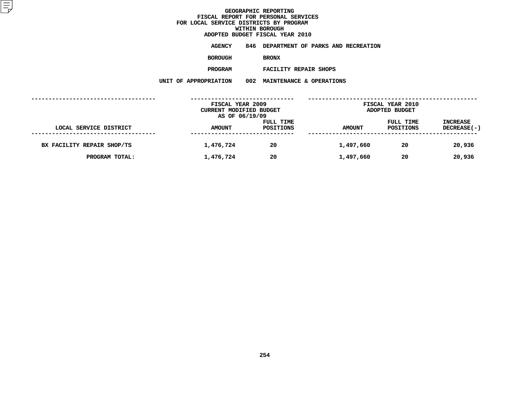**ADOPTED BUDGET FISCAL YEAR <sup>2010</sup>AGENCY <sup>846</sup> DEPARTMENT OF PARKS AND RECREATION**

**BOROUGH**

BRONX<br>FACILITY REPAIR SHOPS **PROGRAM**

 **FACILITY REPAIR SHOPS UNIT OF APPROPRIATION <sup>002</sup> MAINTENANCE & OPERATIONS**

|                            | FISCAL YEAR 2009<br>CURRENT MODIFIED BUDGET |                        |               | <b>FISCAL YEAR 2010</b><br>ADOPTED BUDGET |                                |
|----------------------------|---------------------------------------------|------------------------|---------------|-------------------------------------------|--------------------------------|
| LOCAL SERVICE DISTRICT     | AS OF 06/19/09<br><b>AMOUNT</b>             | FULL TIME<br>POSITIONS | <b>AMOUNT</b> | FULL TIME<br>POSITIONS                    | <b>INCREASE</b><br>DECREASE(-) |
| BX FACILITY REPAIR SHOP/TS | 1,476,724                                   | 20                     | 1,497,660     | 20                                        | 20,936                         |
| PROGRAM TOTAL:             | 1,476,724                                   | 20                     | 1,497,660     | 20                                        | 20,936                         |
|                            |                                             |                        |               |                                           |                                |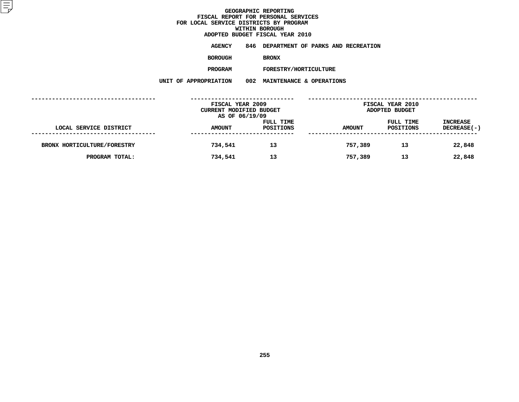**ADOPTED BUDGET FISCAL YEAR <sup>2010</sup>AGENCY <sup>846</sup> DEPARTMENT OF PARKS AND RECREATION**

**BOROUGH**

BRONX<br>FORESTRY/HORTICULTURE **PROGRAM**

**M** FORESTRY/HORTICULTURE<br>N 002 MAINTENANCE & OPERATI **UNIT OF APPROPRIATION <sup>002</sup> MAINTENANCE & OPERATIONS**

|                             | FISCAL YEAR 2009<br>CURRENT MODIFIED BUDGET<br>AS OF 06/19/09 |                        | <b>FISCAL YEAR 2010</b><br>ADOPTED BUDGET |                        |                                |
|-----------------------------|---------------------------------------------------------------|------------------------|-------------------------------------------|------------------------|--------------------------------|
| LOCAL SERVICE DISTRICT      | <b>AMOUNT</b>                                                 | FULL TIME<br>POSITIONS | <b>AMOUNT</b>                             | FULL TIME<br>POSITIONS | <b>INCREASE</b><br>DECREASE(-) |
| BRONX HORTICULTURE/FORESTRY | 734,541                                                       | 13                     | 757,389                                   | 13                     | 22,848                         |
| PROGRAM TOTAL:              | 734,541                                                       | 13                     | 757,389                                   | 13                     | 22,848                         |
|                             |                                                               |                        |                                           |                        |                                |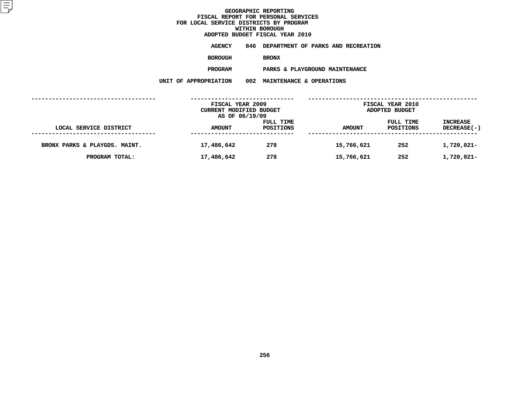**ADOPTED BUDGET FISCAL YEAR <sup>2010</sup>AGENCY <sup>846</sup> DEPARTMENT OF PARKS AND RECREATION**

**BOROUGH**

BRONX<br>PARKS & PLAYGROUND MAINTENANCE **PROGRAM**

 **PARKS & PLAYGROUND MAINTENANCE UNIT OF APPROPRIATION <sup>002</sup> MAINTENANCE & OPERATIONS**

|                               | FISCAL YEAR 2009<br><b>CURRENT MODIFIED BUDGET</b><br>AS OF 06/19/09 |                        | <b>FISCAL YEAR 2010</b><br>ADOPTED BUDGET |                        |                                |  |
|-------------------------------|----------------------------------------------------------------------|------------------------|-------------------------------------------|------------------------|--------------------------------|--|
| LOCAL SERVICE DISTRICT        | <b>AMOUNT</b>                                                        | FULL TIME<br>POSITIONS | <b>AMOUNT</b>                             | FULL TIME<br>POSITIONS | <b>INCREASE</b><br>DECREASE(-) |  |
| BRONX PARKS & PLAYGDS. MAINT. | 17,486,642                                                           | 278                    | 15,766,621                                | 252                    | 1,720,021-                     |  |
| PROGRAM TOTAL:                | 17,486,642                                                           | 278                    | 15,766,621                                | 252                    | 1,720,021-                     |  |
|                               |                                                                      |                        |                                           |                        |                                |  |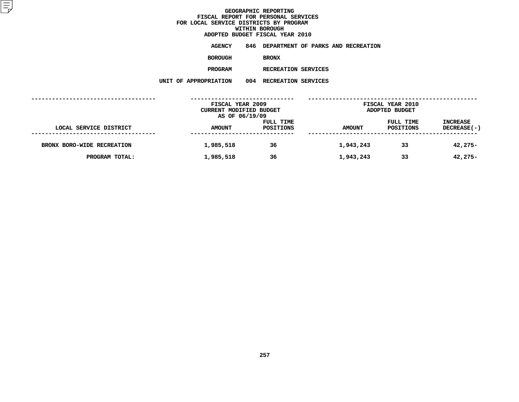**ADOPTED BUDGET FISCAL YEAR <sup>2010</sup>AGENCY <sup>846</sup> DEPARTMENT OF PARKS AND RECREATION**

**BOROUGH**

BRONX<br>RECREATION SERVICES **PROGRAM**

**M** RECREATION SERVICES<br>N 004 RECREATION SERVICES **UNIT OF APPROPRIATION <sup>004</sup> RECREATION SERVICES**

|                            | FISCAL YEAR 2009<br>CURRENT MODIFIED BUDGET |           | <b>FISCAL YEAR 2010</b><br>ADOPTED BUDGET |           |                 |
|----------------------------|---------------------------------------------|-----------|-------------------------------------------|-----------|-----------------|
|                            | AS OF 06/19/09                              | FULL TIME |                                           | FULL TIME | <b>INCREASE</b> |
| LOCAL SERVICE DISTRICT     | <b>AMOUNT</b>                               | POSITIONS | <b>AMOUNT</b>                             | POSITIONS | DECREASE(-)     |
| BRONX BORO-WIDE RECREATION | 1,985,518                                   | 36        | 1,943,243                                 | 33        | $42,275-$       |
|                            |                                             |           |                                           |           |                 |
| PROGRAM TOTAL:             | 1,985,518                                   | 36        | 1,943,243                                 | 33        | $42,275-$       |
|                            |                                             |           |                                           |           |                 |
|                            |                                             |           |                                           |           |                 |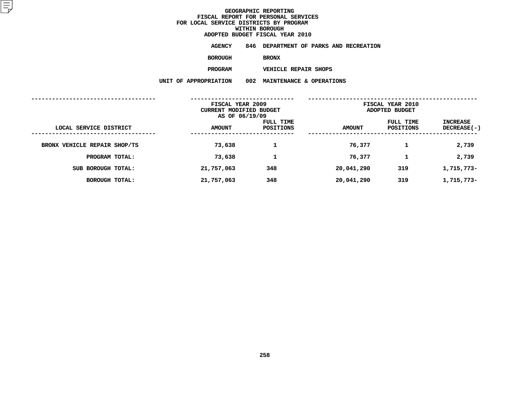**ADOPTED BUDGET FISCAL YEAR <sup>2010</sup>AGENCY <sup>846</sup> DEPARTMENT OF PARKS AND RECREATION**

**BOROUGH**

BRONX<br>VEHICLE REPAIR SHOPS **PROGRAM**

 **VEHICLE REPAIR SHOPS UNIT OF APPROPRIATION <sup>002</sup> MAINTENANCE & OPERATIONS**

| FISCAL YEAR 2009<br>CURRENT MODIFIED BUDGET<br>AS OF 06/19/09 |               |                        | FISCAL YEAR 2010<br>ADOPTED BUDGET |                               |                                |
|---------------------------------------------------------------|---------------|------------------------|------------------------------------|-------------------------------|--------------------------------|
| LOCAL SERVICE DISTRICT                                        | <b>AMOUNT</b> | FULL TIME<br>POSITIONS | <b>AMOUNT</b>                      | FULL TIME<br><b>POSITIONS</b> | INCREASE<br><b>DECREASE(-)</b> |
| BRONX VEHICLE REPAIR SHOP/TS                                  | 73,638        | 1                      | 76,377                             |                               | 2,739                          |
| PROGRAM TOTAL:                                                | 73,638        | 1                      | 76,377                             | 1                             | 2,739                          |
| SUB BOROUGH TOTAL:                                            | 21,757,063    | 348                    | 20,041,290                         | 319                           | 1,715,773-                     |
| <b>BOROUGH TOTAL:</b>                                         | 21,757,063    | 348                    | 20,041,290                         | 319                           | 1,715,773-                     |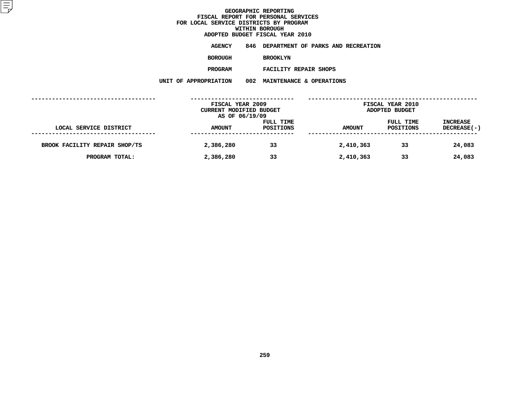**ADOPTED BUDGET FISCAL YEAR <sup>2010</sup>AGENCY <sup>846</sup> DEPARTMENT OF PARKS AND RECREATION**

**BOROUGH**

BROOKLYN<br>FACILITY REPAIR SHOPS **PROGRAM**

 **FACILITY REPAIR SHOPS UNIT OF APPROPRIATION <sup>002</sup> MAINTENANCE & OPERATIONS**

|                               | FISCAL YEAR 2009<br>CURRENT MODIFIED BUDGET<br>AS OF 06/19/09 |                        | <b>FISCAL YEAR 2010</b><br>ADOPTED BUDGET |                        |                                |
|-------------------------------|---------------------------------------------------------------|------------------------|-------------------------------------------|------------------------|--------------------------------|
| LOCAL SERVICE DISTRICT        | <b>AMOUNT</b>                                                 | FULL TIME<br>POSITIONS | <b>AMOUNT</b>                             | FULL TIME<br>POSITIONS | <b>INCREASE</b><br>DECREASE(-) |
| BROOK FACILITY REPAIR SHOP/TS | 2,386,280                                                     | 33                     | 2,410,363                                 | 33                     | 24,083                         |
| PROGRAM TOTAL:                | 2,386,280                                                     | 33                     | 2,410,363                                 | 33                     | 24,083                         |
|                               |                                                               |                        |                                           |                        |                                |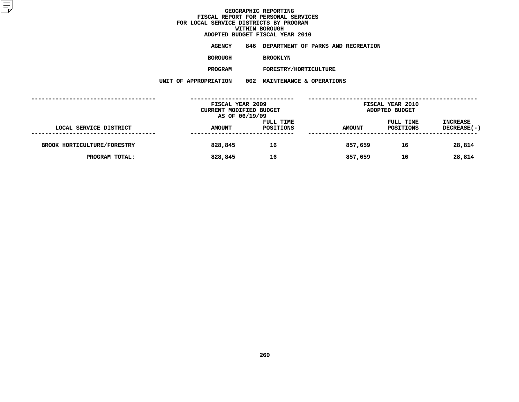**ADOPTED BUDGET FISCAL YEAR <sup>2010</sup>AGENCY <sup>846</sup> DEPARTMENT OF PARKS AND RECREATION**

**BOROUGH**

BROOKLYN<br>FORESTRY/HORTICULTURE **PROGRAM**

**M** FORESTRY/HORTICULTURE<br>N 002 MAINTENANCE & OPERATI **UNIT OF APPROPRIATION <sup>002</sup> MAINTENANCE & OPERATIONS**

|                             | FISCAL YEAR 2009<br>CURRENT MODIFIED BUDGET |                        | <b>FISCAL YEAR 2010</b><br>ADOPTED BUDGET |                        |                                       |
|-----------------------------|---------------------------------------------|------------------------|-------------------------------------------|------------------------|---------------------------------------|
|                             | AS OF 06/19/09                              |                        |                                           |                        |                                       |
| LOCAL SERVICE DISTRICT      | <b>AMOUNT</b>                               | FULL TIME<br>POSITIONS | <b>AMOUNT</b>                             | FULL TIME<br>POSITIONS | <b>INCREASE</b><br><b>DECREASE(-)</b> |
|                             |                                             |                        |                                           |                        |                                       |
| BROOK HORTICULTURE/FORESTRY | 828,845                                     | 16                     | 857,659                                   | 16                     | 28,814                                |
| PROGRAM TOTAL:              | 828,845                                     | 16                     | 857,659                                   | 16                     | 28,814                                |
|                             |                                             |                        |                                           |                        |                                       |
|                             |                                             |                        |                                           |                        |                                       |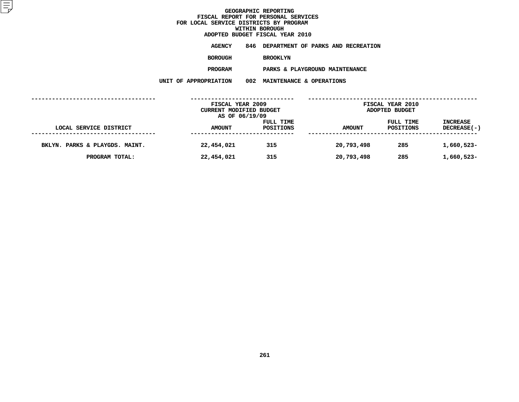**ADOPTED BUDGET FISCAL YEAR <sup>2010</sup>AGENCY <sup>846</sup> DEPARTMENT OF PARKS AND RECREATION**

**BOROUGH**

BROOKLYN<br>PARKS & PLAYGROUND MAINTENANCE **PROGRAM**

 **PARKS & PLAYGROUND MAINTENANCE UNIT OF APPROPRIATION <sup>002</sup> MAINTENANCE & OPERATIONS**

|                                | FISCAL YEAR 2009<br>CURRENT MODIFIED BUDGET<br>AS OF 06/19/09 |                               | FISCAL YEAR 2010<br>ADOPTED BUDGET |                        |                                |
|--------------------------------|---------------------------------------------------------------|-------------------------------|------------------------------------|------------------------|--------------------------------|
| LOCAL SERVICE DISTRICT         | <b>AMOUNT</b>                                                 | FULL TIME<br><b>POSITIONS</b> | <b>AMOUNT</b>                      | FULL TIME<br>POSITIONS | <b>INCREASE</b><br>DECREASE(-) |
| BKLYN. PARKS & PLAYGDS. MAINT. | 22,454,021                                                    | 315                           | 20,793,498                         | 285                    | 1,660,523-                     |
| PROGRAM TOTAL:                 | 22,454,021                                                    | 315                           | 20,793,498                         | 285                    | 1,660,523-                     |
|                                |                                                               |                               |                                    |                        |                                |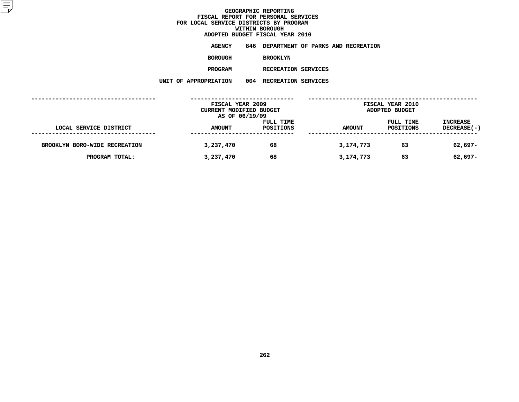**ADOPTED BUDGET FISCAL YEAR <sup>2010</sup>AGENCY <sup>846</sup> DEPARTMENT OF PARKS AND RECREATION**

**BOROUGH**

BROOKLYN<br>RECREATION SERVICES **PROGRAM**

**M** RECREATION SERVICES<br>N 004 RECREATION SERVICES **UNIT OF APPROPRIATION <sup>004</sup> RECREATION SERVICES**

|                               | FISCAL YEAR 2009<br>CURRENT MODIFIED BUDGET<br>AS OF 06/19/09 |                        | FISCAL YEAR 2010<br>ADOPTED BUDGET |                        |                         |
|-------------------------------|---------------------------------------------------------------|------------------------|------------------------------------|------------------------|-------------------------|
| LOCAL SERVICE DISTRICT        | <b>AMOUNT</b>                                                 | FULL TIME<br>POSITIONS | <b>AMOUNT</b>                      | FULL TIME<br>POSITIONS | INCREASE<br>DECREASE(-) |
| BROOKLYN BORO-WIDE RECREATION | 3,237,470                                                     | 68                     | 3,174,773                          | 63                     | 62,697-                 |
| PROGRAM TOTAL:                | 3,237,470                                                     | 68                     | 3,174,773                          | 63                     | 62,697-                 |
|                               |                                                               |                        |                                    |                        |                         |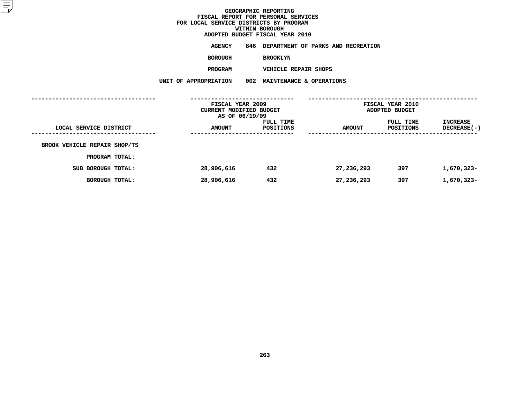**ADOPTED BUDGET FISCAL YEAR <sup>2010</sup>AGENCY <sup>846</sup> DEPARTMENT OF PARKS AND RECREATION**

**BOROUGH**

BROOKLYN<br>VEHICLE REPAIR SHOPS

**PROGRAM**

 **VEHICLE REPAIR SHOPS UNIT OF APPROPRIATION <sup>002</sup> MAINTENANCE & OPERATIONS**

|                              | FISCAL YEAR 2009<br>CURRENT MODIFIED BUDGET<br>AS OF 06/19/09 |                        | FISCAL YEAR 2010<br>ADOPTED BUDGET |                        |                                |
|------------------------------|---------------------------------------------------------------|------------------------|------------------------------------|------------------------|--------------------------------|
| LOCAL SERVICE DISTRICT       | <b>AMOUNT</b>                                                 | FULL TIME<br>POSITIONS | <b>AMOUNT</b>                      | FULL TIME<br>POSITIONS | INCREASE<br><b>DECREASE(-)</b> |
| BROOK VEHICLE REPAIR SHOP/TS |                                                               |                        |                                    |                        |                                |
| PROGRAM TOTAL:               |                                                               |                        |                                    |                        |                                |
| SUB BOROUGH TOTAL:           | 28,906,616                                                    | 432                    | 27,236,293                         | 397                    | 1,670,323-                     |
| BOROUGH TOTAL:               | 28,906,616                                                    | 432                    | 27,236,293                         | 397                    | 1,670,323-                     |
|                              |                                                               |                        |                                    |                        |                                |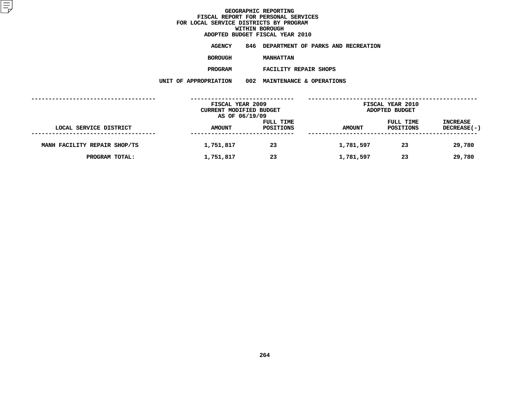**ADOPTED BUDGET FISCAL YEAR <sup>2010</sup>AGENCY <sup>846</sup> DEPARTMENT OF PARKS AND RECREATION**

**BOROUGH**

 **MANHATTAN PROGRAM**

 **FACILITY REPAIR SHOPS UNIT OF APPROPRIATION <sup>002</sup> MAINTENANCE & OPERATIONS**

|                              | FISCAL YEAR 2009<br>CURRENT MODIFIED BUDGET |                        |               | <b>FISCAL YEAR 2010</b><br>ADOPTED BUDGET |                                |
|------------------------------|---------------------------------------------|------------------------|---------------|-------------------------------------------|--------------------------------|
| LOCAL SERVICE DISTRICT       | AS OF 06/19/09<br><b>AMOUNT</b>             | FULL TIME<br>POSITIONS | <b>AMOUNT</b> | FULL TIME<br>POSITIONS                    | <b>INCREASE</b><br>DECREASE(-) |
| MANH FACILITY REPAIR SHOP/TS | 1,751,817                                   | 23                     | 1,781,597     | 23                                        | 29,780                         |
| PROGRAM TOTAL:               | 1,751,817                                   | 23                     | 1,781,597     | 23                                        | 29,780                         |
|                              |                                             |                        |               |                                           |                                |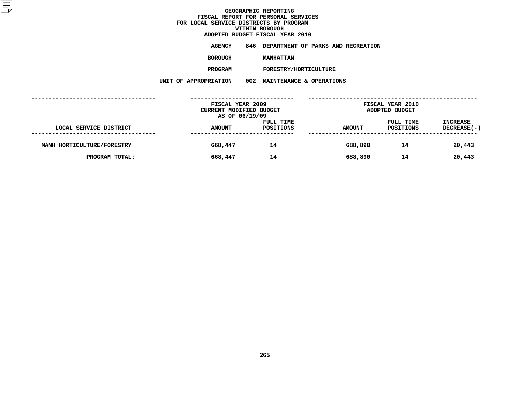**ADOPTED BUDGET FISCAL YEAR <sup>2010</sup>AGENCY <sup>846</sup> DEPARTMENT OF PARKS AND RECREATION**

**BOROUGH**

MANHATTAN<br>FORESTRY/HORTICULTURE **PROGRAM**

**M** FORESTRY/HORTICULTURE<br>N 002 MAINTENANCE & OPERATI **UNIT OF APPROPRIATION <sup>002</sup> MAINTENANCE & OPERATIONS**

|                            | FISCAL YEAR 2009<br>CURRENT MODIFIED BUDGET |                        |               | <b>FISCAL YEAR 2010</b><br>ADOPTED BUDGET |                                |  |
|----------------------------|---------------------------------------------|------------------------|---------------|-------------------------------------------|--------------------------------|--|
| LOCAL SERVICE DISTRICT     | AS OF 06/19/09<br><b>AMOUNT</b>             | FULL TIME<br>POSITIONS | <b>AMOUNT</b> | FULL TIME<br>POSITIONS                    | <b>INCREASE</b><br>DECREASE(-) |  |
| MANH HORTICULTURE/FORESTRY | 668,447                                     | 14                     | 688,890       | 14                                        | 20,443                         |  |
| PROGRAM TOTAL:             | 668,447                                     | 14                     | 688,890       | 14                                        | 20,443                         |  |
|                            |                                             |                        |               |                                           |                                |  |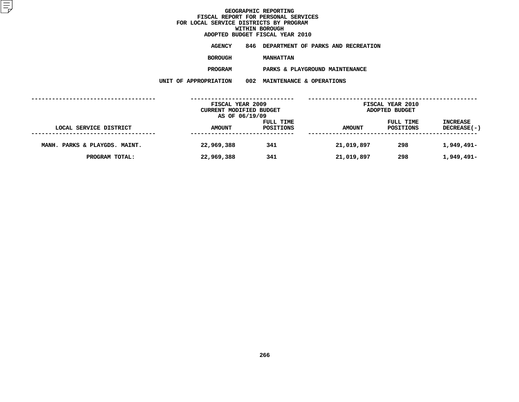**ADOPTED BUDGET FISCAL YEAR <sup>2010</sup>AGENCY <sup>846</sup> DEPARTMENT OF PARKS AND RECREATION**

**BOROUGH**

**MANHATTAN<br>PARKS & PLAYGROUND MAINTENANCE PROGRAM**

 **PARKS & PLAYGROUND MAINTENANCE UNIT OF APPROPRIATION <sup>002</sup> MAINTENANCE & OPERATIONS**

| LOCAL SERVICE DISTRICT        | FISCAL YEAR 2009<br>CURRENT MODIFIED BUDGET<br>AS OF 06/19/09 |                        | <b>FISCAL YEAR 2010</b><br>ADOPTED BUDGET |                        |                                       |
|-------------------------------|---------------------------------------------------------------|------------------------|-------------------------------------------|------------------------|---------------------------------------|
|                               | <b>AMOUNT</b>                                                 | FULL TIME<br>POSITIONS | <b>AMOUNT</b>                             | FULL TIME<br>POSITIONS | <b>INCREASE</b><br><b>DECREASE(-)</b> |
| MANH. PARKS & PLAYGDS. MAINT. | 22,969,388                                                    | 341                    | 21,019,897                                | 298                    | 1,949,491-                            |
| PROGRAM TOTAL:                | 22,969,388                                                    | 341                    | 21,019,897                                | 298                    | 1,949,491-                            |
|                               |                                                               |                        |                                           |                        |                                       |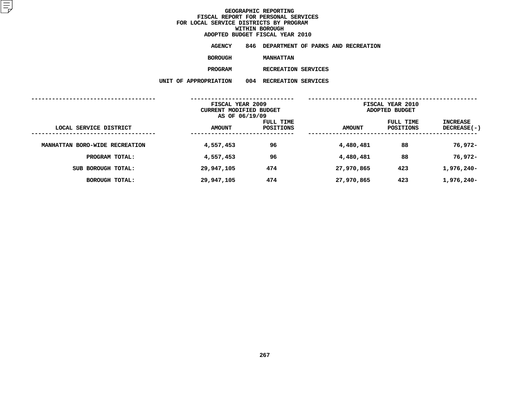**ADOPTED BUDGET FISCAL YEAR <sup>2010</sup>AGENCY <sup>846</sup> DEPARTMENT OF PARKS AND RECREATION**

**BOROUGH**

 **MANHATTAN PROGRAM**

**M** RECREATION SERVICES<br>N 004 RECREATION SERVICES **UNIT OF APPROPRIATION <sup>004</sup> RECREATION SERVICES**

|                                |               | FISCAL YEAR 2009<br>CURRENT MODIFIED BUDGET<br>AS OF 06/19/09 |               | FISCAL YEAR 2010<br>ADOPTED BUDGET |                           |  |
|--------------------------------|---------------|---------------------------------------------------------------|---------------|------------------------------------|---------------------------|--|
| LOCAL SERVICE DISTRICT         | <b>AMOUNT</b> | FULL TIME<br>POSITIONS                                        | <b>AMOUNT</b> | FULL TIME<br>POSITIONS             | INCREASE<br>$DECREASE(-)$ |  |
| MANHATTAN BORO-WIDE RECREATION | 4,557,453     | 96                                                            | 4,480,481     | 88                                 | 76,972-                   |  |
| PROGRAM TOTAL:                 | 4,557,453     | 96                                                            | 4,480,481     | 88                                 | 76,972-                   |  |
| SUB BOROUGH TOTAL:             | 29,947,105    | 474                                                           | 27,970,865    | 423                                | 1,976,240-                |  |
| BOROUGH TOTAL:                 | 29,947,105    | 474                                                           | 27,970,865    | 423                                | 1,976,240-                |  |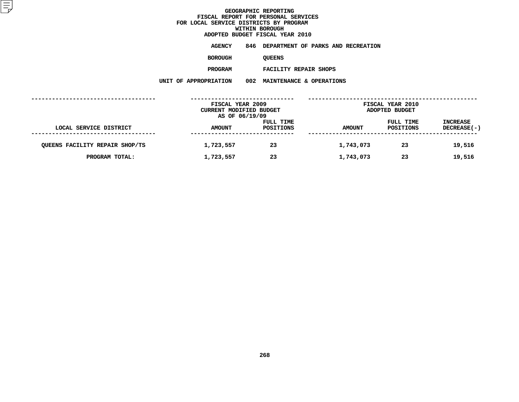**ADOPTED BUDGET FISCAL YEAR <sup>2010</sup>AGENCY <sup>846</sup> DEPARTMENT OF PARKS AND RECREATION**

**BOROUGH**

QUEENS<br>FACILITY REPAIR SHOPS

**PROGRAM**

 **FACILITY REPAIR SHOPS UNIT OF APPROPRIATION <sup>002</sup> MAINTENANCE & OPERATIONS**

|                                |               | FISCAL YEAR 2009<br>CURRENT MODIFIED BUDGET<br>AS OF 06/19/09 |               | <b>FISCAL YEAR 2010</b><br>ADOPTED BUDGET |                         |
|--------------------------------|---------------|---------------------------------------------------------------|---------------|-------------------------------------------|-------------------------|
| LOCAL SERVICE DISTRICT         | <b>AMOUNT</b> | FULL TIME<br>POSITIONS                                        | <b>AMOUNT</b> | FULL TIME<br>POSITIONS                    | INCREASE<br>DECREASE(-) |
| QUEENS FACILITY REPAIR SHOP/TS | 1,723,557     | 23                                                            | 1,743,073     | 23                                        | 19,516                  |
| PROGRAM TOTAL:                 | 1,723,557     | 23                                                            | 1,743,073     | 23                                        | 19,516                  |
|                                |               |                                                               |               |                                           |                         |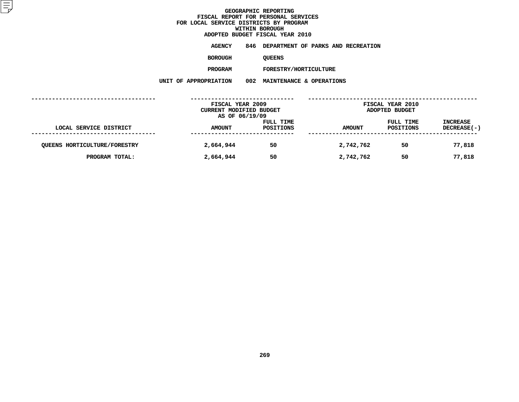**ADOPTED BUDGET FISCAL YEAR <sup>2010</sup>AGENCY <sup>846</sup> DEPARTMENT OF PARKS AND RECREATION**

**BOROUGH**

QUEENS<br>FORESTRY/HORTICULTURE **PROGRAM**

**M** FORESTRY/HORTICULTURE<br>N 002 MAINTENANCE & OPERATI **UNIT OF APPROPRIATION <sup>002</sup> MAINTENANCE & OPERATIONS**

|                                     | FISCAL YEAR 2009<br>CURRENT MODIFIED BUDGET<br>AS OF 06/19/09 |                               | FISCAL YEAR 2010<br>ADOPTED BUDGET |                        |                                |
|-------------------------------------|---------------------------------------------------------------|-------------------------------|------------------------------------|------------------------|--------------------------------|
| LOCAL SERVICE DISTRICT              | <b>AMOUNT</b>                                                 | FULL TIME<br><b>POSITIONS</b> | <b>AMOUNT</b>                      | FULL TIME<br>POSITIONS | <b>INCREASE</b><br>DECREASE(-) |
| <b>QUEENS HORTICULTURE/FORESTRY</b> | 2,664,944                                                     | 50                            | 2,742,762                          | 50                     | 77,818                         |
| PROGRAM TOTAL:                      | 2,664,944                                                     | 50                            | 2,742,762                          | 50                     | 77,818                         |
|                                     |                                                               |                               |                                    |                        |                                |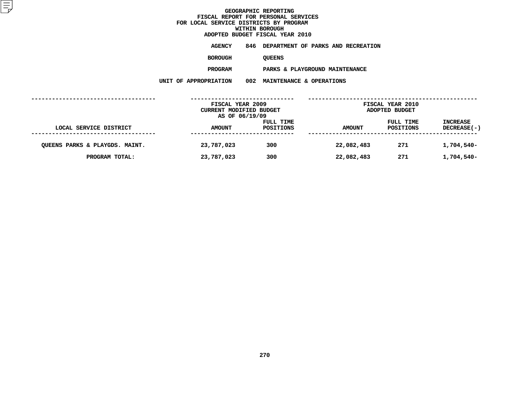**ADOPTED BUDGET FISCAL YEAR <sup>2010</sup>AGENCY <sup>846</sup> DEPARTMENT OF PARKS AND RECREATION**

**BOROUGH**

QUEENS<br>PARKS & PLAYGROUND MAINTENANCE **PROGRAM**

 **PARKS & PLAYGROUND MAINTENANCE UNIT OF APPROPRIATION <sup>002</sup> MAINTENANCE & OPERATIONS**

|                                | FISCAL YEAR 2009<br><b>CURRENT MODIFIED BUDGET</b><br>AS OF 06/19/09 |                        | <b>FISCAL YEAR 2010</b><br>ADOPTED BUDGET |                        |                                |  |
|--------------------------------|----------------------------------------------------------------------|------------------------|-------------------------------------------|------------------------|--------------------------------|--|
| LOCAL SERVICE DISTRICT         | <b>AMOUNT</b>                                                        | FULL TIME<br>POSITIONS | <b>AMOUNT</b>                             | FULL TIME<br>POSITIONS | <b>INCREASE</b><br>DECREASE(-) |  |
| QUEENS PARKS & PLAYGDS. MAINT. | 23,787,023                                                           | 300                    | 22,082,483                                | 271                    | 1,704,540-                     |  |
| PROGRAM TOTAL:                 | 23,787,023                                                           | 300                    | 22,082,483                                | 271                    | 1,704,540-                     |  |
|                                |                                                                      |                        |                                           |                        |                                |  |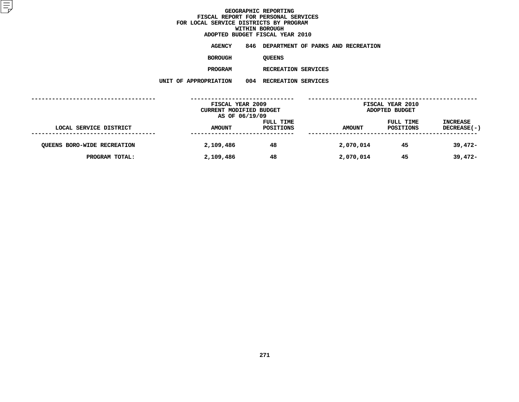**ADOPTED BUDGET FISCAL YEAR <sup>2010</sup>AGENCY <sup>846</sup> DEPARTMENT OF PARKS AND RECREATION**

**BOROUGH**

QUEENS<br>RECREATION SERVICES **PROGRAM**

**M** RECREATION SERVICES<br>N 004 RECREATION SERVICES **UNIT OF APPROPRIATION <sup>004</sup> RECREATION SERVICES**

|                                    | FISCAL YEAR 2009<br>CURRENT MODIFIED BUDGET |                        |               | FISCAL YEAR 2010<br>ADOPTED BUDGET |                         |
|------------------------------------|---------------------------------------------|------------------------|---------------|------------------------------------|-------------------------|
|                                    | AS OF 06/19/09                              |                        |               |                                    |                         |
| LOCAL SERVICE DISTRICT             | <b>AMOUNT</b>                               | FULL TIME<br>POSITIONS | <b>AMOUNT</b> | FULL TIME<br>POSITIONS             | INCREASE<br>DECREASE(-) |
|                                    |                                             |                        |               |                                    |                         |
| <b>QUEENS BORO-WIDE RECREATION</b> | 2,109,486                                   | 48                     | 2,070,014     | 45                                 | $39,472-$               |
| PROGRAM TOTAL:                     | 2,109,486                                   | 48                     | 2,070,014     | 45                                 | $39,472-$               |
|                                    |                                             |                        |               |                                    |                         |
|                                    |                                             |                        |               |                                    |                         |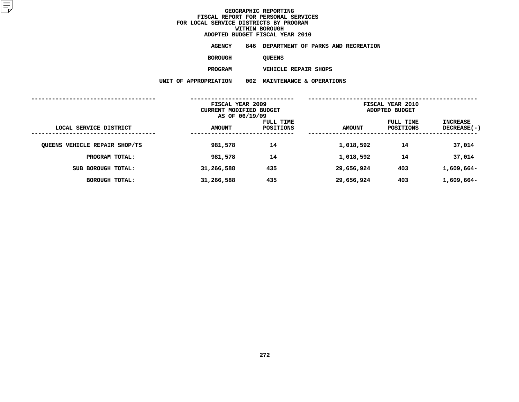**ADOPTED BUDGET FISCAL YEAR <sup>2010</sup>AGENCY <sup>846</sup> DEPARTMENT OF PARKS AND RECREATION**

**BOROUGH**

QUEENS<br>VEHICLE REPAIR SHOPS **PROGRAM**

 **VEHICLE REPAIR SHOPS UNIT OF APPROPRIATION <sup>002</sup> MAINTENANCE & OPERATIONS**

|                               | FISCAL YEAR 2009<br>CURRENT MODIFIED BUDGET<br>AS OF 06/19/09 |                        | FISCAL YEAR 2010<br>ADOPTED BUDGET |                        |                                |
|-------------------------------|---------------------------------------------------------------|------------------------|------------------------------------|------------------------|--------------------------------|
| LOCAL SERVICE DISTRICT        | <b>AMOUNT</b>                                                 | FULL TIME<br>POSITIONS | <b>AMOUNT</b>                      | FULL TIME<br>POSITIONS | INCREASE<br><b>DECREASE(-)</b> |
| QUEENS VEHICLE REPAIR SHOP/TS | 981,578                                                       | 14                     | 1,018,592                          | 14                     | 37,014                         |
| PROGRAM TOTAL:                | 981,578                                                       | 14                     | 1,018,592                          | 14                     | 37,014                         |
| SUB BOROUGH TOTAL:            | 31,266,588                                                    | 435                    | 29,656,924                         | 403                    | 1,609,664-                     |
| <b>BOROUGH TOTAL:</b>         | 31,266,588                                                    | 435                    | 29,656,924                         | 403                    | 1,609,664-                     |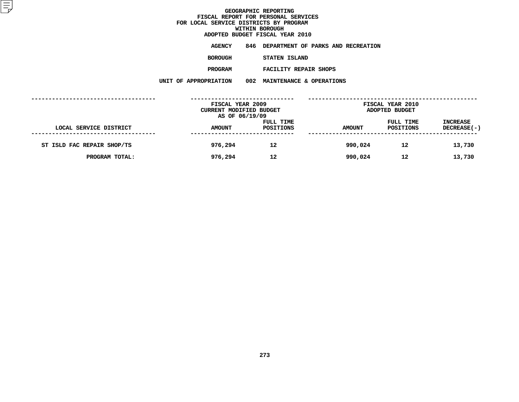**ADOPTED BUDGET FISCAL YEAR <sup>2010</sup>AGENCY <sup>846</sup> DEPARTMENT OF PARKS AND RECREATION**

**BOROUGH**

 **STATEN ISLAND PROGRAM**

**FACILITY REPAIR SHOPS**

**UNIT OF APPROPRIATION <sup>002</sup> MAINTENANCE & OPERATIONS**

|                            | FISCAL YEAR 2009        |           |               | <b>FISCAL YEAR 2010</b> |             |
|----------------------------|-------------------------|-----------|---------------|-------------------------|-------------|
|                            | CURRENT MODIFIED BUDGET |           |               | ADOPTED BUDGET          |             |
|                            | AS OF 06/19/09          |           |               |                         |             |
|                            |                         | FULL TIME |               | FULL TIME               | INCREASE    |
| LOCAL SERVICE DISTRICT     | <b>AMOUNT</b>           | POSITIONS | <b>AMOUNT</b> | POSITIONS               | DECREASE(-) |
|                            |                         |           |               |                         |             |
| ST ISLD FAC REPAIR SHOP/TS | 976,294                 | 12        | 990,024       | 12                      | 13,730      |
|                            |                         |           |               |                         |             |
| PROGRAM TOTAL:             | 976,294                 | 12        | 990,024       | 12                      | 13,730      |
|                            |                         |           |               |                         |             |
|                            |                         |           |               |                         |             |
|                            |                         |           |               |                         |             |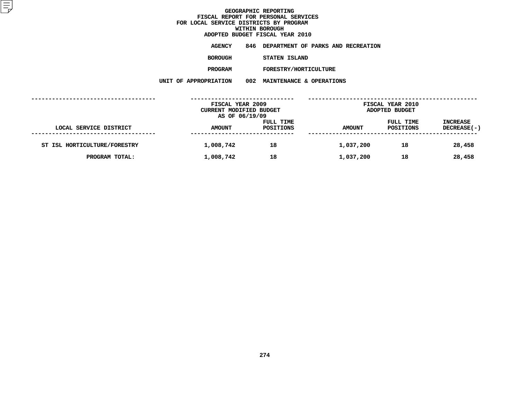**ADOPTED BUDGET FISCAL YEAR <sup>2010</sup>AGENCY <sup>846</sup> DEPARTMENT OF PARKS AND RECREATION**

**BOROUGH**

 **STATEN ISLAND PROGRAM**

**M** FORESTRY/HORTICULTURE<br>N 002 MAINTENANCE & OPERATI **UNIT OF APPROPRIATION <sup>002</sup> MAINTENANCE & OPERATIONS**

|                              | FISCAL YEAR 2009                          |           |               | <b>FISCAL YEAR 2010</b> |                 |
|------------------------------|-------------------------------------------|-----------|---------------|-------------------------|-----------------|
|                              | CURRENT MODIFIED BUDGET<br>AS OF 06/19/09 |           |               | ADOPTED BUDGET          |                 |
|                              |                                           | FULL TIME |               | FULL TIME               | <b>INCREASE</b> |
| LOCAL SERVICE DISTRICT       | <b>AMOUNT</b>                             | POSITIONS | <b>AMOUNT</b> | POSITIONS               | DECREASE(-)     |
|                              |                                           |           |               |                         |                 |
| ST ISL HORTICULTURE/FORESTRY | 1,008,742                                 | 18        | 1,037,200     | 18                      | 28,458          |
| PROGRAM TOTAL:               | 1,008,742                                 | 18        | 1,037,200     | 18                      | 28,458          |
|                              |                                           |           |               |                         |                 |
|                              |                                           |           |               |                         |                 |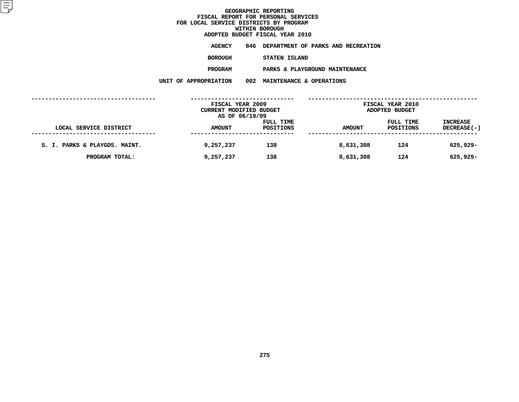|         | ADOPTED BUDGET FISCAL YEAR 2010        |
|---------|----------------------------------------|
| AGENCY  | 846 DEPARTMENT OF PARKS AND RECREATION |
| BOROUGH | STATEN ISLAND                          |
| PROGRAM | PARKS & PLAYGROUND MAINTENANCE         |

 **PARKS & PLAYGROUND MAINTENANCE UNIT OF APPROPRIATION <sup>002</sup> MAINTENANCE & OPERATIONS**

|                               | FISCAL YEAR 2009        |           |               | <b>FISCAL YEAR 2010</b> |                 |
|-------------------------------|-------------------------|-----------|---------------|-------------------------|-----------------|
|                               | CURRENT MODIFIED BUDGET |           |               | ADOPTED BUDGET          |                 |
|                               | AS OF 06/19/09          |           |               |                         |                 |
|                               |                         | FULL TIME |               | FULL TIME               | <b>INCREASE</b> |
| LOCAL SERVICE DISTRICT        | <b>AMOUNT</b>           | POSITIONS | <b>AMOUNT</b> | POSITIONS               | DECREASE(-)     |
|                               |                         |           |               |                         |                 |
| S. I. PARKS & PLAYGDS. MAINT. | 9,257,237               | 138       | 8,631,308     | 124                     | 625,929-        |
|                               |                         |           |               |                         |                 |
| PROGRAM TOTAL:                | 9,257,237               | 138       | 8,631,308     | 124                     | 625,929-        |
|                               |                         |           |               |                         |                 |
|                               |                         |           |               |                         |                 |
|                               |                         |           |               |                         |                 |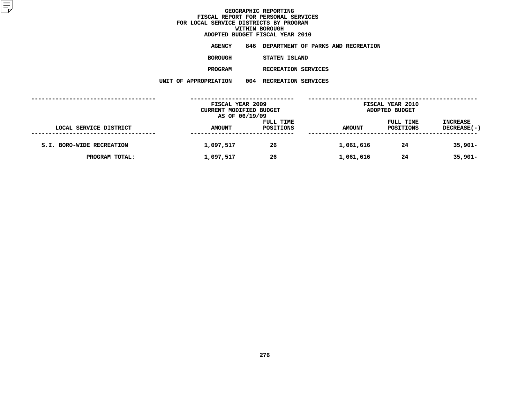|                      | ADOPTED BUDGET FISCAL YEAR 2010        |
|----------------------|----------------------------------------|
| AGENCY               | 846 DEPARTMENT OF PARKS AND RECREATION |
| <b>BOROUGH</b>       | STATEN ISLAND                          |
| <b>PROGRAM</b>       | RECREATION SERVICES                    |
| <b>APPROPRIATION</b> | 004 RECREATION SERVICES                |

**UNIT OF APPROPRIATION <sup>004</sup> RECREATION SERVICES**

|                           | FISCAL YEAR 2009<br>CURRENT MODIFIED BUDGET<br>AS OF 06/19/09 |                        | <b>FISCAL YEAR 2010</b><br>ADOPTED BUDGET |                        |                                |  |
|---------------------------|---------------------------------------------------------------|------------------------|-------------------------------------------|------------------------|--------------------------------|--|
| LOCAL SERVICE DISTRICT    | <b>AMOUNT</b>                                                 | FULL TIME<br>POSITIONS | <b>AMOUNT</b>                             | FULL TIME<br>POSITIONS | <b>INCREASE</b><br>DECREASE(-) |  |
| S.I. BORO-WIDE RECREATION | 1,097,517                                                     | 26                     | 1,061,616                                 | 24                     | $35,901 -$                     |  |
| PROGRAM TOTAL:            | 1,097,517                                                     | 26                     | 1,061,616                                 | 24                     | $35,901 -$                     |  |
|                           |                                                               |                        |                                           |                        |                                |  |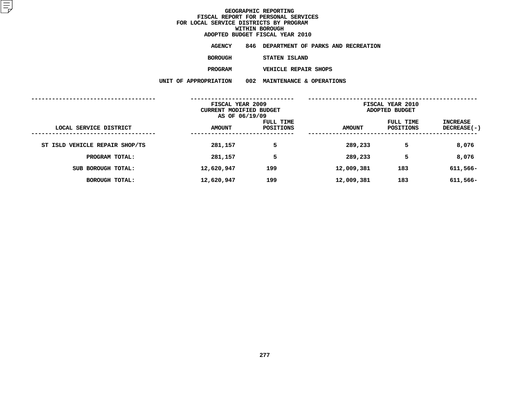|                | ADOPTED BUDGET FISCAL YEAR 2010        |
|----------------|----------------------------------------|
| AGENCY         | 846 DEPARTMENT OF PARKS AND RECREATION |
| <b>BOROUGH</b> | STATEN ISLAND                          |
| <b>PROGRAM</b> | <b>VEHICLE REPAIR SHOPS</b>            |

 **VEHICLE REPAIR SHOPS UNIT OF APPROPRIATION <sup>002</sup> MAINTENANCE & OPERATIONS**

|                                | FISCAL YEAR 2009<br>CURRENT MODIFIED BUDGET<br>AS OF 06/19/09 |                        | FISCAL YEAR 2010<br>ADOPTED BUDGET |                        |                         |
|--------------------------------|---------------------------------------------------------------|------------------------|------------------------------------|------------------------|-------------------------|
| LOCAL SERVICE DISTRICT         | <b>AMOUNT</b>                                                 | FULL TIME<br>POSITIONS | <b>AMOUNT</b>                      | FULL TIME<br>POSITIONS | INCREASE<br>DECREASE(-) |
| ST ISLD VEHICLE REPAIR SHOP/TS | 281,157                                                       | 5                      | 289,233                            | 5                      | 8,076                   |
| PROGRAM TOTAL:                 | 281,157                                                       | 5                      | 289,233                            | 5                      | 8,076                   |
| SUB BOROUGH TOTAL:             | 12,620,947                                                    | 199                    | 12,009,381                         | 183                    | 611,566-                |
| <b>BOROUGH TOTAL:</b>          | 12,620,947                                                    | 199                    | 12,009,381                         | 183                    | 611,566-                |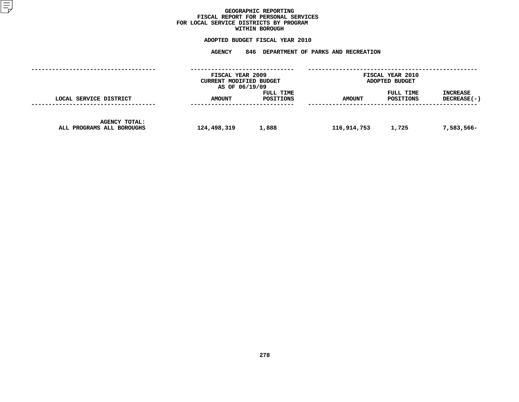### GEOGRAPHIC REPORTING<br>FISCAL REPORT FOR PERSONAL SERVICES<br>OCAL SERVICE DISTRICTS BY PROGRAM<br>WITHIN BOROUGH **FISCAL REPORT FOR PERSONAL SERVICES FOR LOCAL SERVICE DISTRICTS BY PROGRAM**

# **WITHIN BOROUGH ADOPTED BUDGET FISCAL YEAR <sup>2010</sup>**

# **AGENCY <sup>846</sup> DEPARTMENT OF PARKS AND RECREATION**

|                                                   | FISCAL YEAR 2009<br>CURRENT MODIFIED BUDGET<br>AS OF 06/19/09 |                        |               | <b>FISCAL YEAR 2010</b><br>ADOPTED BUDGET |                                  |
|---------------------------------------------------|---------------------------------------------------------------|------------------------|---------------|-------------------------------------------|----------------------------------|
| LOCAL SERVICE DISTRICT                            | <b>AMOUNT</b>                                                 | FULL TIME<br>POSITIONS | <b>AMOUNT</b> | FULL TIME<br>POSITIONS                    | <b>INCREASE</b><br>$DECREASE(-)$ |
| <b>AGENCY TOTAL:</b><br>ALL PROGRAMS ALL BOROUGHS | 124,498,319                                                   | 1,888                  | 116,914,753   | 1,725                                     | 7,583,566-                       |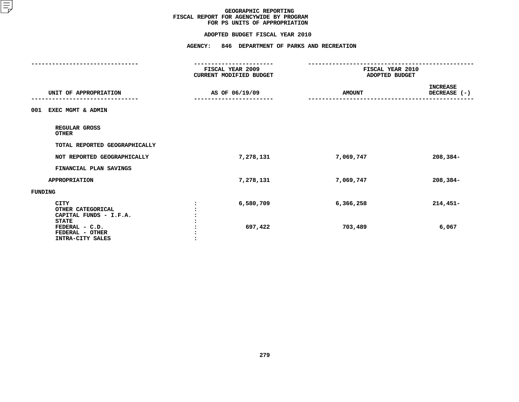#### **ADOPTED BUDGET FISCAL YEAR 2010**

# **ADOPTED BUDGET FISCAL YEAR <sup>2010</sup>**

|                                                                                                                                     | <b>AGENCY:</b><br>846 DEPARTMENT OF PARKS AND RECREATION          |                                                                 |                                 |  |
|-------------------------------------------------------------------------------------------------------------------------------------|-------------------------------------------------------------------|-----------------------------------------------------------------|---------------------------------|--|
|                                                                                                                                     | ------------------<br>FISCAL YEAR 2009<br>CURRENT MODIFIED BUDGET | -------------------------<br>FISCAL YEAR 2010<br>ADOPTED BUDGET |                                 |  |
| UNIT OF APPROPRIATION                                                                                                               | AS OF 06/19/09                                                    | <b>AMOUNT</b>                                                   | <b>INCREASE</b><br>DECREASE (-) |  |
| EXEC MGMT & ADMIN<br>001                                                                                                            |                                                                   |                                                                 |                                 |  |
| REGULAR GROSS<br><b>OTHER</b>                                                                                                       |                                                                   |                                                                 |                                 |  |
| TOTAL REPORTED GEOGRAPHICALLY                                                                                                       |                                                                   |                                                                 |                                 |  |
| NOT REPORTED GEOGRAPHICALLY                                                                                                         | 7,278,131                                                         | 7,069,747                                                       | $208,384-$                      |  |
| FINANCIAL PLAN SAVINGS                                                                                                              |                                                                   |                                                                 |                                 |  |
| <b>APPROPRIATION</b>                                                                                                                | 7,278,131                                                         | 7,069,747                                                       | $208,384-$                      |  |
| <b>FUNDING</b>                                                                                                                      |                                                                   |                                                                 |                                 |  |
| <b>CITY</b><br>OTHER CATEGORICAL<br>CAPITAL FUNDS - I.F.A.<br><b>STATE</b><br>FEDERAL - C.D.<br>FEDERAL - OTHER<br>INTRA-CITY SALES | 6,580,709<br>697,422                                              | 6,366,258<br>703,489                                            | $214,451-$<br>6,067             |  |
|                                                                                                                                     |                                                                   |                                                                 |                                 |  |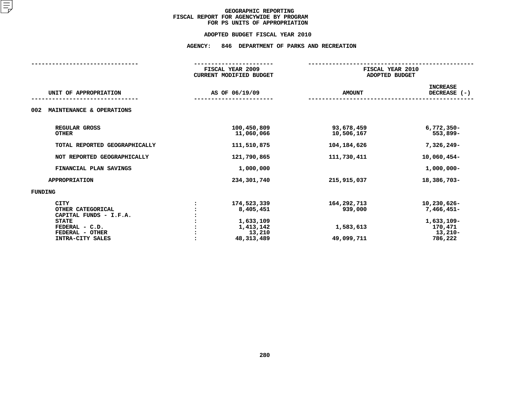# **ADOPTED BUDGET FISCAL YEAR <sup>2010</sup>AGENCY: <sup>846</sup> DEPARTMENT OF PARKS AND RECREATION**

|                                                                                                                                     | FISCAL YEAR 2009<br><b>CURRENT MODIFIED BUDGET</b>                           | FISCAL YEAR 2010<br>ADOPTED BUDGET                |                                                                            |  |
|-------------------------------------------------------------------------------------------------------------------------------------|------------------------------------------------------------------------------|---------------------------------------------------|----------------------------------------------------------------------------|--|
| UNIT OF APPROPRIATION                                                                                                               | AS OF 06/19/09                                                               | <b>AMOUNT</b>                                     | <b>INCREASE</b><br>DECREASE (-)                                            |  |
| 002<br>MAINTENANCE & OPERATIONS                                                                                                     |                                                                              |                                                   |                                                                            |  |
| REGULAR GROSS<br><b>OTHER</b>                                                                                                       | 100,450,809<br>11,060,066                                                    | 93,678,459<br>10,506,167                          | $6,772,350 -$<br>553,899-                                                  |  |
| TOTAL REPORTED GEOGRAPHICALLY                                                                                                       | 111,510,875                                                                  | 104,184,626                                       | 7,326,249-                                                                 |  |
| NOT REPORTED GEOGRAPHICALLY                                                                                                         | 121,790,865                                                                  | 111,730,411                                       | 10,060,454-                                                                |  |
| FINANCIAL PLAN SAVINGS                                                                                                              | 1,000,000                                                                    |                                                   | $1,000,000 -$                                                              |  |
| <b>APPROPRIATION</b>                                                                                                                | 234,301,740                                                                  | 215,915,037                                       | 18,386,703-                                                                |  |
| <b>FUNDING</b>                                                                                                                      |                                                                              |                                                   |                                                                            |  |
| <b>CITY</b><br>OTHER CATEGORICAL<br>CAPITAL FUNDS - I.F.A.<br><b>STATE</b><br>FEDERAL - C.D.<br>FEDERAL - OTHER<br>INTRA-CITY SALES | 174,523,339<br>8,405,451<br>1,633,109<br>1,413,142<br>13,210<br>48, 313, 489 | 164,292,713<br>939,000<br>1,583,613<br>49,099,711 | 10,230,626-<br>7,466,451-<br>1,633,109-<br>170,471<br>$13,210-$<br>786,222 |  |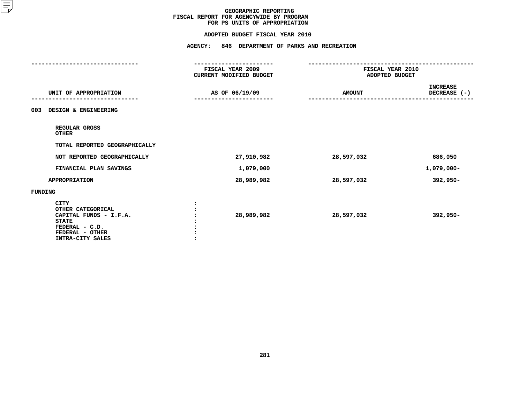#### **ADOPTED BUDGET FISCAL YEAR 2010**

# **ADOPTED BUDGET FISCAL YEAR <sup>2010</sup>**

|                                                                                                                                     | <b>AGENCY:</b><br>846 DEPARTMENT OF PARKS AND RECREATION                |                                    |                                 |  |
|-------------------------------------------------------------------------------------------------------------------------------------|-------------------------------------------------------------------------|------------------------------------|---------------------------------|--|
|                                                                                                                                     | -----------------<br>FISCAL YEAR 2009<br><b>CURRENT MODIFIED BUDGET</b> | FISCAL YEAR 2010<br>ADOPTED BUDGET |                                 |  |
| UNIT OF APPROPRIATION                                                                                                               | AS OF 06/19/09                                                          | <b>AMOUNT</b>                      | <b>INCREASE</b><br>DECREASE (-) |  |
| DESIGN & ENGINEERING<br>003                                                                                                         |                                                                         |                                    |                                 |  |
| REGULAR GROSS<br><b>OTHER</b>                                                                                                       |                                                                         |                                    |                                 |  |
| TOTAL REPORTED GEOGRAPHICALLY                                                                                                       |                                                                         |                                    |                                 |  |
| NOT REPORTED GEOGRAPHICALLY                                                                                                         | 27,910,982                                                              | 28,597,032                         | 686,050                         |  |
| FINANCIAL PLAN SAVINGS                                                                                                              | 1,079,000                                                               |                                    | 1,079,000-                      |  |
| <b>APPROPRIATION</b>                                                                                                                | 28,989,982                                                              | 28,597,032                         | 392,950-                        |  |
| <b>FUNDING</b>                                                                                                                      |                                                                         |                                    |                                 |  |
| <b>CITY</b><br>OTHER CATEGORICAL<br>CAPITAL FUNDS - I.F.A.<br><b>STATE</b><br>FEDERAL - C.D.<br>FEDERAL - OTHER<br>INTRA-CITY SALES | 28,989,982                                                              | 28,597,032                         | $392,950 -$                     |  |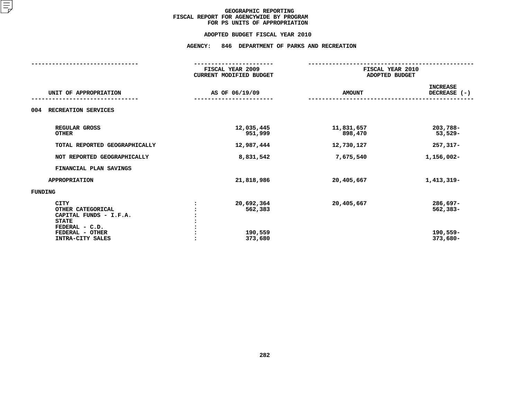#### **ADOPTED BUDGET FISCAL YEAR 2010**

# **ADOPTED BUDGET FISCAL YEAR <sup>2010</sup>AGENCY: <sup>846</sup> DEPARTMENT OF PARKS AND RECREATION**

| UNIT OF APPROPRIATION                                                                                                               | FISCAL YEAR 2009<br><b>CURRENT MODIFIED BUDGET</b> |                       | FISCAL YEAR 2010<br>ADOPTED BUDGET             |  |
|-------------------------------------------------------------------------------------------------------------------------------------|----------------------------------------------------|-----------------------|------------------------------------------------|--|
|                                                                                                                                     | AS OF 06/19/09                                     | <b>AMOUNT</b>         | <b>INCREASE</b><br>DECREASE (-)                |  |
| RECREATION SERVICES<br>004                                                                                                          |                                                    |                       |                                                |  |
| REGULAR GROSS<br><b>OTHER</b>                                                                                                       | 12,035,445<br>951,999                              | 11,831,657<br>898,470 | 203,788-<br>$53,529-$                          |  |
| TOTAL REPORTED GEOGRAPHICALLY                                                                                                       | 12,987,444                                         | 12,730,127            | $257, 317 -$                                   |  |
| NOT REPORTED GEOGRAPHICALLY                                                                                                         | 8,831,542                                          | 7,675,540             | 1,156,002-                                     |  |
| FINANCIAL PLAN SAVINGS                                                                                                              |                                                    |                       |                                                |  |
| <b>APPROPRIATION</b>                                                                                                                | 21,818,986                                         | 20,405,667            | 1,413,319-                                     |  |
| FUNDING                                                                                                                             |                                                    |                       |                                                |  |
| <b>CITY</b><br>OTHER CATEGORICAL<br>CAPITAL FUNDS - I.F.A.<br><b>STATE</b><br>FEDERAL - C.D.<br>FEDERAL - OTHER<br>INTRA-CITY SALES | 20,692,364<br>562,383<br>190,559<br>373,680        | 20,405,667            | 286,697-<br>$562,383-$<br>190,559-<br>373,680- |  |
|                                                                                                                                     |                                                    |                       |                                                |  |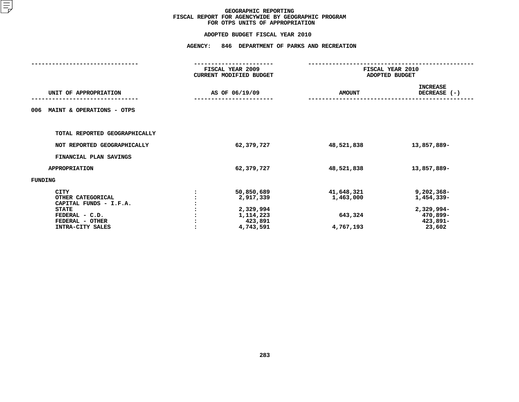# **ADOPTED BUDGET FISCAL YEAR <sup>2010</sup>**

| <b>AGENCY:</b><br>846 DEPARTMENT OF PARKS AND RECREATION |                                                                            |  |  |
|----------------------------------------------------------|----------------------------------------------------------------------------|--|--|
| CURRENT MODIFIED BUDGET                                  | FISCAL YEAR 2010<br>ADOPTED BUDGET                                         |  |  |
| <b>AMOUNT</b>                                            | <b>INCREASE</b><br>DECREASE (-)                                            |  |  |
|                                                          |                                                                            |  |  |
|                                                          |                                                                            |  |  |
| 48,521,838                                               | 13,857,889-                                                                |  |  |
|                                                          |                                                                            |  |  |
| 48,521,838                                               | 13,857,889-                                                                |  |  |
|                                                          |                                                                            |  |  |
| 41,648,321<br>1,463,000<br>643,324<br>4,767,193          | $9,202,368-$<br>1,454,339-<br>2,329,994-<br>470,899-<br>423,891-<br>23,602 |  |  |
| 62,379,727<br>2,329,994                                  |                                                                            |  |  |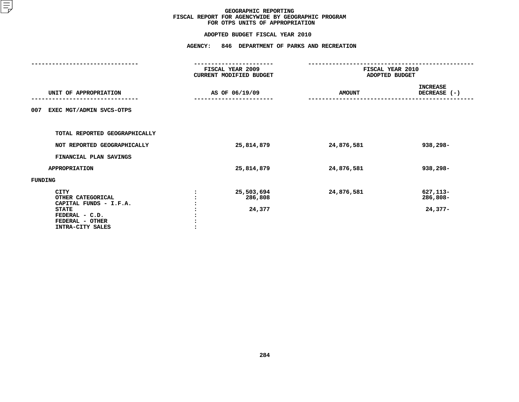# **ADOPTED BUDGET FISCAL YEAR <sup>2010</sup>**

| <b>AGENCY:</b><br>846 DEPARTMENT OF PARKS AND RECREATION |                                 |                                    |                                    |  |
|----------------------------------------------------------|---------------------------------|------------------------------------|------------------------------------|--|
| FISCAL YEAR 2009<br>CURRENT MODIFIED BUDGET              |                                 | FISCAL YEAR 2010<br>ADOPTED BUDGET |                                    |  |
|                                                          |                                 | <b>AMOUNT</b>                      | <b>INCREASE</b><br>DECREASE (-)    |  |
|                                                          |                                 |                                    |                                    |  |
|                                                          |                                 |                                    |                                    |  |
|                                                          | 25,814,879                      | 24,876,581                         | 938,298-                           |  |
|                                                          |                                 |                                    |                                    |  |
|                                                          | 25,814,879                      | 24,876,581                         | 938,298-                           |  |
|                                                          |                                 |                                    |                                    |  |
|                                                          | 25,503,694<br>286,808<br>24,377 | 24,876,581                         | 627, 113-<br>286,808-<br>$24,377-$ |  |
|                                                          |                                 | AS OF 06/19/09                     |                                    |  |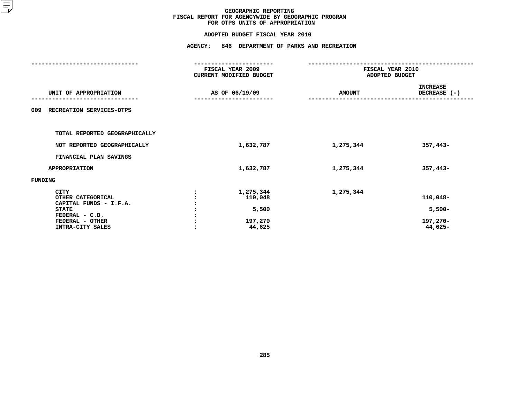### **GEOGRAPHIC REPORTINGFISCAL REPORT FOR AGENCYWIDE BY GEOGRAPHIC PROGRAM FOR OTPS UNITS OF APPROPRIATION**

# **ADOPTED BUDGET FISCAL YEAR <sup>2010</sup>**

|                                                                                                                 | <b>AGENCY:</b><br>846 DEPARTMENT OF PARKS AND RECREATION |                                             |                                    |                                  |  |
|-----------------------------------------------------------------------------------------------------------------|----------------------------------------------------------|---------------------------------------------|------------------------------------|----------------------------------|--|
|                                                                                                                 |                                                          | FISCAL YEAR 2009<br>CURRENT MODIFIED BUDGET | FISCAL YEAR 2010<br>ADOPTED BUDGET |                                  |  |
| UNIT OF APPROPRIATION                                                                                           |                                                          | AS OF 06/19/09                              | <b>AMOUNT</b>                      | <b>INCREASE</b><br>DECREASE (-)  |  |
| RECREATION SERVICES-OTPS<br>009                                                                                 |                                                          |                                             |                                    |                                  |  |
| TOTAL REPORTED GEOGRAPHICALLY                                                                                   |                                                          |                                             |                                    |                                  |  |
| NOT REPORTED GEOGRAPHICALLY                                                                                     |                                                          | 1,632,787                                   | 1,275,344                          | $357,443-$                       |  |
| FINANCIAL PLAN SAVINGS                                                                                          |                                                          |                                             |                                    |                                  |  |
| <b>APPROPRIATION</b>                                                                                            |                                                          | 1,632,787                                   | 1,275,344                          | $357,443-$                       |  |
| FUNDING                                                                                                         |                                                          |                                             |                                    |                                  |  |
| <b>CITY</b><br>OTHER CATEGORICAL<br>CAPITAL FUNDS - I.F.A.<br><b>STATE</b><br>FEDERAL - C.D.<br>FEDERAL - OTHER |                                                          | 1,275,344<br>110,048<br>5,500<br>197,270    | 1,275,344                          | 110,048-<br>$5,500-$<br>197,270- |  |
| INTRA-CITY SALES                                                                                                |                                                          | 44,625                                      |                                    | 44,625-                          |  |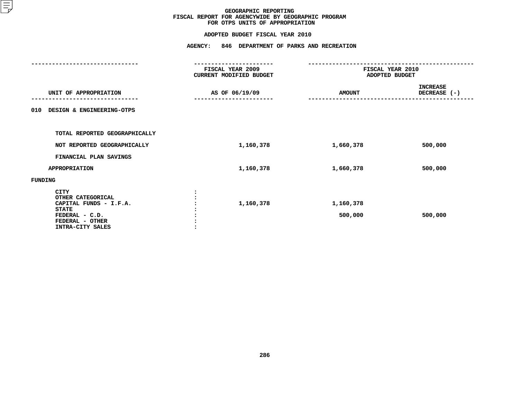### **GEOGRAPHIC REPORTINGFISCAL REPORT FOR AGENCYWIDE BY GEOGRAPHIC PROGRAM FOR OTPS UNITS OF APPROPRIATION**

# **ADOPTED BUDGET FISCAL YEAR <sup>2010</sup>**

|                                                                                                                                     | <b>AGENCY:</b><br>846 DEPARTMENT OF PARKS AND RECREATION |                                    |                                 |  |  |
|-------------------------------------------------------------------------------------------------------------------------------------|----------------------------------------------------------|------------------------------------|---------------------------------|--|--|
|                                                                                                                                     | FISCAL YEAR 2009<br>CURRENT MODIFIED BUDGET              | FISCAL YEAR 2010<br>ADOPTED BUDGET |                                 |  |  |
| UNIT OF APPROPRIATION                                                                                                               | AS OF 06/19/09                                           | <b>AMOUNT</b>                      | <b>INCREASE</b><br>DECREASE (-) |  |  |
| 010<br>DESIGN & ENGINEERING-OTPS                                                                                                    |                                                          |                                    |                                 |  |  |
| TOTAL REPORTED GEOGRAPHICALLY                                                                                                       |                                                          |                                    |                                 |  |  |
| NOT REPORTED GEOGRAPHICALLY                                                                                                         | 1,160,378                                                | 1,660,378                          | 500,000                         |  |  |
| FINANCIAL PLAN SAVINGS                                                                                                              |                                                          |                                    |                                 |  |  |
| <b>APPROPRIATION</b>                                                                                                                | 1,160,378                                                | 1,660,378                          | 500,000                         |  |  |
| FUNDING                                                                                                                             |                                                          |                                    |                                 |  |  |
| <b>CITY</b><br>OTHER CATEGORICAL<br>CAPITAL FUNDS - I.F.A.<br><b>STATE</b><br>FEDERAL - C.D.<br>FEDERAL - OTHER<br>INTRA-CITY SALES | 1,160,378                                                | 1,160,378<br>500,000               | 500,000                         |  |  |